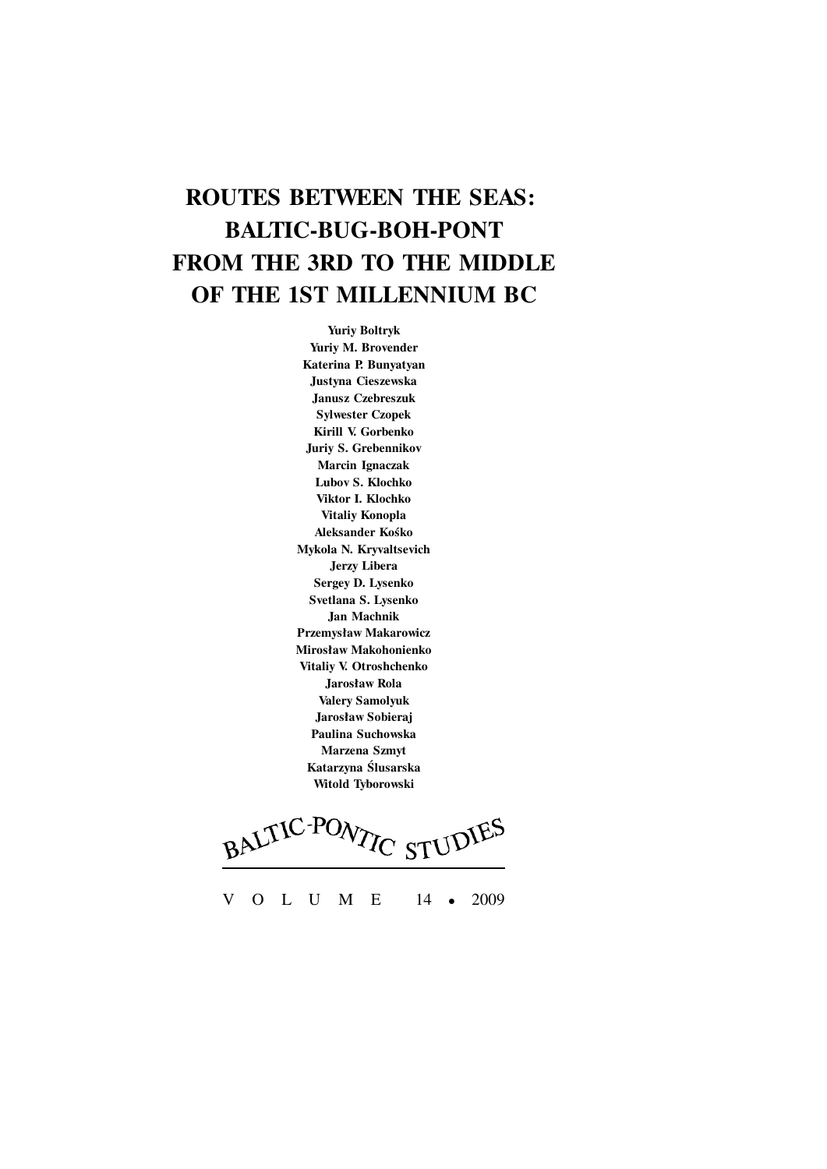# **ROUTES BETWEEN THE SEAS: BALTIC-BUG-BOH-PONT FROM THE 3RD TO THE MIDDLE OF THE 1ST MILLENNIUM BC**

**Yuriy Boltryk Yuriy M. Brovender Katerina P. Bunyatyan Justyna Cieszewska Janusz Czebreszuk Sylwester Czopek Kirill V. Gorbenko Juriy S. Grebennikov Marcin Ignaczak Lubov S. Klochko Viktor I. Klochko Vitaliy Konopla Aleksander Kośko Mykola N. Kryvaltsevich Jerzy Libera Sergey D. Lysenko Svetlana S. Lysenko Jan Machnik Przemysław Makarowicz Mirosław Makohonienko Vitaliy V. Otroshchenko Jarosław Rola Valery Samolyuk Jarosław Sobieraj Paulina Suchowska Marzena Szmyt Katarzyna Ślusarska Witold Tyborowski**

BALTIC-PONTIC STUDIES

V O L U M E 14 • 2009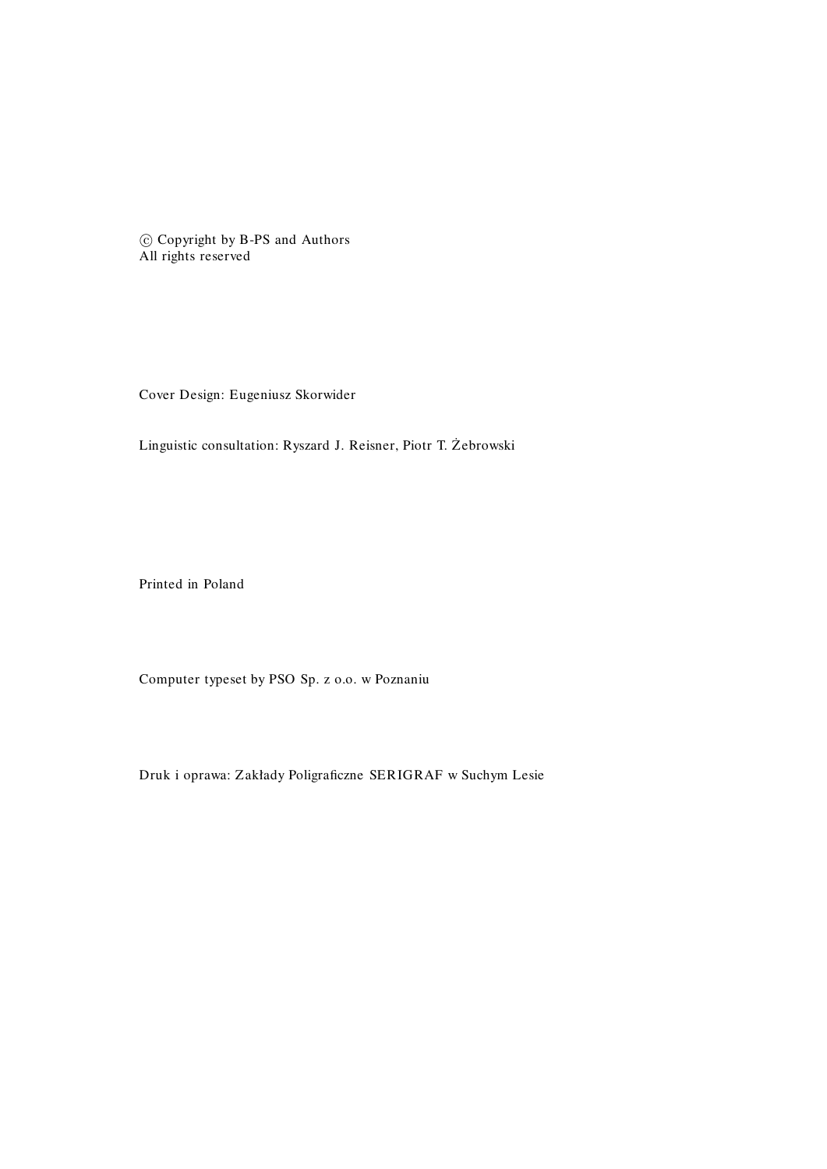-c Copyright by B-PS and Authors All rights reserved

Cover Design: Eugeniusz Skorwider

Linguistic consultation: Ryszard J. Reisner, Piotr T. Ż ebrowski

Printed in Poland

Computer typeset by PSO Sp. z o.o. w Poznaniu

Druk i oprawa: Z akłady Poligraficzne SER IGRAF w Suchym Lesie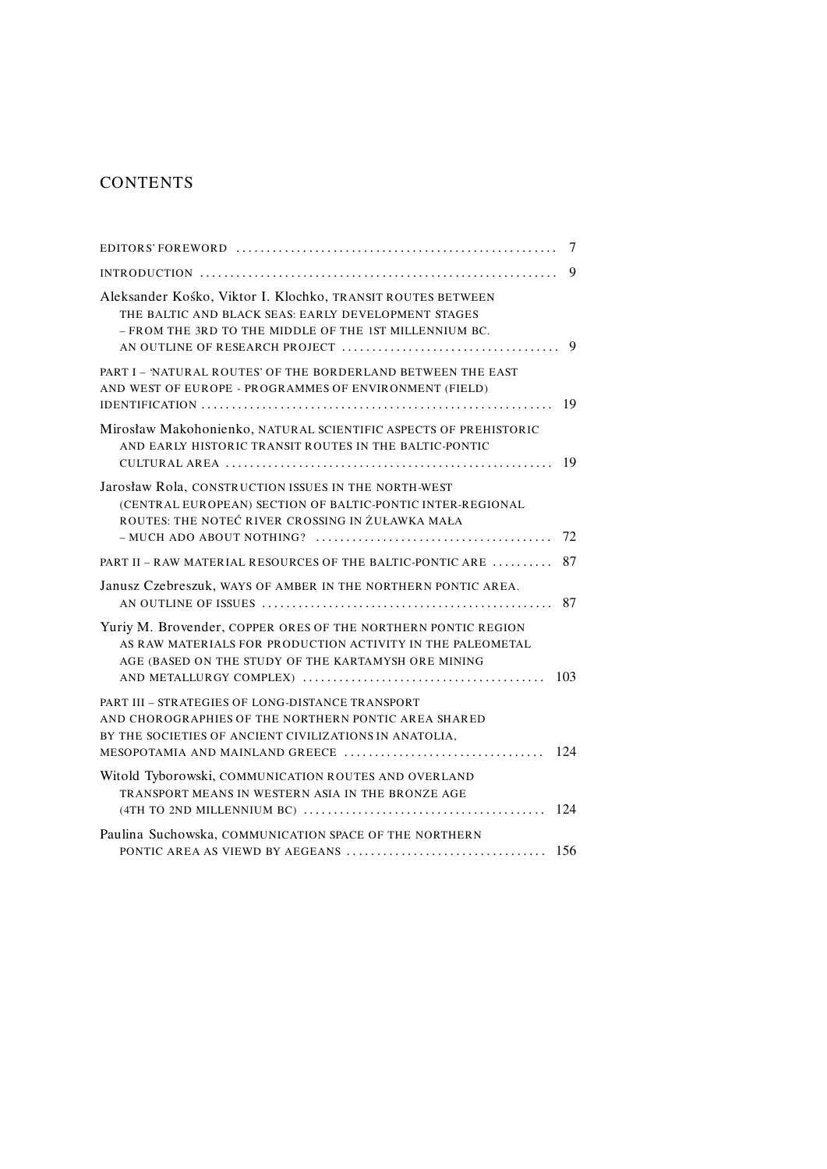## **CONTENTS**

| 7                                                                                                                                                                                         |
|-------------------------------------------------------------------------------------------------------------------------------------------------------------------------------------------|
|                                                                                                                                                                                           |
| Aleksander Kośko, Viktor I. Klochko, TRANSIT ROUTES BETWEEN<br>THE BALTIC AND BLACK SEAS: EARLY DEVELOPMENT STAGES<br>- FROM THE 3RD TO THE MIDDLE OF THE 1ST MILLENNIUM BC.              |
| PART I - 'NATURAL ROUTES' OF THE BORDERLAND BETWEEN THE EAST<br>AND WEST OF EUROPE - PROGRAMMES OF ENVIRONMENT (FIELD)<br>19                                                              |
| Mirosław Makohonienko, NATURAL SCIENTIFIC ASPECTS OF PREHISTORIC<br>AND EARLY HISTORIC TRANSIT ROUTES IN THE BALTIC-PONTIC<br>19                                                          |
| Jarosław Rola, CONSTRUCTION ISSUES IN THE NORTH-WEST<br>(CENTRAL EUROPEAN) SECTION OF BALTIC-PONTIC INTER-REGIONAL<br>ROUTES: THE NOTEĆ RIVER CROSSING IN ŻUŁAWKA MAŁA<br>72              |
| 87<br>PART II - RAW MATERIAL RESOURCES OF THE BALTIC-PONTIC ARE                                                                                                                           |
| Janusz Czebreszuk, WAYS OF AMBER IN THE NORTHERN PONTIC AREA.<br>87                                                                                                                       |
| Yuriy M. Brovender, COPPER ORES OF THE NORTHERN PONTIC REGION<br>AS RAW MATERIALS FOR PRODUCTION ACTIVITY IN THE PALEOMETAL<br>AGE (BASED ON THE STUDY OF THE KARTAMYSH ORE MINING<br>103 |
| PART III - STRATEGIES OF LONG-DISTANCE TRANSPORT<br>AND CHOROGRAPHIES OF THE NORTHERN PONTIC AREA SHARED<br>BY THE SOCIETIES OF ANCIENT CIVILIZATIONS IN ANATOLIA,<br>124                 |
| Witold Tyborowski, COMMUNICATION ROUTES AND OVERLAND<br>TRANSPORT MEANS IN WESTERN ASIA IN THE BRONZE AGE<br>124                                                                          |
| Paulina Suchowska, COMMUNICATION SPACE OF THE NORTHERN<br>156                                                                                                                             |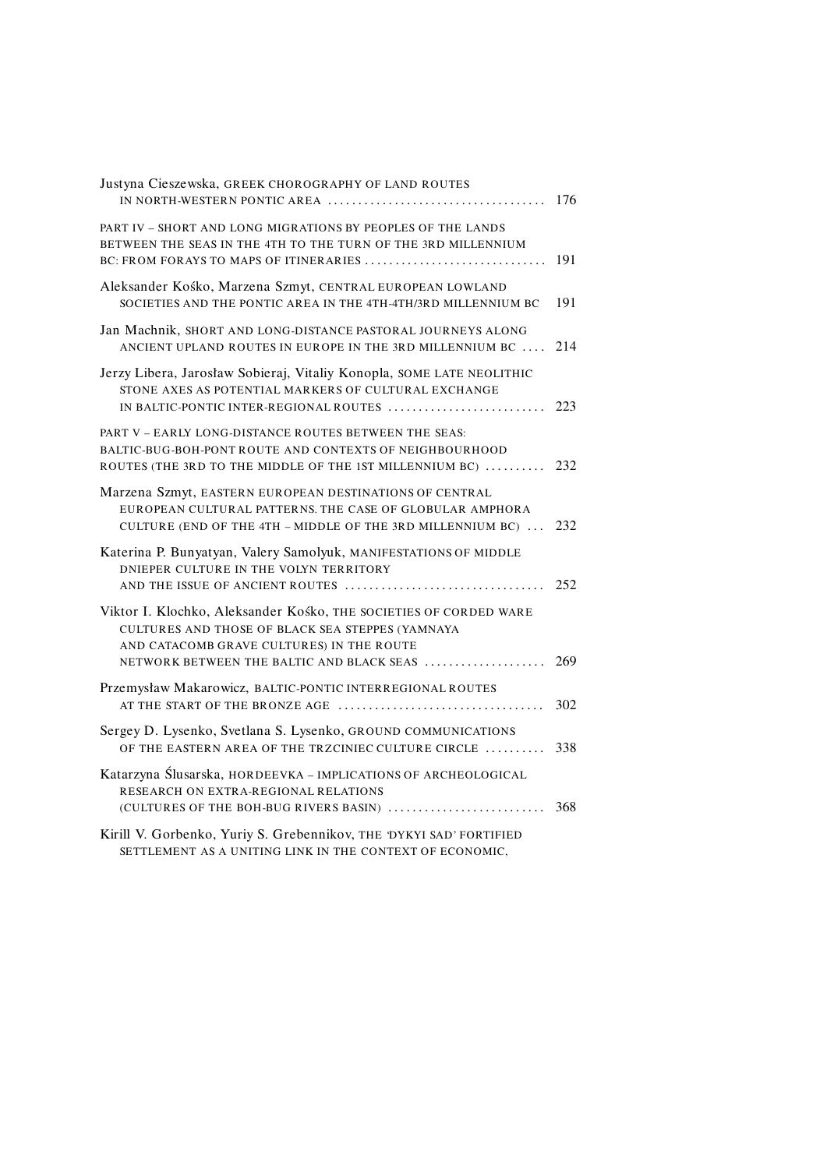| Justyna Cieszewska, GREEK CHOROGRAPHY OF LAND ROUTES<br>IN NORTH-WESTERN PONTIC AREA<br>.                                                                                              | 176        |
|----------------------------------------------------------------------------------------------------------------------------------------------------------------------------------------|------------|
| PART IV - SHORT AND LONG MIGRATIONS BY PEOPLES OF THE LANDS<br>BETWEEN THE SEAS IN THE 4TH TO THE TURN OF THE 3RD MILLENNIUM<br>BC: FROM FORAYS TO MAPS OF ITINERARIES                 | 191        |
| Aleksander Kośko, Marzena Szmyt, CENTRAL EUROPEAN LOWLAND<br>SOCIETIES AND THE PONTIC AREA IN THE 4TH-4TH/3RD MILLENNIUM BC                                                            | 191        |
| Jan Machnik, SHORT AND LONG-DISTANCE PASTORAL JOURNEYS ALONG<br>ANCIENT UPLAND ROUTES IN EUROPE IN THE 3RD MILLENNIUM BC                                                               | 214        |
| Jerzy Libera, Jarosław Sobieraj, Vitaliy Konopla, SOME LATE NEOLITHIC<br>STONE AXES AS POTENTIAL MARKERS OF CULTURAL EXCHANGE<br>IN BALTIC-PONTIC INTER-REGIONAL ROUTES                | 223        |
| PART V - EARLY LONG-DISTANCE ROUTES BETWEEN THE SEAS:<br>BALTIC-BUG-BOH-PONT ROUTE AND CONTEXTS OF NEIGHBOURHOOD<br>ROUTES (THE 3RD TO THE MIDDLE OF THE 1ST MILLENNIUM BC)  232       |            |
| Marzena Szmyt, EASTERN EUROPEAN DESTINATIONS OF CENTRAL<br>EUROPEAN CULTURAL PATTERNS. THE CASE OF GLOBULAR AMPHORA<br>CULTURE (END OF THE 4TH - MIDDLE OF THE 3RD MILLENNIUM BC)  232 |            |
| Katerina P. Bunyatyan, Valery Samolyuk, MANIFESTATIONS OF MIDDLE<br>DNIEPER CULTURE IN THE VOLYN TERRITORY                                                                             | 252        |
| Viktor I. Klochko, Aleksander Kośko, THE SOCIETIES OF CORDED WARE<br>CULTURES AND THOSE OF BLACK SEA STEPPES (YAMNAYA<br>AND CATACOMB GRAVE CULTURES) IN THE ROUTE                     |            |
| NETWORK BETWEEN THE BALTIC AND BLACK SEAS<br>Przemysław Makarowicz, BALTIC-PONTIC INTERREGIONAL ROUTES                                                                                 | 269<br>302 |
| Sergey D. Lysenko, Svetlana S. Lysenko, GROUND COMMUNICATIONS<br>OF THE EASTERN AREA OF THE TRZCINIEC CULTURE CIRCLE                                                                   | 338        |
| Katarzyna Ślusarska, HORDEEVKA - IMPLICATIONS OF ARCHEOLOGICAL<br>RESEARCH ON EXTRA-REGIONAL RELATIONS                                                                                 | 368        |
| Kirill V. Gorbenko, Yuriy S. Grebennikov, THE 'DYKYI SAD' FORTIFIED<br>SETTLEMENT AS A UNITING LINK IN THE CONTEXT OF ECONOMIC,                                                        |            |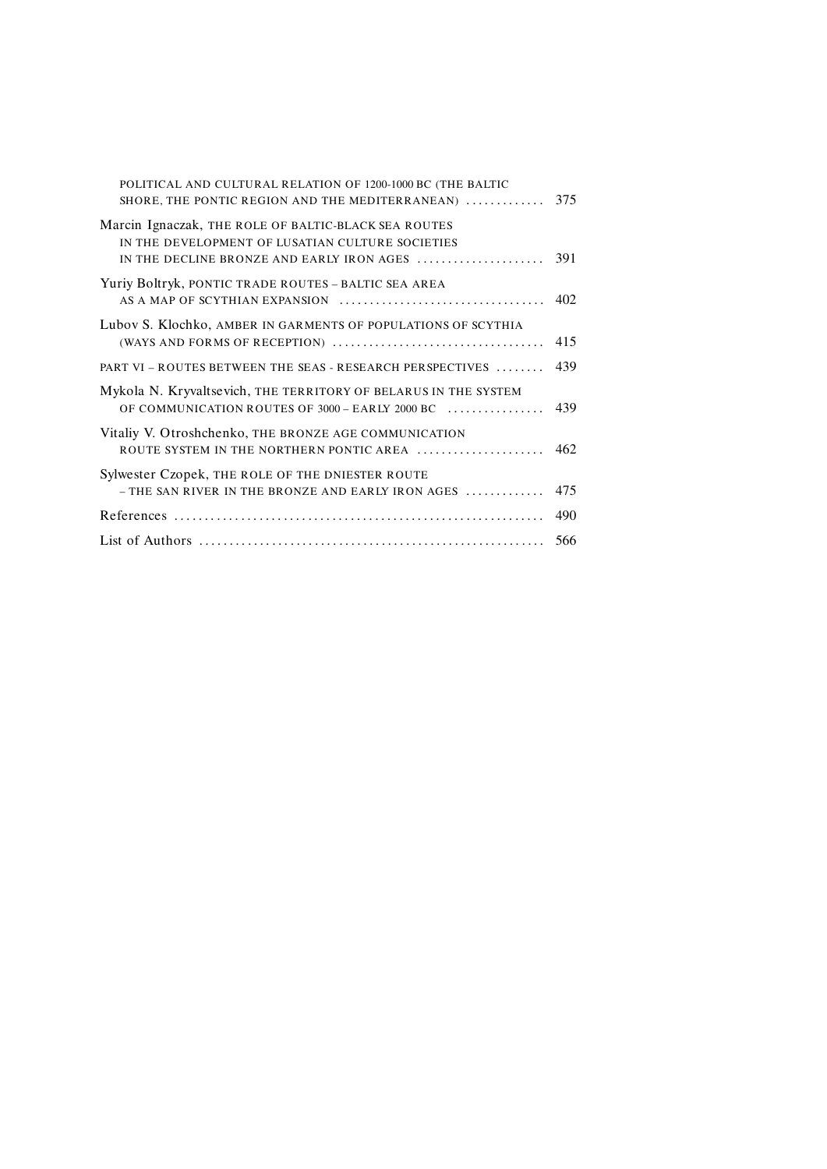| POLITICAL AND CULTURAL RELATION OF 1200-1000 BC (THE BALTIC<br>SHORE, THE PONTIC REGION AND THE MEDITERRANEAN)                                        | 375 |
|-------------------------------------------------------------------------------------------------------------------------------------------------------|-----|
| Marcin Ignaczak, THE ROLE OF BALTIC-BLACK SEA ROUTES<br>IN THE DEVELOPMENT OF LUSATIAN CULTURE SOCIETIES<br>IN THE DECLINE BRONZE AND EARLY IRON AGES | 391 |
| Yuriy Boltryk, PONTIC TRADE ROUTES - BALTIC SEA AREA                                                                                                  | 402 |
| Lubov S. Klochko, AMBER IN GARMENTS OF POPULATIONS OF SCYTHIA                                                                                         | 415 |
| PART VI – ROUTES BETWEEN THE SEAS - RESEARCH PERSPECTIVES                                                                                             | 439 |
| Mykola N. Kryvaltsevich, THE TERRITORY OF BELARUS IN THE SYSTEM<br>OF COMMUNICATION ROUTES OF 3000 - EARLY 2000 BC                                    | 439 |
| Vitaliy V. Otroshchenko, THE BRONZE AGE COMMUNICATION<br>ROUTE SYSTEM IN THE NORTHERN PONTIC AREA                                                     | 462 |
| Sylwester Czopek, THE ROLE OF THE DNIESTER ROUTE<br>$-$ THE SAN RIVER IN THE BRONZE AND EARLY IRON AGES $\dots\dots\dots\dots$                        | 475 |
|                                                                                                                                                       | 490 |
|                                                                                                                                                       | 566 |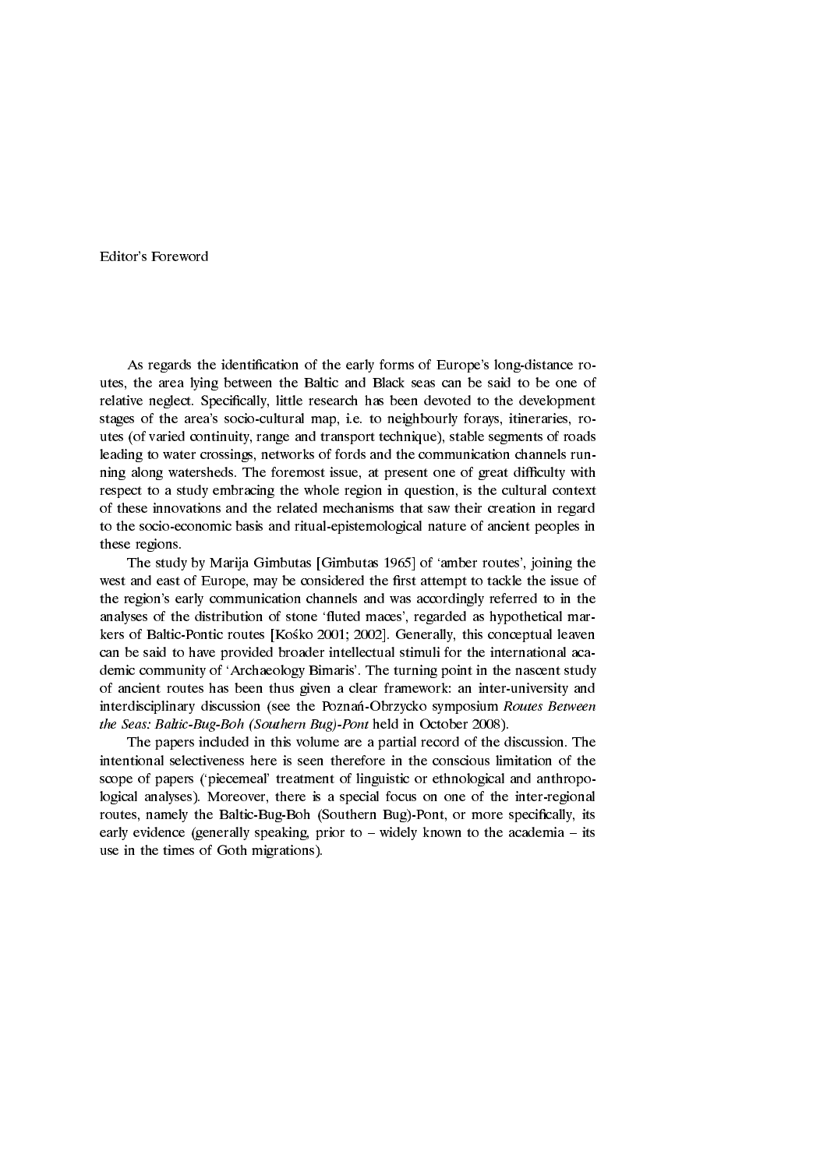Editor's Foreword

As regards the identification of the early forms of Europe's long-distance routes, the area lying between the Baltic and Black seas can be said to be one of relative neglect. Specifically, little research has been devoted to the development stages of the area's socio-cultural map, *i.e.* to neighbourly forays, itineraries, routes (of varied continuity, range and transport technique), stable segments of roads leading to water crossings, networks of fords and the communication channels running along watersheds. The foremost issue, at present one of great difficulty with respect to a study embracing the whole region in question, is the cultural context of these innovations and the related mechanisms that saw their creation in regard to the socio-economic basis and ritual-epistemological nature of ancient peoples in these regions.

The study by Marija Gimbutas [Gimbutas 1965] of 'amber routes', joining the west and east of Europe, may be considered the first attempt to tackle the issue of the region's early communication channels and was accordingly referred to in the analyses of the distribution of stone 'fluted maces', regarded as hypothetical markers of Baltic-Pontic routes [Kośko 2001; 2002]. Generally, this conceptual leaven can be said to have provided broader intellectual stimuli for the international academic community of 'Archaeology Bimaris'. The turning point in the nascent study of ancient routes has been thus given a clear framework: an inter-university and interdisciplinary discussion (see the Poznań-Obrzycko symposium Routes Between the Seas: Baltic-Bug-Boh (Southern Bug)-Pont held in October 2008).

The papers included in this volume are a partial record of the discussion. The intentional selectiveness here is seen therefore in the conscious limitation of the scope of papers ('piecemeal' treatment of linguistic or ethnological and anthropological analyses). Moreover, there is a special focus on one of the inter-regional routes, namely the Baltic-Bug-Boh (Southern Bug)-Pont, or more specifically, its early evidence (generally speaking, prior to – widely known to the academia – its use in the times of Goth migrations).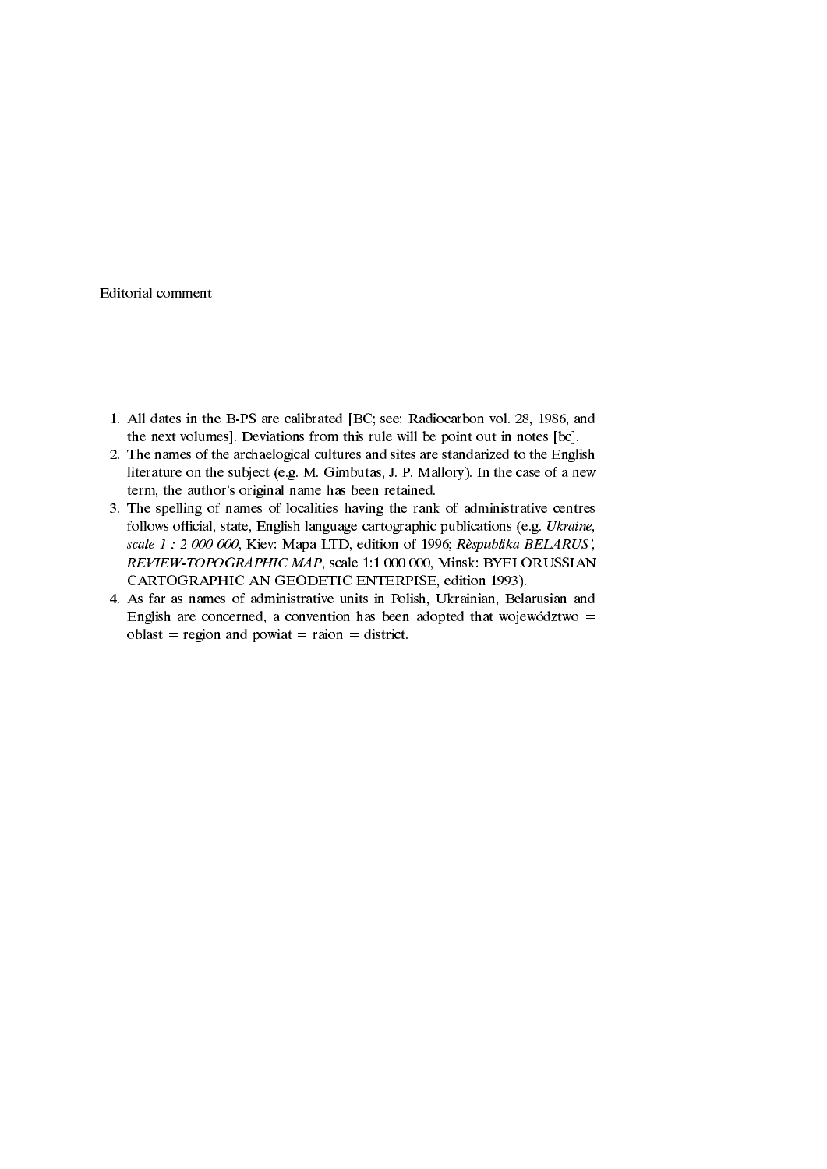## Editorial comment

- 1. All dates in the B-PS are calibrated [BC; see: Radiocarbon vol. 28, 1986, and the next volumes]. Deviations from this rule will be point out in notes [bc].
- 2. The names of the archaelogical cultures and sites are standarized to the English literature on the subject (e.g. M. Gimbutas, J. P. Mallory). In the case of a new term, the author's original name has been retained.
- 3. The spelling of names of localities having the rank of administrative centres follows official, state, English language cartographic publications (e.g. Ukraine, scale 1 : 2 000 000, Kiev: Mapa LTD, edition of 1996; Rèspublika BELARUS', REVIEW-TOPOGRAPHIC MAP, scale 1:1 000 000, Minsk: BYELORUSSIAN CARTOGRAPHIC AN GEODETIC ENTERPISE, edition 1993).
- 4. As far as names of administrative units in Polish, Ukrainian, Belarusian and English are concerned, a convention has been adopted that wo ewodztwo  $=$ oblast = region and powiat = raion = district.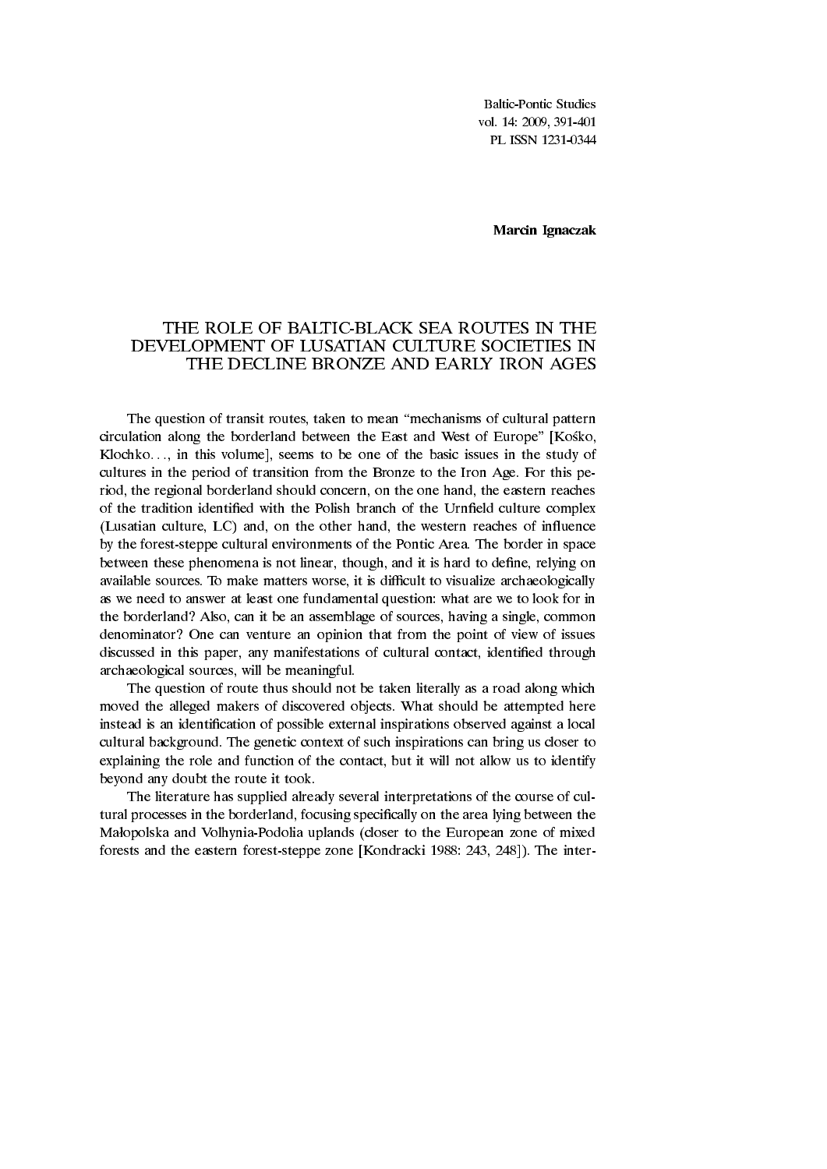**Baltic-Pontic Studies** vol. 14: 2009. 391-401 PL ISSN 1231-0344

Marcin Ignaczak

## THE ROLE OF BALTIC-BLACK SEA ROUTES IN THE DEVELOPMENT OF LUSATIAN CULTURE SOCIETIES IN THE DECLINE BRONZE AND EARLY IRON AGES

The question of transit routes, taken to mean "mechanisms of cultural pattern circulation along the borderland between the East and West of Europe" [Kośko, Klochko.... in this volumel, seems to be one of the basic issues in the study of cultures in the period of transition from the Bronze to the Iron Age. For this period, the regional borderland should concern, on the one hand, the eastern reaches of the tradition identified with the Polish branch of the Urnfield culture complex (Lusatian culture, LC) and, on the other hand, the western reaches of influence by the forest-steppe cultural environments of the Pontic Area. The border in space between these phenomena is not linear, though, and it is hard to define, relying on available sources. To make matters worse, it is difficult to visualize archaeologically as we need to answer at least one fundamental question; what are we to look for in the borderland? Also, can it be an assemblage of sources, having a single, common denominator? One can venture an opinion that from the point of view of issues discussed in this paper, any manifestations of cultural contact, identified through archaeological sources, will be meaningful.

The question of route thus should not be taken literally as a road along which moved the alleged makers of discovered objects. What should be attempted here instead is an identification of possible external inspirations observed against a local cultural background. The genetic context of such inspirations can bring us closer to explaining the role and function of the contact, but it will not allow us to identify beyond any doubt the route it took.

The literature has supplied already several interpretations of the course of cultural processes in the borderland, focusing specifically on the area lying between the Małopolska and Volhynia-Podolia uplands (closer to the European zone of mixed forests and the eastern forest-steppe zone [Kondracki 1988: 243, 248]). The inter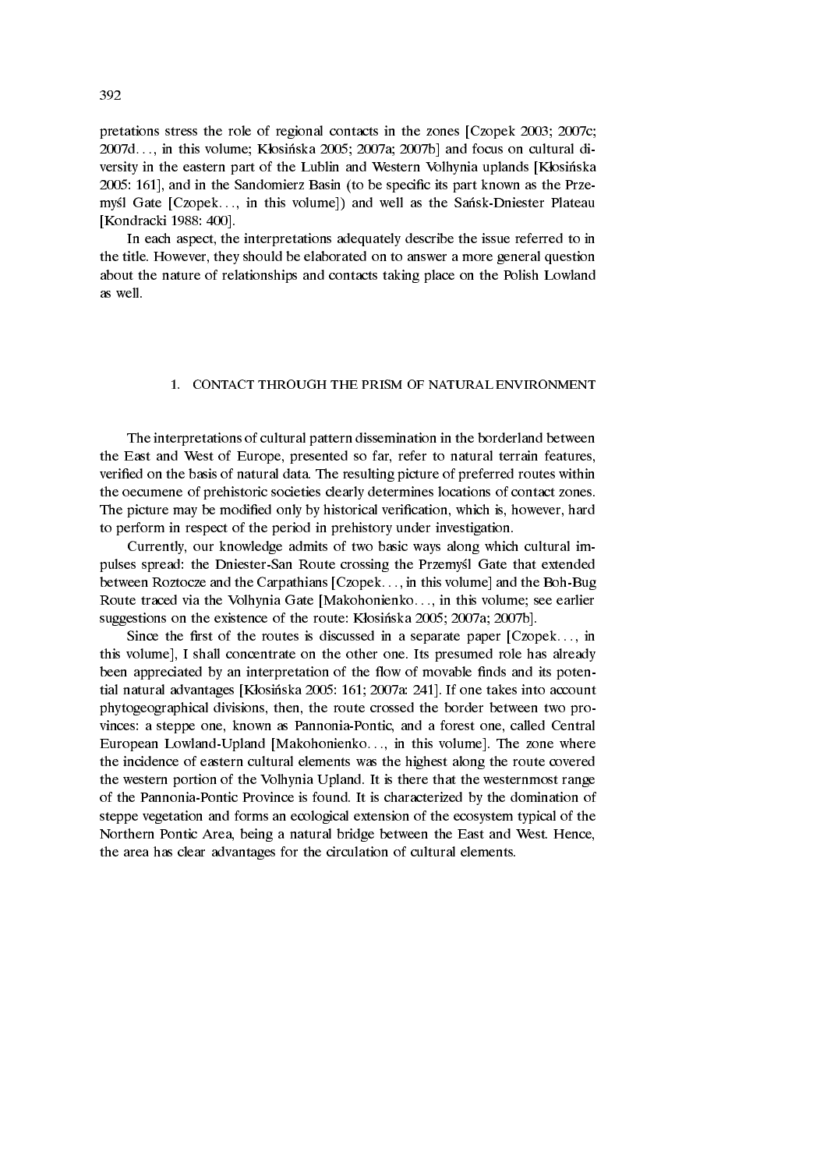pretations stress the role of regional contacts in the zones [Czopek 2003; 2007c; 2007d..., in this volume; Kłosińska 2005; 2007a; 2007b] and focus on cultural diversity in the eastern part of the Lublin and Western Volhynia uplands [Kłosińska 2005: 161], and in the Sandomierz Basin (to be specific its part known as the Przemyśl Gate [Czopek..., in this volume]) and well as the Sańsk-Dniester Plateau [Kondracki 1988: 400].

In each aspect, the interpretations adequately describe the issue referred to in the title. However, they should be elaborated on to answer a more general question about the nature of relationships and contacts taking place on the Polish Lowland as well.

## 1. CONTACT THROUGH THE PRISM OF NATURAL ENVIRONMENT

The interpretations of cultural pattern dissemination in the borderland between the East and West of Europe, presented so far, refer to natural terrain features, verified on the basis of natural data. The resulting picture of preferred routes within the oecumene of prehistoric societies clearly determines locations of contact zones. The picture may be modified only by historical verification, which is, however, hard to perform in respect of the period in prehistory under investigation.

Currently, our knowledge admits of two basic ways along which cultural impulses spread: the Dniester-San Route crossing the Przemysl Gate that extended between Roztocze and the Carpathians [Czopek..., in this volume] and the Boh-Bug Route traced via the Volhynia Gate [Makohonienko..., in this volume; see earlier suggestions on the existence of the route: Kłosińska 2005; 2007a; 2007b].

Since the first of the routes is discussed in a separate paper  $[Czopek...]$  in this volume], I shall concentrate on the other one. Its presumed role has already been appreciated by an interpretation of the flow of movable finds and its potential natural advantages [Kłosińska 2005: 161; 2007a: 241]. If one takes into account phytogeographical divisions, then, the route crossed the border between two provinces: a steppe one, known as Pannonia-Pontic, and a forest one, called Central European Lowland-Upland [Makohonienko..., in this volume]. The zone where the incidence of eastern cultural elements was the highest along the route covered the western portion of the Volhynia Upland. It is there that the westernmost range of the Pannonia-Pontic Province is found. It is characterized by the domination of steppe vegetation and forms an ecological extension of the ecosystem typical of the Northern Pontic Area, being a natural bridge between the East and West. Hence, the area has clear advantages for the circulation of cultural elements.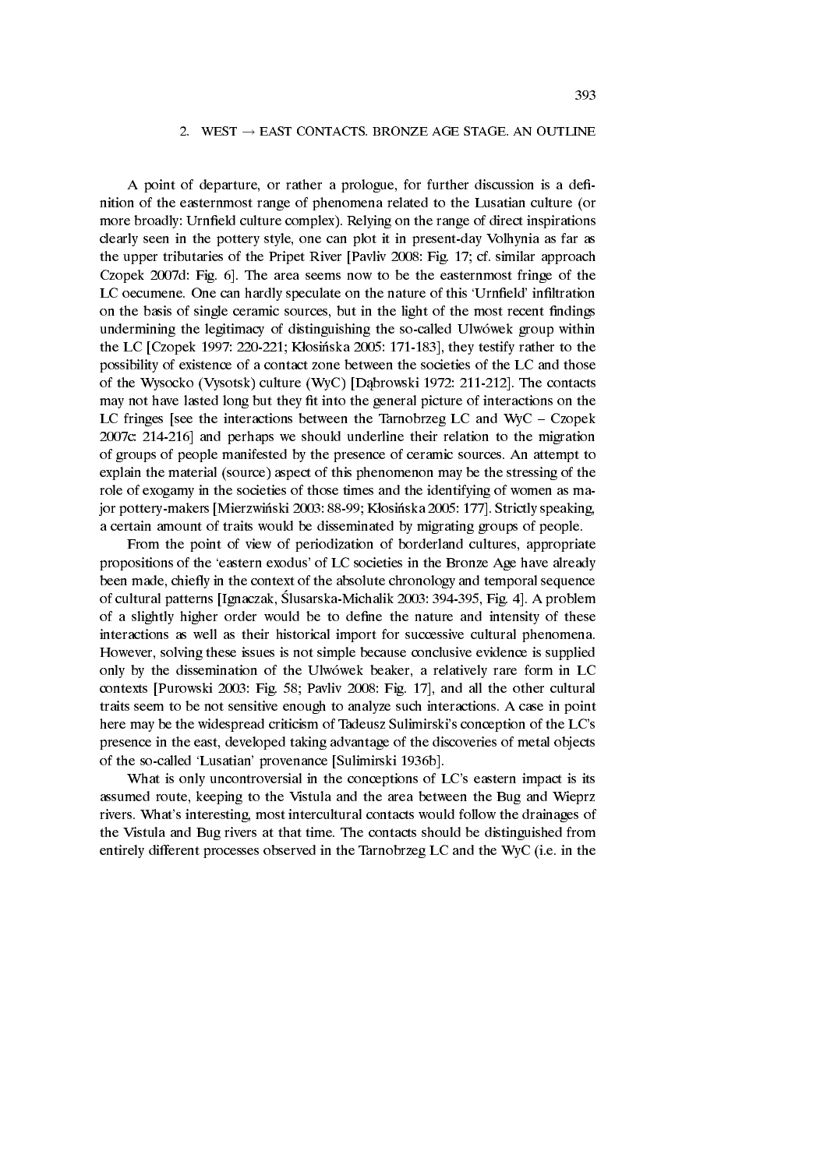#### 2 WEST  $\rightarrow$  EAST CONTACTS BRONZE AGE STAGE AN OUTLINE

A point of departure, or rather a prologue, for further discussion is a definition of the easternmost range of phenomena related to the Lusatian culture (or more broadly: Urnfield culture complex). Relying on the range of direct inspirations clearly seen in the pottery style, one can plot it in present-day Volhynia as far as the upper tributaries of the Pripet River [Pavliv 2008: Fig. 17; cf. similar approach Czopek 2007d: Fig. 6. The area seems now to be the easternmost fringe of the LC oecumene. One can hardly speculate on the nature of this 'Urnfield' infiltration on the basis of single ceramic sources, but in the light of the most recent findings undermining the legitimacy of distinguishing the so-called Ulwówek group within the LC [Czopek 1997: 220-221; Kłosińska 2005: 171-183], they testify rather to the possibility of existence of a contact zone between the societies of the LC and those of the Wysocko (Vysotsk) culture (WyC) [Dabrowski 1972: 211-212]. The contacts may not have lasted long but they fit into the general picture of interactions on the LC fringes [see the interactions between the Tarnobrzeg LC and  $WyC - Cz$ opek 2007c: 214-216] and perhaps we should underline their relation to the migration of groups of people manifested by the presence of ceramic sources. An attempt to explain the material (source) aspect of this phenomenon may be the stressing of the role of exogamy in the societies of those times and the identifying of women as major pottery-makers [Mierzwiński 2003: 88-99; Kłosińska 2005: 177]. Strictly speaking, a certain amount of traits would be disseminated by migrating groups of people.

From the point of view of periodization of borderland cultures, appropriate propositions of the 'eastern exodus' of LC societies in the Bronze Age have already been made, chiefly in the context of the absolute chronology and temporal sequence of cultural patterns [Ignaczak, Ślusarska-Michalik 2003: 394-395, Fig. 4]. A problem of a slightly higher order would be to define the nature and intensity of these interactions as well as their historical import for successive cultural phenomena. However, solving these issues is not simple because conclusive evidence is supplied only by the dissemination of the Ulwówek beaker, a relatively rare form in LC contexts [Purowski 2003: Fig. 58; Pavliv 2008: Fig. 17], and all the other cultural traits seem to be not sensitive enough to analyze such interactions. A case in point here may be the widespread criticism of Tadeusz Sulimirski's conception of the LC's presence in the east, developed taking advantage of the discoveries of metal objects of the so-called 'Lusatian' provenance [Sulimirski 1936b].

What is only uncontroversial in the conceptions of LC's eastern impact is its assumed route, keeping to the Vistula and the area between the Bug and Wieprz rivers. What's interesting, most intercultural contacts would follow the drainages of the Vistula and Bug rivers at that time. The contacts should be distinguished from entirely different processes observed in the Tarnobrzeg LC and the WyC (i.e. in the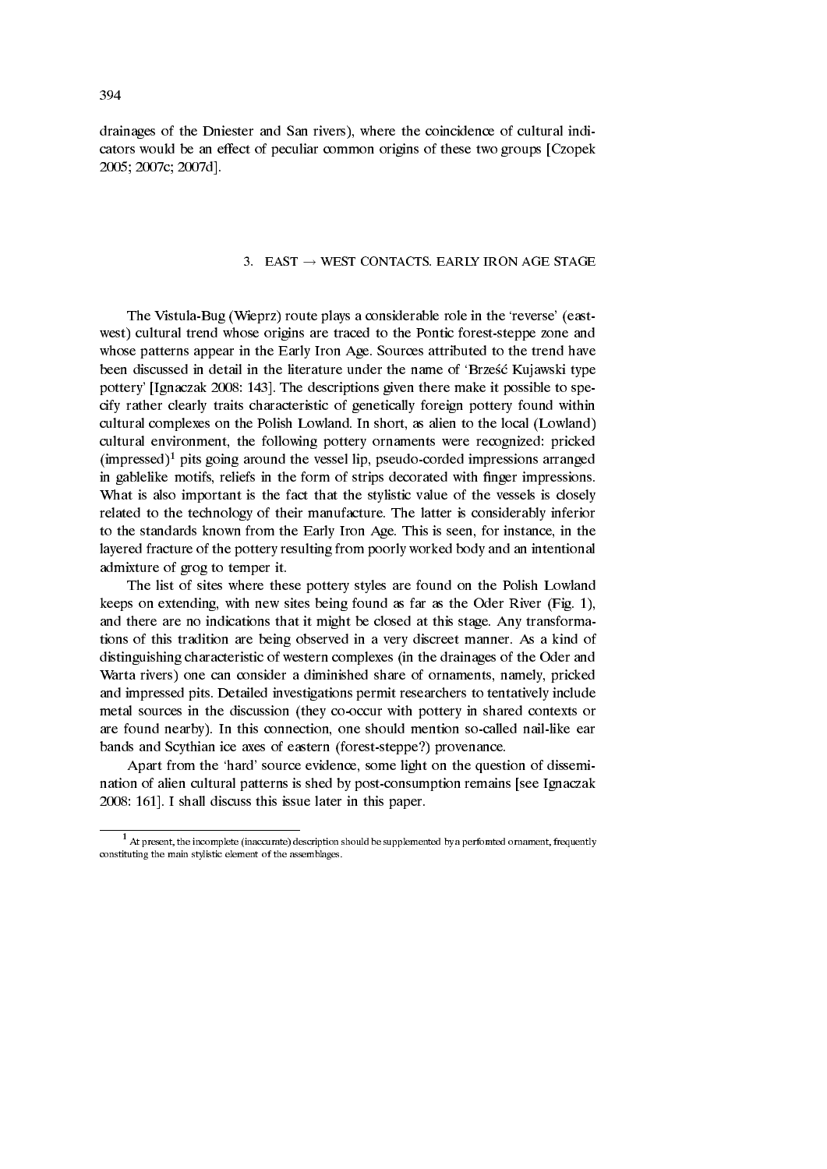drainages of the Dniester and San rivers), where the coincidence of cultural indicators would be an effect of peculiar common origins of these two groups [Czopek] 2005; 2007c; 2007d].

## 3. EAST  $\rightarrow$  WEST CONTACTS. EARLY IRON AGE STAGE

The Vistula-Bug (Wieprz) route plays a considerable role in the 'reverse' (eastwest) cultural trend whose origins are traced to the Pontic forest-steppe zone and whose patterns appear in the Early Iron Age. Sources attributed to the trend have been discussed in detail in the literature under the name of 'Brześć Kujawski type pottery' [Ignaczak 2008: 143]. The descriptions given there make it possible to specify rather clearly traits characteristic of genetically foreign pottery found within cultural complexes on the Polish Lowland. In short, as alien to the local (Lowland) cultural environment, the following pottery ornaments were recognized: pricked  $(impressed)^1$  pits going around the vessel lip, pseudo-corded impressions arranged in gablelike motifs, reliefs in the form of strips decorated with finger impressions. What is also important is the fact that the stylistic value of the vessels is closely related to the technology of their manufacture. The latter is considerably inferior to the standards known from the Early Iron Age. This is seen, for instance, in the layered fracture of the pottery resulting from poorly worked body and an intentional admixture of grog to temper it.

The list of sites where these pottery styles are found on the Polish Lowland keeps on extending, with new sites being found as far as the Oder River (Fig. 1), and there are no indications that it might be closed at this stage. Any transformations of this tradition are being observed in a very discreet manner. As a kind of distinguishing characteristic of western complexes (in the drainages of the Oder and Warta rivers) one can consider a diminished share of ornaments, namely, pricked and impressed pits. Detailed investigations permit researchers to tentatively include metal sources in the discussion (they co-occur with pottery in shared contexts or are found nearby). In this connection, one should mention so-called nail-like ear bands and Scythian ice axes of eastern (forest-steppe?) provenance.

Apart from the 'hard' source evidence, some light on the question of dissemination of alien cultural patterns is shed by post-consumption remains [see Ignaczak 2008: 161]. I shall discuss this issue later in this paper.

 $1$  At present, the incomplete (inaccurate) description should be supplemented by a perforated ornament, frequently constituting the main stylistic element of the assemblages.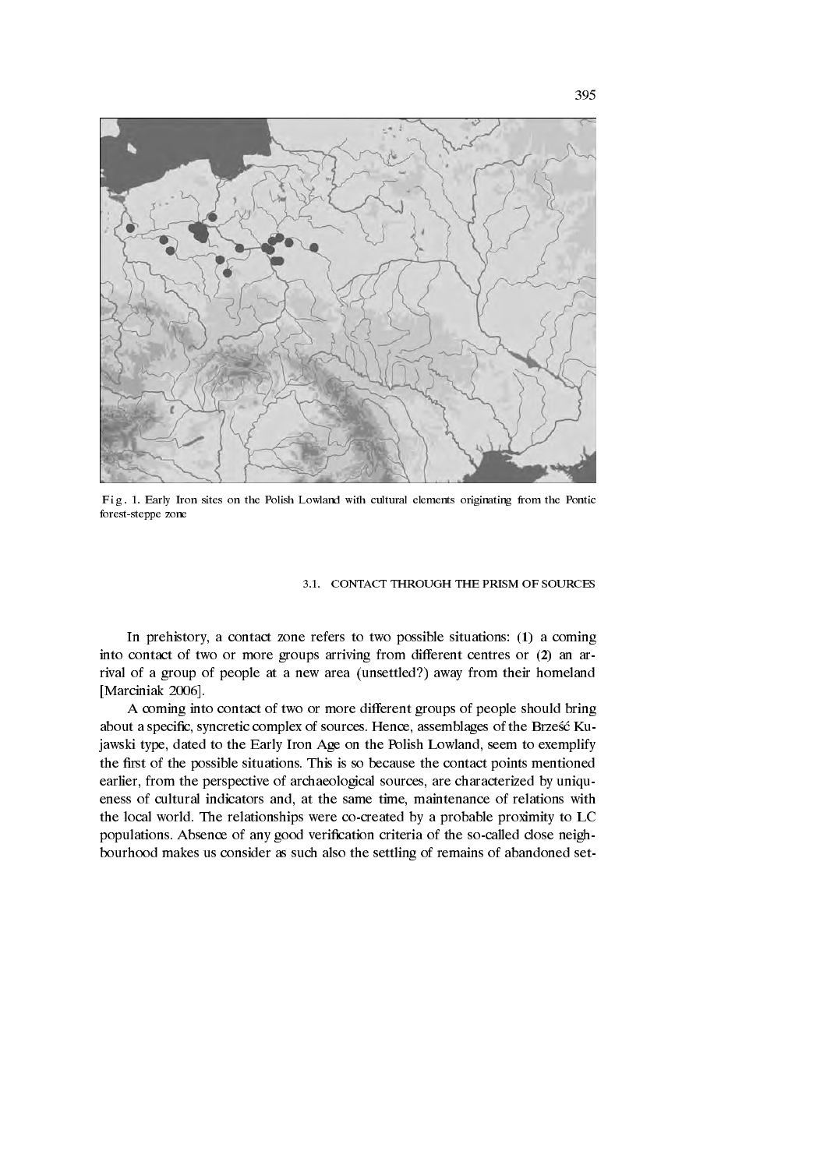

Fig. 1. Early Iron sites on the Polish Lowland with cultural elements originating from the Pontic forest-steppe zone

#### 3.1. CONTACT THROUGH THE PRISM OF SOURCES

In prehistory, a contact zone refers to two possible situations: (1) a coming into contact of two or more groups arriving from different centres or (2) an arrival of a group of people at a new area (unsettled?) away from their homeland [Marciniak 2006].

A coming into contact of two or more different groups of people should bring about a specific, syncretic complex of sources. Hence, assemblages of the Brześć Kujawski type, dated to the Early Iron Age on the Polish Lowland, seem to exemplify the first of the possible situations. This is so because the contact points mentioned earlier, from the perspective of archaeological sources, are characterized by uniqueness of cultural indicators and, at the same time, maintenance of relations with the local world. The relationships were co-created by a probable proximity to LC populations. Absence of any good verification criteria of the so-called close neighbourhood makes us consider as such also the settling of remains of abandoned set-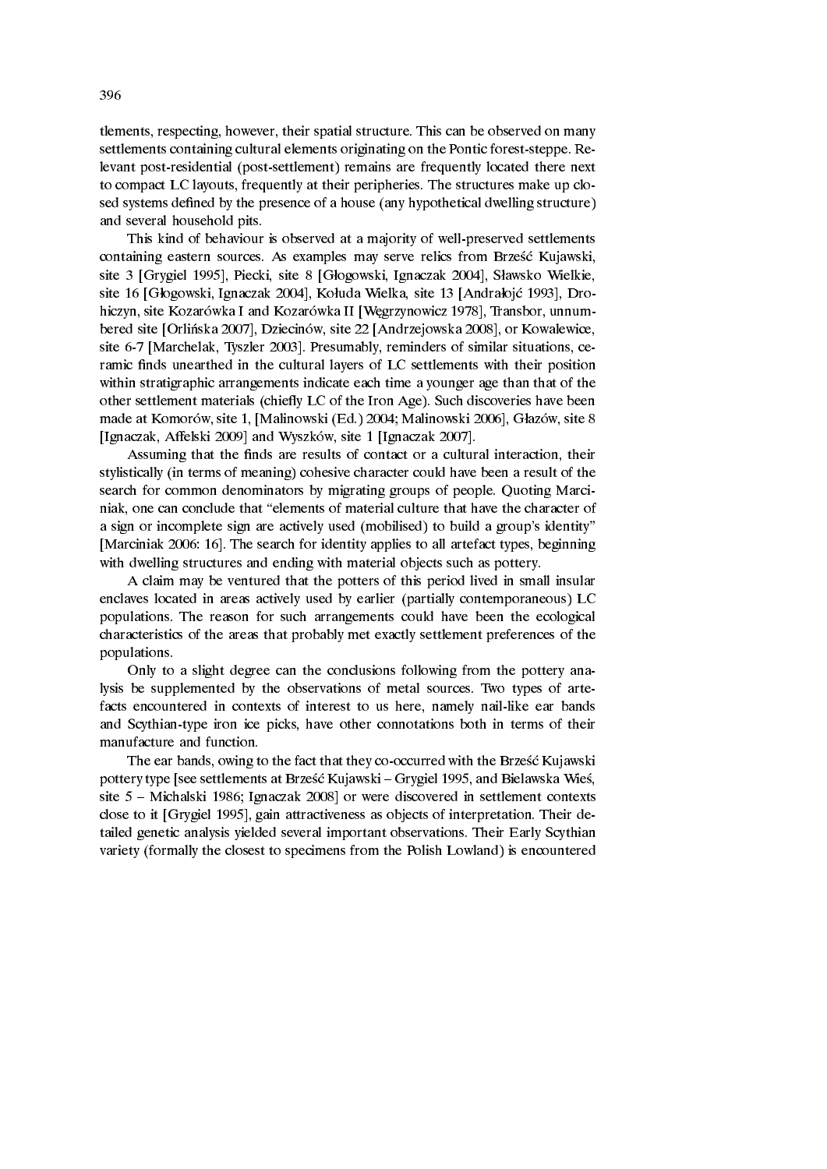tlements, respecting, however, their spatial structure. This can be observed on many settlements containing cultural elements originating on the Pontic forest-steppe. Relevant post-residential (post-settlement) remains are frequently located there next to compact LC layouts, frequently at their peripheries. The structures make up closed systems defined by the presence of a house (any hypothetical dwelling structure) and several household pits.

This kind of behaviour is observed at a majority of well-preserved settlements containing eastern sources. As examples may serve relics from Brześć Kujawski, site 3 [Grygiel 1995], Piecki, site 8 [Głogowski, Ignaczak 2004], Sławsko Wielkie, site 16 [Głogowski, Ignaczak 2004], Kołuda Wielka, site 13 [Andrałojć 1993], Drohiczyn, site Kozarówka I and Kozarówka II [Wegrzynowicz 1978], Transbor, unnumbered site [Orlińska 2007], Dziecinów, site 22 [Andrzejowska 2008], or Kowalewice, site 6-7 [Marchelak, Tyszler 2003]. Presumably, reminders of similar situations, ceramic finds unearthed in the cultural layers of LC settlements with their position within stratigraphic arrangements indicate each time a younger age than that of the other settlement materials (chiefly LC of the Iron Age). Such discoveries have been made at Komorów, site 1, [Malinowski (Ed.) 2004; Malinowski 2006], Głazów, site 8 [Ignaczak, Affelski 2009] and Wyszków, site 1 [Ignaczak 2007].

Assuming that the finds are results of contact or a cultural interaction, their stylistically (in terms of meaning) cohesive character could have been a result of the search for common denominators by migrating groups of people. Ouoting Marciniak, one can conclude that "elements of material culture that have the character of a sign or incomplete sign are actively used (mobilised) to build a group's identity" [Marciniak 2006: 16]. The search for identity applies to all artefact types, beginning with dwelling structures and ending with material objects such as pottery.

A claim may be ventured that the potters of this period lived in small insular enclaves located in areas actively used by earlier (partially contemporaneous) LC populations. The reason for such arrangements could have been the ecological characteristics of the areas that probably met exactly settlement preferences of the populations.

Only to a slight degree can the conclusions following from the pottery analysis be supplemented by the observations of metal sources. Two types of artefacts encountered in contexts of interest to us here, namely nail-like ear bands and Scythian-type iron ice picks, have other connotations both in terms of their manufacture and function.

The ear bands, owing to the fact that they co-occurred with the Brześć Kujawski pottery type [see settlements at Brześć Kujawski – Grygiel 1995, and Bielawska Wieś, site  $5$  – Michalski 1986; Ignaczak 2008] or were discovered in settlement contexts close to it [Grygiel 1995], gain attractiveness as objects of interpretation. Their detailed genetic analysis yielded several important observations. Their Early Scythian variety (formally the closest to specimens from the Polish Lowland) is encountered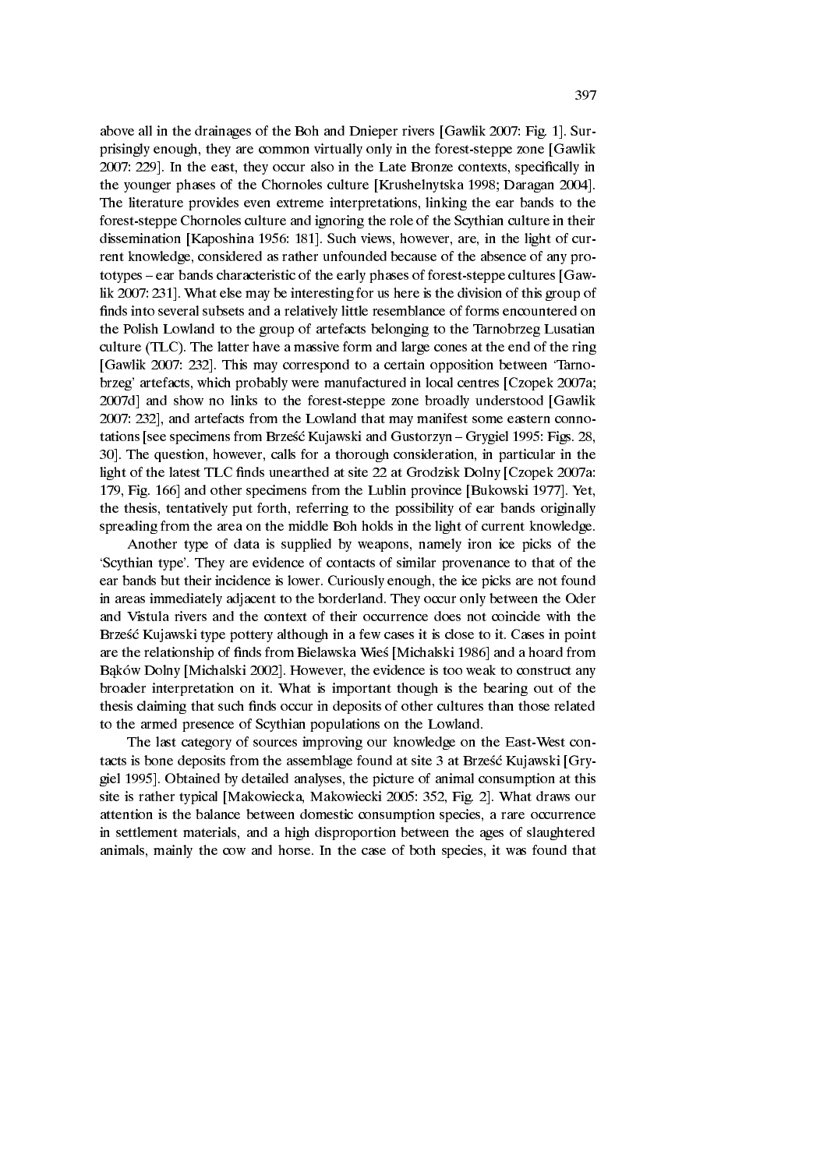above all in the drainages of the Boh and Dnieper rivers [Gawlik 2007: Fig. 1]. Surprisingly enough, they are common virtually only in the forest-steppe zone [Gawlik] 2007: 229]. In the east, they occur also in the Late Bronze contexts, specifically in the younger phases of the Chornoles culture [Krushelnytska 1998; Daragan 2004]. The literature provides even extreme interpretations, linking the ear bands to the forest-steppe Chornoles culture and ignoring the role of the Scythian culture in their dissemination [Kaposhina 1956: 181]. Such views, however, are, in the light of current knowledge, considered as rather unfounded because of the absence of any prototypes – ear bands characteristic of the early phases of forest-steppe cultures [Gawlik 2007: 231]. What else may be interesting for us here is the division of this group of finds into several subsets and a relatively little resemblance of forms encountered on the Polish Lowland to the group of artefacts belonging to the Tarnobrzeg Lusatian culture (TLC). The latter have a massive form and large cones at the end of the ring [Gawlik 2007: 232]. This may correspond to a certain opposition between 'Tarnobrzeg' artefacts, which probably were manufactured in local centres [Czopek 2007a; 2007d] and show no links to the forest-steppe zone broadly understood [Gawlik] 2007: 232], and artefacts from the Lowland that may manifest some eastern connotations [see specimens from Brześć Kujawski and Gustorzyn – Grygiel 1995: Figs. 28, 30. The question, however, calls for a thorough consideration, in particular in the light of the latest TLC finds unearthed at site 22 at Grodzisk Dolny [Czopek 2007a: 179, Fig. 166] and other specimens from the Lublin province [Bukowski 1977], Yet. the thesis, tentatively put forth, referring to the possibility of ear bands originally spreading from the area on the middle Boh holds in the light of current knowledge.

Another type of data is supplied by weapons, namely iron ice picks of the 'Scythian type'. They are evidence of contacts of similar provenance to that of the ear bands but their incidence is lower. Curiously enough, the ice picks are not found in areas immediately adjacent to the borderland. They occur only between the Oder and Vistula rivers and the context of their occurrence does not coincide with the Brześć Kujawski type pottery although in a few cases it is close to it. Cases in point are the relationship of finds from Bielawska Wies [Michalski 1986] and a hoard from Baków Dolny [Michalski 2002]. However, the evidence is too weak to construct any broader interpretation on it. What is important though is the bearing out of the thesis claiming that such finds occur in deposits of other cultures than those related to the armed presence of Scythian populations on the Lowland.

The last category of sources improving our knowledge on the East-West contacts is bone deposits from the assemblage found at site 3 at Brześć Kujawski [Grygiel 1995]. Obtained by detailed analyses, the picture of animal consumption at this site is rather typical [Makowiecka, Makowiecki 2005: 352, Fig. 2]. What draws our attention is the balance between domestic consumption species, a rare occurrence in settlement materials, and a high disproportion between the ages of slaughtered animals, mainly the cow and horse. In the case of both species, it was found that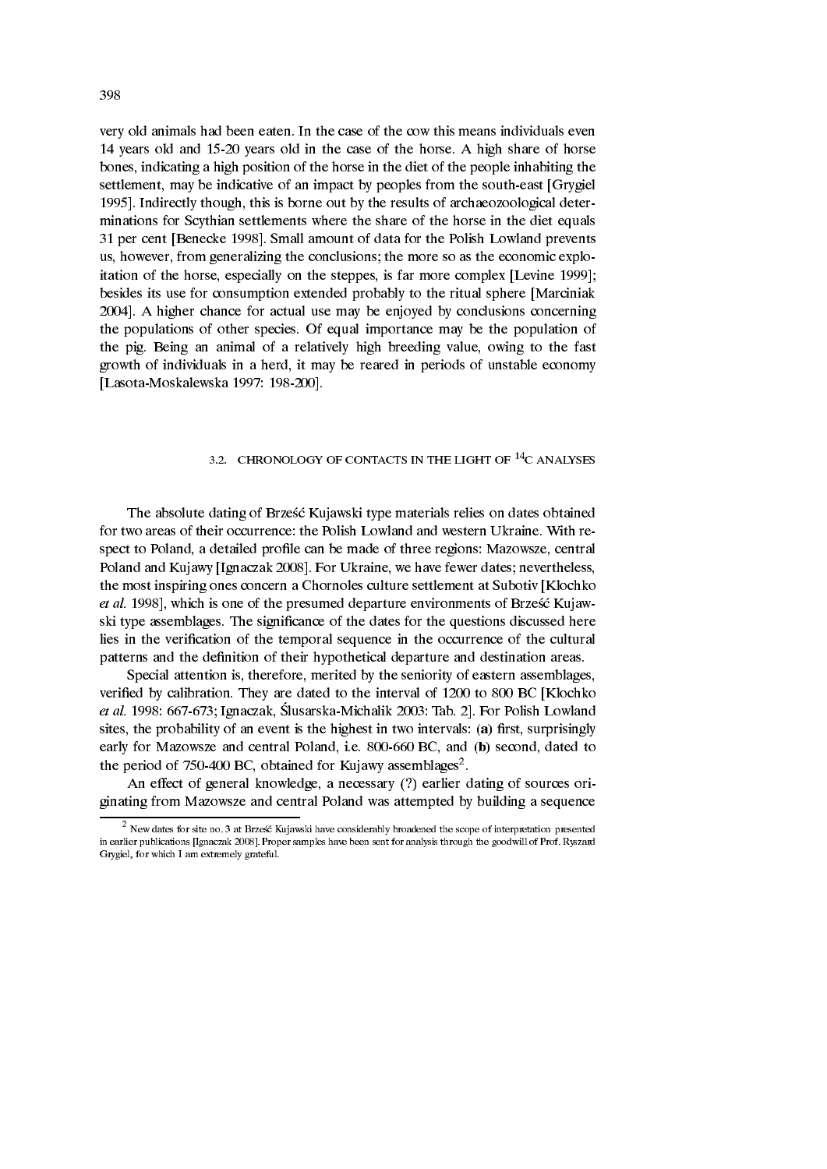very old animals had been eaten. In the case of the cow this means individuals even 14 years old and 15-20 years old in the case of the horse. A high share of horse bones, indicating a high position of the horse in the diet of the people inhabiting the settlement, may be indicative of an impact by peoples from the south-east [Grygie] 1995]. Indirectly though, this is borne out by the results of archaeozoological determinations for Scythian settlements where the share of the horse in the diet equals 31 per cent [Benecke 1998]. Small amount of data for the Polish Lowland prevents us, however, from generalizing the conclusions; the more so as the economic exploitation of the horse, especially on the steppes, is far more complex [Levine 1999]; besides its use for consumption extended probably to the ritual sphere [Marciniak 2004]. A higher chance for actual use may be enjoyed by conclusions concerning the populations of other species. Of equal importance may be the population of the pig. Being an animal of a relatively high breeding value, owing to the fast growth of individuals in a herd, it may be reared in periods of unstable economy [Lasota-Moskalewska 1997: 198-200].

## 3.2. CHRONOLOGY OF CONTACTS IN THE LIGHT OF  $^{14}$ C ANALYSES

The absolute dating of Brześć Kujawski type materials relies on dates obtained for two areas of their occurrence: the Polish Lowland and western Ukraine. With respect to Poland, a detailed profile can be made of three regions: Mazowsze, central Poland and Kujawy [Ignaczak 2008]. For Ukraine, we have fewer dates; nevertheless, the most inspiring ones concern a Chornoles culture settlement at Subotiv [Klochko] *et al.* 1998, which is one of the presumed departure environments of Brześć Kujawski type assemblages. The significance of the dates for the questions discussed here lies in the verification of the temporal sequence in the occurrence of the cultural patterns and the definition of their hypothetical departure and destination areas.

Special attention is, therefore, merited by the seniority of eastern assemblages, verified by calibration. They are dated to the interval of 1200 to 800 BC [Klochko] et al. 1998: 667-673; Ignaczak, Ślusarska-Michalik 2003: Tab. 2]. For Polish Lowland sites, the probability of an event is the highest in two intervals: (a) first, surprisingly early for Mazowsze and central Poland, i.e. 800-660 BC, and (b) second, dated to the period of 750-400 BC, obtained for Kujawy assemblages<sup>2</sup>.

An effect of general knowledge, a necessary (?) earlier dating of sources originating from Mazowsze and central Poland was attempted by building a sequence

<sup>&</sup>lt;sup>2</sup> New dates for site no. 3 at Brześć Kujawski have considerably broadened the scope of interpretation presented in earlier publications [Ignaczak 2008]. Proper samples have been sent for analysis through the goodwill of Prof. Ryszard Grygiel, for which I am extremely grateful.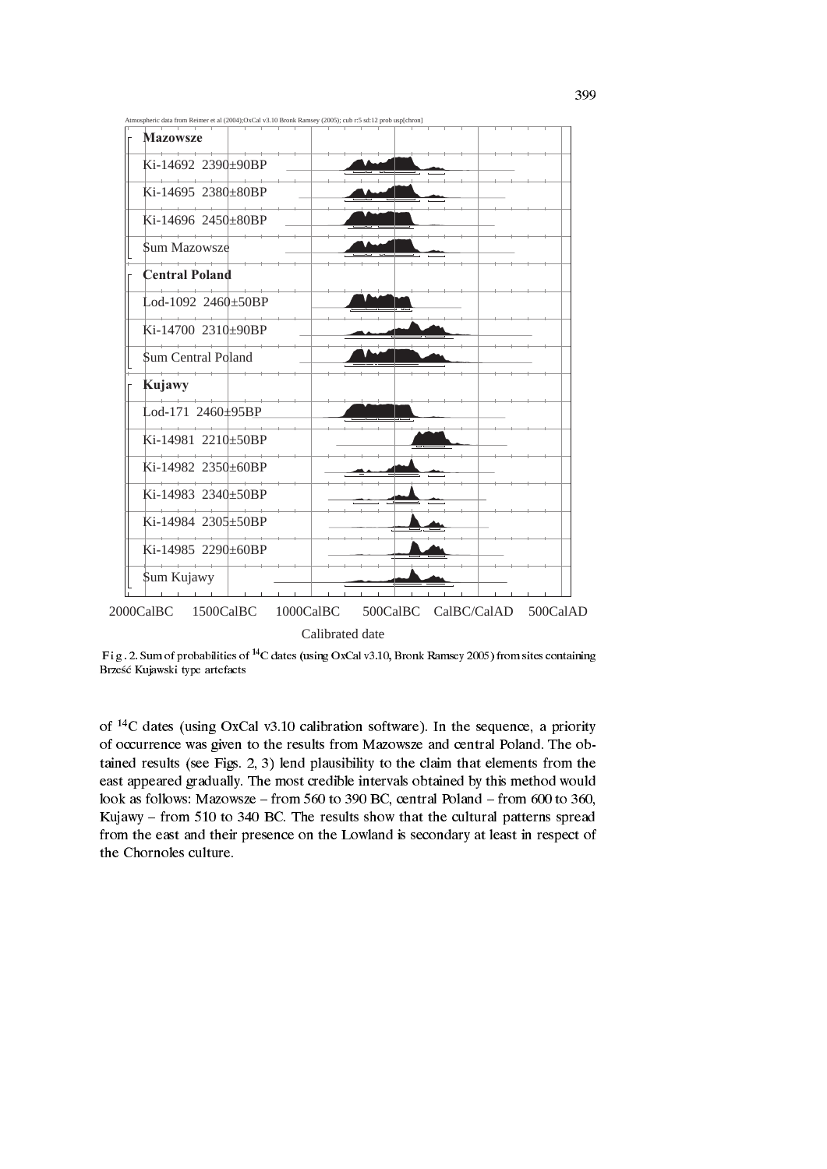

F i g, 2. Sum of probabilities of  $\pm$  C dates (using OxCal v3.10, Bronk Ramsey 2005) from sites containing 156 782-

of  $\sim$  cates (using OxCaf v5.10 canoration software). In the sequence, a priority  -   6
# #  \* & - ( tained results (see Figs. 2, 3) lend plausibility to the claim that elements from the  

!& -   ! - - 2 6
# # O  CD? >:? "/  \* O  D?? >D? . I consider the contract of the contract of the contract of the contract of the contract of the contract of the contract of the contract of the contract of the contract of the contract of the contract of the contract of t represented to the contract of the contract of the contract of the contract of the contract of the contract of the Chornoles culture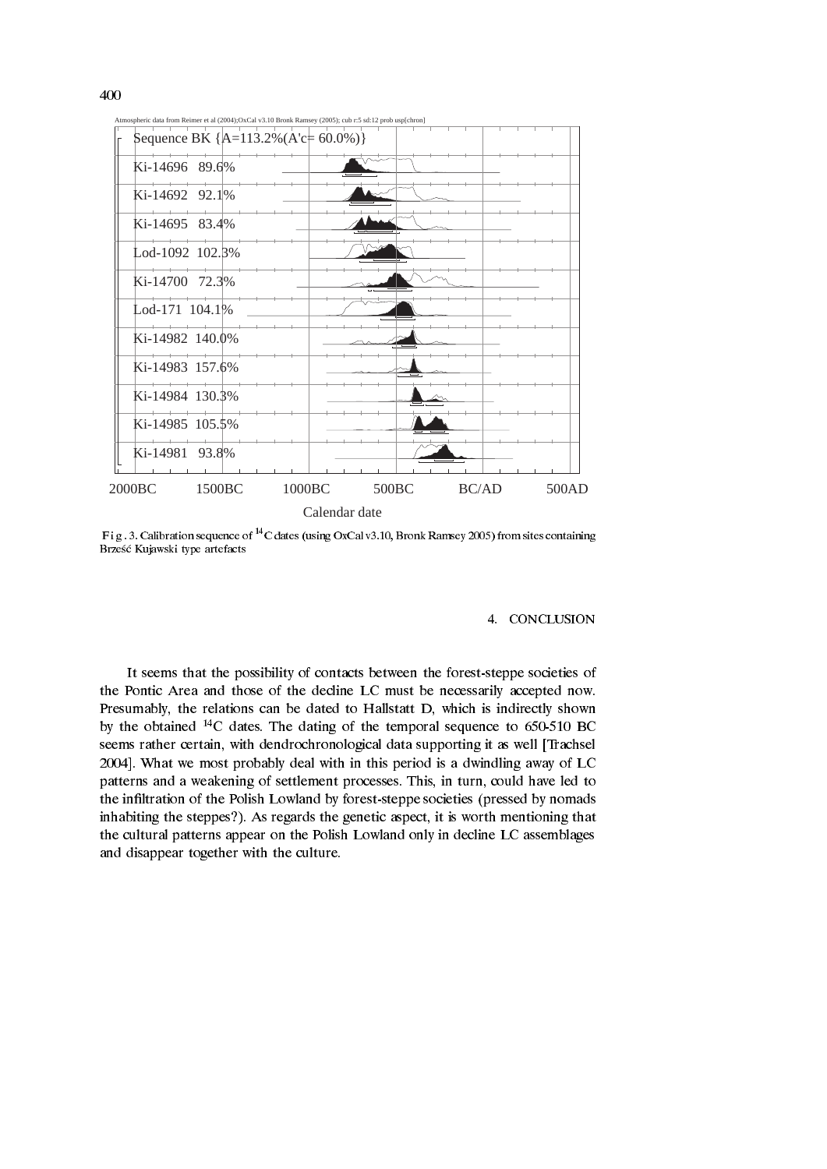

Fig. 3. Calibration sequence of <sup>14</sup>C dates (using OxCal v3.10, Bronk Ramsey 2005) from sites containing Brześć Kujawski type artefacts

#### 4 CONCLUSION

It seems that the possibility of contacts between the forest-steppe societies of the Pontic Area and those of the decline LC must be necessarily accepted now. Presumably, the relations can be dated to Hallstatt D, which is indirectly shown by the obtained  $^{14}$ C dates. The dating of the temporal sequence to 650-510 BC seems rather certain, with dendrochronological data supporting it as well [Trachsel 2004]. What we most probably deal with in this period is a dwindling away of LC patterns and a weakening of settlement processes. This, in turn, could have led to the infiltration of the Polish Lowland by forest-steppe societies (pressed by nomads inhabiting the steppes?). As regards the genetic aspect, it is worth mentioning that the cultural patterns appear on the Polish Lowland only in decline LC assemblages and disappear together with the culture.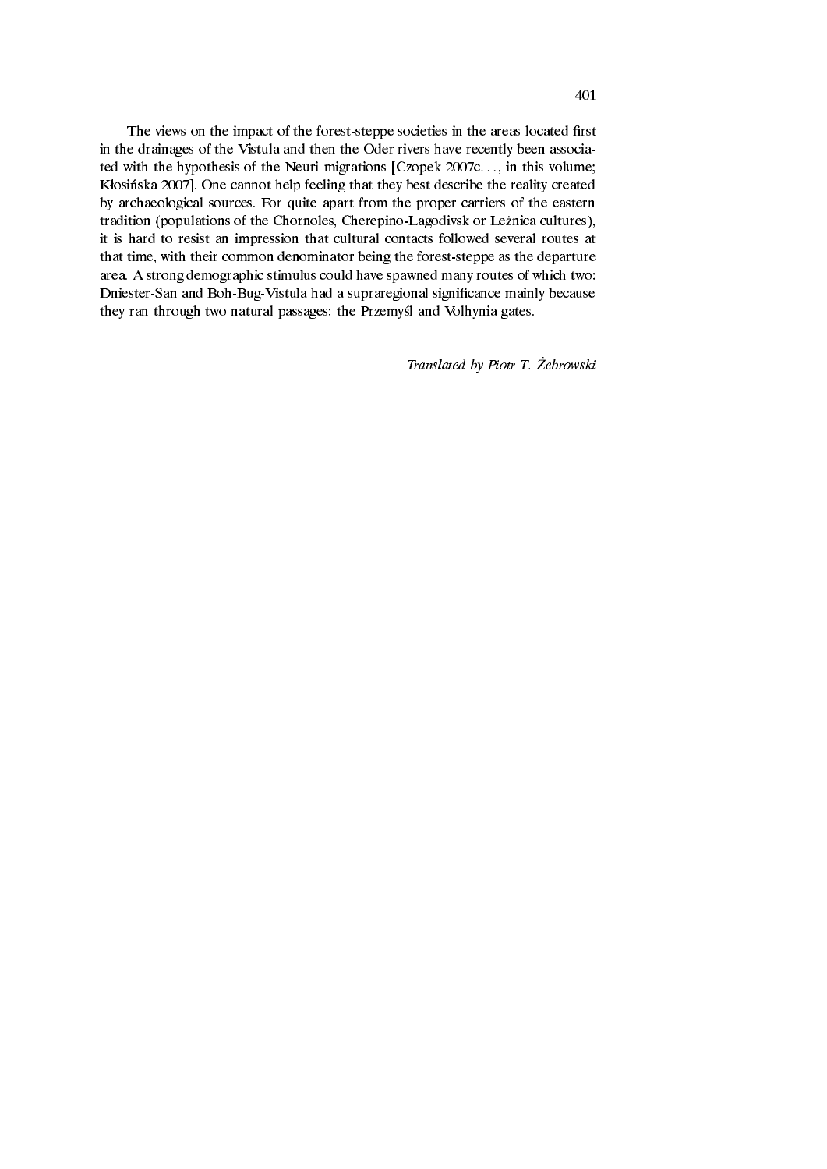The views on the impact of the forest-steppe societies in the areas located first in the drainages of the Vistula and then the Oder rivers have recently been associated with the hypothesis of the Neuri migrations [Czopek 2007c..., in this volume; Kłosińska 2007. One cannot help feeling that they best describe the reality created by archaeological sources. For quite apart from the proper carriers of the eastern tradition (populations of the Chornoles, Cherepino-Lagodiysk or Leżnica cultures), it is hard to resist an impression that cultural contacts followed several routes at that time, with their common denominator being the forest-steppe as the departure area. A strong demographic stimulus could have spawned many routes of which two: Dniester-San and Boh-Bug-Vistula had a supraregional significance mainly because they ran through two natural passages: the Przemyśl and Volhynia gates.

Translated by Piotr T. Żebrowski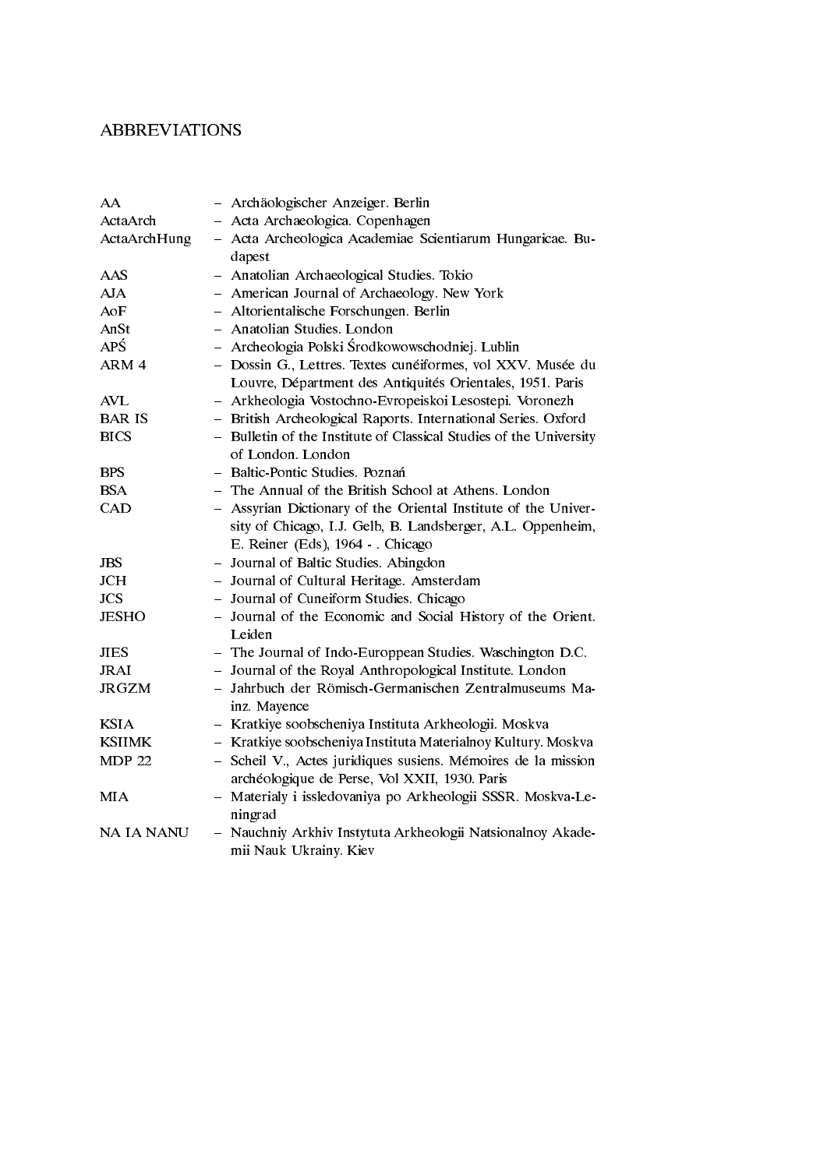## **ABBREVIATIONS**

| AA                |          | - Archäologischer Anzeiger. Berlin                               |
|-------------------|----------|------------------------------------------------------------------|
| ActaArch          |          | - Acta Archaeologica. Copenhagen                                 |
| ActaArchHung      |          | - Acta Archeologica Academiae Scientiarum Hungaricae. Bu-        |
|                   |          | dapest                                                           |
| AAS               |          | Anatolian Archaeological Studies. Tokio                          |
| AJA               |          | American Journal of Archaeology. New York                        |
| AoF               |          | Altorientalische Forschungen. Berlin                             |
| AnSt              |          | Anatolian Studies. London                                        |
| APŚ               |          | Archeologia Polski Środkowowschodniej. Lublin                    |
| ARM 4             | -        | Dossin G., Lettres. Textes cunéiformes, vol XXV. Musée du        |
|                   |          | Louvre, Départment des Antiquités Orientales, 1951. Paris        |
| <b>AVL</b>        |          | Arkheologia Vostochno-Evropeiskoi Lesostepi. Voronezh            |
| <b>BARIS</b>      |          | British Archeological Raports. International Series. Oxford      |
| <b>BICS</b>       |          | Bulletin of the Institute of Classical Studies of the University |
|                   |          | of London. London                                                |
| <b>BPS</b>        | $\equiv$ | Baltic Pontic Studies, Poznań                                    |
| <b>BSA</b>        |          | The Annual of the British School at Athens. London               |
| CAD               |          | Assyrian Dictionary of the Oriental Institute of the Univer-     |
|                   |          | sity of Chicago, I.J. Gelb, B. Landsberger, A.L. Oppenheim,      |
|                   |          | E. Reiner (Eds), 1964 - . Chicago                                |
| <b>JBS</b>        |          | Journal of Baltic Studies. Abingdon                              |
| <b>JCH</b>        |          | Journal of Cultural Heritage. Amsterdam                          |
| <b>JCS</b>        |          | Journal of Cuneiform Studies. Chicago                            |
| <b>JESHO</b>      |          | Journal of the Economic and Social History of the Orient.        |
|                   |          | Leiden                                                           |
| <b>JIES</b>       |          | The Journal of Indo-Europpean Studies. Waschington D.C.          |
| <b>JRAI</b>       |          | Journal of the Royal Anthropological Institute. London           |
| <b>JRGZM</b>      |          | Jahrbuch der Römisch-Germanischen Zentralmuseums Ma-             |
|                   |          | inz. Mayence                                                     |
| <b>KSIA</b>       |          | Kratkiye soobscheniya Instituta Arkheologii. Moskva              |
| <b>KSIIMK</b>     |          | - Kratkiye soobscheniya Instituta Materialnoy Kultury. Moskva    |
| <b>MDP 22</b>     |          | Scheil V., Actes juridiques susiens. Mémoires de la mission      |
|                   |          | archéologique de Perse, Vol XXII, 1930. Paris                    |
| <b>MIA</b>        |          | Materialy i issledovaniya po Arkheologii SSSR. Moskva-Le-        |
|                   |          | ningrad                                                          |
| <b>NA IA NANU</b> |          | Nauchniy Arkhiv Instytuta Arkheologii Natsionalnoy Akade-        |
|                   |          | mii Nauk Ukrainy. Kiev                                           |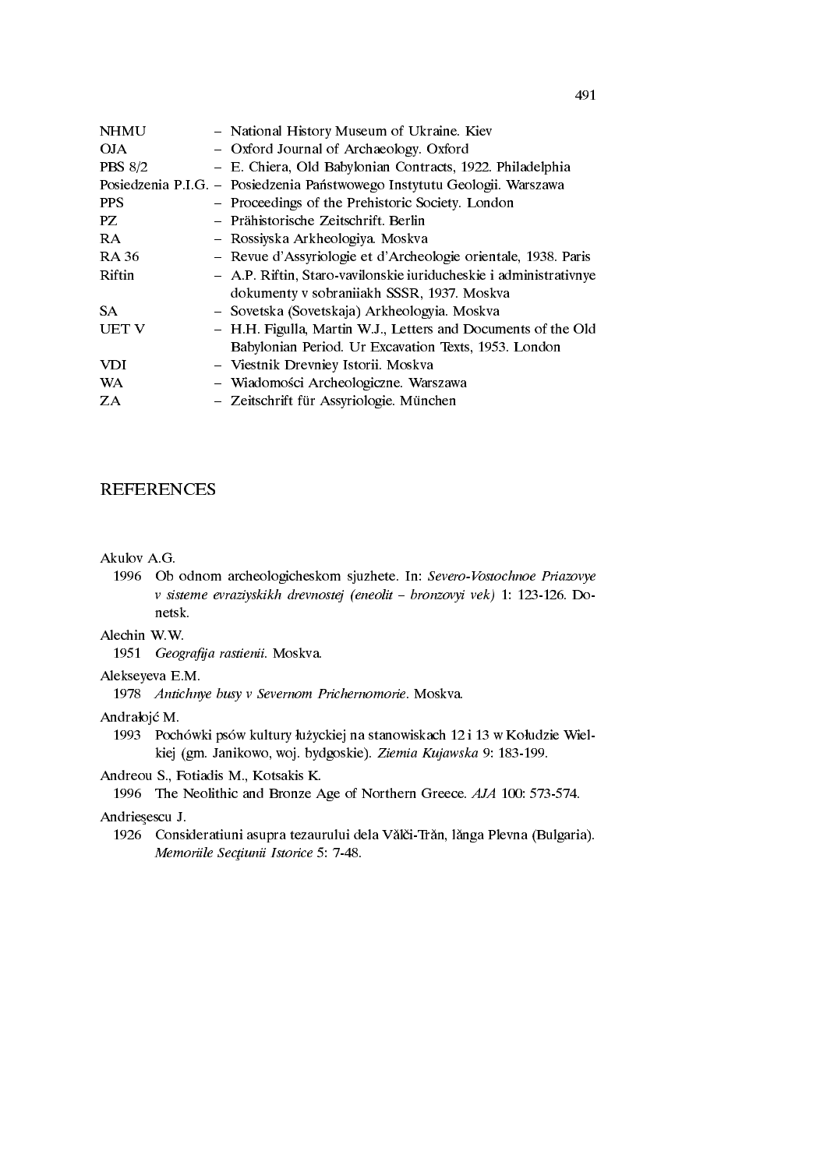| <b>NHMU</b>    | - National History Museum of Ukraine. Kiev                                |
|----------------|---------------------------------------------------------------------------|
| <b>OJA</b>     | - Oxford Journal of Archaeology. Oxford                                   |
| <b>PBS 8/2</b> | - E. Chiera, Old Babylonian Contracts, 1922. Philadelphia                 |
|                | Posiedzenia P.I.G. - Posiedzenia Państwowego Instytutu Geologii. Warszawa |
| <b>PPS</b>     | - Proceedings of the Prehistoric Society. London                          |
| PZ             | - Prähistorische Zeitschrift. Berlin                                      |
| RA.            | - Rossiyska Arkheologiya. Moskva                                          |
| <b>RA 36</b>   | - Revue d'Assyriologie et d'Archeologie orientale, 1938. Paris            |
| Riftin         | - A.P. Riftin, Staro-vavilonskie iuriducheskie i administrativnye         |
|                | dokumenty v sobranijakh SSSR, 1937. Moskva                                |
| SA.            | - Sovetska (Sovetskaja) Arkheologyia. Moskva                              |
| <b>UET V</b>   | - H.H. Figulla, Martin W.J., Letters and Documents of the Old             |
|                | Babylonian Period. Ur Excavation Texts, 1953. London                      |
| <b>VDI</b>     | - Viestnik Drevniey Istorii. Moskva                                       |
| <b>WA</b>      | - Wiadomości Archeologiczne. Warszawa                                     |
| ZA             | - Zeitschrift für Assyriologie. München                                   |

## **REFERENCES**

#### Akulov A.G.

1996 Ob odnom archeologicheskom sjuzhete. In: Severo-Vostochnoe Priazovye v sisteme evraziyskikh drevnostej (eneolit - bronzovyi vek) 1: 123-126. Donetsk.

#### Alechin W.W.

1951 Geografija rastienii. Moskva.

## Alekseyeva E.M.

1978 Antichnye busy v Severnom Prichernomorie. Moskva.

## Andrałojć M.

1993 Pochówki psów kultury łużyckiej na stanowiskach 12 i 13 w Kołudzie Wielkiej (gm. Janikowo, woj. bydgoskie). Ziemia Kujawska 9: 183-199.

#### Andreou S., Fotiadis M., Kotsakis K.

1996 The Neolithic and Bronze Age of Northern Greece. AJA 100: 573-574.

## Andriesescu J.

1926 Consideratiuni asupra tezaurului dela Vălči-Trăn, lănga Plevna (Bulgaria). Memoriile Secțiunii Istorice 5: 7-48.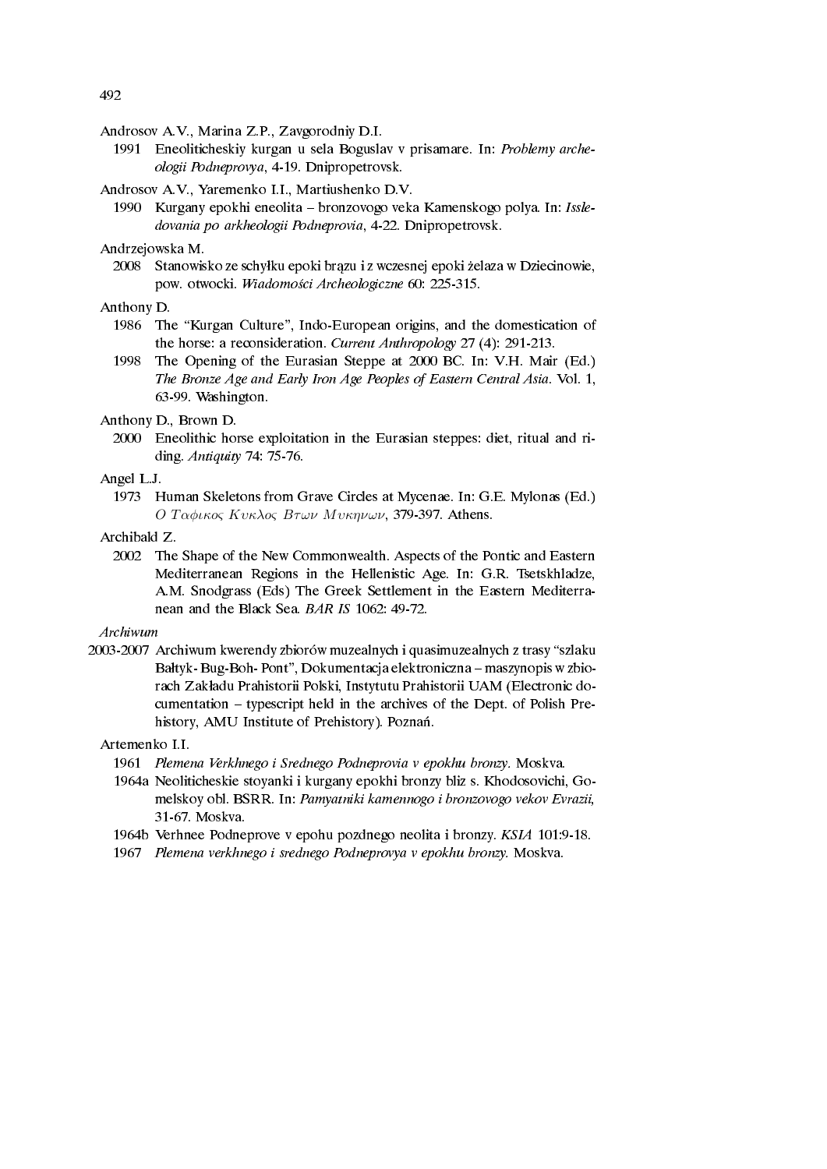1991 Eneoliticheskiy kurgan u sela Boguslav v prisamare. In: Problemy archeologii Podneprovva, 4-19. Dnipropetrovsk.

Androsov A.V., Yaremenko I.I., Martiushenko D.V.

1990 Kurgany epokhi eneolita – bronzovogo veka Kamenskogo polya. In: Issledovania po arkheologii Podneprovia, 4-22. Dnipropetrovsk.

Andrzejowska M.

2008 Stanowisko ze schyłku epoki brazu i z wczesnej epoki żelaza w Dziecinowie, pow. otwocki. Wiadomości Archeologiczne 60: 225-315.

Anthony D.

- 1986 The "Kurgan Culture", Indo-European origins, and the domestication of the horse: a reconsideration. Current Anthropology 27 (4): 291-213.
- 1998 The Opening of the Eurasian Steppe at 2000 BC. In: V.H. Mair (Ed.) The Bronze Age and Early Iron Age Peoples of Eastern Central Asia. Vol. 1, 63-99. Washington.

Anthony D., Brown D.

2000 Eneolithic horse exploitation in the Eurasian steppes: diet, ritual and riding. Antiquity 74: 75-76.

#### Angel L.J.

1973 Human Skeletons from Grave Circles at Mycenae. In: G.E. Mylonas (Ed.) Ο Ταφικος Κυκλος Βτων Μυκηνων, 379-397, Athens.

Archibald Z.

2002 The Shape of the New Commonwealth. Aspects of the Pontic and Eastern Mediterranean Regions in the Hellenistic Age. In: G.R. Tsetskhladze, A.M. Snodgrass (Eds) The Greek Settlement in the Eastern Mediterranean and the Black Sea. BAR IS 1062: 49-72.

Archiwum

2003-2007 Archiwum kwerendy zbiorów muzealnych i quasimuzealnych z trasy "szlaku Bałtyk-Bug-Boh-Pont", Dokumentacja elektroniczna – maszynopis w zbiorach Zakładu Prahistorii Polski, Instytutu Prahistorii UAM (Electronic documentation – typescript held in the archives of the Dept. of Polish Prehistory, AMU Institute of Prehistory). Poznań.

Artemenko I.I.

- 1961 Plemena Verkhnego i Srednego Podneprovia v epokhu bronzy. Moskva.
- 1964a Neoliticheskie stoyanki i kurgany epokhi bronzy bliz s. Khodosovichi, Gomelskoy obl. BSRR. In: Pamyatniki kamennogo i bronzovogo vekov Evrazii, 31-67. Moskva.
- 1964b Verhnee Podneprove v epohu pozdnego neolita i bronzy. KSIA 101:9-18.
- 1967 Plemena verkhnego i srednego Podneprovya v epokhu bronzy. Moskva.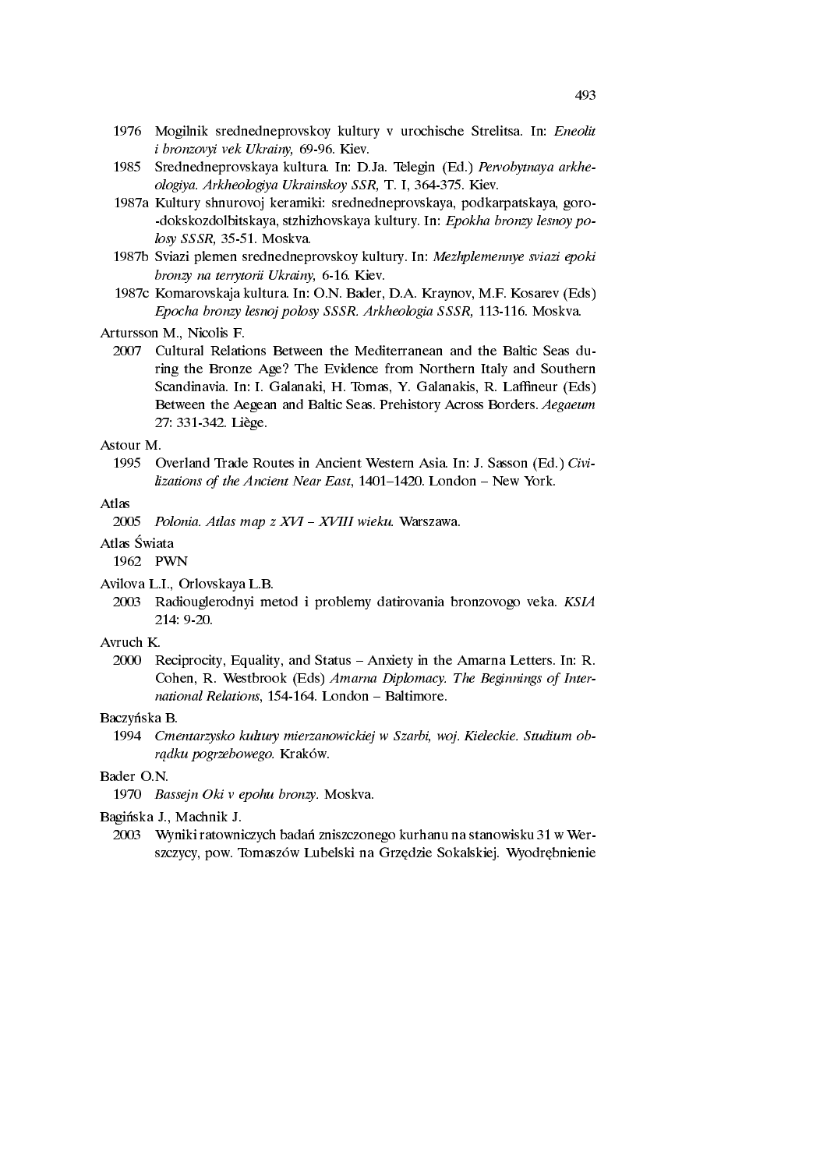- 1976 Mogilnik srednedneprovskov kultury v urochische Strelitsa. In: Eneolit *i bronzovvi vek Ukrainv.* 69-96. Kiev.
- 1985 Srednedneprovskava kultura, In: D.Ja, Telegin (Ed.) Pervobytnava arkheologiya, Arkheologiya Ukrainskov SSR, T. I. 364-375. Kiev.
- 1987a Kultury shnurovoj keramiki: srednedneprovskaya, podkarpatskaya, goro--dokskozdolbitskaya, stzhizhovskaya kultury. In: Epokha bronzy lesnoy polosy SSSR, 35-51. Moskva.
- 1987b Sviazi plemen srednedneprovskoy kultury. In: Mezhplemennye sviazi epoki bronzy na terrytorii Ukrainy, 6-16. Kiev.
- 1987c Komarovskaja kultura. In: O.N. Bader, D.A. Kraynov, M.F. Kosarev (Eds) Epocha bronzy lesnoj polosy SSSR. Arkheologia SSSR, 113-116. Moskva.

#### Artursson M., Nicolis F.

Cultural Relations Between the Mediterranean and the Baltic Seas du-2007 ring the Bronze Age? The Evidence from Northern Italy and Southern Scandinavia. In: I. Galanaki, H. Tomas, Y. Galanakis, R. Laffineur (Eds) Between the Aegean and Baltic Seas. Prehistory Across Borders. Aegaeum 27: 331-342. Liège.

## Astour M.

1995 Overland Trade Routes in Ancient Western Asia. In: J. Sasson (Ed.) Civilizations of the Ancient Near East, 1401-1420. London - New York.

## Atlas

2005 Polonia. Atlas map z XVI - XVIII wieku. Warszawa.

## Atlas Świata

1962 PWN

#### Avilova L.I., Orlovskaya L.B.

2003 Radiouglerodnyi metod i problemy datirovania bronzovogo veka, KSIA  $214:9.20$ 

#### Avruch K.

2000 Reciprocity, Equality, and Status – Anxiety in the Amarna Letters. In: R. Cohen, R. Westbrook (Eds) Amarna Diplomacy. The Beginnings of International Relations, 154-164. London - Baltimore.

#### Baczyńska B.

1994 Cmentarzysko kultury mierzanowickiej w Szarbi, woj. Kieleckie. Studium obrądku pogrzebowego. Kraków.

## Bader O.N.

1970 Bassejn Oki v epohu bronzy. Moskva.

## Bagińska J., Machnik J.

2003 Wyniki ratowniczych badań zniszczonego kurhanu na stanowisku 31 w Werszczycy, pow. Tomaszów Lubelski na Grzedzie Sokalskiej. Wyodrebnienie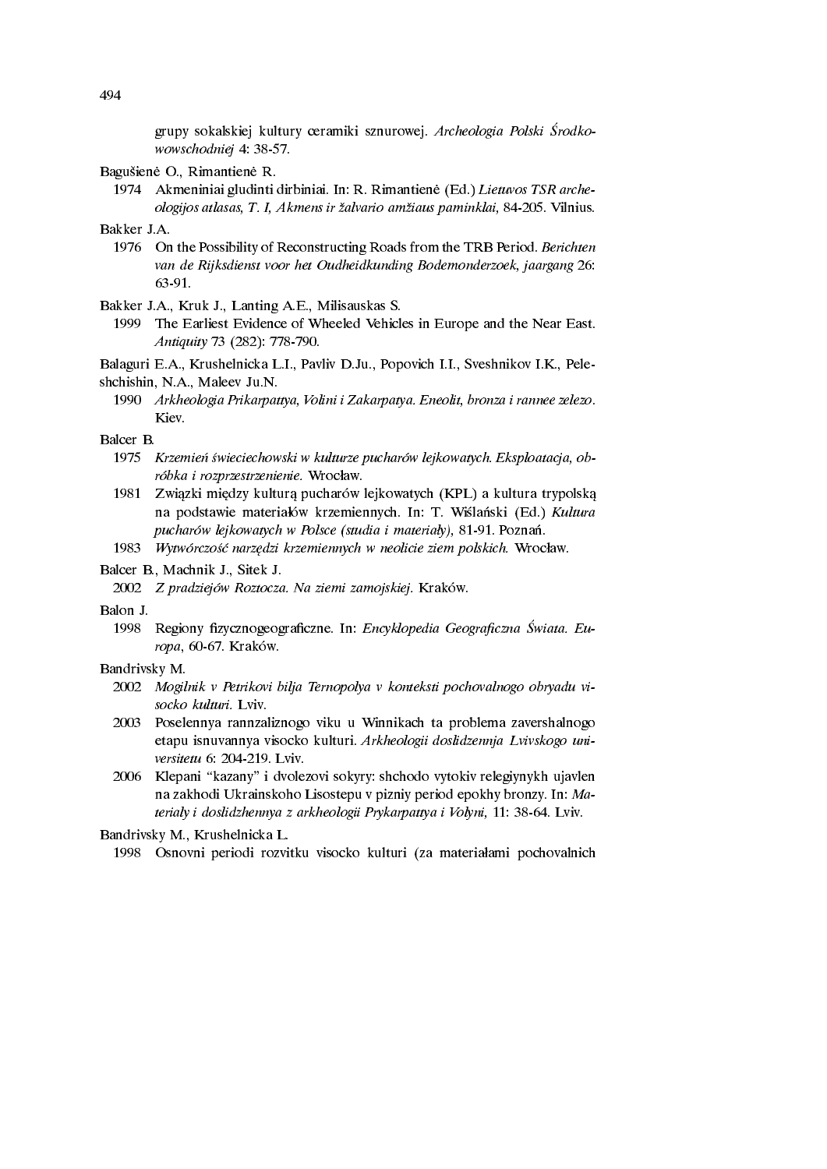grupy sokalskiej kultury ceramiki sznurowej. Archeologia Polski Środkowowschodniei 4: 38-57.

- Bagušienė O., Rimantienė R.
	- 1974 Akmeniniai gludinti dirbiniai. In: R. Rimantienė (Ed.) Lietuvos TSR archeologijos atlasas, T. I, Akmens ir žalvario amžiaus paminklai, 84-205. Vilnius.

Bakker J.A.

1976 On the Possibility of Reconstructing Roads from the TRB Period. Berichten van de Rijksdienst voor het Oudheidkunding Bodemonderzoek, jaargang 26: 63-91.

Bakker J.A., Kruk J., Lanting A.E., Milisauskas S.

1999 The Earliest Evidence of Wheeled Vehicles in Europe and the Near East. Antiquity 73 (282): 778-790.

Balaguri E.A., Krushelnicka L.I., Pavliv D.Ju., Popovich I.I., Sveshnikov I.K., Pele-

shchishin, N.A., Maleev Ju.N.

1990 Arkheologia Prikarpattva, Volini i Zakarpatva. Eneolit, bronza i rannee zelezo, Kiev

Balcer B

- 1975 Krzemień świeciechowski w kulturze pucharów lejkowatych. Eksploatacja, obróbka i rozprzestrzenienie. Wrocław.
- 1981 Związki miedzy kulturą pucharów lejkowatych (KPL) a kultura trypolską na podstawie materiałów krzemiennych. In: T. Wiślański (Ed.) Kultura pucharów lejkowatych w Polsce (studia i materiały), 81-91. Poznań.
- Wytwórczość narzędzi krzemiennych w neolicie ziem polskich. Wrocław. 1983

Balcer B., Machnik J., Sitek J.

2002 Z pradziejów Roztocza. Na ziemi zamojskiej. Kraków.

Balon J.

1998 Regiony fizycznogeograficzne. In: Encyklopedia Geograficzna Świata. Europa, 60-67. Kraków.

## Bandrivsky M.

- 2002 Mogilnik v Petrikovi bilja Ternopolva v konteksti pochovalnogo obrvadu visocko kulturi. Lyiv.
- 2003 Poselennya rannzaliznogo viku u Winnikach ta problema zavershalnogo etapu isnuvannya visocko kulturi. Arkheologii doslidzennia Lvivskogo universitetu 6: 204-219. Lviv.
- 2006 Klepani "kazany" i dvolezovi sokyry: shchodo vytokiv relegiynykh ujavlen na zakhodi Ukrainskoho Lisostepu v pizniv period epokhy bronzy. In: Materialy i doslidzhennya z arkheologii Prykarpattya i Volyni, 11: 38-64. Lviv.

Bandrivsky M., Krushelnicka L.

1998 Osnovni periodi rozvitku visocko kulturi (za materiałami pochovalnich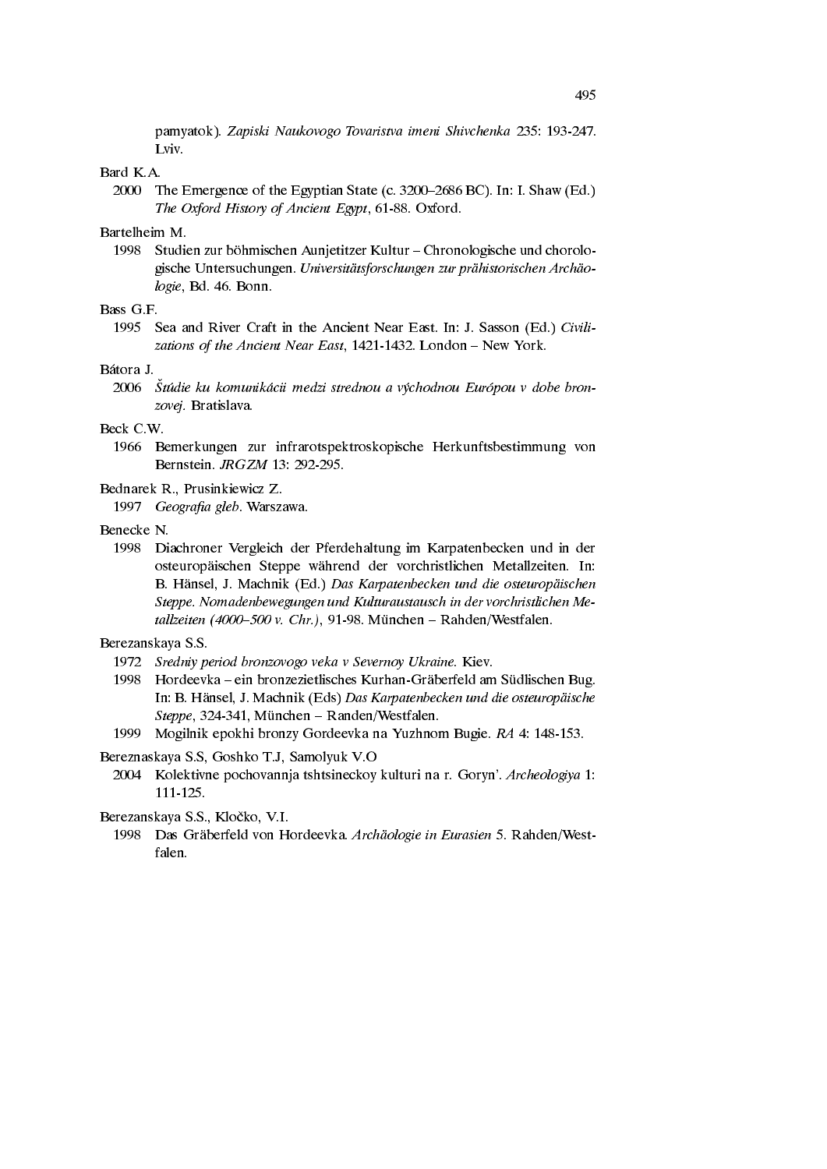pamyatok), Zapiski Naukovogo Tovaristva imeni Shivchenka 235: 193-247.  $I$ *xiv*.

## Bard K.A.

2000 The Emergence of the Egyptian State (c. 3200–2686 BC). In: I. Shaw (Ed.) The Oxford History of Ancient Egypt, 61-88, Oxford,

## Bartelheim M.

1998 Studien zur böhmischen Aunjetitzer Kultur – Chronologische und chorologische Untersuchungen. Universitätsforschungen zur prähistorischen Archäologie, Bd. 46. Bonn.

## Bass G.F.

1995 Sea and River Craft in the Ancient Near East. In: J. Sasson (Ed.) Civilizations of the Ancient Near East, 1421-1432. London - New York.

#### Bátora L

2006 Stúdie ku komunikácii medzi strednou a východnou Európou v dobe bronzovei. Bratislava.

## Beck C.W.

1966 Bemerkungen zur infrarotspektroskopische Herkunftsbestimmung von Bernstein. *JRGZM* 13: 292-295.

#### Bednarek R., Prusinkiewicz Z.

1997 Geografia gleb. Warszawa.

## Benecke N.

1998 Diachroner Vergleich der Pferdehaltung im Karpatenbecken und in der osteuropäischen Steppe während der vorchristlichen Metallzeiten. In: B. Hänsel, J. Machnik (Ed.) Das Karpatenbecken und die osteuropäischen Steppe. Nomadenbewegungen und Kulturaustausch in der vorchristlichen Metallzeiten (4000–500 v. Chr.), 91-98. München – Rahden/Westfalen.

#### Berezanskaya S.S.

- 1972 Sredniv period bronzovogo veka v Severnov Ukraine, Kiev.
- 1998 Hordeevka ein bronzezietlisches Kurhan-Gräberfeld am Südlischen Bug. In: B. Hänsel, J. Machnik (Eds) Das Karpatenbecken und die osteuropäische Steppe, 324-341, München - Randen/Westfalen.
- 1999 Mogilnik epokhi bronzy Gordeevka na Yuzhnom Bugie. RA 4: 148-153.

Bereznaskaya S.S. Goshko T.J. Samolyuk V.O

- 2004 Kolektivne pochovannja tshtsineckov kulturi na r. Goryn'. Archeologiya 1: 111-125.
- Berezanskaya S.S., Kločko, V.I.
	- 1998 Das Gräberfeld von Hordeevka. Archäologie in Eurasien 5. Rahden/Westfalen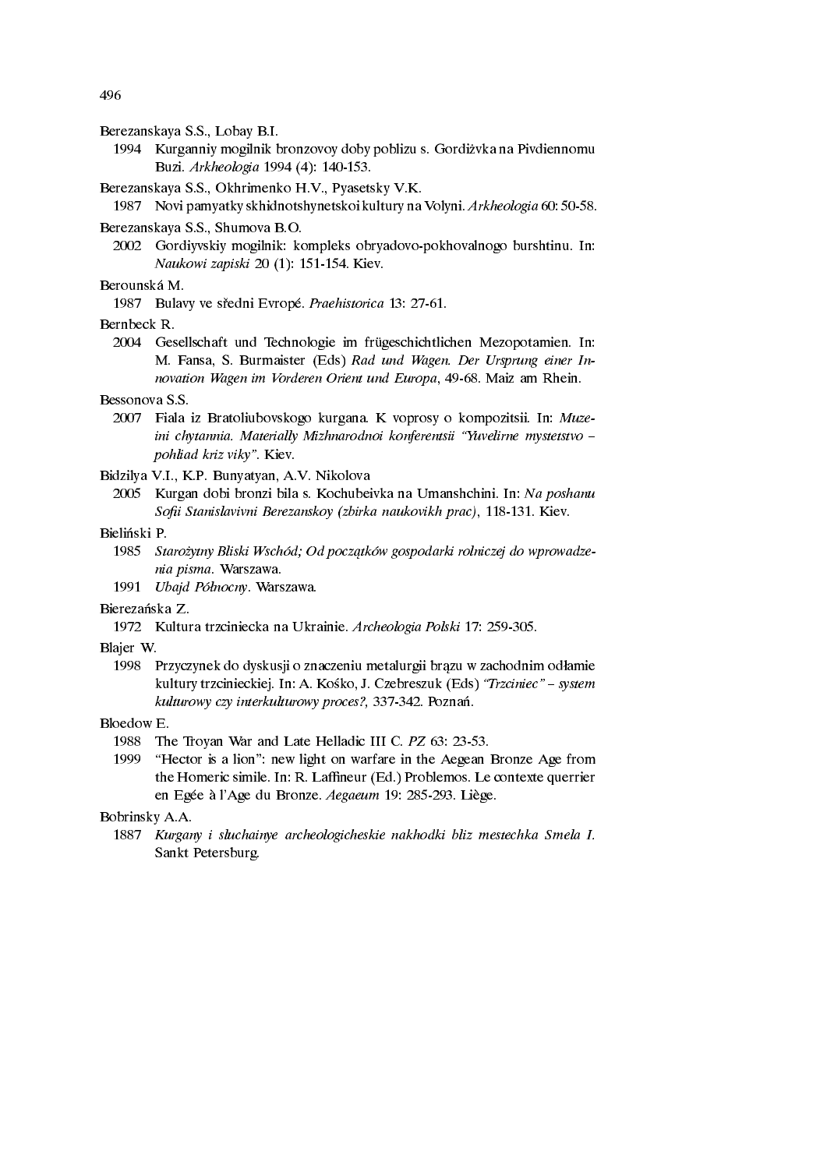- Berezanskava S.S., Lobav B.I.
	- 1994 Kurganniy mogilnik bronzovoy doby poblizu s. Gordiżyka na Pivdiennomu Buzi. Arkheologia 1994 (4): 140-153.
- Berezanskaya S.S., Okhrimenko H.V., Pyasetsky V.K.
	- 1987 Novi pamyatky skhidnotshynetskoi kultury na Volyni. Arkheologia 60: 50-58.
- Berezanskaya S.S., Shumova B.O.
	- 2002 Gordiyyskiy mogilnik: kompleks obryadovo-pokhovalnogo burshtinu. In: Naukowi zapiski 20 (1): 151-154. Kiev.

## Berounská M.

1987 Bulavy ve sředni Evropé, Praehistorica 13: 27-61.

## Bernbeck R.

2004 Gesellschaft und Technologie im frügeschichtlichen Mezopotamien. In: M. Fansa, S. Burmaister (Eds) Rad und Wagen. Der Ursprung einer Innovation Wagen im Vorderen Orient und Europa, 49-68. Maiz am Rhein.

## Bessonova S.S.

2007 Fiala iz Bratoliubovskogo kurgana. K voprosy o kompozitsii. In: Muzeini chytannia. Materially Mizhnarodnoi konferentsii "Yuvelirne mystetstvo pohliad kriz vikv". Kiev.

Bidzilya V.I., K.P. Bunyatyan, A.V. Nikolova

2005 Kurgan dobi bronzi bila s. Kochubeivka na Umanshchini. In: Na poshanu Sofii Stanislavivni Berezanskov (zbirka naukovikh prac), 118-131. Kiev.

#### Bieliński P.

- Starożytny Bliski Wschód; Od poczatków gospodarki rolniczej do wprowadze-1985 nia pisma. Warszawa.
- 1991 Ubajd Północny. Warszawa.

### Bierezańska Z.

1972 Kultura trzciniecka na Ukrainie. Archeologia Polski 17: 259-305.

Blajer W.

1998 Przyczynek do dyskusji o znaczeniu metalurgii brązu w zachodnim odłamie kultury trzcinieckiej. In: A. Kośko, J. Czebreszuk (Eds) "Trzciniec" – system kulturowy czy interkulturowy proces?, 337-342, Poznań.

#### Bloedow E.

- 1988 The Troyan War and Late Helladic III C. PZ 63: 23-53.
- 1999 "Hector is a lion": new light on warfare in the Aegean Bronze Age from the Homeric simile. In: R. Laffineur (Ed.) Problemos. Le contexte querrier en Egée à l'Age du Bronze. Aegaeum 19: 285-293. Liège.

#### Bobrinsky A.A.

1887 Kurgany i sluchainye archeologicheskie nakhodki bliz mestechka Smela I. Sankt Petersburg.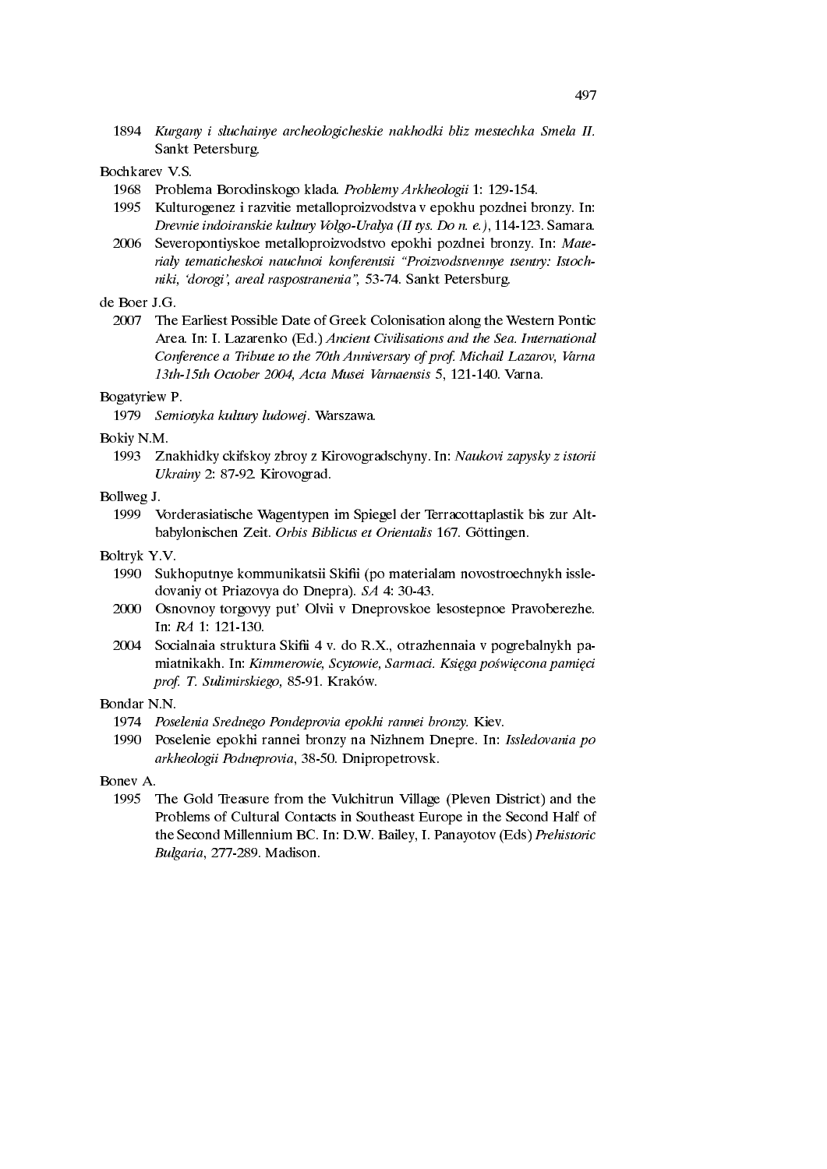1894 Kurgany i sluchainye archeologicheskie nakhodki bliz mestechka Smela II. Sankt Petersburg.

## Bochkarev V.S.

- 1968 Problema Borodinskogo klada. Problemy Arkheologii 1: 129-154.
- 1995 Kulturogenez i razvitie metalloproizvodstva v epokhu pozdnej bronzy. In: Drevnie indoiranskie kultury Volgo-Uralya (II tys. Do n. e.), 114-123. Samara.
- 2006 Severopontiyskoe metalloproizvodstvo epokhi pozdnei bronzy. In: Materialy tematicheskoi nauchnoi konferentsii "Proizvodstvennye tsentry: Istochniki, 'dorogi', areal raspostranenia", 53-74. Sankt Petersburg.

## de Boer J.G.

2007 The Earliest Possible Date of Greek Colonisation along the Western Pontic Area. In: I. Lazarenko (Ed.) Ancient Civilisations and the Sea. International Conference a Tribute to the 70th Anniversary of prof. Michail Lazarov, Varna 13th-15th October 2004, Acta Musei Varnaensis 5, 121-140. Varna.

## Bogatyriew P.

1979 Semiotyka kultury ludowej. Warszawa.

## Bokiv N.M.

1993 Znakhidky ckifskov zbrov z Kirovogradschyny. In: Naukovi zapysky z istorii Ukrainy 2: 87-92. Kirovograd.

## Bollweg J.

1999 Vorderasiatische Wagentypen im Spiegel der Terracottaplastik bis zur Altbabylonischen Zeit. Orbis Biblicus et Orientalis 167. Göttingen.

## Boltryk Y.V.

- 1990 Sukhoputnye kommunikatsii Skifii (po materialam novostroechnykh issledovaniy ot Priazovya do Dnepra). SA 4: 30-43.
- 2000 Osnovnoy torgovyy puť Olvii v Dneprovskoe lesostepnoe Pravoberezhe. In:  $RA$  1: 121-130.
- 2004 Socialnaia struktura Skifii 4 v. do R.X., otrazhennaia v pogrebalnykh pamiatnikakh. In: Kimmerowie, Scytowie, Sarmaci. Księga poświęcona pamięci prof. T. Sulimirskiego, 85-91. Kraków.

## Bondar N.N.

- 1974 Poselenia Srednego Pondeprovia epokhi rannei bronzy. Kiev.
- 1990 Poselenie epokhi rannei bronzy na Nizhnem Dnepre. In: Issledovania po arkheologii Podneprovia, 38-50. Dnipropetrovsk.

## Boney A.

1995 The Gold Treasure from the Vulchitrun Village (Pleven District) and the Problems of Cultural Contacts in Southeast Europe in the Second Half of the Second Millennium BC. In: D.W. Bailey, I. Panayotov (Eds) Prehistoric Bulgaria, 277-289. Madison.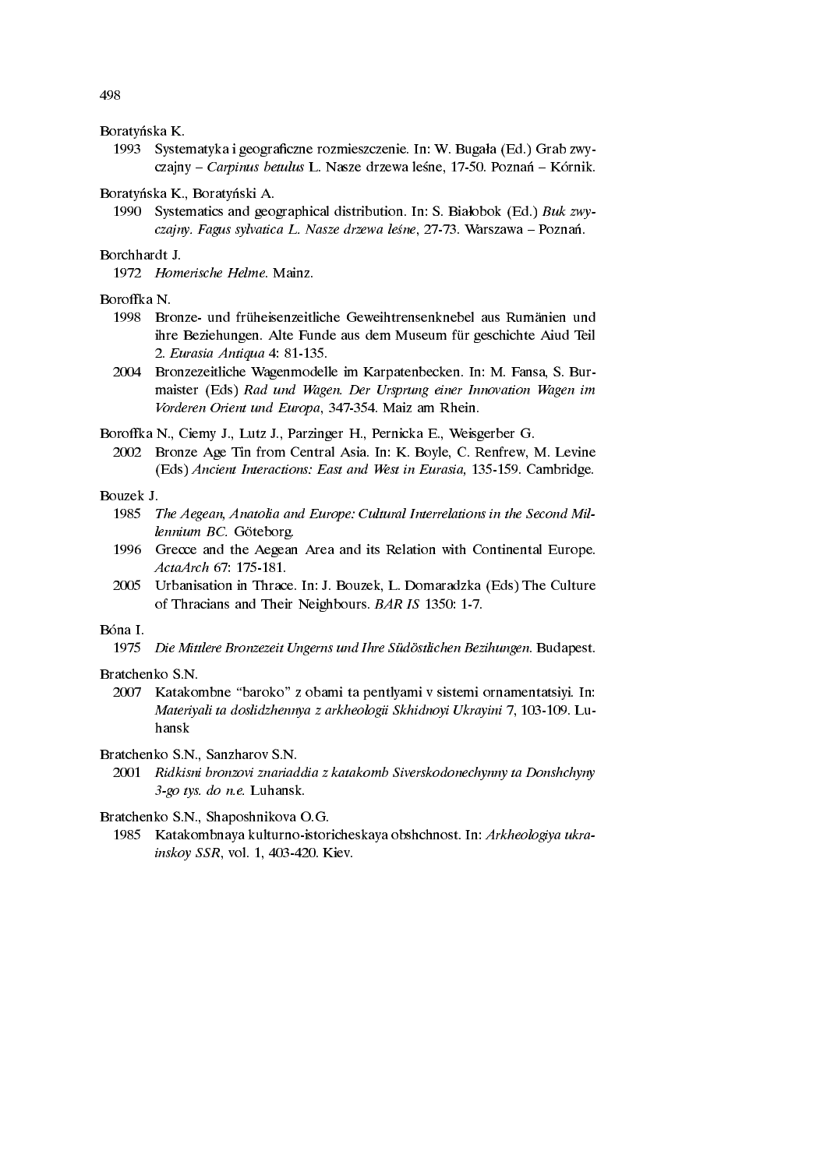## Boratvńska K.

1993 Systematyka i geograficzne rozmieszczenie. In: W. Bugała (Ed.) Grab zwyczajny – Carpinus betulus L. Nasze drzewa leśne, 17-50. Poznań – Kórnik,

## Boratvńska K., Boratvński A.

1990 Systematics and geographical distribution. In: S. Białobok (Ed.) Buk zwyczajny. Fagus sylvatica L. Nasze drzewa leśne, 27-73. Warszawa – Poznań.

## Borchhardt I

1972 Homerische Helme Mainz

## Boroffka N.

- 1998 Bronze- und früheisenzeitliche Geweihtrensenknebel aus Rumänien und ihre Beziehungen. Alte Funde aus dem Museum für geschichte Aiud Teil 2. Eurasia Antiqua 4: 81-135.
- 2004 Bronzezeitliche Wagenmodelle im Karpatenbecken. In: M. Fansa, S. Burmaister (Eds) Rad und Wagen. Der Ursprung einer Innovation Wagen im Vorderen Orient und Europa, 347-354. Maiz am Rhein.

Boroffka N., Ciemy J., Lutz J., Parzinger H., Pernicka E., Weisgerber G.

2002 Bronze Age Tin from Central Asia. In: K. Boyle, C. Renfrew, M. Levine (Eds) Ancient Interactions: East and West in Eurasia, 135-159. Cambridge.

## Bouzek I

- 1985 The Aegean, Anatolia and Europe: Cultural Interrelations in the Second Millennium BC. Göteborg.
- 1996 Grecce and the Aegean Area and its Relation with Continental Europe. ActaArch 67: 175-181.
- 2005 Urbanisation in Thrace. In: J. Bouzek, L. Domaradzka (Eds) The Culture of Thracians and Their Neighbours. BAR IS 1350: 1-7.

#### Bóna I.

## Bratchenko S.N.

- 2007 Katakombne "baroko" z obami ta pentlyami v sistemi ornamentatsiyi. In: Materivali ta doslidzhennya z arkheologii Skhidnovi Ukravini 7, 103-109. Luhansk
- Bratchenko S.N., Sanzharov S.N.
	- 2001 Ridkisni bronzovi znariaddia z katakomb Siverskodonechynny ta Donshchyny  $3$ -go tys. do n.e. Luhansk.
- Bratchenko S.N., Shaposhnikova O.G.
	- 1985 Katakombnaya kulturno-istoricheskaya obshchnost. In: Arkheologiya ukrainskov SSR, vol. 1, 403-420. Kiev.

<sup>1975</sup> Die Mittlere Bronzezeit Ungerns und Ihre Südöstlichen Bezihungen. Budapest.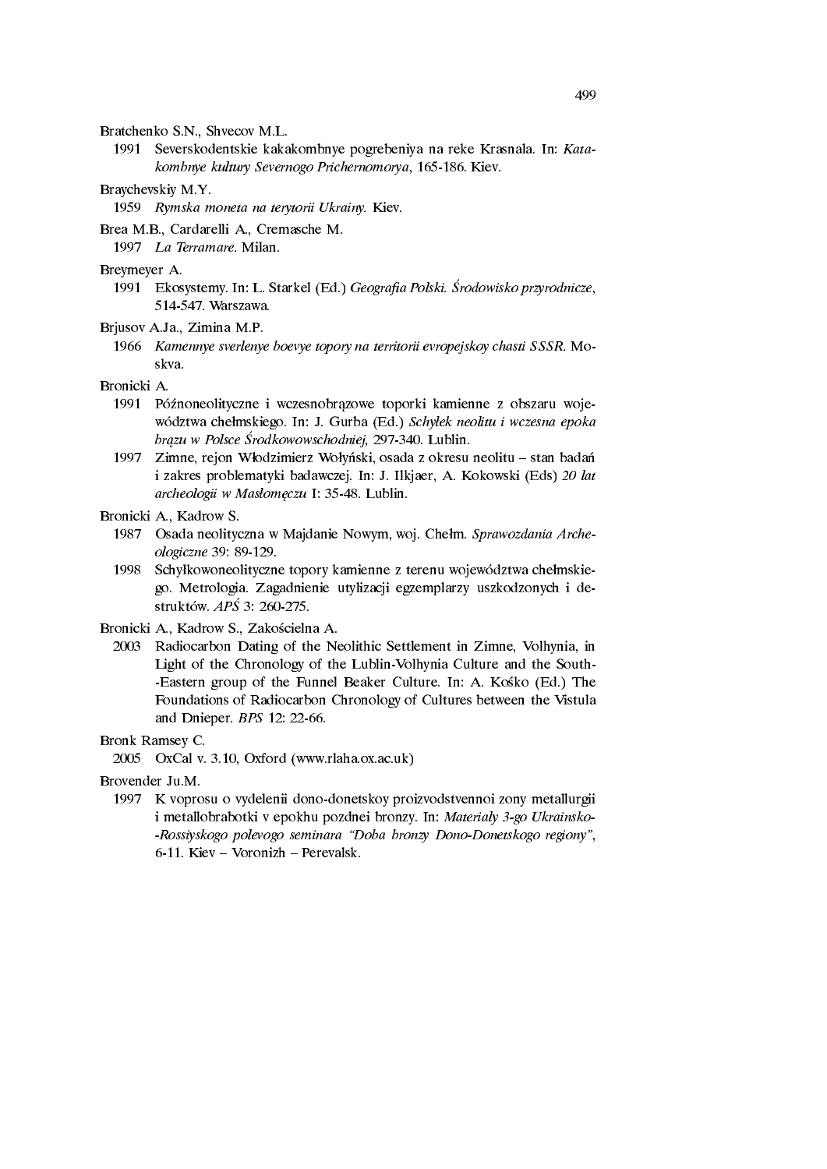Bratchenko S.N., Shvecov M.L.

1991 Severskodentskie kakakombnye pogrebeniya na reke Krasnala. In: Katakombnye kultury Severnogo Prichernomorya, 165-186. Kiev.

#### Braychevskiy M.Y.

1959 Rymska moneta na terytorii Ukrainy. Kiev.

Brea M.B., Cardarelli A., Cremasche M.

1997 La Terramare, Milan.

## Breymeyer A.

1991 Ekosystemy. In: L. Starkel (Ed.) Geografia Polski. Środowisko przyrodnicze, 514-547. Warszawa.

#### Brjusov A.Ja., Zimina M.P.

1966 Kamennye sverlenye boevye topory na territorii evropejskov chasti SSSR. Moskva.

## Bronicki A.

- 1991 Późnoneolityczne i wczesnobrązowe toporki kamienne z obszaru województwa chełmskiego, In: J. Gurba (Ed.) Schyłek neolitu i wczesna epoka brazu w Polsce Środkowowschodniej, 297-340. Lublin.
- 1997 Zimne, rejon Włodzimierz Wołyński, osada z okresu neolitu stan badań i zakres problematyki badawczej. In: J. Ilkjaer, A. Kokowski (Eds) 20 lat archeologii w Masłomeczu I: 35-48. Lublin.
- Bronicki A., Kadrow S.
	- 1987 Osada neolityczna w Majdanie Nowym, woj. Chełm. Sprawozdania Archeologiczne 39: 89-129.
	- Schyłkowoneolityczne topory kamienne z terenu województwa chełmskie-1998 go. Metrologia. Zagadnienie utylizacji egzemplarzy uszkodzonych i destruktów,  $AP\acute{S}$  3: 260-275.
- Bronicki A., Kadrow S., Zakościelna A.
	- 2003 Radiocarbon Dating of the Neolithic Settlement in Zimne, Volhynia, in Light of the Chronology of the Lublin-Volhynia Culture and the South--Eastern group of the Funnel Beaker Culture. In: A. Kosko (Ed.) The Foundations of Radiocarbon Chronology of Cultures between the Vistula and Dnieper. BPS 12: 22-66.

## Bronk Ramsey C.

2005 OxCal v. 3.10, Oxford (www.rlaha.ox.ac.uk)

#### Brovender Ju.M.

1997 K voprosu o vydelenii dono-donetskoy proizvodstvennoi zony metallurgii i metallobrabotki v epokhu pozdnej bronzy. In: Materialy 3-go Ukrainsko--Rossiyskogo polevogo seminara "Doba bronzy Dono-Donetskogo regiony",  $6-11$ . Kiev – Voronizh – Perevalsk.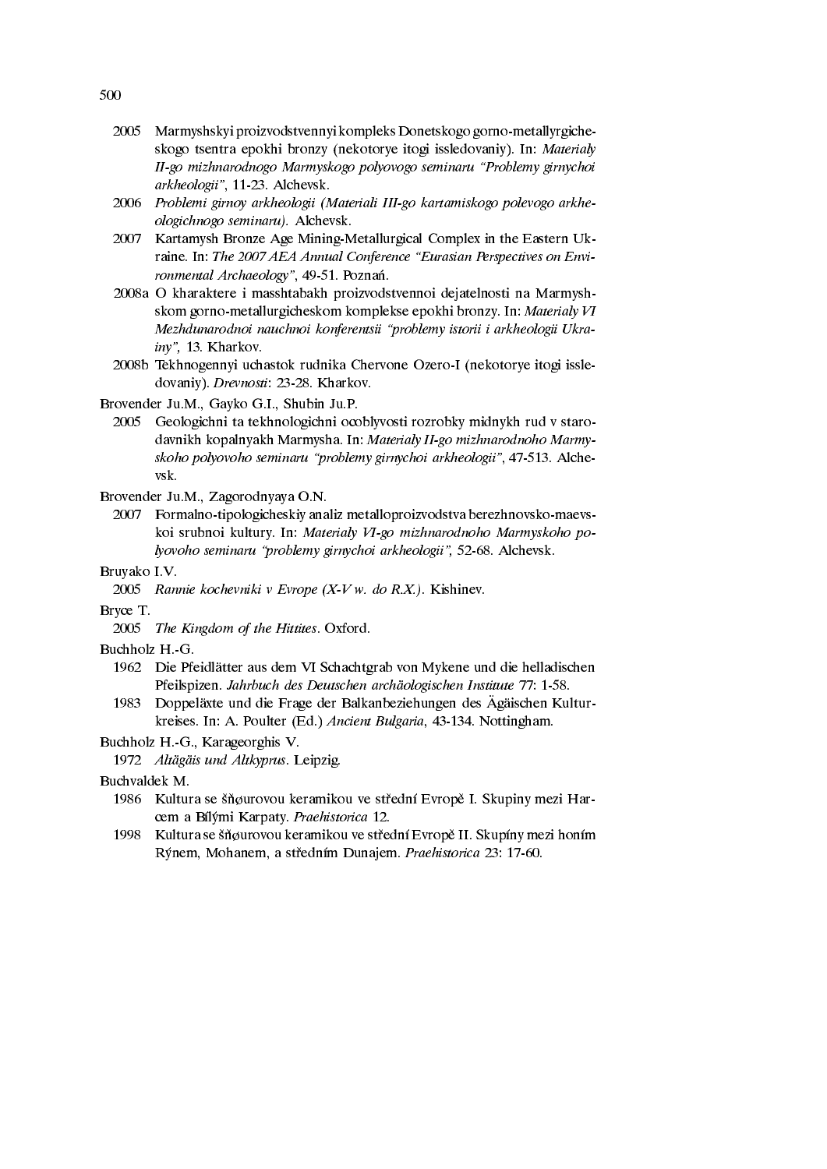- 2005 Marmyshskyi proizvodstvennyi kompleks Donetskogo gorno-metallyrgicheskogo tsentra epokhi bronzy (nekotorye itogi issledovaniy). In: Materialy II-go mizhnarodnogo Marmyskogo polyovogo seminaru "Problemy girnychoi arkheologii". 11-23. Alchevsk.
- 2006 Problemi girnoy arkheologii (Materiali III-go kartamiskogo polevogo arkheologichnogo seminaru). Alchevsk.
- 2007 Kartamysh Bronze Age Mining-Metallurgical Complex in the Eastern Ukraine. In: The 2007 AEA Annual Conference "Eurasian Perspectives on Environmental Archaeology", 49-51. Poznań.
- 2008a O kharaktere i masshtabakh proizvodstvennoi dejatelnosti na Marmyshskom gorno-metallurgicheskom komplekse epokhi bronzy. In: Materialy VI Mezhdunarodnoi nauchnoi konferentsii "problemy istorii i arkheologii Ukrainv" 13. Kharkov.
- 2008b Tekhnogennyi uchastok rudnika Chervone Ozero I (nekotorye itogi issledovaniy). Drevnosti: 23-28. Kharkov.
- Brovender Ju.M., Gayko G.I., Shubin Ju.P.
	- 2005 Geologichni ta tekhnologichni ocoblyvosti rozrobky midnykh rud v starodaynikh kopalnyakh Marmysha. In: Materialy II-go mizhnarodnoho Marmyskoho polvovoho seminaru "problemy girnychoi arkheologii", 47-513. Alchevsk.
- Brovender Ju.M., Zagorodnyaya O.N.
	- 2007 Formalno-tipologicheskiy analiz metalloproizvodstva berezhnovsko-maevskoi srubnoi kultury. In: Materialy VI-go mizhnarodnoho Marmyskoho polyovoho seminaru "problemy girnychoi arkheologii", 52-68. Alchevsk.

## Bruyako I.V.

2005 Rannie kochevniki v Evrope (X-V w. do R.X.). Kishinev.

## Bryce T.

2005 The Kingdom of the Hittites, Oxford,

#### Buchholz H. G.

- 1962 Die Pfeidlätter aus dem VI Schachtgrab von Mykene und die helladischen Pfeilspizen. Jahrbuch des Deutschen archäologischen Institute 77: 1-58.
- 1983 Doppeläxte und die Frage der Balkanbeziehungen des Ägäischen Kulturkreises. In: A. Poulter (Ed.) Ancient Bulgaria, 43-134. Nottingham.

## Buchholz H.-G., Karageorghis V.

1972 Altägäis und Altkyprus. Leipzig.

## Buchvaldek M.

- 1986 Kultura se šňøurovou keramikou ve střední Evropě I. Skupiny mezi Harcem a Bílými Karpaty. Praehistorica 12.
- 1998 Kultura se šňøurovou keramikou ve střední Evropě II. Skupíny mezi honím Rýnem, Mohanem, a středním Dunajem. Praehistorica 23: 17-60.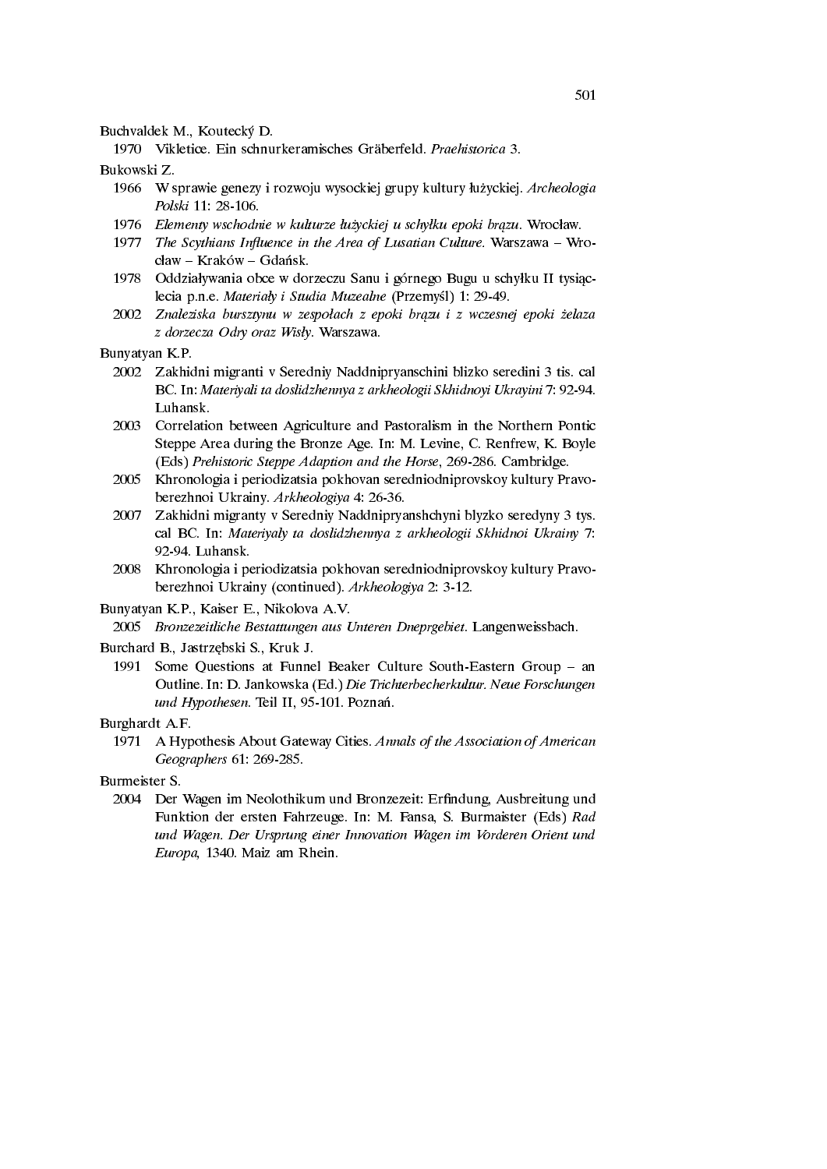Buchvaldek M., Koutecký D.

1970 Vikletice. Ein schnurkeramisches Gräberfeld. Praehistorica 3.

## Bukowski Z.

- 1966 W sprawie genezy i rozwoju wysockiej grupy kultury łużyckiej. Archeologia Polski 11: 28-106.
- 1976 Elementy wschodnie w kulturze łużyckiej u schyłku epoki brazu. Wrocław.
- 1977 The Scythians Influence in the Area of Lusatian Culture. Warszawa Wro $claw - Kraków - Gdański.$
- 1978 Oddziaływania obce w dorzeczu Sanu i górnego Bugu u schyłku II tysiąclecia p.n.e. Materiały i Studia Muzealne (Przemyśl) 1: 29-49.
- 2002 Znaleziska bursztynu w zespołach z epoki brazu i z wczesnej epoki żelaza z dorzecza Odrv oraz Wisły. Warszawa.

Bunyatyan K.P.

- 2002 Zakhidni migranti v Seredniy Naddnipryanschini blizko seredini 3 tis. cal BC. In: Materivali ta doslidzhennya z arkheologii Skhidnovi Ukravini 7: 92-94. Luhansk.
- Correlation between Agriculture and Pastoralism in the Northern Pontic 2003 Steppe Area during the Bronze Age. In: M. Levine, C. Renfrew, K. Boyle (Eds) Prehistoric Steppe Adaption and the Horse, 269-286. Cambridge.
- 2005 Khronologia i periodizatsia pokhovan seredniodniprovskov kultury Pravoberezhnoi Ukrainy. Arkheologiya 4: 26-36.
- 2007 Zakhidni migranty v Seredniy Naddnipryanshchyni blyzko seredyny 3 tys. cal BC. In: Materiyaly ta doslidzhennya z arkheologii Skhidnoi Ukrainy 7: 92 94. Luhansk.
- 2008 Khronologia i periodizatsia pokhovan seredniodniprovskoy kultury Pravoberezhnoi Ukrainy (continued). Arkheologiya 2: 3-12.

Bunyatyan K.P., Kaiser E., Nikolova A.V.

2005 Bronzezeitliche Bestattungen aus Unteren Dneprgebiet, Langenweissbach.

Burchard B., Jastrzębski S., Kruk J.

1991 Some Questions at Funnel Beaker Culture South-Eastern Group - an Outline, In: D. Jankowska (Ed.) Die Trichterbecherkultur. Neue Forschungen und Hypothesen. Teil II, 95-101. Poznań.

## Burghardt A.F.

A Hypothesis About Gateway Cities. Annals of the Association of American 1971 Geographers 61: 269-285.

Burmeister S.

2004 Der Wagen im Neolothikum und Bronzezeit: Erfindung, Ausbreitung und Funktion der ersten Fahrzeuge. In: M. Fansa, S. Burmaister (Eds) Rad und Wagen. Der Ursprung einer Innovation Wagen im Vorderen Orient und Europa, 1340. Maiz am Rhein.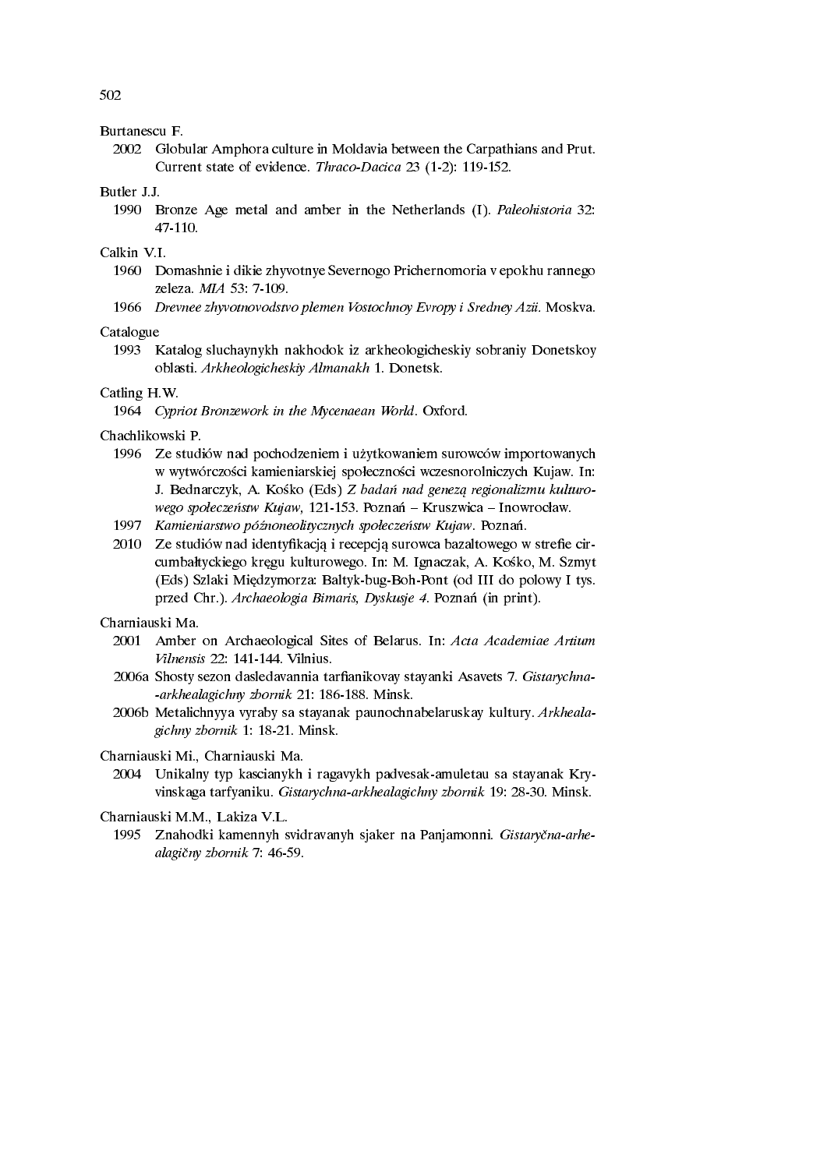## Burtanescu F.

2002 Globular Amphora culture in Moldavia between the Carpathians and Prut. Current state of evidence. Thraco-Dacica 23 (1-2): 119-152.

## Butler J.J.

1990 Bronze Age metal and amber in the Netherlands (I). Paleohistoria 32:  $47-110$ .

## Calkin V.I.

- 1960 Domashnie i dikie zhyvotnye Severnogo Prichernomoria y epokhu rannego zeleza, *MIA* 53: 7-109.
- 1966 Drevnee zhyvotnovodstvo plemen Vostochnov Evropy i Sredney Azii. Moskva.

## Catalogue

1993 Katalog sluchavnykh nakhodok iz arkheologicheskiy sobraniy Donetskoy oblasti, Arkheologicheskiy Almanakh 1. Donetsk.

## Catling H.W.

1964 Cypriot Bronzework in the Mycenaean World. Oxford.

Chachlikowski P.

- 1996 Ze studiów nad pochodzeniem i użytkowaniem surowców importowanych w wytwórczości kamieniarskiej społeczności wczesnorolniczych Kujaw. In: J. Bednarczyk, A. Kośko (Eds) Z badań nad genezą regionalizmu kulturowego społeczeństw Kujaw, 121-153. Poznań – Kruszwica – Inowrocław.
- 1997 Kamieniarstwo późnoneolitycznych społeczeństw Kujaw, Poznań,
- 2010 Ze studiów nad identyfikacją i recepcją surowcą bazaltowego w strefie circumbałtyckiego kręgu kulturowego. In: M. Ignaczak, A. Kośko, M. Szmyt (Eds) Szlaki Międzymorza: Baltyk-bug-Boh-Pont (od III do polowy I tys. przed Chr.), Archaeologia Bimaris, Dyskusje 4, Poznań (in print).

Charniauski Ma.

- 2001 Amber on Archaeological Sites of Belarus. In: Acta Academiae Artium Vilnensis 22: 141-144. Vilnius.
- 2006a Shosty sezon dasledavannia tarfianikovay stayanki Asavets 7. Gistarychna--arkhealagichny zbornik 21: 186-188. Minsk.
- 2006b Metalichnyya vyraby sa stayanak paunochnabelaruskay kultury. Arkhealagichny zbornik 1: 18-21. Minsk.

Charniauski Mi., Charniauski Ma.

- 2004 Unikalny typ kascianykh i ragavykh padvesak-amuletau sa stayanak Kryvinskaga tarfyaniku. Gistarychna-arkhealagichny zbornik 19: 28-30. Minsk.
- Charniauski M.M., Lakiza V.L.
	- Znahodki kamennyh svidravanyh sjaker na Panjamonni. Gistaryčna-arhe-1995 alagičny zbornik 7: 46-59.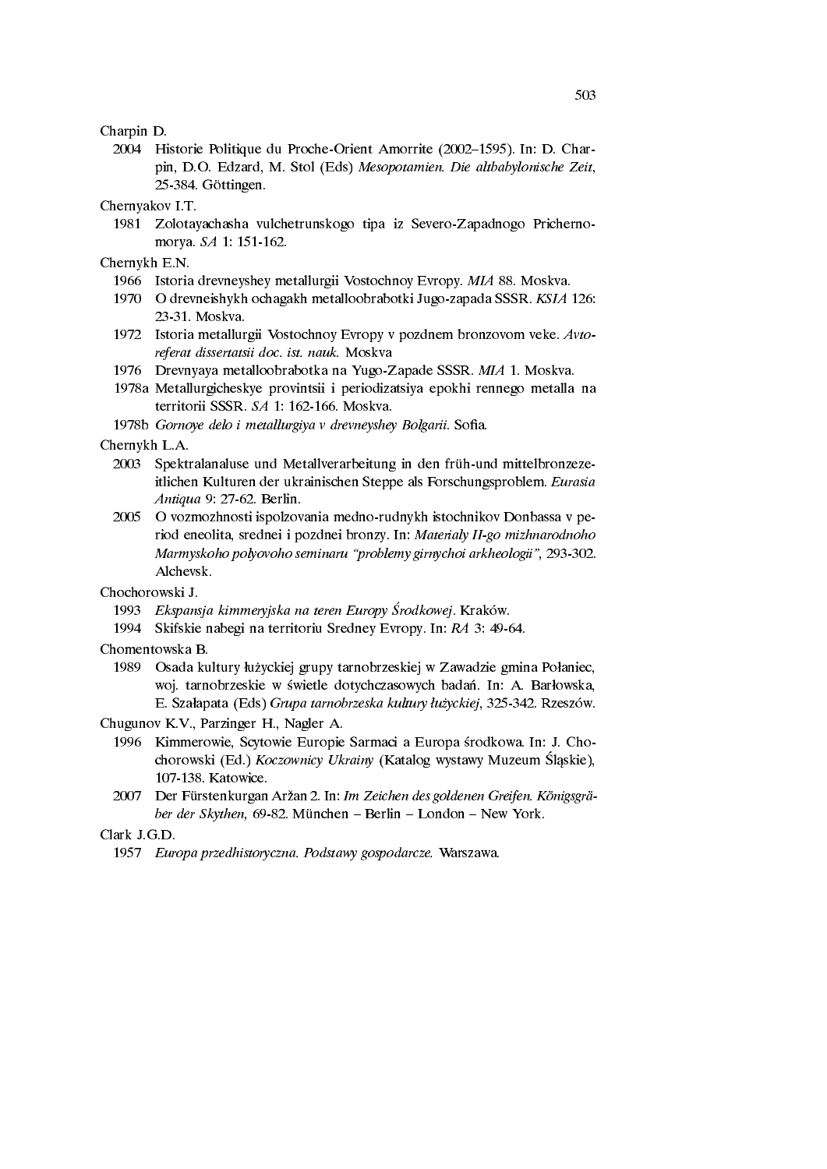Charpin D.

2004 Historie Politique du Proche-Orient Amorrite (2002-1595). In: D. Charpin, D.O. Edzard, M. Stol (Eds) Mesopotamien. Die altbabylonische Zeit, 25-384. Göttingen.

Chernyakov I.T.

1981 Zolotayachasha vulchetrunskogo tipa iz Severo-Zapadnogo Prichernomorya. SA 1: 151-162.

Chernykh E.N.

- 1966 Istoria drevneyshey metallurgii Vostochnoy Evropy. MIA 88. Moskva.
- 1970 O drevnejshykh ochagakh metalloobrabotki Jugo-zapada SSSR, KSIA 126: 23-31. Moskva.
- 1972 Istoria metallurgii Vostochnoy Evropy v pozdnem bronzovom veke. Avtoreferat dissertatsii doc. ist. nauk. Moskva
- 1976 Drevnyaya metalloobrabotka na Yugo-Zapade SSSR, MIA 1. Moskva.
- 1978a Metallurgicheskye provintsii i periodizatsiya epokhi rennego metalla na territorii SSSR SA 1: 162-166 Moskva
- 1978b Gornoye delo i metallurgiya v drevneyshey Bolgarii. Sofia.

Chernykh L.A.

- 2003 Spektralanaluse und Metallverarbeitung in den früh- und mittelbronzezeitlichen Kulturen der ukrainischen Steppe als Forschungsproblem. Eurasia Antiqua 9: 27-62. Berlin.
- 2005 O vozmozhnosti ispolzovania medno-rudnykh istochnikov Donbassa v period eneolita, srednei i pozdnei bronzy. In: Materialy II-go mizhnarodnoho Marmyskoho polyovoho seminaru "problemy girnychoi arkheologii", 293-302. Alchevsk.

Chochorowski J.

- 1993 Ekspansja kimmerviska na teren Europy Środkowej, Kraków.
- 1994 Skifskie nabegi na territoriu Sredney Evropy. In: RA 3: 49-64.

Chomentowska B.

1989 Osada kultury łużyckiej grupy tarnobrzeskiej w Zawadzie gmina Połaniec, woj, tarnobrzeskie w świetle dotychczasowych badań. In: A. Barłowska, E. Szałapata (Eds) Grupa tarnobrzeska kultury łużyckiej, 325-342. Rzeszów.

Chugunov K.V., Parzinger H., Nagler A.

- 1996 Kimmerowie, Scytowie Europie Sarmaci a Europa środkowa. In: J. Chochorowski (Ed.) Koczownicy Ukrainy (Katalog wystawy Muzeum Śląskie), 107-138. Katowice.
- 2007 Der Fürstenkurgan Aržan 2. In: Im Zeichen des goldenen Greifen. Königsgräber der Skythen, 69-82. München – Berlin – London – New York.

#### Clark J.G.D.

1957 Europa przedhistoryczna. Podstawy gospodarcze. Warszawa.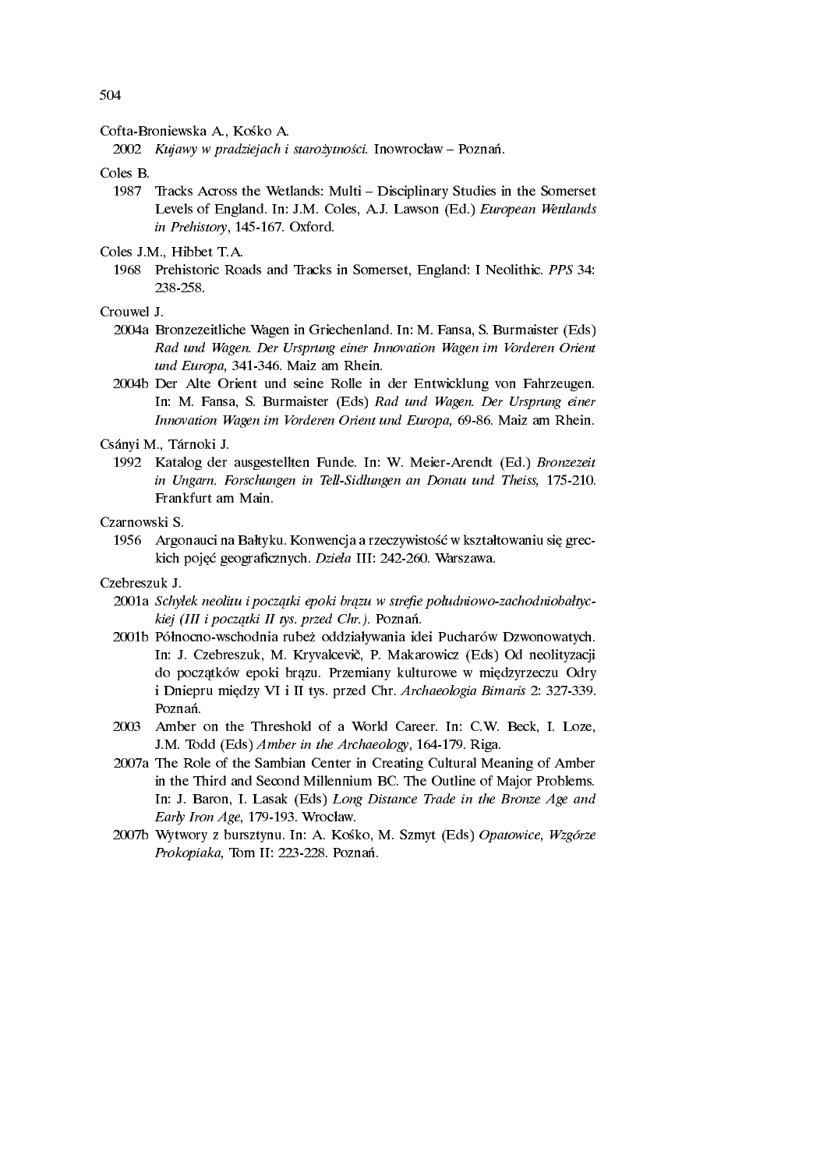2002 Kujawy w pradziejach i starożytności. Inowrocław – Poznań.

Coles B.

- 1987 Tracks Across the Wetlands: Multi Disciplinary Studies in the Somerset Levels of England. In: J.M. Coles, A.J. Lawson (Ed.) European Wettlands in Prehistory, 145-167. Oxford.
- Coles J.M., Hibbet T.A.
	- 1968 Prehistoric Roads and Tracks in Somerset, England: I Neolithic. *PPS* 34: 238-258.
- Crouwel I.
	- 2004a Bronzezeitliche Wagen in Griechenland. In: M. Fansa, S. Burmaister (Eds) Rad und Wagen. Der Ursprung einer Innovation Wagen im Vorderen Orient und Europa, 341-346. Maiz am Rhein.
	- 2004b Der Alte Orient und seine Rolle in der Entwicklung von Fahrzeugen. In: M. Fansa, S. Burmaister (Eds) Rad und Wagen. Der Ursprung einer Innovation Wagen im Vorderen Orient und Europa, 69-86. Maiz am Rhein.

Csányi M., Tárnoki J.

1992 Katalog der ausgestellten Funde. In: W. Meier-Arendt (Ed.) Bronzezeit in Ungarn. Forschungen in Tell-Sidlungen an Donau und Theiss, 175-210. Frankfurt am Main

Czarnowski S.

1956 Argonauci na Bałtyku. Konwencja a rzeczywistość w kształtowaniu się greckich pojeć geograficznych, Dzieła III: 242-260. Warszawa.

## Czebreszuk J.

- 2001a Schylek neolitu i poczatki epoki brazu w strefie południowo-zachodniobaltyckiej (III i poczatki II tys. przed Chr.). Poznań.
- 2001b Północno-wschodnia rubeż oddziaływania idei Pucharów Dzwonowatych. In: J. Czebreszuk, M. Kryvalcevič, P. Makarowicz (Eds) Od neolityzacji do początków epoki brązu. Przemiany kulturowe w międzyrzeczu Odry i Dniepru między VI i II tys. przed Chr. Archaeologia Bimaris 2: 327-339. Poznań.
- 2003 Amber on the Threshold of a World Career, In: C.W. Beck, I. Loze, J.M. Todd (Eds) Amber in the Archaeology, 164-179. Riga.
- 2007a The Role of the Sambian Center in Creating Cultural Meaning of Amber in the Third and Second Millennium BC. The Outline of Major Problems. In: J. Baron, I. Lasak (Eds) Long Distance Trade in the Bronze Age and Early Iron Age, 179-193. Wrocław.
- 2007b Wytwory z bursztynu. In: A. Kośko, M. Szmyt (Eds) Opatowice, Wzgórze Prokopiaka, Tom II: 223-228. Poznań.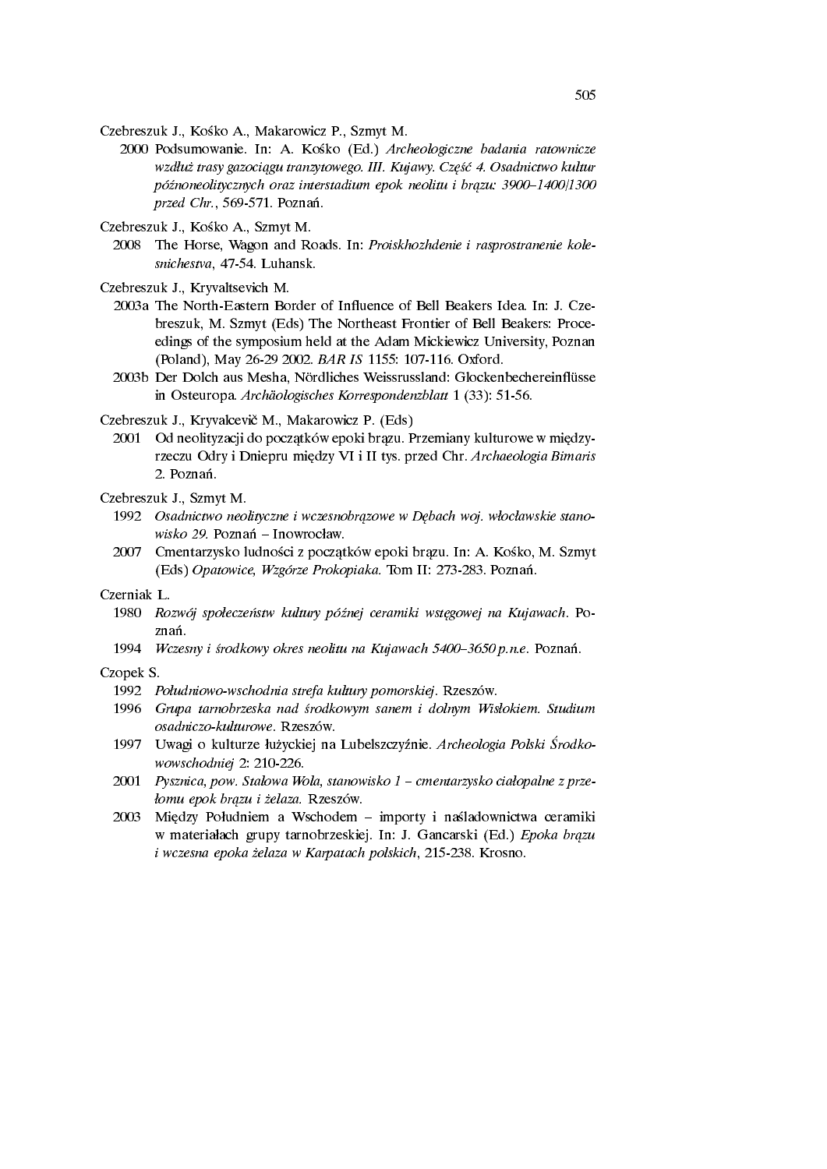- Czebreszuk J., Kośko A., Makarowicz P., Szmyt M.
	- 2000 Podsumowanie. In: A. Kośko (Ed.) Archeologiczne badania ratownicze wzdłuż trasy gazociagu tranzytowego. III. Kujawy. Cześć 4. Osadnictwo kultur późnoneolitycznych oraz interstadium epok neolitu i brazu: 3900–1400/1300 przed Chr., 569-571. Poznań.
- Czebreszuk J., Kośko A., Szmyt M.
	- The Horse, Wagon and Roads. In: Proiskhozhdenie i rasprostranenie kole-2008 snichestva, 47-54. Luhansk.
- Czębreszuk J., Kryvaltsevich M.
	- 2003a The North-Eastern Border of Influence of Bell Beakers Idea. In: J. Czebreszuk, M. Szmyt (Eds) The Northeast Frontier of Bell Beakers: Proceedings of the symposium held at the Adam Mickiewicz University, Poznan (Poland), May 26-29 2002. BAR IS 1155: 107-116. Oxford.
	- 2003b Der Dolch aus Mesha, Nördliches Weissrussland: Glockenbechereinflüsse in Osteuropa. Archäologisches Korrespondenzblatt 1 (33): 51-56.
- Czębreszuk J., Kryvalcevič M., Makarowicz P. (Eds)
	- 2001 Od neolityzacii do poczatków epoki brazu. Przemiany kulturowe w miedzyrzeczu Odry i Dniepru między VI i II tys. przed Chr. Archaeologia Bimaris  $2$  Poznań
- Czebreszuk J., Szmyt M.
	- 1992 Osadnictwo neolityczne i wczesnobrazowe w Dębach woj. włocławskie stanowisko 29. Poznań – Inowrocław.
	- 2007 Cmentarzysko ludności z początków epoki brązu. In: A. Kośko, M. Szmyt (Eds) Opatowice, Wzgórze Prokopiaka. Tom II: 273-283. Poznań.

## Czerniak L.

- 1980 Rozwój społeczeństw kultury późnej ceramiki wstegowej na Kujawach, Poznań.
- 1994 Wczesny i środkowy okres neolitu na Kujawach 5400–3650 p.n.e. Poznań.

#### Czopek S.

- 1992 Południowo-wschodnia strefa kultury pomorskiej. Rzeszów.
- 1996 Grupa tarnobrzeska nad środkowym sanem i dolnym Wisłokiem. Studium osadniczo-kulturowe Rzeszów
- 1997 Uwagi o kulturze łużyckiej na Lubelszczyźnie. Archeologia Polski Środkowowschodniej 2: 210-226.
- 2001 Pysznica, pow. Stalowa Wola, stanowisko 1 cmentarzysko ciałopalne z przełomu epok brązu i żelaza. Rzeszów.
- 2003 Między Południem a Wschodem – importy i naśladownictwa ceramiki w materiałach grupy tarnobrzeskiej. In: J. Gancarski (Ed.) Epoka brązu i wczesna epoka żelaza w Karpatach polskich, 215-238. Krosno.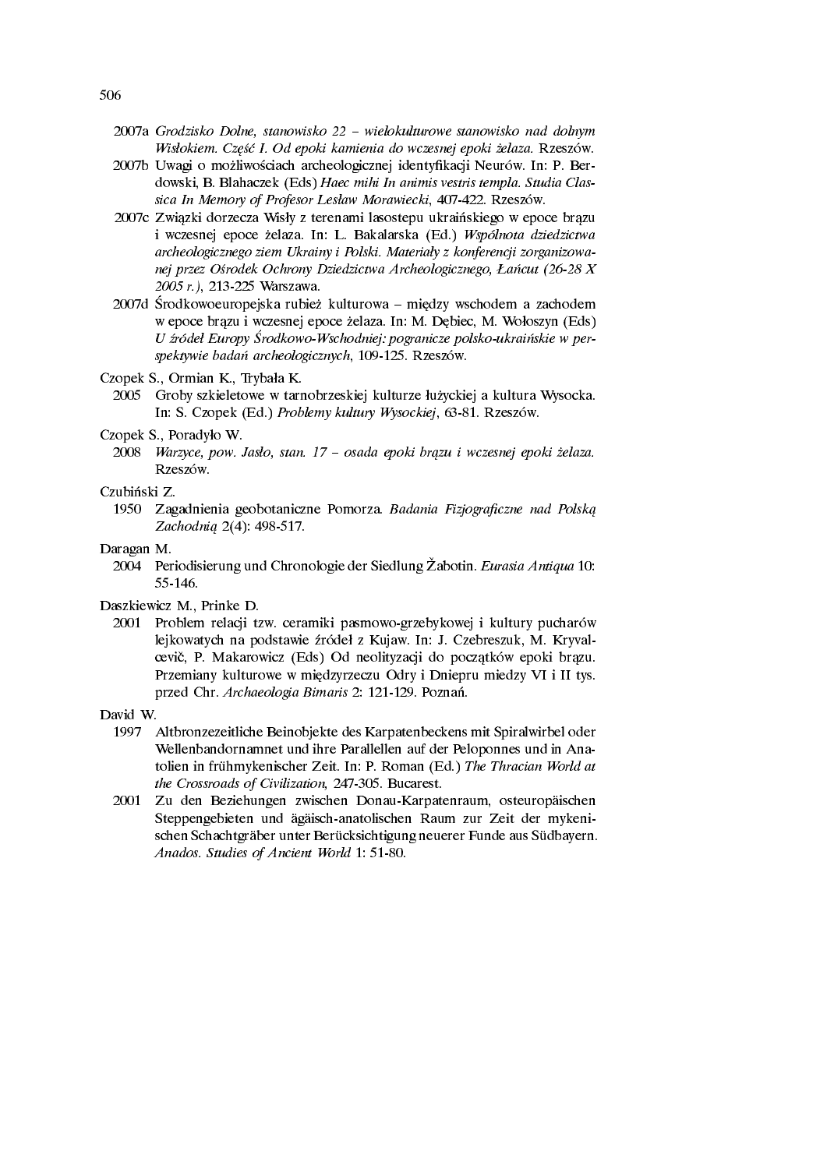- 2007a Grodzisko Dolne, stanowisko 22 wielokulturowe stanowisko nad dolnym Wisłokiem. Cześć I. Od epoki kamienia do wczesnej epoki żelaza. Rzeszów.
- 2007b Uwagi o możliwościach archeologicznej identyfikacji Neurów. In: P. Berdowski, B. Blahaczek (Eds) Haec mihi In animis vestris templa. Studia Classica In Memory of Profesor Lesław Morawiecki, 407-422. Rzeszów.
- 2007c Związki dorzecza Wisły z terenami lasostepu ukraińskiego w epoce brazu i wczęsnej epoce żelaza. In: L. Bakalarska (Ed.) Wspólnota dziedzictwa archeologicznego ziem Ukrainy i Polski. Materiały z konferencji zorganizowanei przez Ośrodek Ochrony Dziedzictwa Archeologicznego, Łańcut (26-28 X 2005 r.), 213-225 Warszawa.
- 2007d Środkowoeuropejska rubież kulturowa między wschodem a zachodem w epoce brazu i wczesnej epoce żelaza. In: M. Debiec, M. Wołoszyn (Eds) U źródeł Europy Środkowo-Wschodniej: pogranicze polsko-ukraińskie w perspektywie badań archeologicznych, 109-125. Rzeszów.
- Czopek S., Ormian K., Trybała K.
	- 2005 Groby szkieletowe w tarnobrzeskiej kulturze łużyckiej a kultura Wysocka. In: S. Czopek (Ed.) Problemy kultury Wysockiej, 63-81, Rzeszów.
- Czopek S., Poradyło W.
	- Warzyce, pow. Jasło, stan. 17 osada epoki brazu i wczesnej epoki żelaza. 2008 Rzeszów.
- Czubiński Z.
	- 1950 Zagadnienia geobotaniczne Pomorza. Badania Fizjograficzne nad Polska Zachodnia 2(4): 498-517.
- Daragan M.
	- 2004 Periodisierung und Chronologie der Siedlung Žabotin. Eurasia Antiqua 10: 55-146.
- Daszkiewicz M., Prinke D.
	- Problem relacji tzw. ceramiki pasmowo-grzebykowej i kultury pucharów 2001 lejkowatych na podstawie źródeł z Kujaw. In: J. Czebreszuk, M. Kryvalcevič, P. Makarowicz (Eds) Od neolityzacji do początków epoki brązu. Przemiany kulturowe w miedzyrzeczu Odry i Dniepru miedzy VI i II tys. przed Chr. Archaeologia Bimaris 2: 121-129. Poznań.
- David W.
	- 1997 Altbronzezeitliche Beinobjekte des Karpatenbeckens mit Spiralwirbel oder Wellenbandornamnet und ihre Parallellen auf der Peloponnes und in Anatolien in frühmykenischer Zeit. In: P. Roman (Ed.) The Thracian World at the Crossroads of Civilization, 247-305. Bucarest.
	- 2001 Zu den Beziehungen zwischen Donau-Karpatenraum, osteuropäischen Steppengebieten und ägäisch-anatolischen Raum zur Zeit der mykenischen Schachtgräber unter Berücksichtigung neuerer Funde aus Südbayern. Anados. Studies of Ancient World 1: 51-80.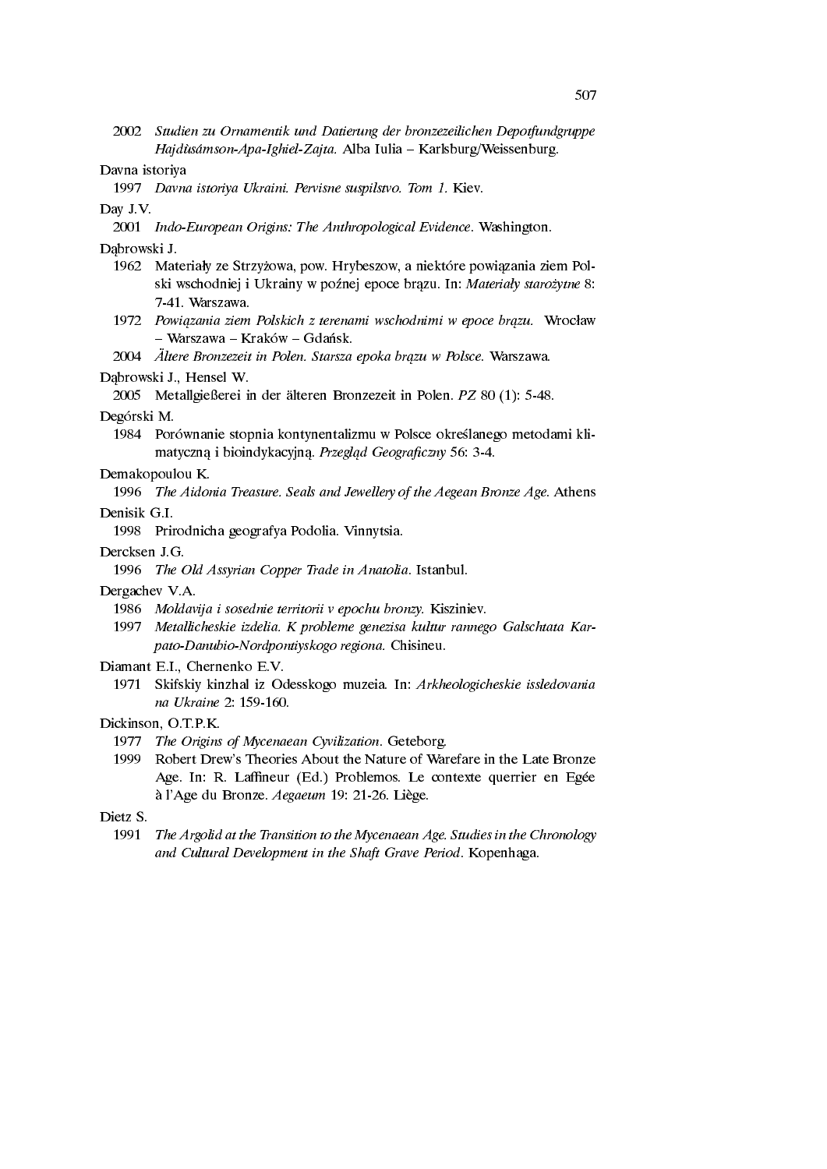- 2002 Studien zu Ornamentik und Datierung der bronzezeilichen Depotfunderuppe Hajdùsámson-Apa-Ighiel-Zajta. Alba Iulia - Karlsburg/Weissenburg.
- Davna istoriva
	- 1997 Davna istoriva Ukraini. Pervisne suspilstvo. Tom 1. Kiev.
- Day J.V.
	- 2001 Indo-European Origins: The Anthropological Evidence. Washington.
- Dabrowski J.
	- 1962 Materiały ze Strzyżowa, pow. Hrybeszow, a niektóre powiązania ziem Polski wschodniej i Ukrainy w poźnej epoce brązu. In: Materiały starożytne 8: 7-41. Warszawa.
	- 1972 Powiązania ziem Polskich z terenami wschodnimi w epoce brązu. Wrocław - Warszawa - Kraków - Gdańsk.
	- 2004 Altere Bronzezeit in Polen. Starsza epoka brazu w Polsce, Warszawa,
- Dabrowski J., Hensel W.
	- 2005 Metallgießerei in der älteren Bronzezeit in Polen. PZ 80 (1): 5-48.
- Degórski M.
	- 1984 Porównanie stopnia kontynentalizmu w Polsce określanego metodami klimatyczną i bioindykacyjną. Przegląd Geograficzny 56: 3-4.
- Demakopoulou K.
	- 1996 The Aidonia Treasure. Seals and Jewellery of the Aegean Bronze Age, Athens
- Denisik G.L.
	- 1998 Prirodnicha geografya Podolia. Vinnytsia.
- Dercksen J.G.
	- 1996 The Old Assyrian Copper Trade in Anatolia, Istanbul.
- Dergachev V.A.
	- 1986 Moldavija i sosednie territorii v epochu bronzv. Kisziniev.
	- 1997 Metallicheskie izdelia. K probleme genezisa kultur rannego Galschtata Karpato-Danubio-Nordpontiyskogo regiona. Chisineu.
- Diamant E.I., Chernenko E.V.
	- 1971 Skifskiy kinzhal iz Odesskogo muzeia. In: Arkheologicheskie issledovania na Ukraine 2: 159-160.
- Dickinson, O.T.P.K.
	- 1977 The Origins of Mycenaean Cyvilization. Geteborg.
	- 1999 Robert Drew's Theories About the Nature of Warefare in the Late Bronze Age. In: R. Laffineur (Ed.) Problemos. Le contexte querrier en Egée à l'Age du Bronze. Aegaeum 19: 21-26. Liège.
- Dietz S.
	- 1991 The Argolid at the Transition to the Mycenaean Age. Studies in the Chronology and Cultural Development in the Shaft Grave Period. Kopenhaga.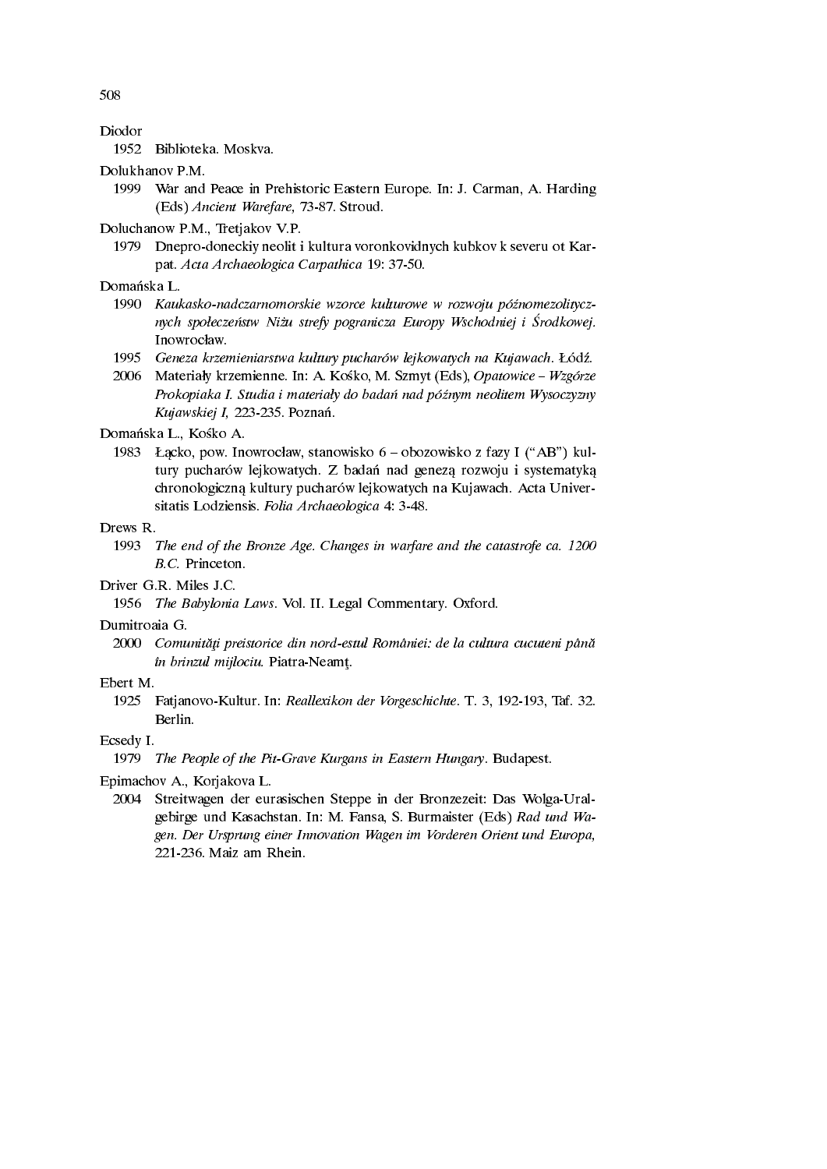Diodor

1952 Biblioteka. Moskva.

Dolukhanov P.M.

1999 War and Peace in Prehistoric Eastern Europe. In: J. Carman, A. Harding (Eds) Ancient Warefare, 73-87. Stroud.

Doluchanow P.M., Tretjakov V.P.

1979 Dnepro-doneckiy neolit i kultura voronkovidnych kubkov k severu ot Karpat. Acta Archaeologica Carpathica 19: 37-50.

Domańska L.

- 1990 Kaukasko-nadczarnomorskie wzorce kulturowe w rozwoju późnomezolitycznych społeczeństw Niżu strefy pogranicza Europy Wschodniej i Środkowej. Inowrocław.
- 1995 Geneza krzemieniarstwa kultury pucharów lejkowatych na Kujawach, Łódź.
- 2006 Materiały krzemienne. In: A. Kośko, M. Szmyt (Eds), Opatowice Wzgórze Prokopiaka I. Studia i materiały do badań nad późnym neolitem Wysoczyzny Kujawskiej I, 223-235. Poznań.

Domańska L. Kośko A.

1983 Łącko, pow. Inowrocław, stanowisko 6 – obozowisko z fazy I ("AB") kultury pucharów lejkowatych. Z badań nad geneza rozwoju i systematyka chronologiczną kultury pucharów lejkowatych na Kujawach. Acta Universitatis Lodziensis. Folia Archaeologica 4: 3-48.

### Drews R.

1993 The end of the Bronze Age. Changes in warfare and the catastrofe ca. 1200 B.C. Princeton.

Driver G.R. Miles J.C.

1956 The Babylonia Laws. Vol. II. Legal Commentary. Oxford.

### Dumitroaia G.

2000 Comunități preistorice din nord-estul României: de la cultura cucuteni până în brinzul mijlociu. Piatra-Neamț.

## Ehert M

1925 Fatjanovo-Kultur. In: Reallexikon der Vorgeschichte. T. 3, 192-193, Taf. 32. Berlin.

## Ecsedy I.

1979 The People of the Pit-Grave Kurgans in Eastern Hungary, Budapest.

Epimachov A., Korjakova L.

2004 Streitwagen der eurasischen Steppe in der Bronzezeit: Das Wolga-Uralgebirge und Kasachstan. In: M. Fansa, S. Burmaister (Eds) Rad und Wagen. Der Ursprung einer Innovation Wagen im Vorderen Orient und Europa, 221-236. Maiz am Rhein.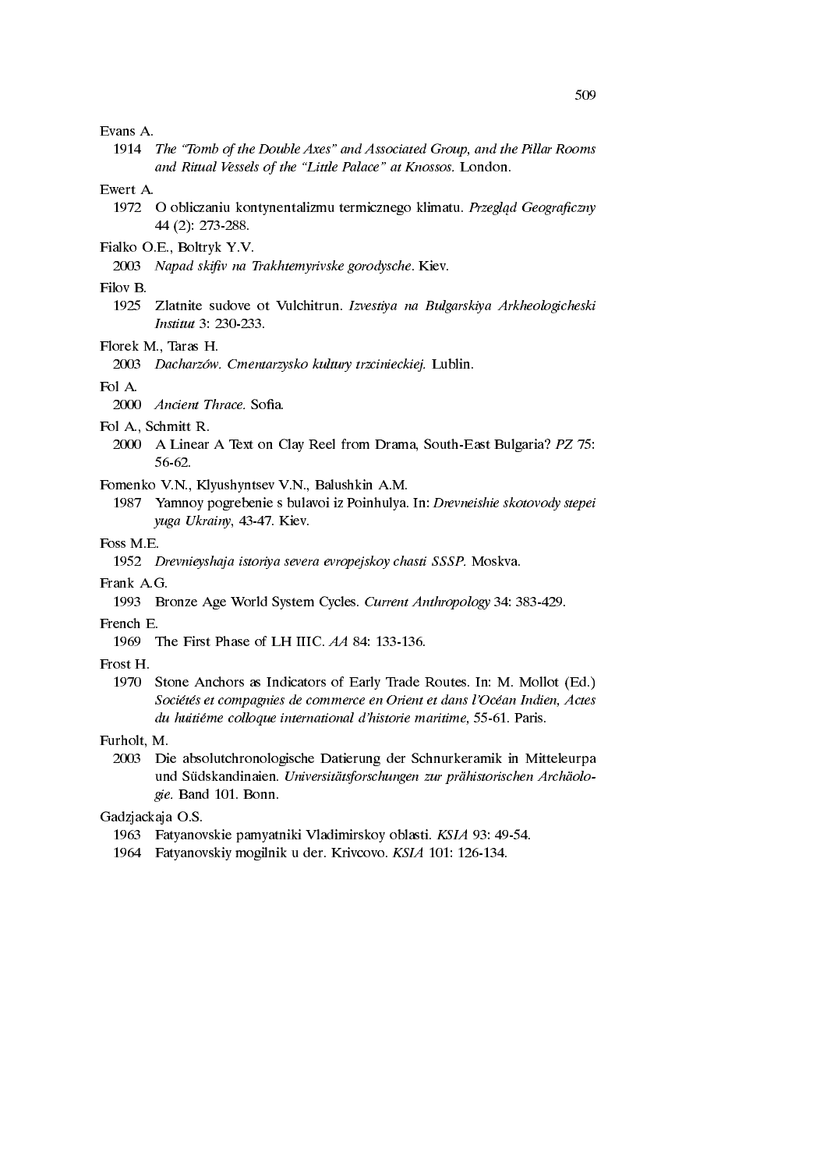### Evans A.

1914 The "Tomb of the Double Axes" and Associated Group, and the Pillar Rooms and Ritual Vessels of the "Little Palace" at Knossos. London.

### Ewert A.

- 1972 O obliczaniu kontynentalizmu termicznego klimatu. Przeglad Geograficzny 44 (2): 273-288.
- Fialko O.E., Boltryk Y.V.
	- 2003 Napad skifiv na Trakhtemyrivske gorodysche, Kiev.

#### Filov<sub>R</sub>

1925 Zlatnite sudove ot Vulchitrun, Izvestiya na Bulgarskiya Arkheologicheski *Institut* 3: 230-233.

### Florek M., Taras H.

2003 Dacharzów. Cmentarzysko kultury trzcinieckiej. Lublin.

## $FolA$

2000 Ancient Thrace, Sofia.

#### Fol A., Schmitt R.

2000 A Linear A Text on Clay Reel from Drama, South-East Bulgaria? PZ 75: 56-62

## Fomenko V.N., Klyushyntsev V.N., Balushkin A.M.

1987 Yamnoy pogrebenie s bulavoi iz Poinhulya. In: Drevneishie skotovody stepei vuga Ukrainv, 43-47. Kiev.

### Foss M.E.

1952 Drevnieyshaja istoriya severa evropejskoy chasti SSSP. Moskva.

## Frank A.G.

1993 Bronze Age World System Cycles. Current Anthropology 34: 383-429.

#### French E

1969 The First Phase of LH IIIC, AA 84: 133-136.

#### Frost H.

1970 Stone Anchors as Indicators of Early Trade Routes. In: M. Mollot (Ed.) Sociétés et compagnies de commerce en Orient et dans l'Océan Indien, Actes du huitiéme colloque international d'historie maritime, 55-61. Paris.

#### Furholt, M.

2003 Die absolutchronologische Datierung der Schnurkeramik in Mitteleurpa und Südskandinaien. Universitätsforschungen zur prähistorischen Archäologie. Band 101. Bonn.

#### Gadzjackaja O.S.

- 1963 Fatyanovskie pamyatniki Vladimirskov oblasti. KSIA 93: 49-54.
- 1964 Fatyanovskiy mogilnik u der. Krivcovo. KSIA 101: 126-134.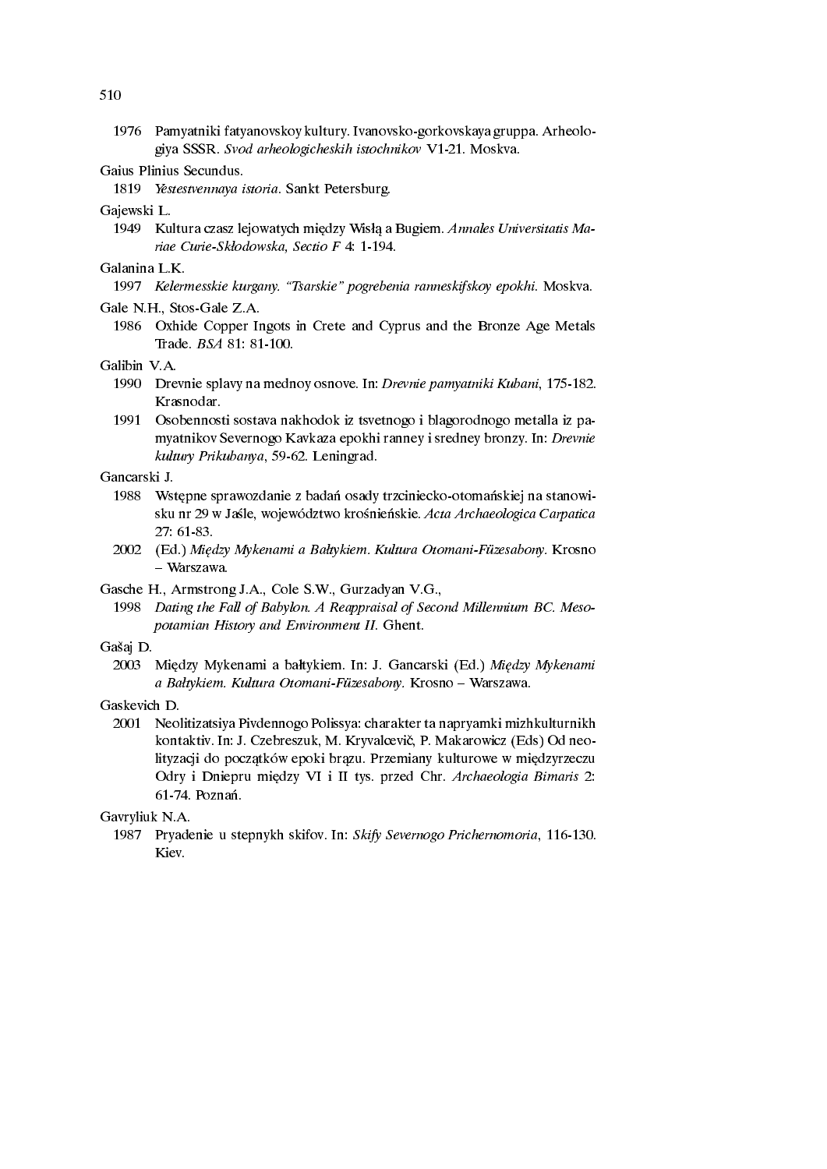1976 Pamyatniki fatyanovskov kultury. Ivanovsko-gorkovskava gruppa. Arheologiya SSSR. Svod arheologicheskih istochnikov V1-21. Moskva.

Gaius Plinius Secundus.

1819 Yestestvennava istoria. Sankt Petersburg.

Gajewski L.

1949 Kultura czasz lejowatych między Wisłą a Bugiem. Annales Universitatis Mariae Curie-Skłodowska, Sectio F 4: 1-194.

Galanina LK

1997 Kelermesskie kurgany. "Tsarskie" pogrebenia ranneskifskoy epokhi. Moskva.

Gale N.H., Stos-Gale Z.A.

1986 Oxhide Copper Ingots in Crete and Cyprus and the Bronze Age Metals Trade  $BSA$   $81 \cdot 81 - 100$ 

Galihin VA

- 1990 Drevnie splavy na mednov osnove. In: Drevnie pamyatniki Kubani, 175-182. Krasnodar.
- 1991 Osobennosti sostava nakhodok iz tsvetnogo i blagorodnogo metalla iz pamyatnikov Severnogo Kavkaza epokhi ranney i sredney bronzy. In: Drevnie kultury Prikubanya, 59-62. Leningrad.

Gancarski J.

- 1988 Wstępne sprawozdanie z badań osady trzciniecko-otomańskiej na stanowisku nr 29 w Jaśle, województwo krośnieńskie. Acta Archaeologica Carpatica  $27:61-83.$
- 2002 (Ed.) Między Mykenami a Bałtykiem. Kultura Otomani-Füzesabony. Krosno  $-$  Warszawa.

Gasche H., Armstrong J.A., Cole S.W., Gurzadyan V.G.,

1998 Dating the Fall of Babylon. A Reappraisal of Second Millennium BC. Mesopotamian History and Environment II. Ghent.

#### Gašaj D.

2003 Miedzy Mykenami a bałtykiem. In: J. Gancarski (Ed.) Miedzy Mykenami a Bałtykiem. Kultura Otomani-Füzesabony. Krosno – Warszawa.

## Gaskevich D.

2001 Neolitizatsiya Pivdennogo Polissya: charakter ta napryamki mizhkulturnikh kontaktiv. In: J. Czebreszuk, M. Kryvalcevič, P. Makarowicz (Eds) Od neolityzacji do początków epoki brązu. Przemiany kulturowe w międzyrzeczu Odry i Dniepru między VI i II tys. przed Chr. Archaeologia Bimaris 2: 61-74. Poznań.

## Gavryliuk N.A.

1987 Pryadenie u stepnykh skifov. In: Skify Severnogo Prichernomoria, 116-130. Kiev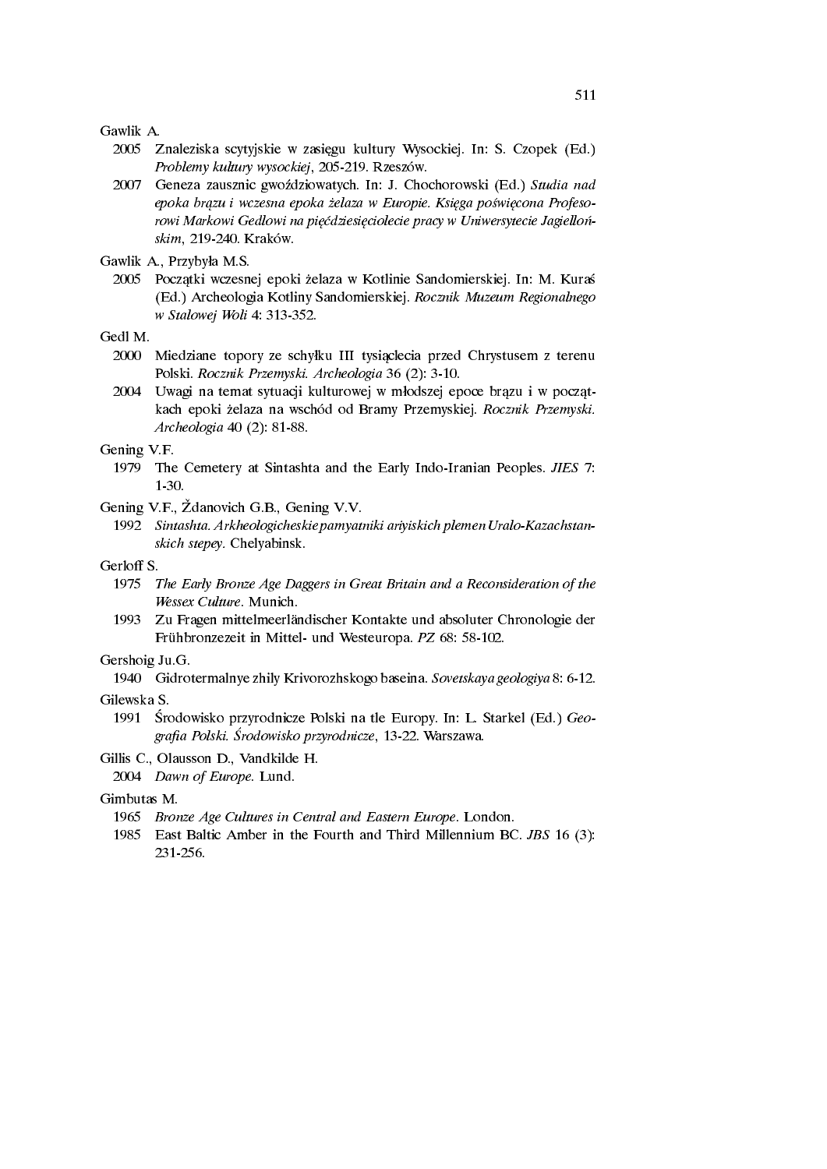## Gawlik A.

- 2005 Znaleziska scytyjskie w zasięgu kultury Wysockiej. In: S. Czopek (Ed.) Problemy kultury wysockiej, 205-219. Rzeszów.
- Geneza zausznic gwoździowatych. In: J. Chochorowski (Ed.) Studia nad 2007 epoka brazu i wczesna epoka żelaza w Europie. Księga poświęcona Profesorowi Markowi Gedlowi na piećdziesieciolecie pracy w Uniwersytecie Jagiellońskim. 219-240. Kraków.
- Gawlik A., Przybyła M.S.
	- 2005 Początki wczesnej epoki żelaza w Kotlinie Sandomierskiej. In: M. Kuraś (Ed.) Archeologia Kotliny Sandomierskiej, Rocznik Muzeum Regionalnego w Stalowei Woli 4: 313-352.

## Gedl M.

- 2000 Miedziane topory ze schyłku III tysiąclecia przed Chrystusem z terenu Polski. Rocznik Przemyski. Archeologia 36 (2): 3-10.
- 2004 Uwagi na temat sytuacji kulturowej w młodszej epoce brazu i w poczatkach epoki żelaza na wschód od Bramy Przemyskiej. Rocznik Przemyski. Archeologia 40 (2): 81-88.

## Gening V.F.

- 1979 The Cemetery at Sintashta and the Early Indo-Iranian Peoples. JIES 7:  $1 - 30$
- Gening V.F., Ždanovich G.B., Gening V.V.
	- 1992 Sintashta. Arkheologicheskie pamyatniki ariyiskich plemen Uralo-Kazachstanskich stepey. Chelyabinsk.

## Gerloff S.

- 1975 The Early Bronze Age Daggers in Great Britain and a Reconsideration of the Wessex Culture, Munich.
- Zu Fragen mittelmeerländischer Kontakte und absoluter Chronologie der 1993 Frühbronzezeit in Mittel- und Westeuropa. PZ 68: 58-102.

## Gershoig Ju.G.

1940 Gidrotermalnye zhily Krivorozhskogo baseina. Sovetskava geologiya 8: 6-12.

#### Gilewska S.

- 1991 Środowisko przyrodnicze Polski na tle Europy. In: L. Starkel (Ed.) Geografia Polski. Środowisko przyrodnicze, 13-22. Warszawa.
- Gillis C., Olausson D., Vandkilde H.
	- 2004 Dawn of Europe, Lund.

## Gimbutas M.

- 1965 Bronze Age Cultures in Central and Eastern Europe, London.
- 1985 East Baltic Amber in the Fourth and Third Millennium BC. JBS 16 (3): 231-256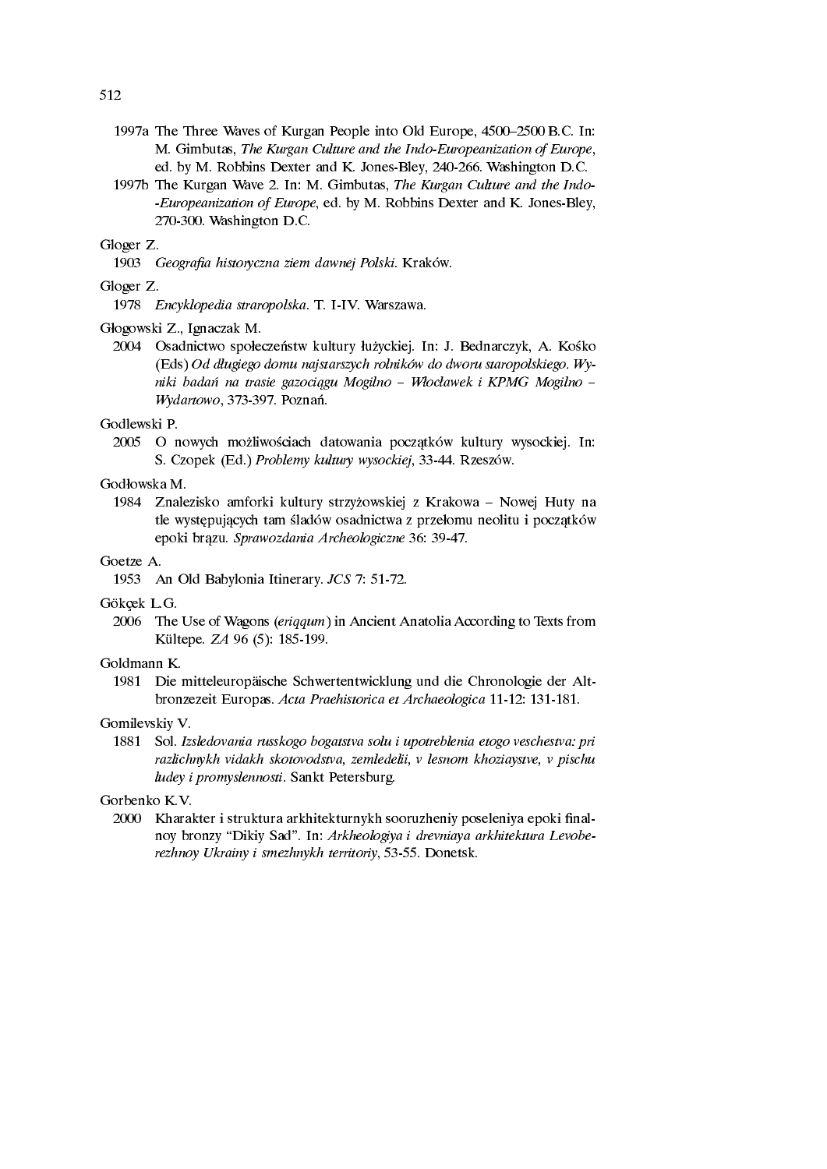- 1997a The Three Waves of Kurgan People into Old Europe, 4500–2500 B.C. In: M. Gimbutas, The Kurgan Culture and the Indo-Europeanization of Europe, ed. by M. Robbins Dexter and K. Jones-Bley, 240-266. Washington D.C.
- 1997b The Kurgan Wave 2. In: M. Gimbutas, The Kurgan Culture and the Indo--Europeanization of Europe, ed. by M. Robbins Dexter and K. Jones-Bley, 270-300. Washington D.C.

### Gloger Z.

1903 Geografia historyczna ziem dawnej Polski, Kraków.

#### Gloger Z.

1978 Encyklopedia straropolska, T. I-IV. Warszawa,

Głogowski Z., Ignaczak M.

2004 Osadnictwo społeczeństw kultury łużyckiej. In: J. Bednarczyk, A. Kośko (Eds) Od długiego domu najstarszych rolników do dworu staropolskiego. Wyniki badań na trasie gazociagu Mogilno – Włocławek i KPMG Mogilno – Wydartowo, 373-397. Poznań.

## Godlewski P

2005 O nowych możliwościach datowania początków kultury wysockiej. In: S. Czopek (Ed.) Problemy kultury wysockiej, 33-44. Rzeszów.

## Godłowska M.

1984 Znalezisko amforki kultury strzyżowskiej z Krakowa – Nowej Huty na tle występujących tam śladów osadnictwa z przełomu neolitu i początków epoki brązu. Sprawozdania Archeologiczne 36: 39-47.

# Goetze A.

1953 An Old Babylonia Itinerary. JCS 7: 51-72.

## Gökçek L.G.

2006 The Use of Wagons (eriggum) in Ancient Anatolia According to Texts from Kültepe. ZA 96 (5): 185-199.

## Goldmann K.

1981 Die mitteleuropäische Schwertentwicklung und die Chronologie der Altbronzezeit Europas. Acta Praehistorica et Archaeologica 11-12: 131-181.

#### Gomilevskiy V.

Sol, Izsledovania russkogo bogatstva solu i upotreblenia etogo veschestva: pri 1881 razlichnykh vidakh skotovodstva, zemledelii, v lesnom khoziavstve, v pischu ludey i promyslennosti. Sankt Petersburg.

## Gorbenko K.V.

2000 Kharakter i struktura arkhitekturnykh sooruzheniy poseleniya epoki finalnoy bronzy "Dikiy Sad". In: Arkheologiya i drevniaya arkhitektura Levoberezhnov Ukrainy i smezhnykh territoriv, 53-55, Donetsk.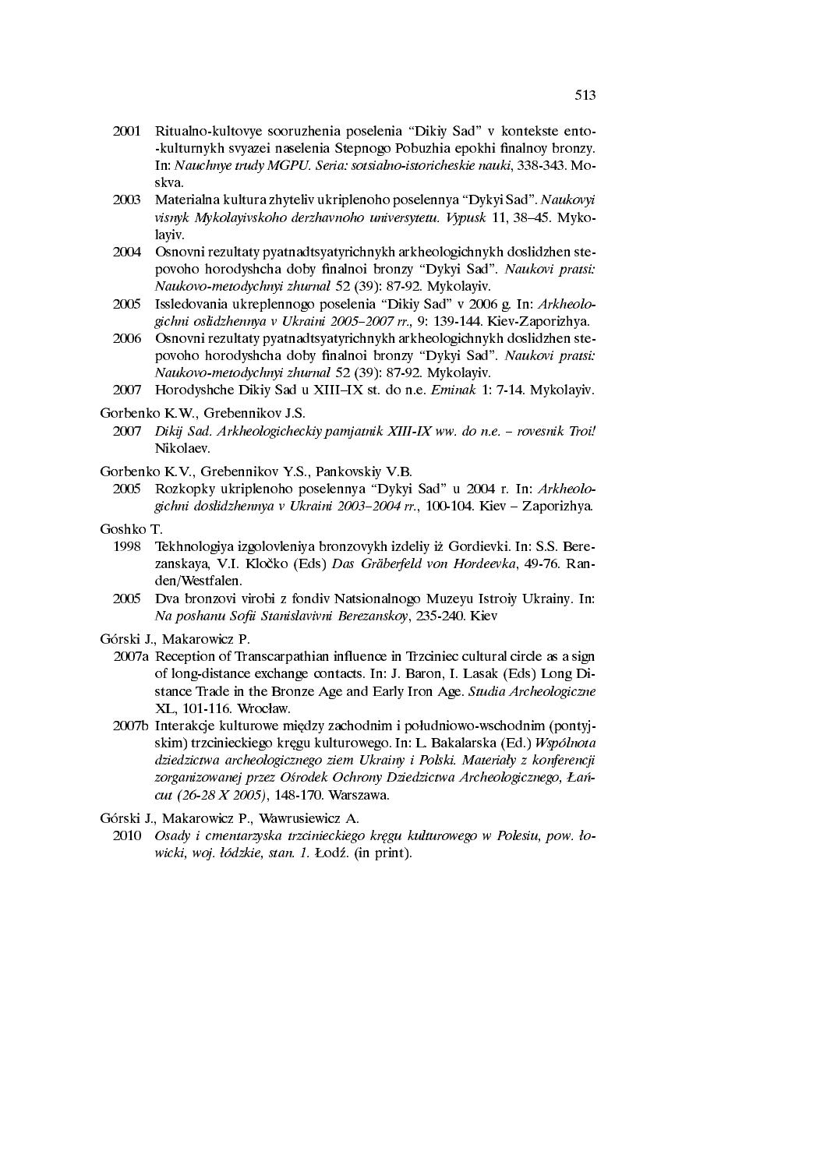- 2001 Ritualno kultovye sooruzhenia poselenia "Dikiy Sad" v kontekste ento--kulturnykh svyazei naselenia Stepnogo Pobuzhia epokhi finalnov bronzy. In: Nauchnye trudy MGPU. Seria: sotsialno-istoricheskie nauki, 338-343. Moskva
- 2003 Materialna kultura zhyteliv ukriplenoho poselennya "Dykyi Sad". Naukovyi visnyk Mykolavivskoho derzhavnoho universytetu. Vypusk 11, 38–45, Mykolayiv.
- 2004 Osnovni rezultaty pyatnadtsyatyrichnykh arkheologichnykh doslidzhen stepovoho horodyshcha doby finalnoi bronzy "Dykyi Sad". Naukovi pratsi: Naukovo-metodychnyi zhumal 52 (39): 87-92. Mykolayiv.
- Issledovania ukreplennogo poselenia "Dikiy Sad" v 2006 g. In: Arkheolo-2005 gichni oslidzhennya v Ukraini 2005-2007 rr., 9: 139-144. Kiev-Zaporizhya.
- 2006 Osnovni rezultaty pyatnadtsyatyrichnykh arkheologichnykh doslidzhen stepovoho horodyshcha doby finalnoi bronzy "Dykyi Sad". Naukovi pratsi: Naukovo-metodychnyi zhurnal 52 (39): 87-92. Mykolayiv.
- 2007 Horodyshche Dikiy Sad u XIII-IX st. do n.e. Eminak 1: 7-14. Mykolayiv.

Gorbenko K.W., Grebennikov J.S.

- 2007 Dikij Sad. Arkheologicheckiy pamjatnik XIII-IX ww. do n.e. rovesnik Troi! Nikolaev.
- Gorbenko K.V., Grebennikov Y.S., Pankovskiy V.B.
	- 2005 Rozkopky ukriplenoho poselennya "Dykyi Sad" u 2004 r. In: Arkheologichni doslidzhennya v Ukraini 2003-2004 rr., 100-104. Kiev - Zaporizhya.

## Goshko T.

- 1998 Tekhnologiya izgolovleniya bronzovykh izdeliy iż Gordievki, In: S.S. Berezanskaya, V.I. Kločko (Eds) Das Gräberfeld von Hordeevka, 49-76. Randen/Westfalen
- 2005 Dva bronzovi virobi z fondiv Natsionalnogo Muzeyu Istroiy Ukrainy. In: Na poshanu Sofii Stanislavivni Berezanskov, 235-240. Kiev
- Górski J., Makarowicz P.
	- 2007a Reception of Transcarpathian influence in Trzciniec cultural circle as a sign of long-distance exchange contacts. In: J. Baron, I. Lasak (Eds) Long Distance Trade in the Bronze Age and Early Iron Age. Studia Archeologiczne XL, 101-116. Wrocław.
	- 2007b Interakcje kulturowe miedzy zachodnim i południowo-wschodnim (pontyjskim) trzcinieckiego kręgu kulturowego. In: L. Bakalarska (Ed.) Współnota dziedzictwa archeologicznego ziem Ukrainy i Polski. Materiały z konferencji zorganizowanej przez Ośrodek Ochrony Dziedzictwa Archeologicznego, Łańcut (26-28 X 2005), 148-170. Warszawa.
- Górski J., Makarowicz P., Wawrusiewicz A.
	- 2010 Osady i cmentarzyska trzcinieckiego kręgu kulturowego w Polesiu, pow. łowicki, woj. łódzkie, stan. 1. Łodź. (in print).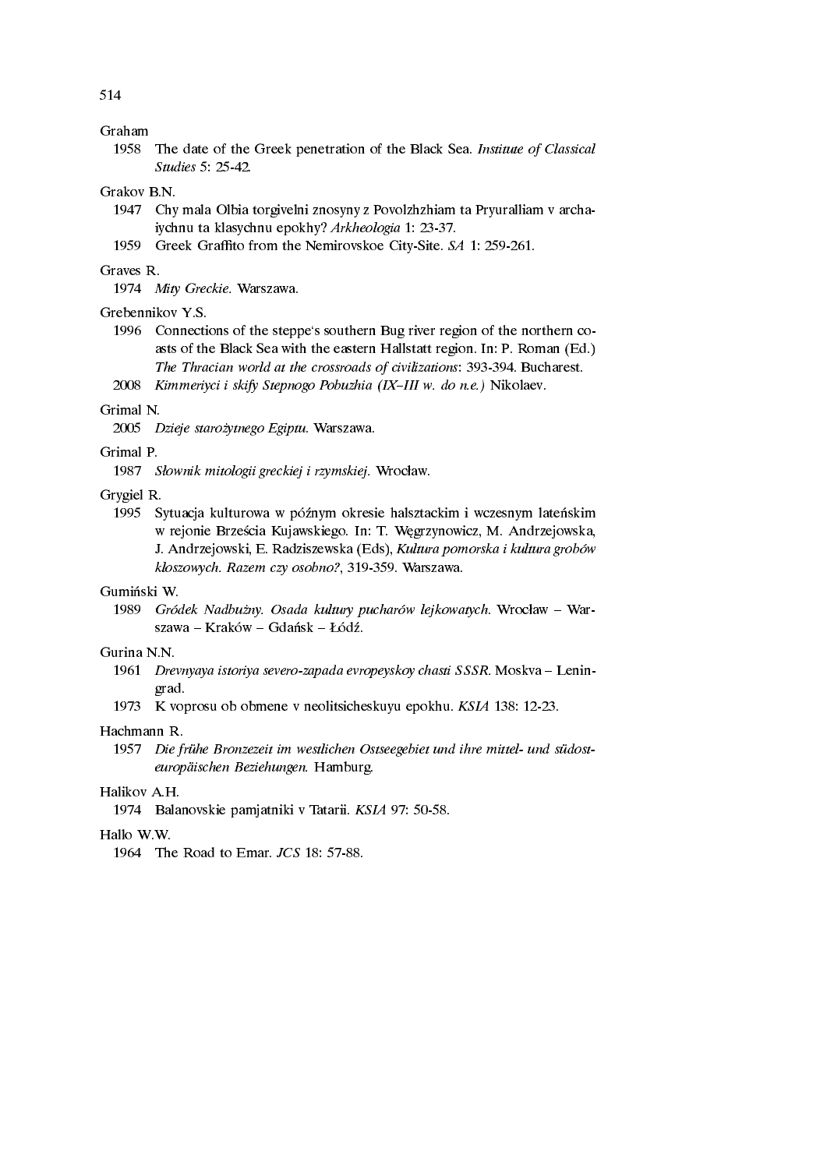# Graham

1958 The date of the Greek penetration of the Black Sea. Institute of Classical *Studies* 5: 25-42.

## Grakov B.N.

- 1947 Chy mala Olbia torgivelni znosyny z Povolzhzhiam ta Pryuralliam y archaiychnu ta klasychnu epokhy? Arkheologia 1: 23-37.
- 1959 Greek Graffito from the Nemirovskoe City-Site. SA 1: 259-261.

## Graves R

1974 Mity Greckie. Warszawa.

## Grebennikov Y.S.

- 1996 Connections of the steppe's southern Bug river region of the northern coasts of the Black Sea with the eastern Hallstatt region, In: P. Roman (Ed.) The Thracian world at the crossroads of civilizations: 393-394. Bucharest.
- 2008 Kimmeriyci i skify Stepnogo Pobuzhia (IX-III w. do n.e.) Nikolaev.

## Grimal N.

2005 Dzieje starożytnego Egiptu. Warszawa.

## Grimal P.

1987 Słownik mitologii greckiej i rzymskiej. Wrocław.

## Grygiel R.

1995 Sytuacja kulturowa w późnym okresie halsztackim i wczesnym lateńskim w rejonie Brześcia Kujawskiego. In: T. Węgrzynowicz, M. Andrzejowska, J. Andrzejowski, E. Radziszewska (Eds), Kultura pomorska i kultura grobów kloszowych. Razem czy osobno?, 319-359. Warszawa.

# Gumiński W.

1989 Gródek Nadbużny. Osada kultury pucharów lejkowatych, Wrocław – Warszawa – Kraków – Gdańsk – Łódź.

# Gurina N.N.

- 1961 Drevnyaya istoriya severo-zapada evropeyskoy chasti SSSR. Moskva Leningrad.
- 1973 K voprosu ob obmene v neolitsicheskuyu epokhu. KSIA 138: 12-23.

## Hachmann<sub>R</sub>

1957 Die frühe Bronzezeit im westlichen Ostseegebiet und ihre mittel- und südosteuropäischen Beziehungen. Hamburg.

# Halikov A.H.

1974 Balanovskie pamiatniki v Tatarii, KSIA 97: 50-58.

# Hallo W.W.

1964 The Road to Emar *ICS* 18: 57-88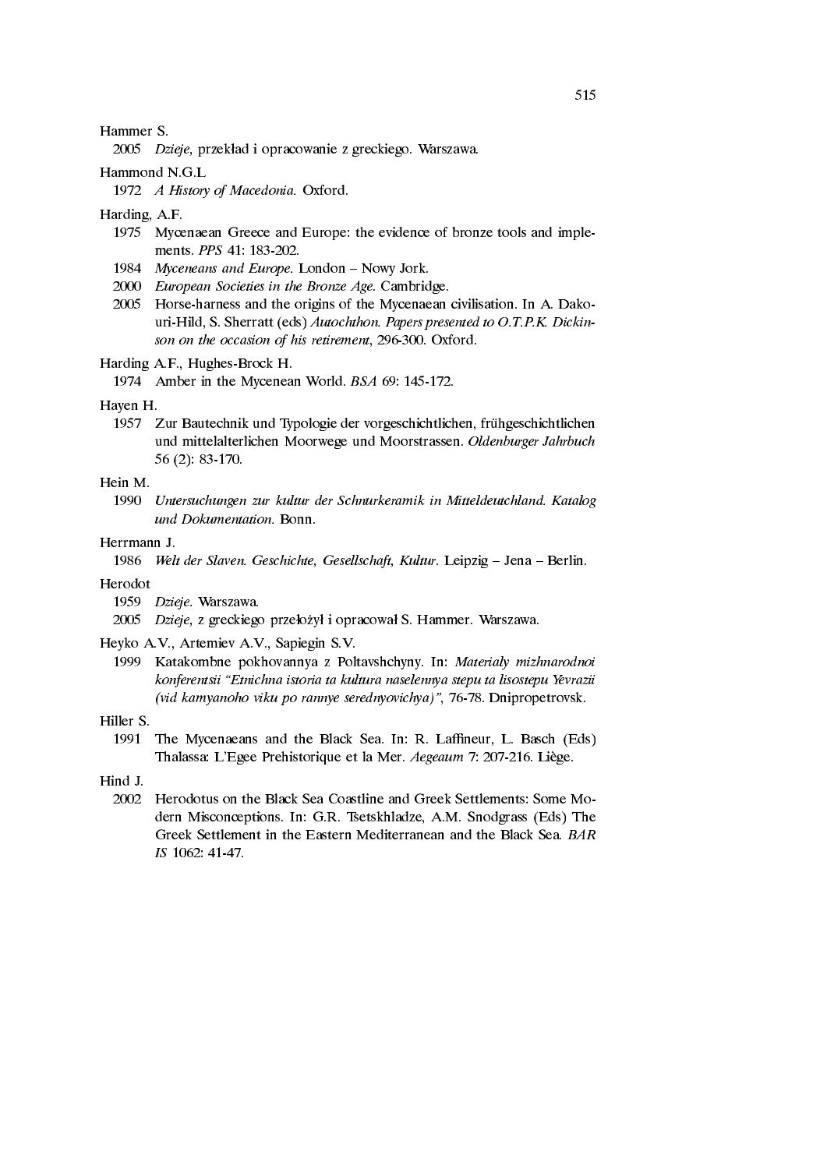## Hammer S.

2005 Dzieje, przekład i opracowanie z greckiego. Warszawa.

### Hammond N.G.L

1972 A History of Macedonia. Oxford.

## Harding, A.F.

- 1975 Mvcenaean Greece and Europe: the evidence of bronze tools and implements. PPS 41: 183-202.
- 1984 Myceneans and Europe. London Nowy Jork.
- 2000 European Societies in the Bronze Age. Cambridge.
- 2005 Horse-harness and the origins of the Mycenaean civilisation. In A. Dakouri-Hild, S. Sherratt (eds) Autochthon. Papers presented to O.T.P.K. Dickinson on the occasion of his retirement, 296-300. Oxford,

Harding A.F., Hughes-Brock H.

1974 Amber in the Mycenean World, BSA 69: 145-172.

#### Hayen H.

1957 Zur Bautechnik und Typologie der vorgeschichtlichen, frühgeschichtlichen und mittelalterlichen Moorwege und Moorstrassen. Oldenburger Jahrbuch  $56(2): 83-170.$ 

### Hein M.

1990 Untersuchungen zur kultur der Schnurkeramik in Mitteldeutchland. Katalog und Dokumentation Bonn

### Herrmann I

1986 Welt der Slaven. Geschichte, Gesellschaft, Kultur. Leipzig - Jena - Berlin.

### Herodot

- 1959 Dzieje. Warszawa.
- 2005 Dzieje, z greckiego przełożył i opracował S. Hammer. Warszawa.

#### Heyko A.V., Artemiev A.V., Sapiegin S.V.

1999 Katakombne pokhovannya z Poltavshchyny. In: Materialy mizhnarodnoi konferentsii "Etnichna istoria ta kultura naselennya stepu ta lisostepu Yevrazii (vid kamyanoho viku po rannye serednyovichya)", 76-78. Dnipropetrovsk.

## Hiller S.

1991 The Mycenaeans and the Black Sea. In: R. Laffineur, L. Basch (Eds) Thalassa: L'Egee Prehistorique et la Mer. Aegeaum 7: 207-216. Liège.

# Hind J.

2002 Herodotus on the Black Sea Coastline and Greek Settlements: Some Modern Misconceptions. In: G.R. Tsetskhladze, A.M. Snodgrass (Eds) The Greek Settlement in the Eastern Mediterranean and the Black Sea. BAR IS 1062: 41-47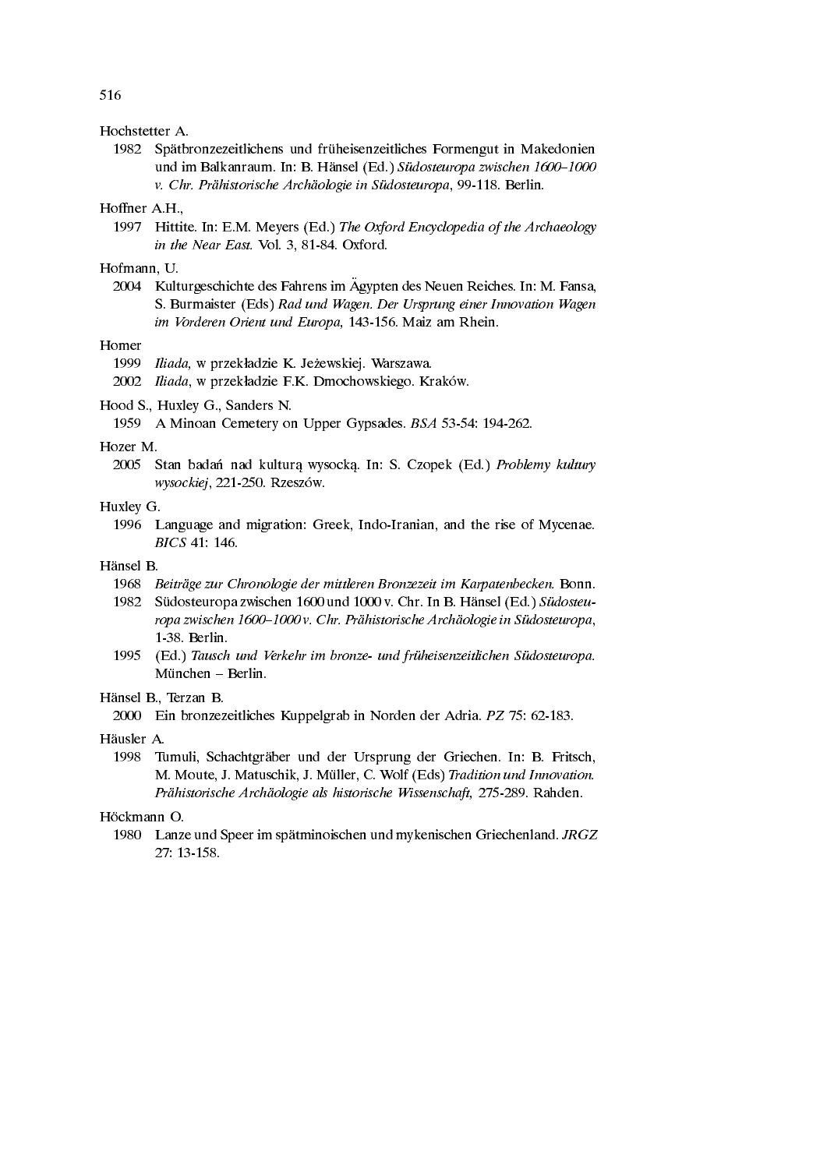## Hochstetter A.

1982 Spätbronzezeitlichens und früheisenzeitliches Formengut in Makedonien und im Balkanraum. In: B. Hänsel (Ed.) Südosteuropa zwischen 1600-1000 v. Chr. Prähistorische Archäologie in Südosteuropa, 99-118. Berlin.

## Hoffner A.H.

1997 Hittite. In: E.M. Meyers (Ed.) The Oxford Encyclopedia of the Archaeology in the Near East. Vol. 3, 81-84. Oxford.

## Hofmann, U.

2004 Kulturgeschichte des Fahrens im Ägypten des Neuen Reiches. In: M. Fansa, S. Burmaister (Eds) Rad und Wagen. Der Ursprung einer Innovation Wagen im Vorderen Orient und Europa, 143-156. Maiz am Rhein.

## Homer

- 1999 Iliada, w przekładzie K. Jeżewskiej. Warszawa.
- 2002 *Iliada*, w przekładzie F.K. Dmochowskiego. Kraków.

## Hood S., Huxley G., Sanders N.

1959 A Minoan Cemetery on Upper Gypsades, BSA 53-54; 194-262.

## Hozer M.

2005 Stan badań nad kulturą wysocką. In: S. Czopek (Ed.) Problemy kultury wysockiej, 221-250. Rzeszów.

## Huxley G.

1996 Language and migration: Greek, Indo-Iranian, and the rise of Mycenae. RICS 41: 146

# Hänsel B.

- 1968 Beiträge zur Chronologie der mittleren Bronzezeit im Karpatenbecken. Bonn.
- 1982 Südosteuropa zwischen 1600 und 1000 v. Chr. In B. Hänsel (Ed.) Südosteuropa zwischen 1600–1000 v. Chr. Prähistorische Archäologie in Südosteuropa, 1-38. Berlin.
- (Ed.) Tausch und Verkehr im bronze- und früheisenzeitlichen Südosteuropa. 1995 München - Berlin

## Hänsel B., Terzan B.

2000 Ein bronzezeitliches Kuppelgrab in Norden der Adria. PZ 75: 62-183.

### Häusler A.

1998 Tumuli, Schachtgräber und der Ursprung der Griechen. In: B. Fritsch, M. Moute, J. Matuschik, J. Müller, C. Wolf (Eds) Tradition und Innovation. Prähistorische Archäologie als historische Wissenschaft, 275-289. Rahden.

## Höckmann O.

1980 Lanze und Speer im spätminoischen und mykenischen Griechenland. JRGZ 27: 13-158.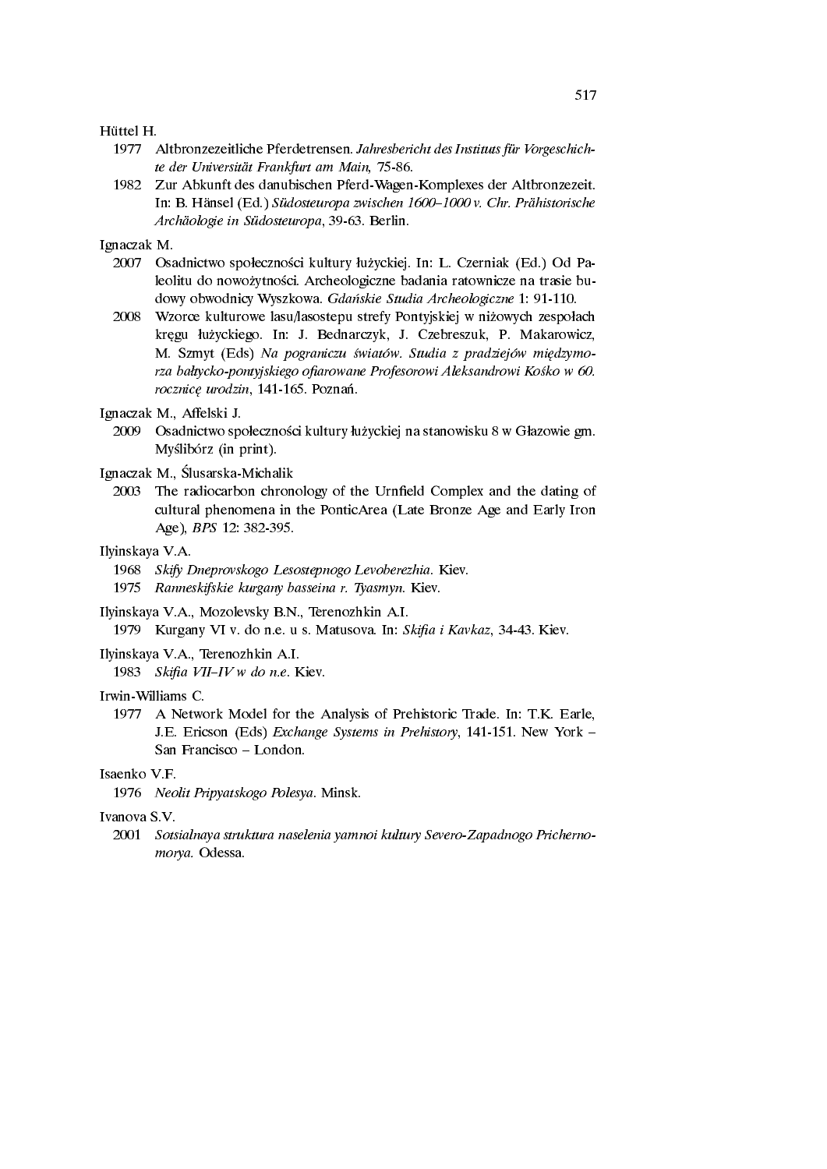## Hüttel H.

- 1977 Altbronzezeitliche Pferdetrensen. Jahresbericht des Instituts für Vorgeschichte der Universität Frankfurt am Main, 75-86.
- 1982 Zur Abkunft des danubischen Pferd-Wagen-Komplexes der Altbronzezeit. In: B. Hänsel (Ed.) Südosteuropa zwischen 1600-1000 v. Chr. Prähistorische Archäologie in Südosteuropa, 39-63, Berlin.

Ignaczak M.

- 2007 Osadnictwo społeczności kultury łużyckiej. In: L. Czerniak (Ed.) Od Paleolitu do nowożytności. Archeologiczne badania ratownicze na trasie budowy obwodnicy Wyszkowa. Gdańskie Studia Archeologiczne 1: 91-110.
- 2008 Wzorce kulturowe lasu/lasostepu strefy Pontyjskiej w niżowych zespołach kręgu łużyckiego. In: J. Bednarczyk, J. Czebreszuk, P. Makarowicz, M. Szmyt (Eds) Na pograniczu światów. Studia z pradziejów międzymorza bałtycko-pontyjskiego ofiarowane Profesorowi Aleksandrowi Kośko w 60. rocznice urodzin, 141-165. Poznań.

Ignaczak M., Affelski J.

Osadnictwo społeczności kultury łużyckiej na stanowisku 8 w Głazowie gm. 2009 Myślibórz (in print).

Ignaczak M., Ślusarska Michalik

The radiocarbon chronology of the Urnfield Complex and the dating of 2003 cultural phenomena in the PonticArea (Late Bronze Age and Early Iron Age), *BPS* 12: 382-395.

#### Ilyinskaya V.A.

1968 Skify Dneprovskogo Lesostepnogo Levoberezhia. Kiev. 1975 Ranneskifskie kurgany basseina r. Tyasmyn. Kiev.

Ilyinskaya V.A., Mozolevsky B.N., Terenozhkin A.I.

1979 Kurgany VI v. do n.e. u s. Matusova. In: Skifia i Kavkaz, 34-43. Kiev.

## Ilyinskaya V.A., Terenozhkin A.I.

1983 Skifia VII-IV w do n.e. Kiev.

### Irwin Williams C.

1977 A Network Model for the Analysis of Prehistoric Trade. In: T.K. Earle, J.E. Ericson (Eds) Exchange Systems in Prehistory, 141-151. New York -San Francisco - London.

### Isaenko V.F.

1976 Neolit Pripyatskogo Polesya. Minsk.

### Ivanova S.V.

2001 Sotsialnaya struktura naselenia yamnoi kultury Severo-Zapadnogo Prichernomorva. Odessa.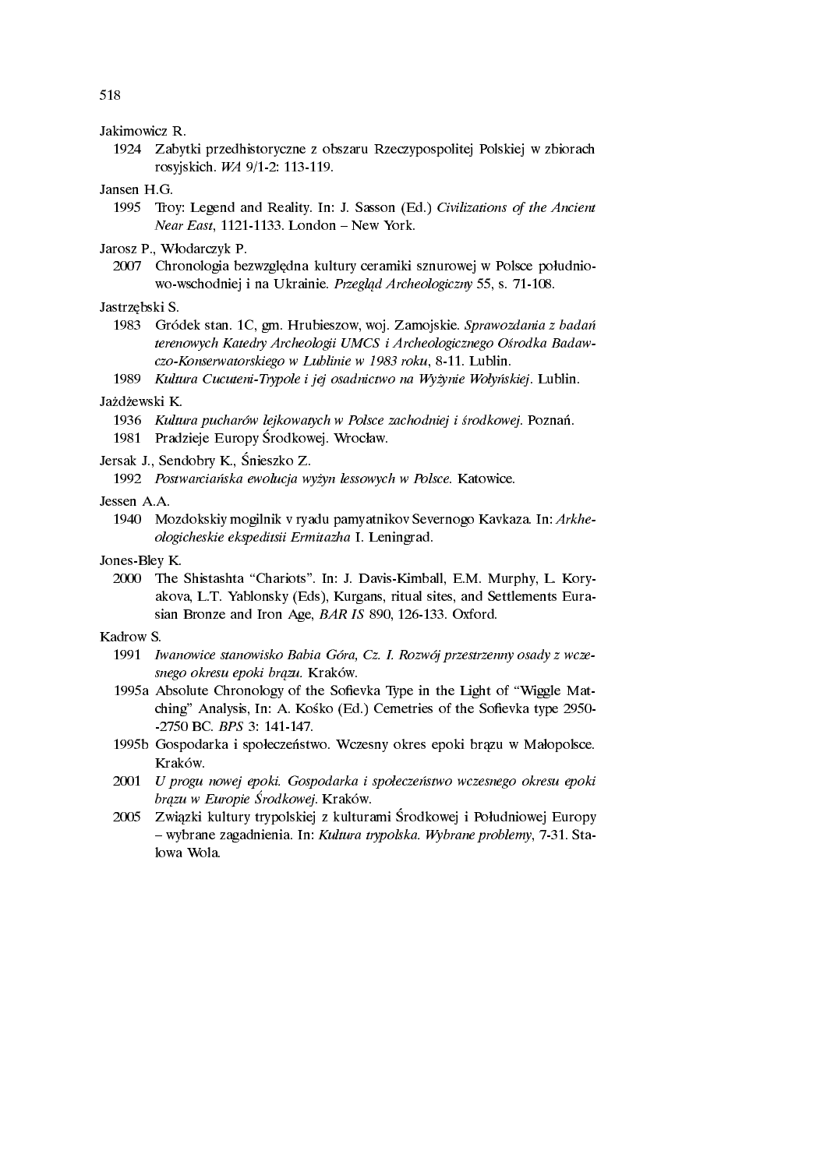## Jakimowicz R.

1924 Zabytki przedhistoryczne z obszaru Rzeczypospolitej Polskiej w zbiorach rosyjskich. WA 9/1-2: 113-119.

## Jansen H.G.

- 1995 Troy: Legend and Reality. In: J. Sasson (Ed.) Civilizations of the Ancient Near East, 1121-1133. London - New York.
- Jarosz P., Włodarczyk P.
	- 2007 Chronologia bezwzględna kultury ceramiki sznurowej w Polsce południowo-wschodniej i na Ukrainie. Przegląd Archeologiczny 55, s. 71-108.

#### Jastrzebski S.

- 1983 Gródek stan. 1C, gm. Hrubieszow, woj. Zamojskie. Sprawozdania z badań terenowych Katedry Archeologii UMCS i Archeologicznego Ośrodka Badawczo-Konserwatorskiego w Lublinie w 1983 roku, 8-11. Lublin.
- 1989 Kultura Cucuteni-Trypole i jej osadnictwo na Wyżynie Wołyńskiej. Lublin.

Jażdżewski K.

- 1936 Kultura pucharów lejkowatych w Polsce zachodniej i środkowej. Poznań.
- 1981 Pradzieje Europy Środkowej, Wrocław,

## Jersak J., Sendobry K., Śnieszko Z.

1992 Postwarciańska ewolucja wyżyn lessowych w Polsce, Katowice.

- Jessen A.A.
	- 1940 Mozdokskiy mogilnik v ryadu pamyatnikov Severnogo Kavkaza. In: Arkheologicheskie ekspeditsii Ermitazha I. Leningrad.

## Jones-Bley K.

2000 The Shistashta "Chariots". In: J. Davis-Kimball, E.M. Murphy, L. Koryakova, L.T. Yablonsky (Eds), Kurgans, ritual sites, and Settlements Eurasian Bronze and Iron Age, BAR IS 890, 126-133. Oxford.

## Kadrow S.

- 1991 Iwanowice stanowisko Babia Góra, Cz. I. Rozwój przestrzenny osady z wczesnego okresu epoki brazu. Kraków.
- 1995a Absolute Chronology of the Sofievka Type in the Light of "Wiggle Matching" Analysis, In: A. Kośko (Ed.) Cemetries of the Sofievka type 2950- $-2750$  BC, BPS 3: 141-147.
- 1995b Gospodarka i społeczeństwo. Wczesny okres epoki brązu w Małopolsce. Kraków.
- 2001 U progu nowej epoki. Gospodarka i społeczeństwo wczesnego okresu epoki brązu w Europie Środkowej. Kraków.
- Związki kultury trypolskiej z kulturami Środkowej i Południowej Europy 2005 - wybrane zagadnienia. In: Kultura trypolska. Wybrane problemy, 7-31. Stalowa Wola.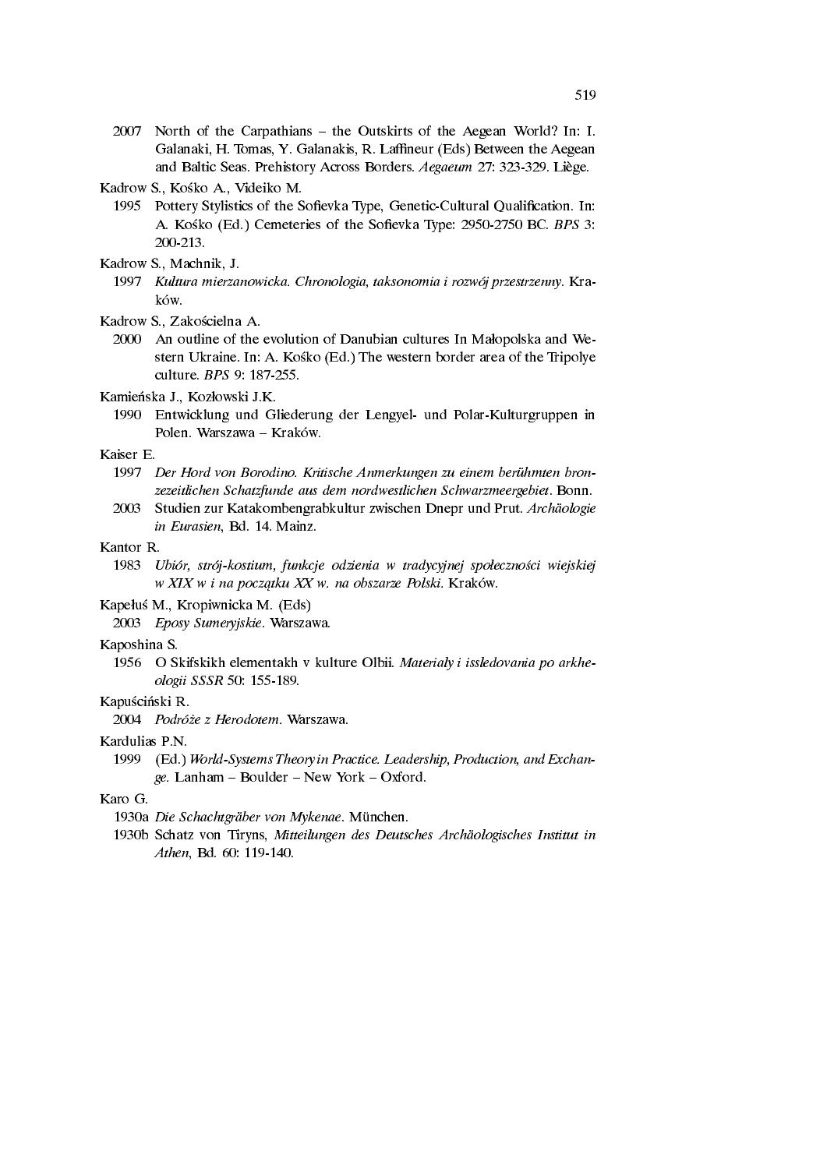- 2007 North of the Carpathians the Outskirts of the Aegean World? In: I. Galanaki, H. Tomas, Y. Galanakis, R. Laffineur (Eds) Between the Aegean and Baltic Seas. Prehistory Across Borders. Aegaeum 27: 323-329. Liège.
- Kadrow S., Kośko A., Videiko M.
	- 1995 Pottery Stylistics of the Sofievka Type, Genetic-Cultural Qualification. In: A. Kośko (Ed.) Cemeteries of the Sofievka Type: 2950-2750 BC. BPS 3: 200-213.
- Kadrow S., Machnik, J.
	- 1997 Kultura mierzanowicka. Chronologia, taksonomia i rozwój przestrzenny, Kraków.
- Kadrow S., Zakościelna A.
	- 2000 An outline of the evolution of Danubian cultures In Malopolska and Western Ukraine, In: A. Kosko (Ed.) The western border area of the Tripolye culture. *BPS* 9: 187-255.
- Kamieńska J., Kozłowski J.K.
	- 1990 Entwicklung und Gliederung der Lengyel- und Polar-Kulturgruppen in Polen, Warszawa – Kraków,

#### Kaiser E.

- 1997 Der Hord von Borodino. Kritische Anmerkungen zu einem berühmten bronzezeitlichen Schatzfunde aus dem nordwestlichen Schwarzmeergebiet. Bonn.
- 2003 Studien zur Katakombengrabkultur zwischen Dnepr und Prut. Archäologie in Eurasien, Bd. 14. Mainz.

## Kantor R.

1983 Ubiór, strój-kostium, funkcje odzienia w tradycyjnej społeczności wiejskiej w XIX w i na poczatku XX w. na obszarze Polski. Kraków.

#### Kapełuś M., Kropiwnicka M. (Eds)

2003 Eposy Sumeryjskie. Warszawa.

### Kaposhina S.

1956 O Skifskikh elementakh v kulture Olbii, Materialy i issledovania po arkheologii SSSR 50: 155-189.

#### Kapuściński R.

2004 Podróże z Herodotem. Warszawa.

#### Kardulias P.N.

1999 (Ed.) World-Systems Theory in Practice. Leadership, Production, and Exchange. Lanham - Boulder - New York - Oxford.

## Karo G

1930a Die Schachtgräber von Mykenae. München.

1930b Schatz von Tiryns, Mitteilungen des Deutsches Archäologisches Institut in Athen, Bd. 60; 119-140.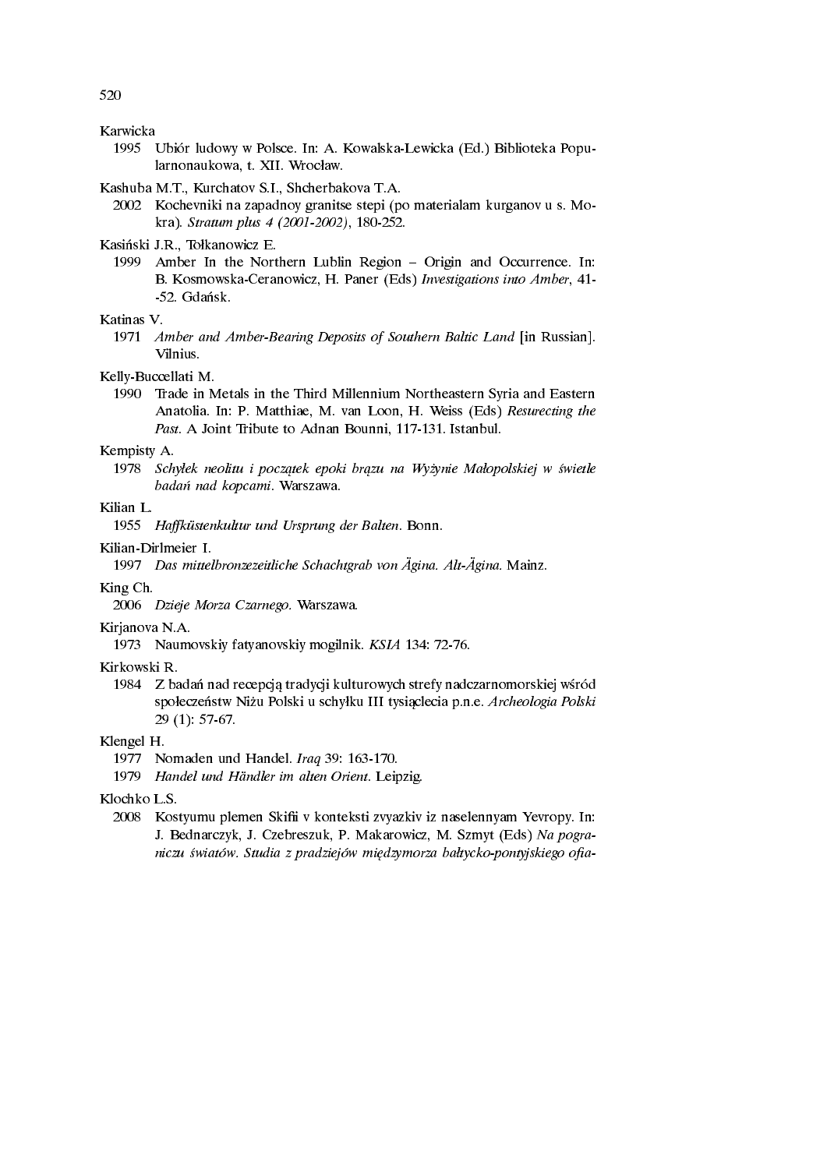### Karwicka

- 1995 Ubiór ludowy w Polsce, In: A. Kowalska-Lewicka (Ed.) Biblioteka Popularnonaukowa, t. XII. Wrocław.
- Kashuba M.T., Kurchatov S.I., Shcherbakova T.A.
	- 2002 Kochevniki na zapadnov granitse stepi (po materialam kurganov u s. Mokra). Stratum plus 4 (2001-2002), 180-252.
- Kasiński J.R., Tołkanowicz E.
	- 1999 Amber In the Northern Lublin Region Origin and Occurrence. In: B. Kosmowska-Ceranowicz, H. Paner (Eds) Investigations into Amber, 41-52. Gdańsk

### Katinas V.

1971 Amber and Amber-Bearing Deposits of Southern Baltic Land [in Russian]. Vilnius.

#### Kelly-Buccellati M.

1990 Trade in Metals in the Third Millennium Northeastern Syria and Eastern Anatolia. In: P. Matthiae, M. van Loon, H. Weiss (Eds) Resurecting the Past. A Joint Tribute to Adnan Bounni, 117-131. Istanbul.

### Kempisty A.

1978 Schyłek neolitu i początek epoki brązu na Wyżynie Małopolskiej w świetle badań nad kopcami. Warszawa.

## Kilian L.

1955 Haffküstenkultur und Ursprung der Balten. Bonn.

## Kilian-Dirlmeier I.

1997 Das mittelbronzezeitliche Schachtgrab von Ägina. Alt-Ägina. Mainz.

## King Ch.

2006 Dzieje Morza Czarnego. Warszawa.

### Kirjanova N.A.

1973 Naumovskiy fatyanovskiy mogilnik. KSIA 134: 72-76.

## Kirkowski R.

1984 Z badań nad recepcja tradycji kulturowych strefy nadczarnomorskiej wśród społeczeństw Niżu Polski u schyłku III tysiaclecia p.n.e. Archeologia Polski  $29(1): 57-67.$ 

### Klengel H.

1977 Nomaden und Handel. Iraq 39: 163-170.

1979 Handel und Händler im alten Orient. Leipzig.

### Klochko L.S.

2008 Kostyumu plemen Skifii v konteksti zvyazkiv iz naselennyam Yevropy. In: J. Bednarczyk, J. Czebreszuk, P. Makarowicz, M. Szmyt (Eds) Na pograniczu światów. Studia z pradziejów miedzymorza bałtycko-pontyjskiego ofia-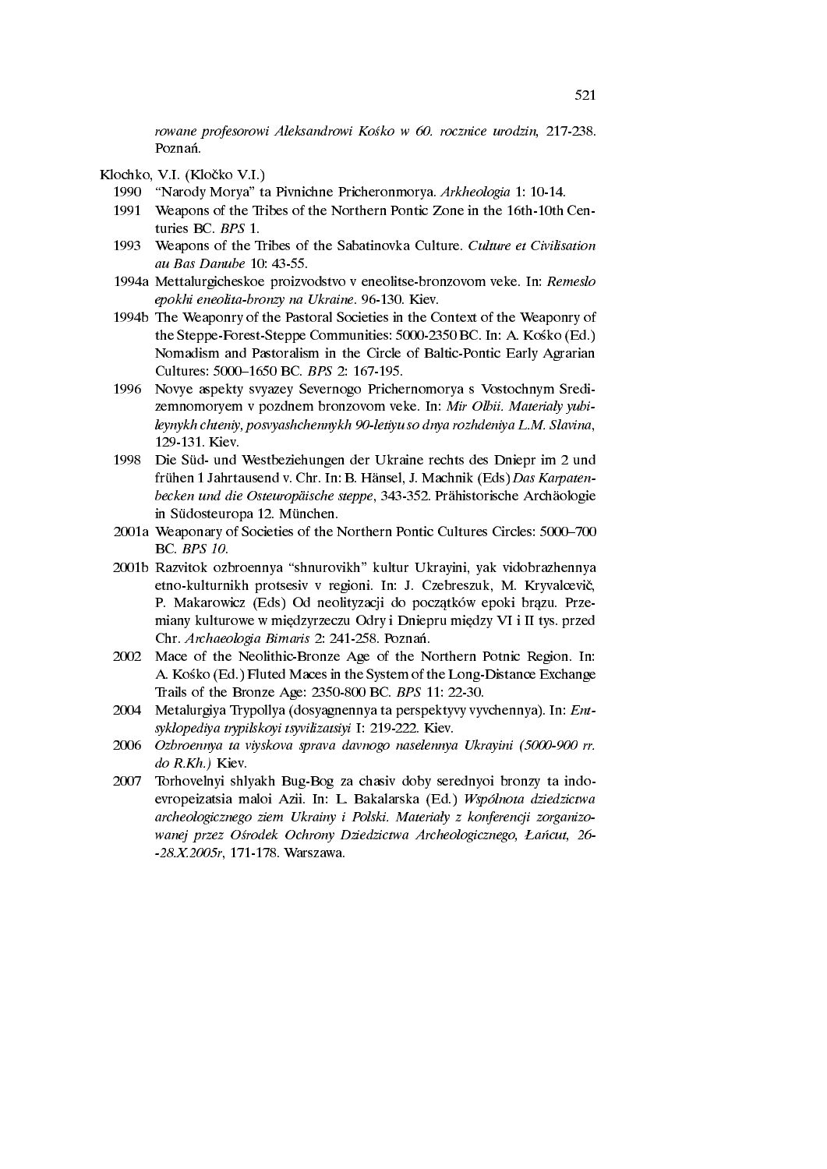rowane profesorowi Aleksandrowi Kośko w 60, rocznice urodzin, 217-238. Poznań.

## Klochko, V.I. (Kločko V.I.)

- 1990 "Narody Morya" ta Pivnichne Pricheronmorya. Arkheologia 1: 10-14.
- 1991 Weapons of the Tribes of the Northern Pontic Zone in the 16th-10th Centuries BC, BPS 1.
- Weapons of the Tribes of the Sabatinovka Culture, Culture et Civilisation 1993 au Bas Danube 10: 43-55.
- 1994a Mettalurgicheskoe proizvodstvo v eneolitse-bronzovom veke. In: Remeslo epokhi eneolita-bronzy na Ukraine. 96-130. Kiev.
- 1994b The Weaponry of the Pastoral Societies in the Context of the Weaponry of the Steppe-Forest-Steppe Communities: 5000-2350 BC. In: A. Kosko (Ed.) Nomadism and Pastoralism in the Circle of Baltic-Pontic Early Agrarian Cultures: 5000-1650 BC. BPS 2: 167-195.
- 1996 Novye aspekty syyazey Severnogo Prichernomorya s Vostochnym Sredizemnomoryem v pozdnem bronzovom veke. In: Mir Olbii. Materialy yubileynykh chteniy, posvyashchennykh 90-letiyu so dnya rozhdeniya L.M. Slavina, 129-131. Kiev.
- 1998 Die Süd- und Westbeziehungen der Ukraine rechts des Dniepr im 2 und frühen 1 Jahrtausend v. Chr. In: B. Hänsel, J. Machnik (Eds) Das Karpatenbecken und die Osteuropäische steppe, 343-352. Prähistorische Archäologie in Südosteuropa 12. München.
- 2001a Weaponary of Societies of the Northern Pontic Cultures Circles: 5000-700 **BC.** BPS 10.
- 2001b Razvitok ozbroennya "shnurovikh" kultur Ukrayini, yak vidobrazhennya etno-kulturnikh protsesiv v regioni. In: J. Czębręszuk, M. Kryvalcevič, P. Makarowicz (Eds) Od neolityzacji do początków epoki brązu. Przemiany kulturowe w miedzyrzeczu Odry i Dniepru miedzy VI i II tys. przed Chr. Archaeologia Bimaris 2: 241-258. Poznań.
- 2002 Mace of the Neolithic-Bronze Age of the Northern Potnic Region. In: A. Kośko (Ed.) Fluted Maces in the System of the Long-Distance Exchange Trails of the Bronze Age: 2350-800 BC. BPS 11: 22-30.
- 2004 Metalurgiya Trypollya (dosyagnennya ta perspektyvy vyvchennya). In: Entsvklopediva trypilskovi tsyvilizatsivi I: 219-222. Kiev.
- Ozbroennya ta viyskova sprava davnogo naselennya Ukrayini (5000-900 rr. 2006  $do$  R.Kh.) Kiev.
- Torhovelnyi shiyakh Bug-Bog za chasiv doby serednyoi bronzy ta indo-2007 evropeizatsia maloi Azii. In: L. Bakalarska (Ed.) Wspólnota dziedzictwa archeologicznego ziem Ukrainy i Polski. Materiały z konferencji zorganizowanej przez Ośrodek Ochrony Dziedzictwa Archeologicznego, Łańcut, 26- $-28.X2005r$ , 171-178. Warszawa.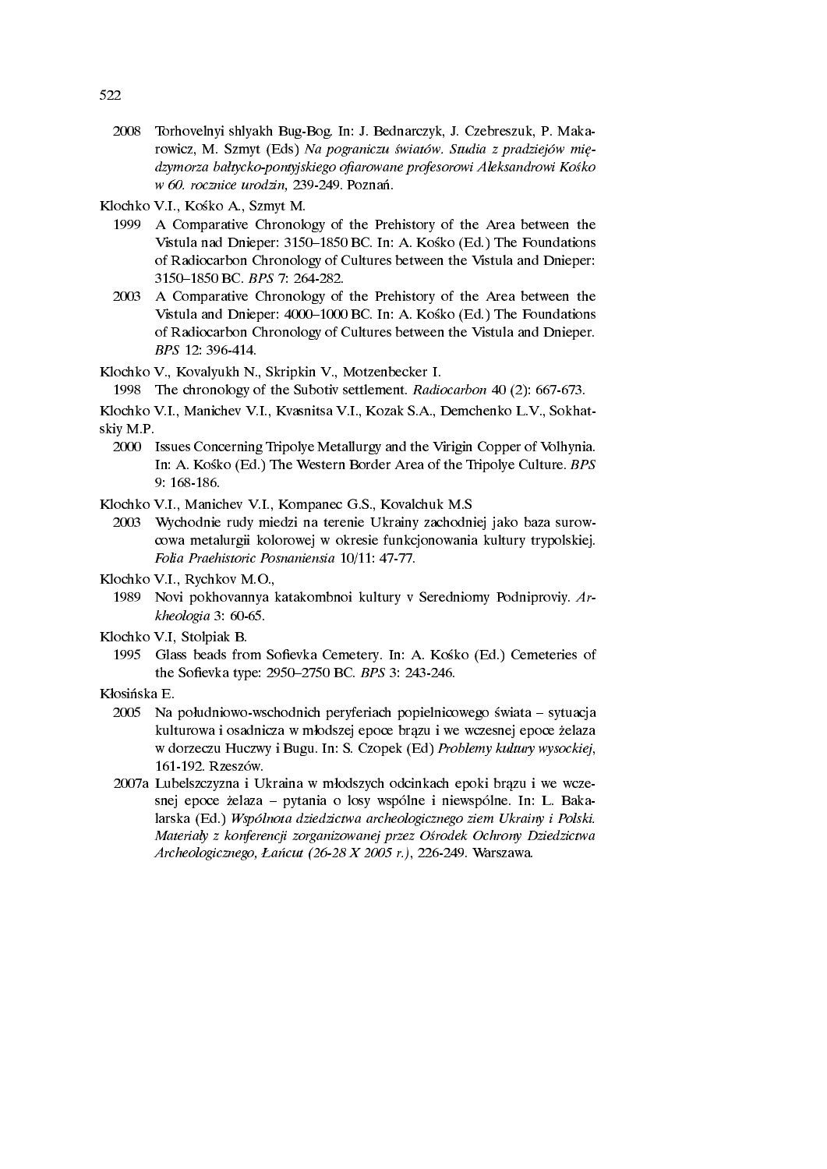- Torhovelnyi shlyakh Bug-Bog, In: J. Bednarczyk, J. Czebreszuk, P. Maka-2008 rowicz, M. Szmyt (Eds) Na pograniczu światów. Studia z pradziejów miedzymorza bałtycko-pontyjskiego ofiarowane profesorowi Aleksandrowi Kośko w 60. rocznice urodzin. 239-249. Poznań.
- Klochko V.I., Kośko A., Szmyt M.
	- A Comparative Chronology of the Prehistory of the Area between the 1999 Vistula nad Dnieper: 3150-1850 BC. In: A. Kośko (Ed.) The Foundations of Radiocarbon Chronology of Cultures between the Vistula and Dnieper: 3150-1850 BC, BPS 7: 264-282.
	- A Comparative Chronology of the Prehistory of the Area between the 2003 Vistula and Dnieper: 4000-1000 BC. In: A. Kośko (Ed.) The Foundations of Radiocarbon Chronology of Cultures between the Vistula and Dnieper. BPS 12: 396-414.

Klochko V., Kovalyukh N., Skripkin V., Motzenbecker I. 1998 The chronology of the Subotiv settlement, Radiocarbon 40 (2): 667-673.

Klochko V.I., Manichev V.I., Kvasnitsa V.I., Kozak S.A., Demchenko L.V., Sokhatskiy M.P.

- 2000 Issues Concerning Tripolye Metallurgy and the Virigin Copper of Volhynia. In: A. Kośko (Ed.) The Western Border Area of the Tripolye Culture. BPS  $9:168.186.$
- Klochko V.I., Manichev V.I., Kompanec G.S., Kovalchuk M.S.
	- Wychodnie rudy miedzi na terenie Ukrainy zachodniej jako baza surow-2003 cowa metalurgii kolorowej w okresie funkcjonowania kultury trypolskiej. Folia Praehistoric Posnaniensia 10/11: 47-77.
- Klochko V.I., Rychkov M.O.,
	- 1989 Novi pokhovannya katakombnoi kultury v Seredniomy Podniproviy. Arkheologia 3: 60-65.
- Klochko V.I. Stolpiak B.
	- 1995 Glass beads from Sofievka Cemetery. In: A. Kośko (Ed.) Cemeteries of the Sofievka type: 2950-2750 BC. BPS 3: 243-246.
- Kłosińska E.
	- 2005 Na południowo-wschodnich peryferiach popielnicowego świata sytuacja kulturowa i osadnicza w młodszej epoce brązu i we wczesnej epoce żelaza w dorzeczu Huczwy i Bugu. In: S. Czopek (Ed) Problemy kultury wysockiej, 161-192. Rzeszów.
	- 2007a Lubelszczyzna i Ukraina w młodszych odcinkach epoki brązu i we wczesnej epoce żelaza – pytania o losy wspólne i niewspólne. In: L. Bakalarska (Ed.) Wspólnota dziedzictwa archeologicznego ziem Ukrainy i Polski. Materiały z konferencji zorganizowanej przez Ośrodek Ochrony Dziedzictwa Archeologicznego, Łańcut (26-28  $X$  2005 r.), 226-249. Warszawa,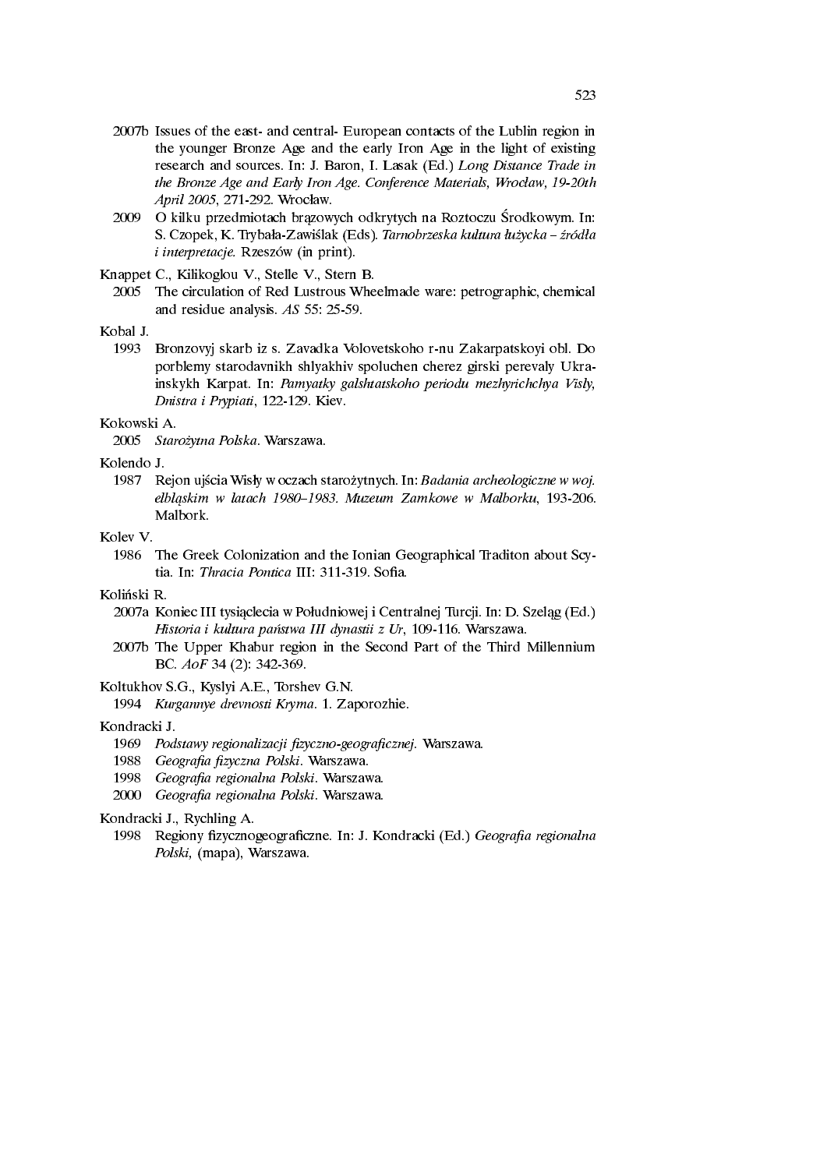- 2007b Issues of the east- and central- European contacts of the Lublin region in the vounger Bronze Age and the early Iron Age in the light of existing research and sources. In: J. Baron, I. Lasak (Ed.) Long Distance Trade in the Bronze Age and Early Iron Age. Conference Materials, Wrocław, 19-20th April 2005, 271-292. Wrocław.
- 2009 O kilku przedmiotach brazowych odkrytych na Roztoczu Środkowym. In: S. Czopek, K. Trybała-Zawiślak (Eds). Tarnobrzeska kultura łużycka – źródła *i* interpretacje. Rzeszów (in print).

Knappet C., Kilikoglou V., Stelle V., Stern B.

- 2005 The circulation of Red Lustrous Wheelmade ware: petrographic, chemical and residue analysis. AS 55: 25-59.
- Kobal I
	- 1993 Bronzovyj skarb iz s. Zavadka Volovetskoho r-nu Zakarpatskovi obl. Do porblemy starodavnikh shlyakhiv spoluchen cherez girski perevaly Ukrainskykh Karpat. In: Pamyatky galshtatskoho periodu mezhvrichchya Visly, Dnistra i Prypiati, 122-129. Kiev.

### Kokowski A.

2005 Starożytna Polska, Warszawa,

- Kolendo J.
	- 1987 Rejon ujścia Wisły w oczach starożytnych. In: Badania archeologiczne w woj. elblaskim w latach 1980-1983. Muzeum Zamkowe w Malborku, 193-206. Malbork.

#### Kolev<sub>V</sub>.

1986 The Greek Colonization and the Ionian Geographical Traditon about Scytia. In: Thracia Pontica III: 311-319. Sofia.

## Koliński R.

- 2007a Koniec III tysiąclecia w Południowej i Centralnej Turcji. In: D. Szelag (Ed.) Historia i kultura państwa III dynastii z Ur. 109-116. Warszawa.
- 2007b The Upper Khabur region in the Second Part of the Third Millennium BC. AoF 34 (2): 342-369.

### Koltukhov S.G., Kyslyi A.E., Torshev G.N.

1994 Kurgannye drevnosti Kryma, 1. Zaporozhie.

## Kondracki J.

- 1969 Podstawy regionalizacji fizyczno-geograficznej. Warszawa.
- 1988 Geografia fizyczna Polski, Warszawa,
- 1998 Geografia regionalna Polski. Warszawa.
- 2000 Geografia regionalna Polski. Warszawa.
- Kondracki J., Rychling A.
	- 1998 Regiony fizycznogeograficzne. In: J. Kondracki (Ed.) Geografia regionalna Polski, (mapa), Warszawa.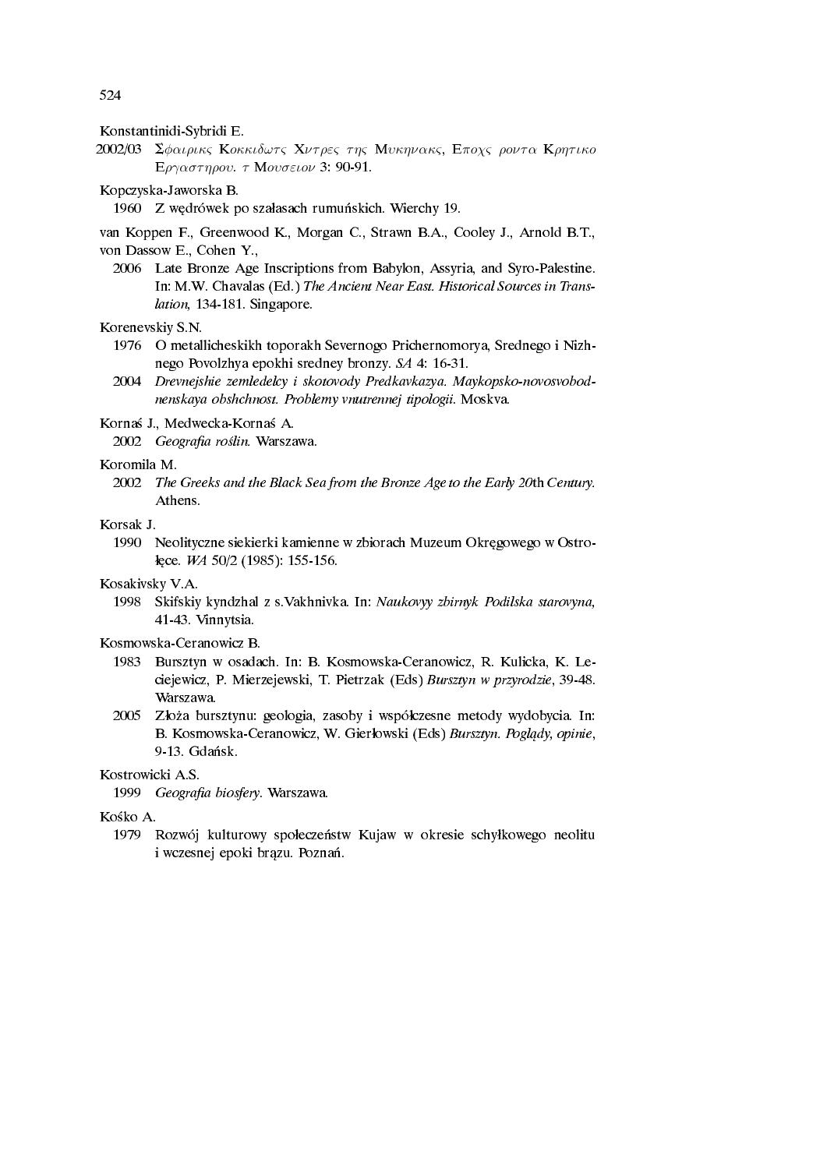Konstantinidi-Sybridi E.

2002/03 Σφαιρικς Κοκκιδωτς Χντρες της Μυκηνακς, Εποχς ροντα Κρητικο  $Eργαστηρου, τ Μουσειον 3: 90-91.$ 

Kopczyska Jaworska B.

1960 Z wedrówek po szałasach rumuńskich. Wierchy 19.

van Koppen F., Greenwood K., Morgan C., Strawn B.A., Cooley J., Arnold B.T., von Dassow E., Cohen Y.,

2006 Late Bronze Age Inscriptions from Babylon, Assyria, and Syro-Palestine. In: M.W. Chavalas (Ed.) The Ancient Near East. Historical Sources in Translation, 134-181. Singapore.

## Korenevskiy S.N.

- 1976 O metallicheskikh toporakh Severnogo Prichernomorya, Srednego i Nizhnego Povolzhya epokhi sredney bronzy. SA 4: 16-31.
- 2004 Drevnejshie zemledelcy i skotovody Predkavkazya. Maykopsko-novosvobodnenskaya obshchnost. Problemy vnutrennej tipologii. Moskva.
- Kornaś J., Medwecka-Kornaś A.

2002 Geografia roślin. Warszawa.

### Koromila M.

2002 The Greeks and the Black Sea from the Bronze Age to the Early 20th Century. **Athens** 

### Korsak J.

1990 Neolityczne siękierki kamienne w zbiorach Muzeum Okręgowego w Ostrołęce. WA 50/2 (1985): 155-156.

### Kosakivsky V.A.

1998 Skifskiy kyndzhal z s.Vakhniyka, In: Naukovy zbirnyk Podilska starovyna, 41-43. Vinnytsia.

## Kosmowska-Ceranowicz B.

- 1983 Bursztyn w osadach. In: B. Kosmowska-Ceranowicz, R. Kulicka, K. Leciejewicz, P. Mierzejewski, T. Pietrzak (Eds) Bursztyn w przyrodzie, 39-48. Warszawa.
- 2005 Złoża bursztynu: geologia, zasoby i współczesne metody wydobycia. In: B. Kosmowska-Ceranowicz, W. Gierłowski (Eds) Bursztyn. Poglądy, opinie, 9-13. Gdańsk.

## Kostrowicki A.S.

1999 Geografia biosfery. Warszawa.

## Kośko A.

1979 Rozwój kulturowy społeczeństw Kujaw w okresie schyłkowego neolitu i wczesnej epoki brazu. Poznań.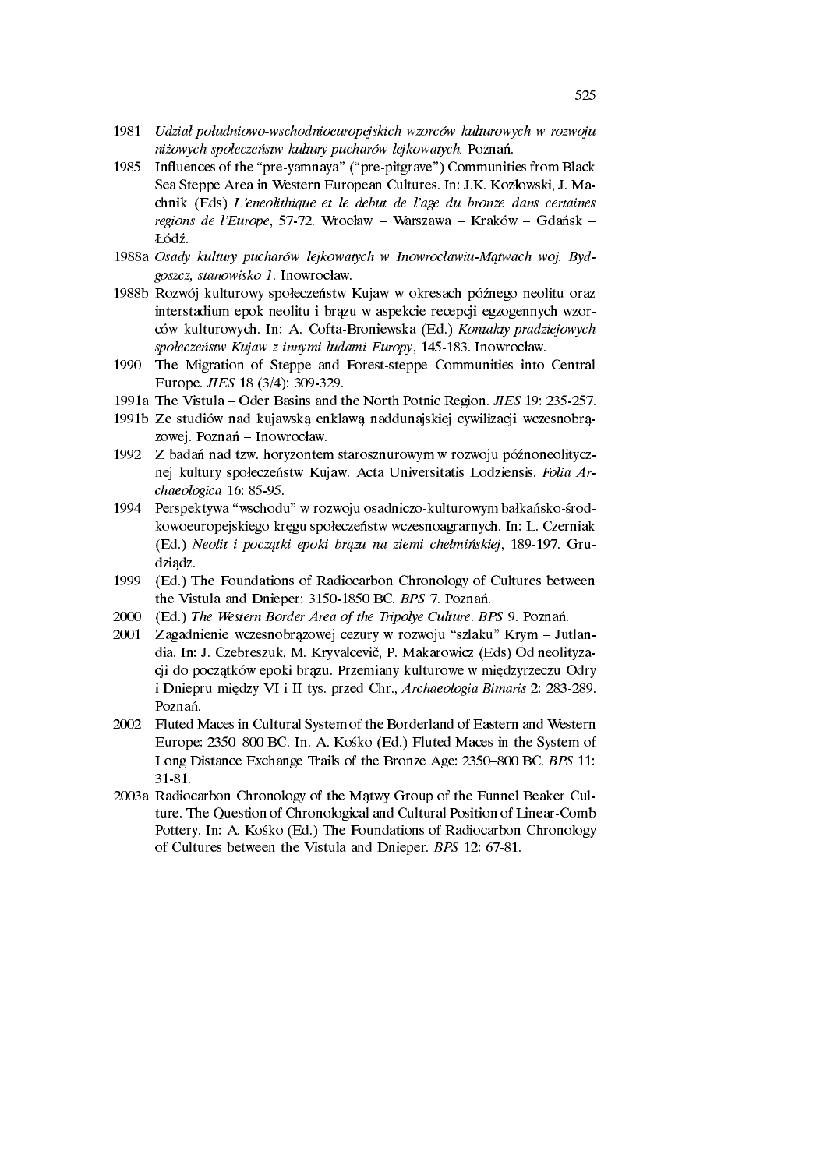- 1981 Udział południowo-wschodnioeuropejskich wzorców kulturowych w rozwoju niżowych społeczeństw kultury pucharów lejkowatych. Poznań,
- 1985 Influences of the "pre-yamnaya" ("pre-pitgrave") Communities from Black Sea Steppe Area in Western European Cultures, In: J.K. Kozłowski, J. Machnik (Eds) L'eneolithique et le debut de l'age du bronze dans certaines regions de l'Europe, 57-72. Wrocław – Warszawa – Kraków – Gdańsk – Łódź.
- 1988a Osady kultury pucharów lejkowatych w Inowrocławiu-Mątwach woj. Bydgoszcz, stanowisko 1. Inowrocław.
- 1988b Rozwój kulturowy społeczeństw Kujaw w okresach późnego neolitu oraz interstadium epok neolitu i brązu w aspekcie recepcji egzogennych wzorców kulturowych. In: A. Cofta-Broniewska (Ed.) Kontakty pradziejowych społeczeństw Kujaw z innymi ludami Europy, 145-183. Inowrocław.
- 1990 The Migration of Steppe and Forest-steppe Communities into Central Europe. JIES 18 (3/4): 309-329.
- 1991a The Vistula Oder Basins and the North Potnic Region. JIES 19: 235-257.
- 1991b Ze studiów nad kujawską enklawą naddunajskiej cywilizacji wczesnobrązowej. Poznań - Inowrocław.
- 1992 Z badań nad tzw. horyzontem starosznurowym w rozwoju późnoneolitycznej kultury społeczeństw Kujaw. Acta Universitatis Lodziensis. Folia Archaeologica 16: 85-95.
- 1994 Perspektywa "wschodu" w rozwoju osadniczo-kulturowym bałkańsko-środkowoeuropejskiego kręgu społeczeństw wczesnoagrarnych. In: L. Czerniak (Ed.) Neolit i początki epoki brązu na ziemi chełmińskiej, 189-197. Grudziadz.
- 1999 (Ed.) The Foundations of Radiocarbon Chronology of Cultures between the Vistula and Dnieper: 3150-1850 BC. BPS 7. Poznań.
- (Ed.) The Western Border Area of the Tripolve Culture, BPS 9, Poznań. 2000
- Zagadnienie wczesnobrązowej cezury w rozwoju "szlaku" Krym Jutlan-2001 dia. In: J. Czebreszuk, M. Kryvalcevič, P. Makarowicz (Eds) Od neolityzacji do początków epoki brązu. Przemiany kulturowe w międzyrzeczu Odry i Dniepru między VI i II tys. przed Chr., Archaeologia Bimaris 2: 283-289. Poznań.
- 2002 Fluted Maces in Cultural System of the Borderland of Eastern and Western Europe: 2350–800 BC. In. A. Kośko (Ed.) Fluted Maces in the System of Long Distance Exchange Trails of the Bronze Age: 2350–800 BC. BPS 11: 31 81.
- 2003a Radiocarbon Chronology of the Matwy Group of the Funnel Beaker Culture. The Question of Chronological and Cultural Position of Linear-Comb Pottery. In: A. Kośko (Ed.) The Foundations of Radiocarbon Chronology of Cultures between the Vistula and Dnieper. BPS 12: 67-81.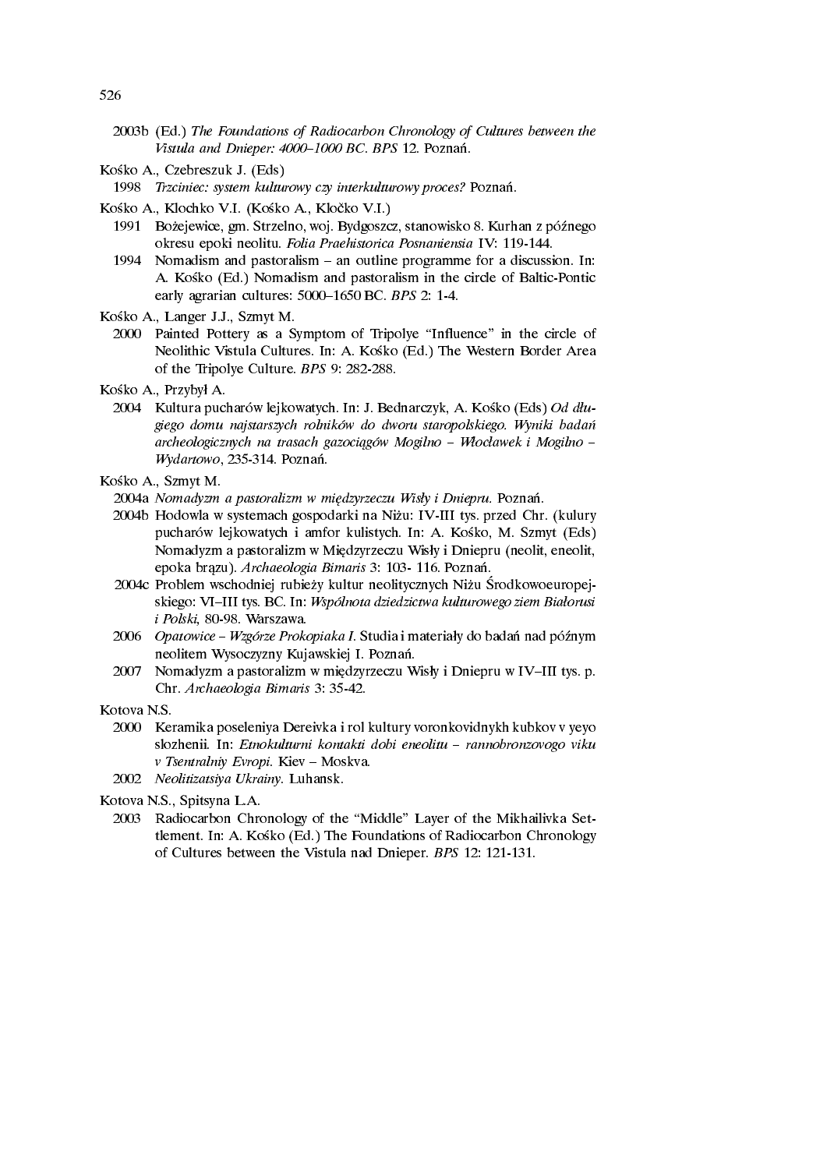- 2003b (Ed.) The Foundations of Radiocarbon Chronology of Cultures between the Vistula and Dnieper: 4000-1000 BC, BPS 12. Poznań.
- Kośko A., Czebreszuk J. (Eds)
	- 1998 Trzciniec: svstem kulturowy czy interkulturowy proces? Poznań.
- Kośko A., Klochko V.I. (Kośko A., Kločko V.I.)
	- 1991 Bożejewice, gm. Strzelno, woj. Bydgoszcz, stanowisko 8. Kurhan z późnego okresu epoki neolitu. Folia Praehistorica Posnaniensia IV: 119-144.
	- 1994 Nomadism and pastoralism an outline programme for a discussion. In: A. Kośko (Ed.) Nomadism and pastoralism in the circle of Baltic-Pontic early agrarian cultures: 5000-1650 BC. BPS 2: 1-4.
- Kośko A., Langer J.J., Szmyt M.
	- 2000 Painted Pottery as a Symptom of Tripolye "Influence" in the circle of Neolithic Vistula Cultures. In: A. Kośko (Ed.) The Western Border Area of the Tripolye Culture. BPS 9: 282-288.
- Kośko A., Przybył A.
	- 2004 Kultura pucharów lejkowatych. In: J. Bednarczyk, A. Kośko (Eds) Od długiego domu najstarszych rolników do dworu staropolskiego. Wyniki badań archeologicznych na trasach gazociągów Mogilno – Włocławek i Mogilno – Wydartowo, 235-314. Poznań.
- Kośko A., Szmyt M.
	- 2004a Nomadyzm a pastoralizm w międzyrzeczu Wisły i Dniepru. Poznań.
	- 2004b Hodowla w systemach gospodarki na Niżu: IV-III tys. przed Chr. (kulury pucharów lejkowatych i amfor kulistych. In: A. Kośko, M. Szmyt (Eds) Nomadyzm a pastoralizm w Miedzyrzeczu Wisły i Dniepru (neolit, eneolit, epoka brazu). Archaeologia Bimaris 3: 103-116. Poznań.
	- 2004c Problem wschodniej rubieży kultur neolitycznych Niżu Środkowoeuropejskiego: VI-III tys. BC. In: Wspólnota dziedzictwa kulturowego ziem Białorusi i Polski, 80-98. Warszawa.
	- 2006 *Opatowice Wzgórze Prokopiaka I*, Studia i materiały do badań nad późnym neolitem Wysoczyzny Kujawskiej I. Poznań.
	- 2007 Nomadyzm a pastoralizm w miedzyrzeczu Wisły i Dniepru w IV-III tys. p. Chr. Archaeologia Bimaris 3: 35-42.

Kotova N.S.

- 2000 Keramika poseleniya Dereivka i rol kultury voronkovidnykh kubkov v yeyo slozhenii. In: Etnokulturni kontakti dobi eneolitu - rannobronzovogo viku v Tsentralniy Evropi. Kiev - Moskva.
- 2002 Neolitizatsiva Ukrainv. Luhansk.
- Kotova N.S., Spitsyna L.A.
	- 2003 Radiocarbon Chronology of the "Middle" Layer of the Mikhailivka Settlement. In: A. Kośko (Ed.) The Foundations of Radiocarbon Chronology of Cultures between the Vistula nad Dnieper. BPS 12: 121-131.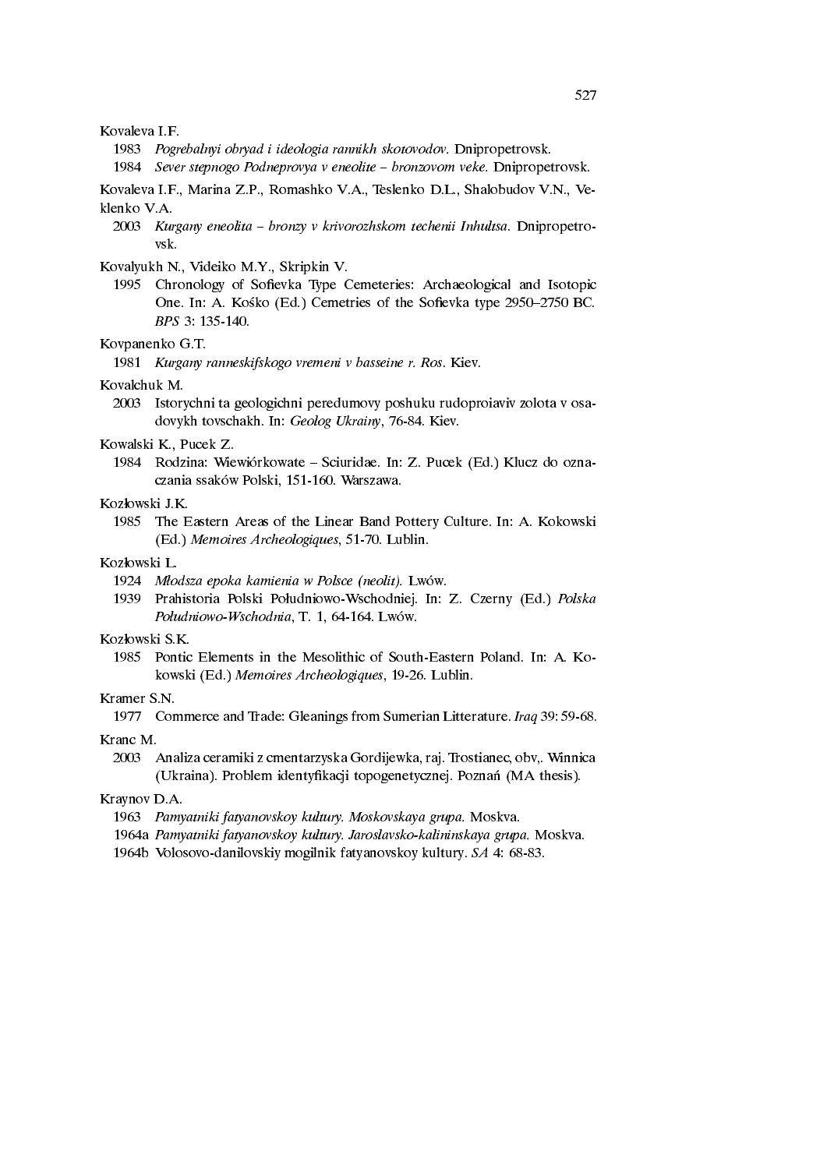Kovaleva I.F.

- 1983 Pogrebalnyi obryad i ideologia rannikh skotovodov. Dnipropetrovsk.
- 1984 Sever stepnogo Podneprovya v eneolite bronzovom veke. Dnipropetrovsk.

Kovaleva I.F., Marina Z.P., Romashko V.A., Teslenko D.L., Shalobudov V.N., Veklenko V.A.

2003 Kurgany eneolita – bronzy v krivorozhskom techenii Inhultsa, Dnipropetrovsk.

Kovalyukh N., Videiko M.Y., Skripkin V.

1995 Chronology of Sofievka Type Cemeteries: Archaeological and Isotopic One. In: A. Kośko (Ed.) Cemetries of the Sofievka type 2950–2750 BC. BPS 3: 135-140.

#### Kovpanenko G.T.

1981 Kurgany ranneskifskogo vremeni v basseine r. Ros. Kiev.

#### Kovalchuk M.

2003 Istorychni ta geologichni peredumovy poshuku rudoproiaviv zolota v osadowkh tovschakh. In: Geolog Ukrainy, 76-84. Kiev.

#### Kowalski K., Pucek Z.

1984 Rodzina: Wiewiórkowate - Sciuridae. In: Z. Pucek (Ed.) Klucz do oznaczania ssaków Polski, 151-160. Warszawa.

#### Kozłowski I.K.

1985 The Eastern Areas of the Linear Band Pottery Culture. In: A. Kokowski (Ed.) Memoires Archeologiques, 51-70. Lublin.

## Kozłowski L.

- 1924 Młodsza epoka kamienia w Polsce (neolit). Lwów.
- 1939 Prahistoria Polski Południowo-Wschodniej. In: Z. Czerny (Ed.) Polska Południowo-Wschodnia, T. 1, 64-164, Lwów.

# Kozłowski S.K.

1985 Pontic Elements in the Mesolithic of South-Eastern Poland. In: A. Kokowski (Ed.) Memoires Archeologiques, 19-26. Lublin.

## Kramer S.N.

1977 Commerce and Trade: Gleanings from Sumerian Litterature. Iraq 39: 59-68.

#### Kranc M.

2003 Analiza ceramiki z cmentarzyska Gordijewka, raj. Trostianec, obv., Winnica (Ukraina), Problem identyfikacji topogenetycznej. Poznań (MA thesis).

### Kraynov D.A.

- 1963 Pamyatniki fatyanovskoy kultury. Moskovskaya grupa. Moskva.
- 1964a Pamyatniki fatyanovskoy kultury. Jaroslavsko-kalininskaya grupa. Moskva.
- 1964b Volosovo-danilovskiy mogilnik fatyanovskov kultury. SA 4: 68-83.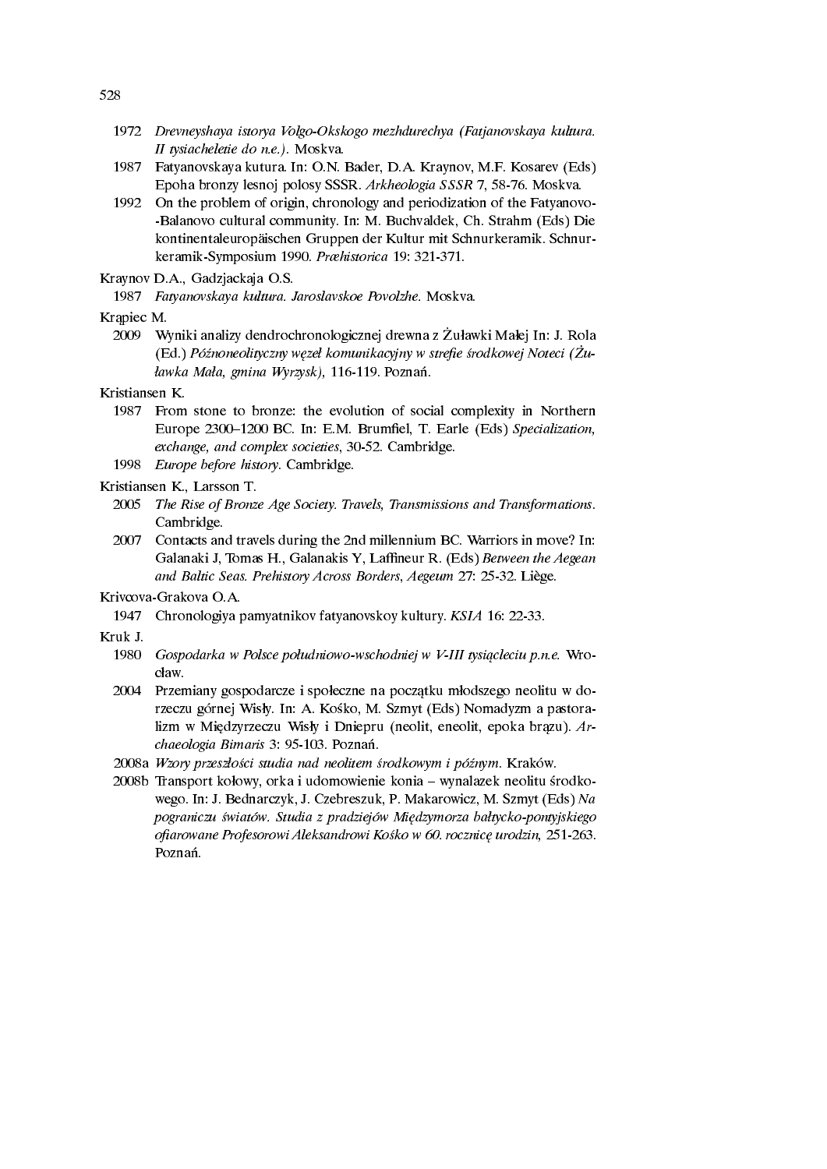- 1972 Drevneyshaya istorya Volgo-Okskogo mezhdurechya (Fatianovskaya kultura, II tysiacheletie do n.e.). Moskva.
- 1987 Fatyanovskaya kutura. In: O.N. Bader, D.A. Kraynov, M.F. Kosarev (Eds) Epoha bronzy lesnoj polosy SSSR, Arkheologia SSSR 7, 58-76, Moskva,
- On the problem of origin, chronology and periodization of the Fatyanovo-1992 -Balanovo cultural community, In: M. Buchvaldek, Ch. Strahm (Eds) Die kontinentaleuropäischen Gruppen der Kultur mit Schnurkeramik, Schnurkeramik-Symposium 1990. Præhistorica 19: 321-371.
- Kraynov D.A., Gadziackaja O.S.
	- 1987 Fatyanovskaya kultura. Jaroslavskoe Povolzhe. Moskva.
- Krapiec M.
	- 2009 Wyniki analizy dendrochronologicznej drewna z Żuławki Małej In: J. Rola (Ed.) Późnoneolityczny wezeł komunikacyjny w strefie środkowej Noteci (Żuławka Mała, gmina Wyrzysk), 116-119. Poznań.
- Kristiansen K.
	- 1987 From stone to bronze: the evolution of social complexity in Northern Europe 2300–1200 BC. In: E.M. Brumfiel, T. Earle (Eds) Specialization, exchange, and complex societies, 30-52. Cambridge.
	- Europe before history. Cambridge. 1998
- Kristiansen K., Larsson T.
	- The Rise of Bronze Age Society. Travels, Transmissions and Transformations. 2005 Cambridge.
	- Contacts and travels during the 2nd millennium BC. Warriors in move? In: 2007 Galanaki J, Tomas H., Galanakis Y, Laffineur R. (Eds) Between the Aegean and Baltic Seas. Prehistory Across Borders, Aegeum 27: 25-32. Liège.
- Krivcova-Grakova O.A.
	- 1947 Chronologiya pamyatnikov fatyanovskov kultury. KSIA 16: 22-33.
- Kruk J.
	- 1980 Gospodarka w Polsce południowo-wschodniej w V-III tysiącleciu p.n.e. Wrocław.
	- Przemiany gospodarcze i społeczne na początku młodszego neolitu w do-2004 rzeczu górnej Wisły. In: A. Kośko, M. Szmyt (Eds) Nomadyzm a pastoralizm w Międzyrzeczu Wisły i Dniepru (neolit, eneolit, epoka brązu). Archaeologia Bimaris 3: 95-103. Poznań.
	- 2008a Wzory przeszłości studia nad neolitem środkowym i późnym. Kraków.
	- 2008b Transport kołowy, orka i udomowienie konia wynalazek neolitu środkowego. In: J. Bednarczyk, J. Czebreszuk, P. Makarowicz, M. Szmyt (Eds) Na pograniczu światów. Studia z pradziejów Międzymorza bałtycko-pontyjskiego ofiarowane Profesorowi Aleksandrowi Kośko w 60. rocznicę urodzin, 251-263. Poznań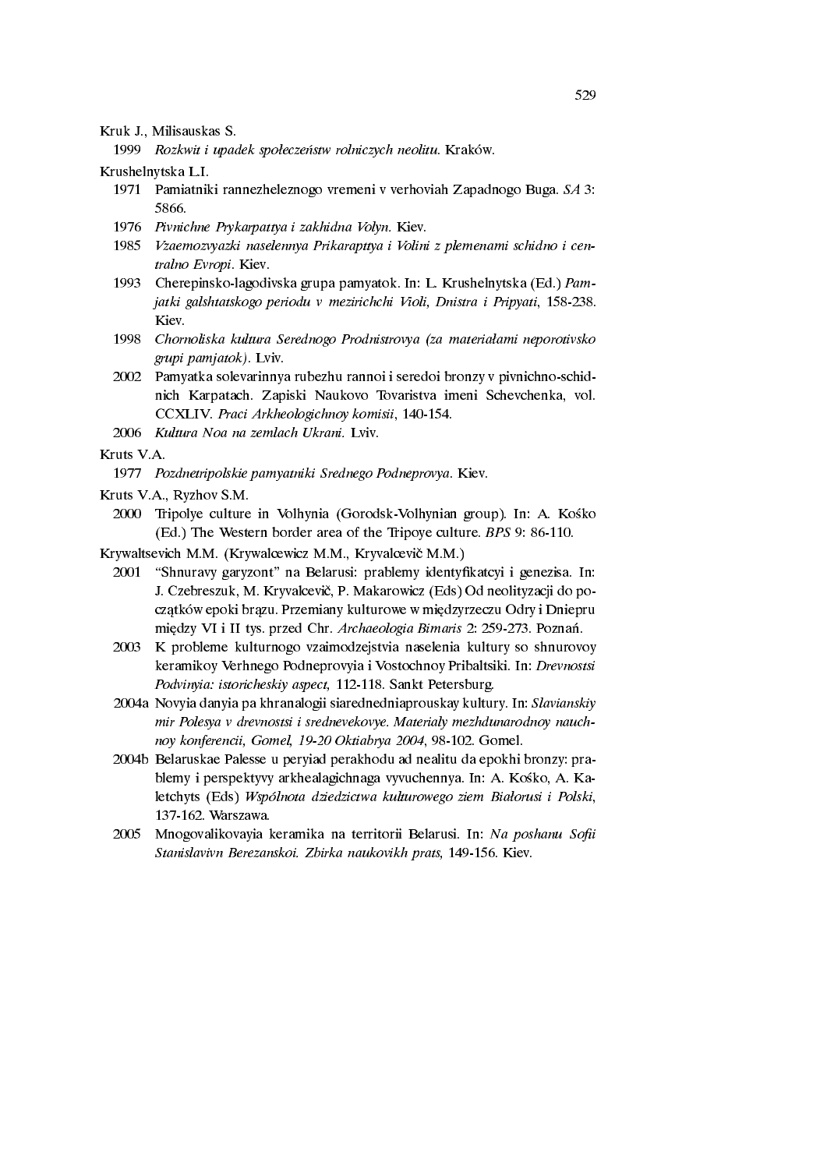Kruk J., Milisauskas S.

1999 Rozkwit i upadek społeczeństw rolniczych neolitu. Kraków.

Krushelnytska L.I.

- 1971 Pamiatniki rannezheleznogo vremeni v verhoviah Zapadnogo Buga. SA 3: 5866
- 1976 Pivnichne Prykarpattva i zakhidna Volvn. Kiev.
- 1985 Vzaemozyvazki naselennya Prikarapttya i Volini z plemenami schidno i centralno Evropi, Kiev.
- 1993 Cherepinsko-lagodivska grupa pamyatok. In: L. Krushelnytska (Ed.) Pamjatki galshtatskogo periodu v mezirichchi Violi, Dnistra i Pripyati, 158-238. Kiev.
- 1998 Chornoliska kultura Serednogo Prodnistrovya (za materiałami neporotivsko grupi pamjatok). Lviv.
- 2002 Pamyatka solevarinnya rubezhu rannoi i seredoi bronzy v pivnichno-schidnich Karpatach. Zapiski Naukovo Tovaristva imeni Schevchenka, vol. CCXLIV. Praci Arkheologichnoy komisii, 140-154.
- 2006 Kultura Noa na zemlach Ukrani. Lyiv.

#### Kruts V.A.

1977 Pozdnetripolskie pamyatniki Srednego Podneprovya. Kiev.

- Kruts V.A., Ryzhov S.M.
	- 2000 Tripolye culture in Volhynia (Gorodsk-Volhynian group). In: A. Kosko (Ed.) The Western border area of the Tripove culture, BPS 9: 86-110.
- Krywaltsevich M.M. (Krywalcewicz M.M., Kryvalcevič M.M.)
	- "Shnuravy garyzont" na Belarusi: prablemy identyfikatcyi i genezisa. In: 2001 J. Czebreszuk, M. Kryvalcevič, P. Makarowicz (Eds) Od neolityzacji do początków epoki brązu. Przemiany kulturowe w międzyrzeczu Odry i Dniepru między VI i II tys. przed Chr. Archaeologia Bimaris 2: 259-273. Poznań.
	- 2003 K probleme kulturnogo vzaimodzejstvia naselenia kultury so shnurovov keramikoy Verhnego Podneprovyia i Vostochnoy Pribaltsiki. In: Drevnostsi Podvinyia: istoricheskiy aspect, 112-118. Sankt Petersburg.
	- 2004a Novyia danyia pa khranalogii siarednedniaprouskay kultury. In: Slavianskiy mir Polesya v drevnostsi i srednevekovye. Materialy mezhdunarodnoy nauchnoy konferencii, Gomel, 19-20 Oktiabrya 2004, 98-102. Gomel.
	- 2004b Belaruskae Palesse u peryiad perakhodu ad nealitu da epokhi bronzy: prablemy i perspektyvy arkhealagichnaga vyvuchennya. In: A. Kośko, A. Kaletchyts (Eds) Wspólnota dziedzictwa kulturowego ziem Białorusi i Polski, 137-162. Warszawa.
	- 2005 Mnogovalikovayia keramika na territorii Belarusi. In: Na poshanu Sofii Stanislavivn Berezanskoj. Zbirka naukovikh prats, 149-156. Kiev.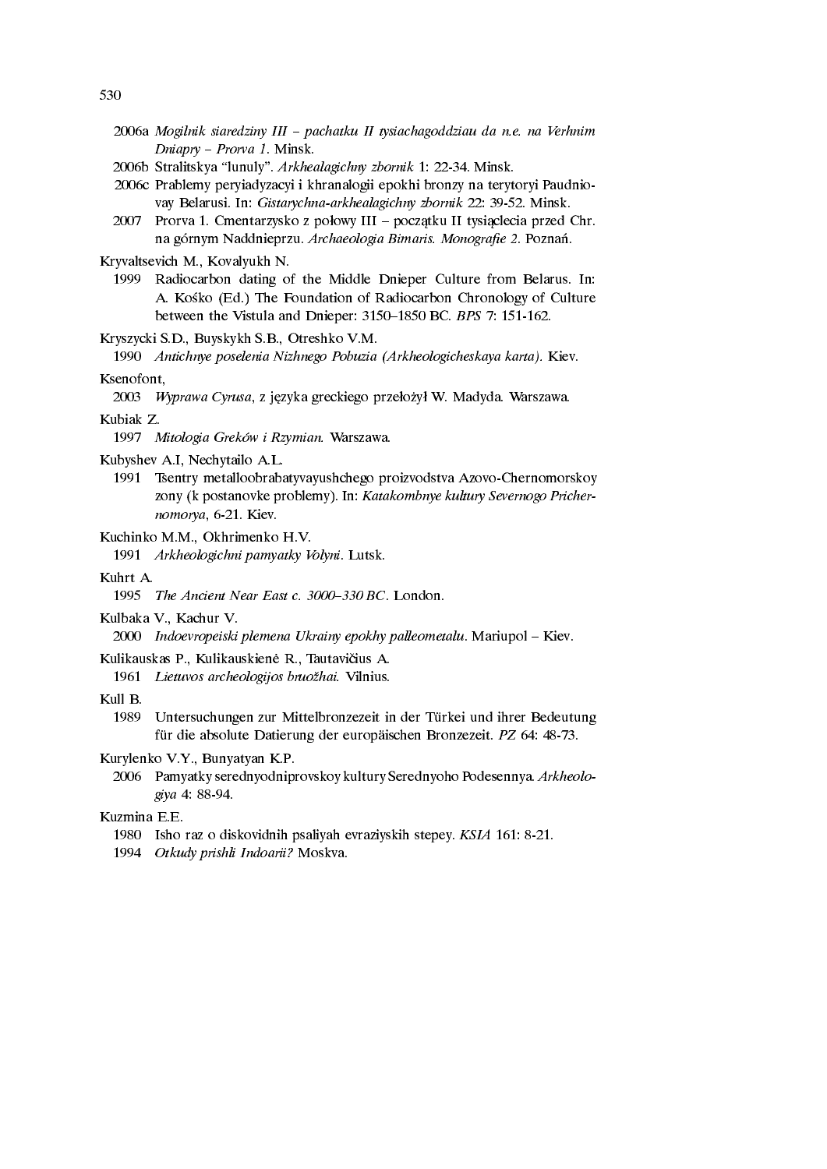- 2006a Mogilnik siaredziny III pachatku II tysiachagoddziau da n.e. na Verhnim Dniaprv – Prorva 1. Minsk.
- 2006b Stralitskya "lunuly". Arkhealagichny zbornik 1: 22-34. Minsk.
- 2006c Prablemy perviadyzacyi i khranalogii epokhi bronzy na terytoryi Paudniovay Belarusi. In: Gistarychna-arkhealagichny zbornik 22: 39-52. Minsk.
- 2007 Prorva 1. Cmentarzysko z połowy III początku II tysiąclecia przed Chr. na górnym Naddnieprzu. Archaeologia Bimaris. Monografie 2. Poznań.
- Kryvaltsevich M., Kovalyukh N.
	- 1999 Radiocarbon dating of the Middle Dnieper Culture from Belarus. In: A. Kośko (Ed.) The Foundation of Radiocarbon Chronology of Culture between the Vistula and Dnieper: 3150–1850 BC. BPS 7: 151-162.

Kryszycki S.D., Buyskykh S.B., Otreshko V.M. 1990 Antichnye poselenia Nizhnego Pobuzia (Arkheologicheskaya karta). Kiev.

### Ksenofont.

Wyprawa Cyrusa, z języka greckiego przełożył W. Madyda. Warszawa. 2003

#### Kubiak Z.

- 1997 Mitologia Greków i Rzymian. Warszawa.
- Kubyshev A.I. Nechytailo A.L.
	- 1991 Tsentry metalloobrabatyvayushchego proizvodstva Azovo-Chernomorskov zony (k postanovke problemy). In: Katakombnye kultury Severnogo Prichernomorva, 6-21. Kiev.
- Kuchinko M.M., Okhrimenko H.V.

1991 Arkheologichni pamyatky Volyni. Lutsk.

## Kuhrt A.

1995 The Ancient Near East c. 3000–330 BC. London.

### Kulbaka V., Kachur V.

2000 Indoevropeiski plemena Ukrainy epokhy palleometalu. Mariupol – Kiev.

#### Kulikauskas P., Kulikauskienė R., Tautavičius A.

1961 Lietuvos archeologijos bruožhai. Vilnius.

### Kull B.

1989 Untersuchungen zur Mittelbronzezeit in der Türkei und ihrer Bedeutung für die absolute Datierung der europäischen Bronzezeit. PZ 64: 48-73.

## Kurylenko V.Y., Bunyatyan K.P.

2006 Pamyatky serednyodniprovskoy kultury Serednyoho Podesennya. Arkheologiya 4: 88-94.

### Kuzmina E.E.

- 1980 Isho raz o diskovidnih psaliyah evraziyskih stepey. KSIA 161: 8-21.
- 1994 Otkudy prishli Indoarii? Moskva.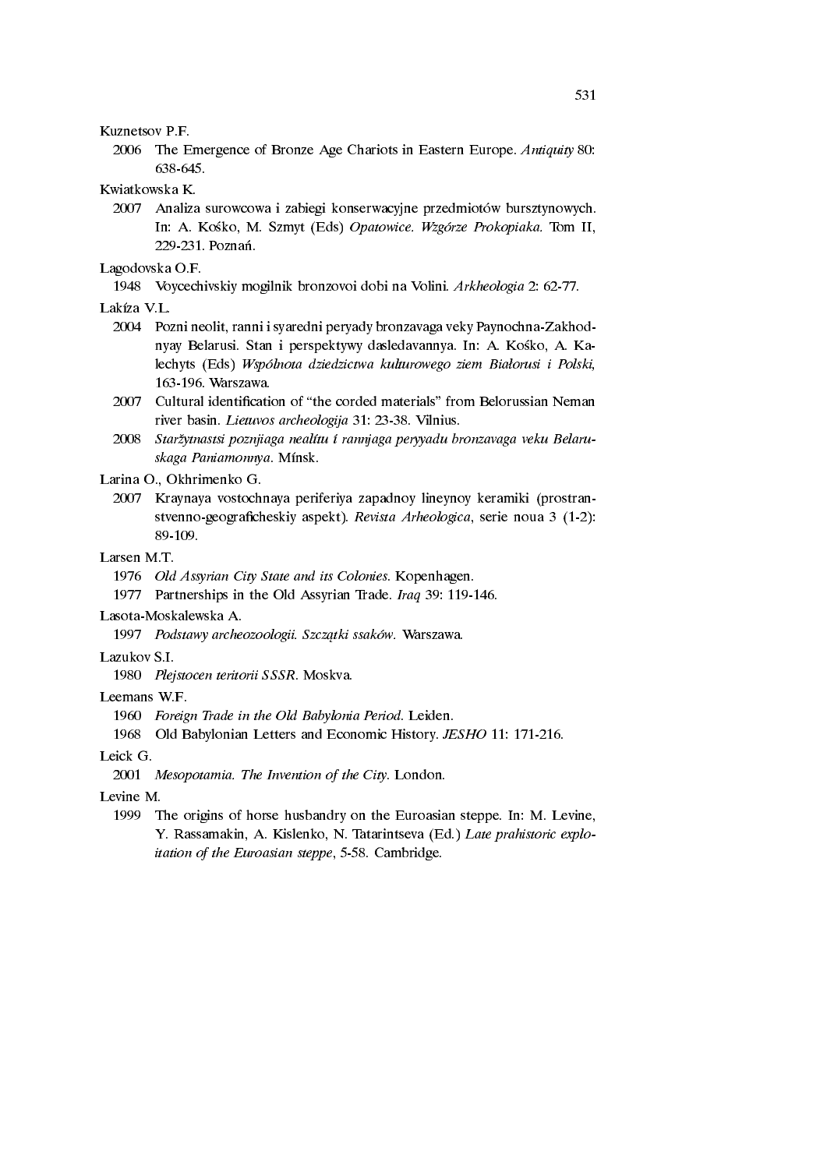Kuznetsov P.F.

2006 The Emergence of Bronze Age Chariots in Eastern Europe. Antiquity 80: 638-645

Kwiatkowska K.

2007 Analiza surowcowa i zabiegi konserwacyjne przedmiotów bursztynowych. In: A. Kośko, M. Szmyt (Eds) Opatowice. Wzgórze Prokopiaka. Tom II, 229-231. Poznań.

Lagodovska O.F.

1948 Voycechivskiy mogilnik bronzovoi dobi na Volini. Arkheologia 2: 62-77.

Lakíza V.L.

- 2004 Pozni neolit, ranni i syaredni peryady bronzavaga veky Paynochna-Zakhodnyay Belarusi. Stan i perspektywy dasledavannya. In: A. Kośko, A. Kalechyts (Eds) Wspólnota dziedzictwa kulturowego ziem Białorusi i Polski, 163-196. Warszawa.
- 2007 Cultural identification of "the corded materials" from Belorussian Neman river basin. Lietuvos archeologija 31: 23-38. Vilnius.
- 2008 Staržytnastsi poznjiaga nealítu í rannjaga peryyadu bronzavaga veku Belaruskaga Paniamonnya, Mínsk.

#### Larina O., Okhrimenko G.

2007 Kraynaya vostochnaya periferiya zapadnoy lineynoy keramiki (prostranstvenno-geograficheskiy aspekt). Revista Arheologica, serie noua 3 (1-2): 89-109.

Larsen MT

1976 Old Assyrian City State and its Colonies. Kopenhagen.

1977 Partnerships in the Old Assyrian Trade. Iraq 39: 119-146.

Lasota-Moskalewska A.

1997 Podstawy archeozoologii. Szczątki ssaków. Warszawa.

Lazukov S.I.

1980 Plejstocen teritorii SSSR. Moskva.

## Leemans W.F.

1960 Foreign Trade in the Old Babylonia Period. Leiden.

1968 Old Babylonian Letters and Economic History. JESHO 11: 171-216.

Leick G.

2001 Mesopotamia. The Invention of the City. London.

Levine M.

1999 The origins of horse husbandry on the Euroasian steppe. In: M. Levine, Y. Rassamakin, A. Kislenko, N. Tatarintseva (Ed.) Late prahistoric explo*itation of the Euroasian steppe*, 5-58. Cambridge.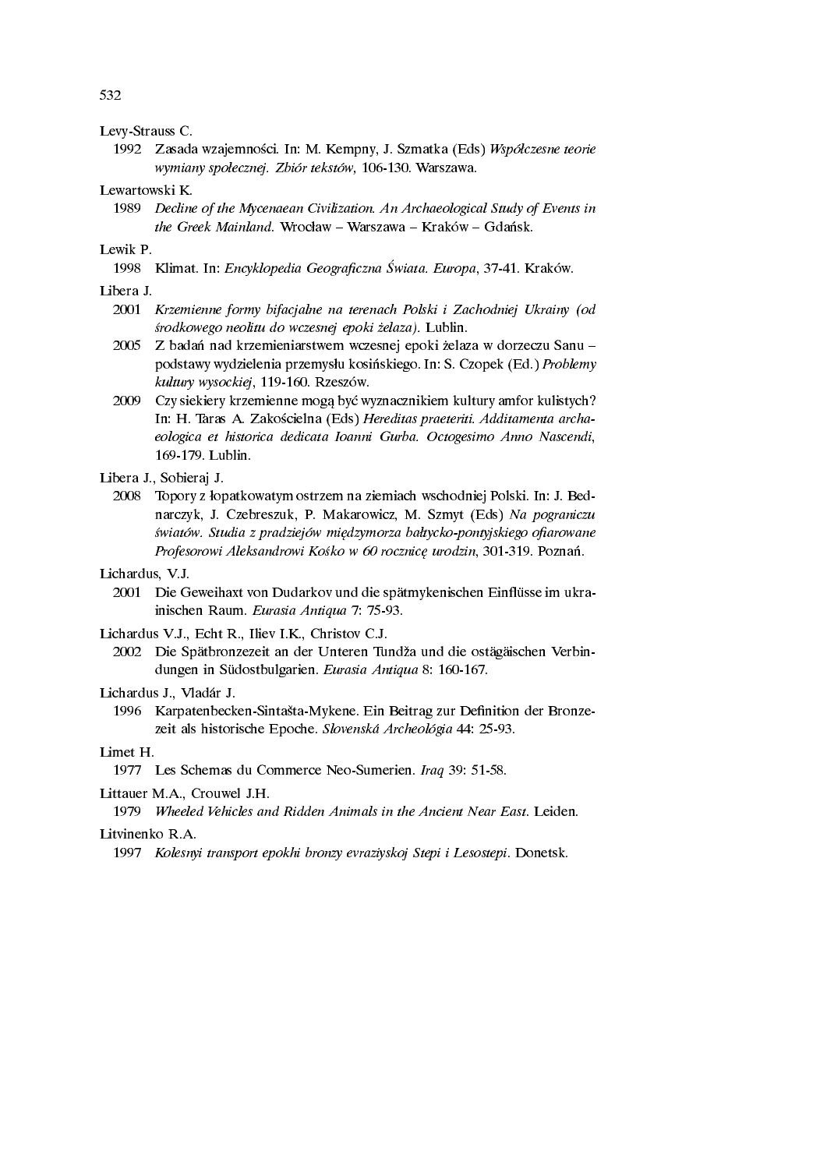### Levy Strauss C.

1992 Zasada wzajemności. In: M. Kempny, J. Szmatka (Eds) Współczesne teorie wymiany społecznej. Zbiór tekstów, 106-130. Warszawa.

## Lewartowski K.

1989 Decline of the Mycenaean Civilization. An Archaeological Study of Events in the Greek Mainland, Wrocław – Warszawa – Kraków – Gdańsk,

## Lewik P.

1998 Klimat. In: *Encyklopedia Geograficzna Świata. Europa*, 37-41, Kraków.

#### Libera J.

- 2001 Krzemienne formy bifacjalne na terenach Polski i Zachodniej Ukrainy (od środkowego neolitu do wczesnej epoki żelaza). Lublin.
- Z badań nad krzemieniarstwem wczesnej epoki żelaza w dorzeczu Sanu 2005 podstawy wydzielenia przemysłu kosińskiego. In: S. Czopek (Ed.) Problemy kultury wysockiej, 119-160. Rzeszów.
- 2009 Czy siękiery krzemienne mogą być wyznacznikiem kultury amfor kulistych? In: H. Taras A. Zakościelna (Eds) Hereditas praeteriti. Additamenta archaeologica et historica dedicata Ioanni Gurba. Octogesimo Anno Nascendi, 169-179 Lublin
- Libera J., Sobierai J.
	- Topory z łopatkowatym ostrzem na ziemiach wschodniej Polski. In: J. Bed-2008 narczyk, J. Czębreszuk, P. Makarowicz, M. Szmyt (Eds) Na pograniczu światów. Studia z pradziejów międzymorza bałtycko-pontyjskiego ofiarowane Profesorowi Aleksandrowi Kośko w 60 rocznice urodzin, 301-319, Poznań.
- Lichardus, V.J.
	- 2001 Die Geweihaxt von Dudarkov und die spätmykenischen Einflüsse im ukrainischen Raum. Eurasia Antiqua 7: 75-93.

Lichardus V.J., Echt R., Iliev I.K., Christov C.J.

2002 Die Spätbronzezeit an der Unteren Tundža und die ostägäischen Verbindungen in Südostbulgarien, Eurasia Antiqua 8: 160-167.

## Lichardus J., Vladár J.

1996 Karpatenbecken-Sintašta-Mykene, Ein Beitrag zur Definition der Bronzezeit als historische Epoche. Slovenská Archeológia 44: 25-93.

### Limet H.

1977 Les Schemas du Commerce Neo-Sumerien. Iraq 39: 51-58.

#### Littauer M.A., Crouwel J.H.

1979 Wheeled Vehicles and Ridden Animals in the Ancient Near East, Leiden.

## Litvinenko R.A.

1997 Kolesnyi transport epokhi bronzy evraziyskoj Stepi i Lesostepi, Donetsk.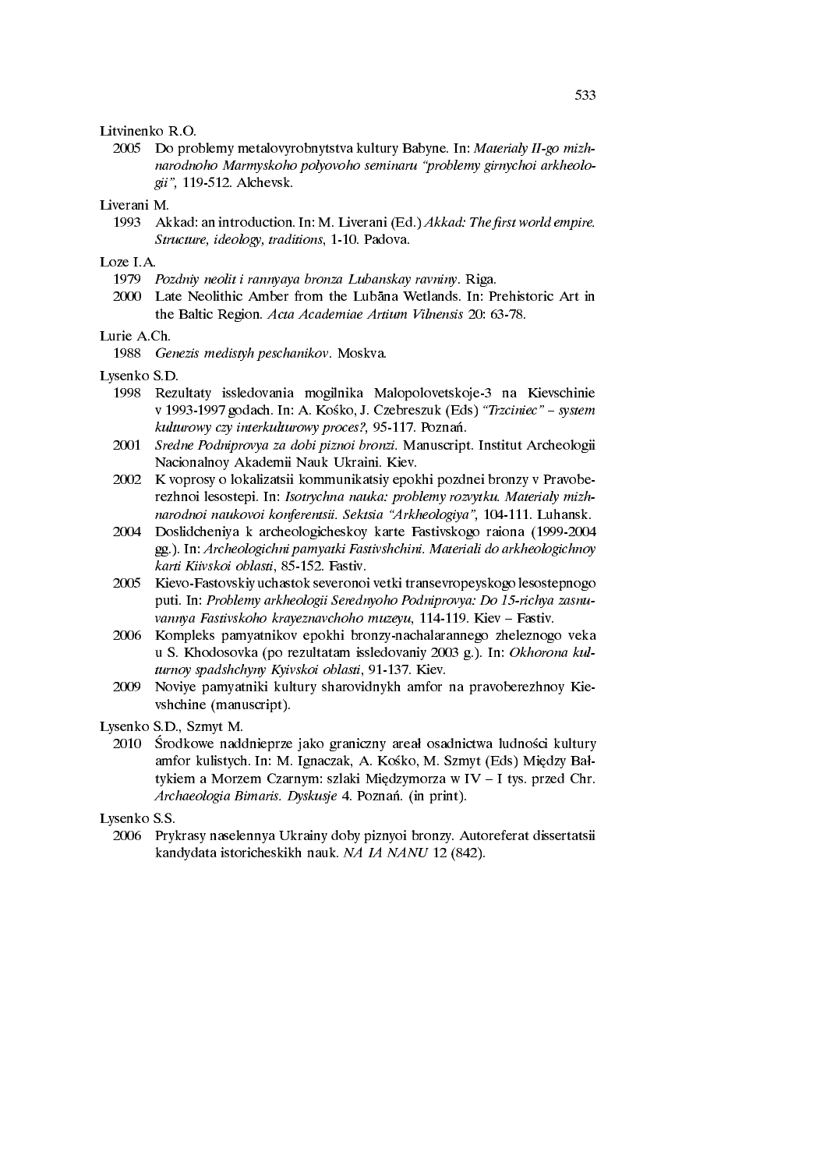## Litvinenko R.O.

2005 Do problemy metalovyrobnytstva kultury Babyne. In: Materialy II-go mizhnarodnoho Marmyskoho polyovoho seminaru "problemy girnychoi arkheologii", 119-512. Alchevsk.

## Liverani M.

1993 Akkad: an introduction. In: M. Liverani (Ed.) Akkad: The first world empire. Structure, ideology, traditions, 1-10. Padova.

## Loze LA

- 1979 Pozdniy neolit i rannyaya bronza Lubanskay ravniny. Riga.
- 2000 Late Neolithic Amber from the Lubāna Wetlands. In: Prehistoric Art in the Baltic Region. Acta Academiae Artium Vilnensis 20: 63-78.

## Lurie A.Ch.

1988 Genezis medistyh peschanikov. Moskva.

#### Lysenko S.D.

- 1998 Rezultaty issledovania mogilnika Malopolovetskoje-3 na Kievschinie v 1993-1997 godach. In: A. Kośko, J. Czebreszuk (Eds) "Trzciniec" – system kulturowy czy interkulturowy proces?, 95-117. Poznań.
- Sredne Podniprovya za dobi piznoi bronzi. Manuscript. Institut Archeologii 2001 Nacionalnoy Akademii Nauk Ukraini. Kiev.
- 2002 K voprosy o lokalizatsii kommunikatsiy epokhi pozdnei bronzy v Pravoberezhnoi lesostepi. In: Isotrychna nauka: problemy rozvytku. Materialy mizhnarodnoi naukovoi konferentsii. Sektsia "Arkheologiya", 104-111. Luhansk.
- 2004 Doslidcheniya k archeologicheskoy karte Fastivskogo raiona (1999-2004 gg.), In: Archeologichni pamvatki Fastivshchini. Materiali do arkheologichnov karti Kiivskoi oblasti, 85-152. Fastiv.
- 2005 Kievo-Fastovskiy uchastok severonoi vetki transevropevskogo lesostepnogo puti. In: Problemy arkheologii Serednyoho Podniprovya: Do 15-richya zasnuvannya Fastivskoho kraveznavchoho muzevu, 114-119. Kiev – Fastiv.
- 2006 Kompleks pamyatnikov epokhi bronzy-nachalarannego zheleznogo veka u S. Khodosovka (po rezultatam issledovaniy 2003 g.). In: Okhorona kulturnov spadshchyny Kyivskoi oblasti, 91-137, Kiev.
- Noviye pamyatniki kultury sharovidnykh amfor na pravoberezhnov Kie-2009 vshchine (manuscript).

Lysenko S.D., Szmyt M.

2010 Środkowe naddnieprze jako graniczny areał osadnictwa ludności kultury amfor kulistych. In: M. Ignaczak, A. Kośko, M. Szmyt (Eds) Miedzy Bałtykiem a Morzem Czarnym: szlaki Międzymorza w IV – I tys. przed Chr. Archaeologia Bimaris. Dyskusje 4. Poznań. (in print).

#### Lysenko S.S.

2006 Prykrasy naselennya Ukrainy doby piznyoi bronzy. Autoreferat dissertatsii kandydata istoricheskikh nauk. NA IA NANU 12 (842).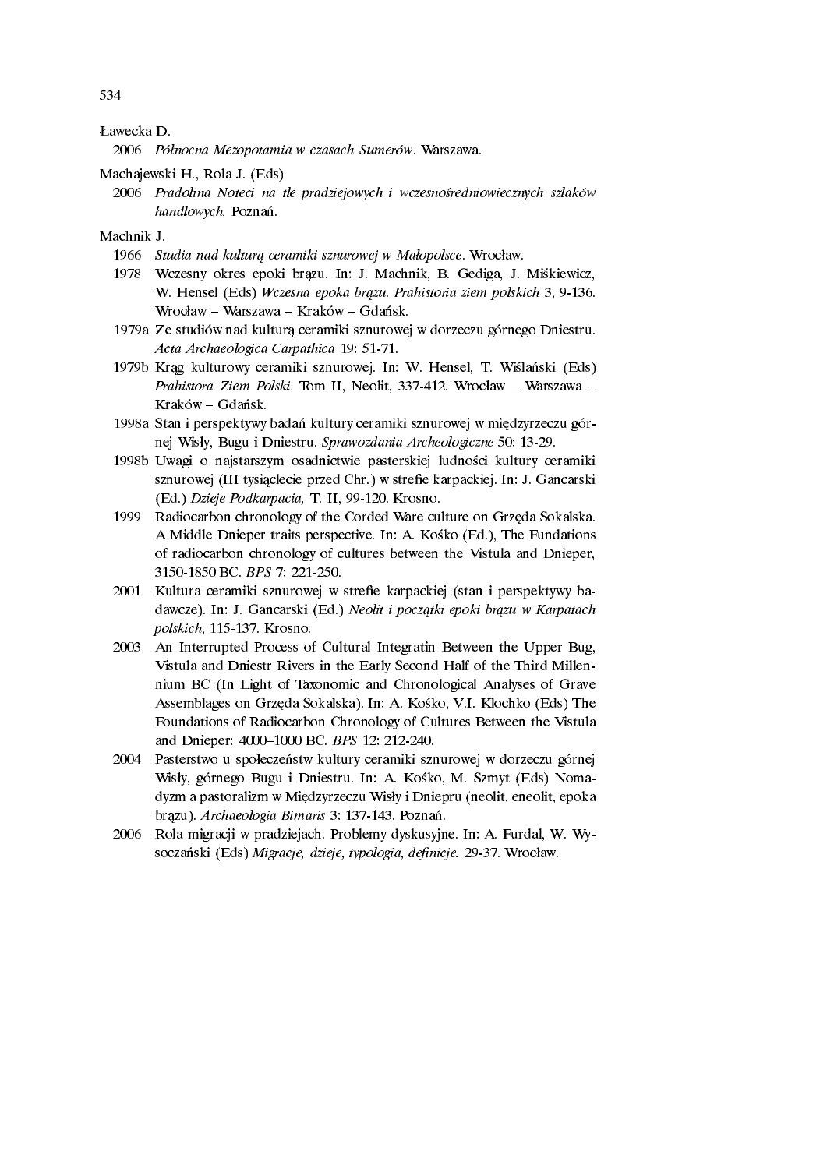Lawecka D.

2006 Północna Mezopotamia w czasach Sumerów, Warszawa,

- Machajewski H., Rola J. (Eds)
	- 2006 Pradolina Noteci na tle pradziejowych i wczesnośredniowiecznych szlaków handlowych. Poznań.

## Machnik I.

- 1966 Studia nad kultura ceramiki sznurowej w Małopolsce, Wrocław.
- 1978 Wczesny okres epoki brazu. In: J. Machnik, B. Gediga, J. Miśkiewicz, W. Hensel (Eds) Wczesna epoka brazu. Prahistoria ziem polskich 3, 9-136. Wrocław – Warszawa – Kraków – Gdańsk.
- 1979a Ze studiów nad kulturą ceramiki sznurowej w dorzeczu górnego Dniestru. Acta Archaeologica Carpathica 19: 51-71.
- 1979b Krag kulturowy ceramiki sznurowej. In: W. Hensel, T. Wiślański (Eds) Prahistora Ziem Polski. Tom II, Neolit, 337-412. Wrocław – Warszawa – Kraków – Gdańsk.
- 1998a Stan i perspektywy badań kultury ceramiki sznurowej w miedzyrzeczu górnej Wisły, Bugu i Dniestru. Sprawozdania Archeologiczne 50: 13-29.
- 1998b Uwagi o najstarszym osadnictwie pasterskiej ludności kultury ceramiki sznurowej (III tysiąclecie przed Chr.) w stręfię karpackiej. In: J. Gancarski (Ed.) Dzieje Podkarpacia, T. II, 99-120. Krosno.
- Radiocarbon chronology of the Corded Ware culture on Grzęda Sokalska. 1999 A Middle Dnieper traits perspective. In: A. Kosko (Ed.), The Fundations of radiocarbon chronology of cultures between the Vistula and Dnieper, 3150-1850 BC. BPS 7: 221-250.
- 2001 Kultura ceramiki sznurowej w strefie karpackiej (stan i perspektywy badawcze). In: J. Gancarski (Ed.) Neolit i początki epoki brązu w Karpatach polskich, 115-137. Krosno.
- An Interrupted Process of Cultural Integratin Between the Upper Bug, 2003 Vistula and Dniestr Rivers in the Early Second Half of the Third Millennium BC (In Light of Taxonomic and Chronological Analyses of Grave Assemblages on Grzęda Sokalska). In: A. Kośko, V.I. Klochko (Eds) The Foundations of Radiocarbon Chronology of Cultures Between the Vistula and Dnieper: 4000-1000 BC. BPS 12: 212-240.
- 2004 Pasterstwo u społeczeństw kultury ceramiki sznurowej w dorzeczu górnej Wisły, górnego Bugu i Dniestru. In: A. Kośko, M. Szmyt (Eds) Nomadyzm a pastoralizm w Miedzyrzeczu Wisły i Dniepru (neolit, eneolit, epoka brazu). Archaeologia Bimaris 3: 137-143. Poznań.
- Rola migracji w pradziejach. Problemy dyskusyjne. In: A. Furdal, W. Wy-2006 soczański (Eds) Migracje, dzieje, typologia, definicje. 29-37. Wrocław.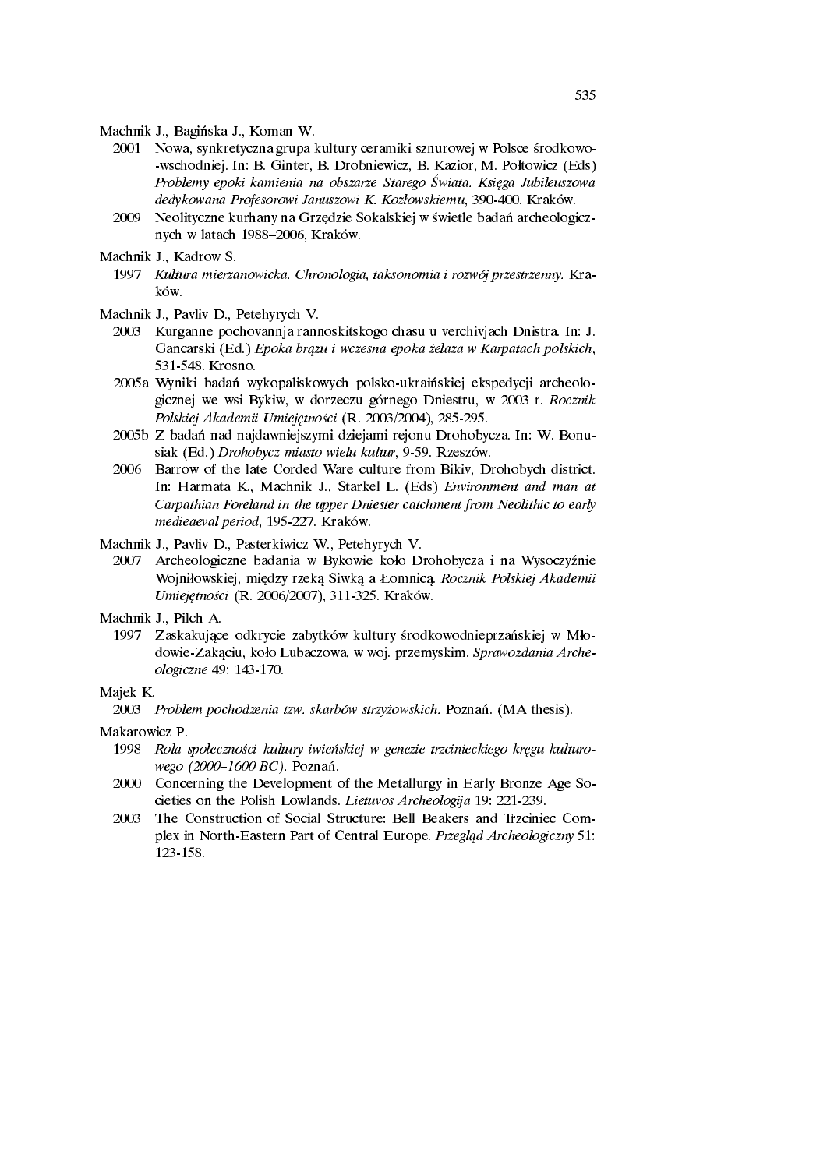- Machnik J., Bagińska J., Koman W.
	- Nowa, synkretyczna grupa kultury ceramiki sznurowej w Polsce środkowo-2001 -wschodniej. In: B. Ginter, B. Drobniewicz, B. Kazior, M. Połtowicz (Eds) Problemy epoki kamienia na obszarze Starego Świata. Księga Jubileuszowa dedykowana Profesorowi Januszowi K. Kozłowskiemu, 390-400. Kraków.
	- 2009 Neolityczne kurhany na Grzedzie Sokalskiej w świetle badań archeologicznych w latach 1988-2006, Kraków.
- Machnik J., Kadrow S.
	- 1997 Kultura mierzanowicka. Chronologia, taksonomia i rozwój przestrzenny. Kraków.
- Machnik J., Pavliv D., Petehyrych V.
	- 2003 Kurganne pochovannja rannoskitskogo chasu u verchivjach Dnistra. In: J. Gancarski (Ed.) Epoka brązu i wczesna epoka żelaza w Karpatach polskich, 531 548. Krosno.
	- 2005a Wyniki badań wykopaliskowych polsko-ukraińskiej ekspedycji archeologicznej we wsi Bykiw, w dorzeczu górnego Dniestru, w 2003 r. Rocznik Polskiej Akademii Umiejętności (R. 2003/2004), 285-295.
	- 2005b Z badań nad najdawniejszymi dziejami rejonu Drohobycza. In: W. Bonusiak (Ed.) Drohobycz miasto wielu kultur, 9-59, Rzeszów.
	- Barrow of the late Corded Ware culture from Bikiv, Drohobych district. 2006 In: Harmata K., Machnik J., Starkel L. (Eds) Environment and man at Carpathian Foreland in the upper Dniester catchment from Neolithic to early medieaeval period, 195-227. Kraków.
- Machnik J., Pavliv D., Pasterkiwicz W., Petehyrych V.
	- 2007 Archeologiczne badania w Bykowie koło Drohobycza i na Wysoczyźnie Wojniłowskiej, między rzeką Siwką a Łomnicą. Rocznik Polskiej Akademii Umiejętności (R. 2006/2007), 311-325. Kraków.

## Machnik J., Pilch A.

1997 Zaskakujące odkrycie zabytków kultury środkowodnieprzańskiej w Młodowie-Zakąciu, koło Lubaczowa, w woj. przemyskim. Sprawozdania Archeologiczne 49: 143-170.

#### Majek K.

2003 Problem pochodzenia tzw. skarbów strzyżowskich. Poznań. (MA thesis).

### Makarowicz P.

- 1998 Rola społeczności kultury iwieńskiej w genezie trzcinieckiego kregu kulturowego (2000-1600 BC). Poznań.
- 2000 Concerning the Development of the Metallurgy in Early Bronze Age Societies on the Polish Lowlands. *Lietuvos Archeologija* 19: 221-239.
- 2003 The Construction of Social Structure: Bell Beakers and Trzciniec Complex in North-Eastern Part of Central Europe. Przegląd Archeologiczny 51: 123-158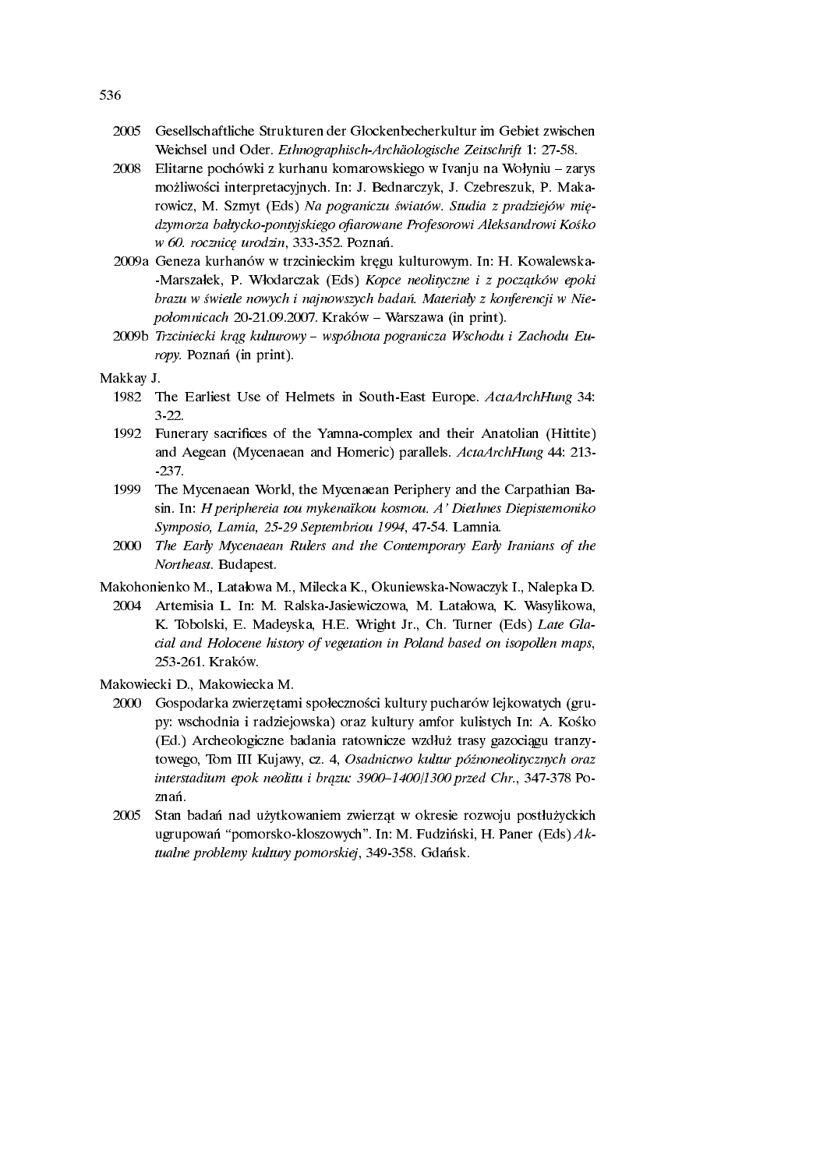- Gesellschaftliche Strukturen der Glockenbecherkultur im Gebiet zwischen 2005 Weichsel und Oder. Ethnographisch-Archäologische Zeitschrift 1: 27-58.
- Elitarne pochówki z kurhanu komarowskiego w Ivaniu na Wołyniu zarys 2008 możliwości interpretacyjnych. In: J. Bednarczyk, J. Czębreszuk, P. Makarowicz, M. Szmyt (Eds) Na pograniczu światów. Studia z pradziejów miedzymorza bałtycko-pontyjskiego ofiarowane Profesorowi Aleksandrowi Kośko w 60. rocznice urodzin, 333-352, Poznań.
- 2009a Geneza kurhanów w trzcinieckim kregu kulturowym. In: H. Kowalewska--Marszałek, P. Włodarczak (Eds) Kopce neolityczne i z poczatków epoki brazu w świetle nowych i najnowszych badań. Materiały z konferencji w Niepołomnicach 20-21.09.2007. Kraków – Warszawa (in print).
- 2009b Trzciniecki krąg kulturowy wspólnota pogranicza Wschodu i Zachodu Europy. Poznań (in print).

### Makkay J.

- 1982 The Earliest Use of Helmets in South-East Europe. ActaArchHung 34:  $3 - 22$
- 1992 Funerary sacrifices of the Yamna-complex and their Anatolian (Hittite) and Aegean (Mycenaean and Homeric) parallels. ActaArchHung 44: 213- $-237.$
- 1999 The Mycenaean World, the Mycenaean Periphery and the Carpathian Basin, In: H periphereia tou mykenaïkou kosmou. A' Diethnes Diepistemoniko Symposio, Lamia, 25-29 Septembriou 1994, 47-54. Lamnia.
- 2000 The Early Mycenaean Rulers and the Contemporary Early Iranians of the Northeast, Budapest.
- Makohonienko M., Latałowa M., Milecka K., Okuniewska-Nowaczyk I., Nalepka D.
	- 2004 Artemisia L. In: M. Ralska-Jasiewiczowa, M. Latałowa, K. Wasylikowa, K. Tobolski, E. Madeyska, H.E. Wright Jr., Ch. Turner (Eds) Late Glacial and Holocene history of vegetation in Poland based on isopollen maps, 253-261. Kraków.
- Makowiecki D., Makowiecka M.
	- 2000 Gospodarka zwierzętami społeczności kultury pucharów lejkowatych (grupy: wschodnia i radziejowska) oraz kultury amfor kulistych In: A. Kośko (Ed.) Archeologiczne badania ratownicze wzdłuż trasy gazociągu tranzytowego, Tom III Kujawy, cz. 4, Osadnictwo kultur późnoneolitycznych oraz interstadium epok neolitu i brązu: 3900-1400/1300 przed Chr., 347-378 Poznań.
	- 2005 Stan badań nad użytkowaniem zwierząt w okresie rozwoju postłużyckich ugrupowań "pomorsko-kloszowych". In: M. Fudziński, H. Paner (Eds) Aktualne problemy kultury pomorskiej, 349-358. Gdańsk.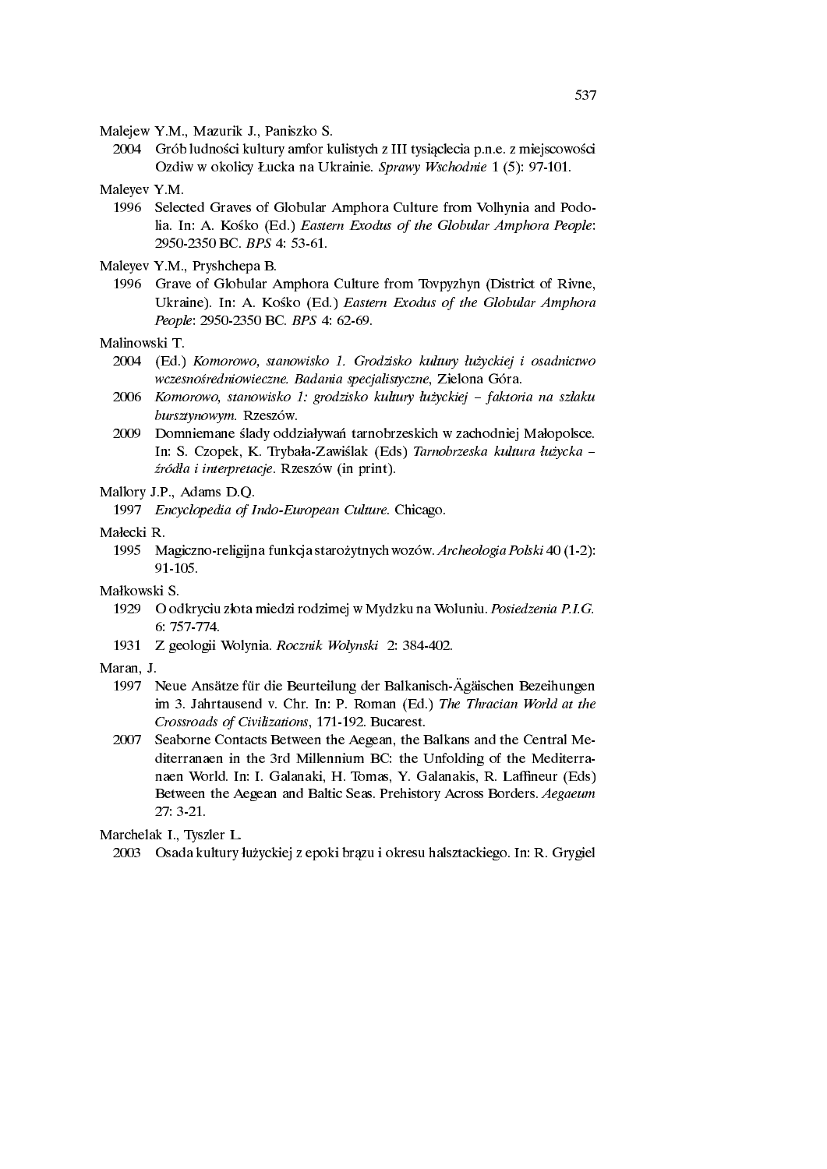Malejew Y.M., Mazurik J., Paniszko S.

- 2004 Grób ludności kultury amfor kulistych z III tysiąclecia p.n.e. z miejscowości Ozdiw w okolicy Łucka na Ukrainie. Sprawy Wschodnie 1 (5): 97-101.
- Maleyev Y.M.
	- 1996 Selected Graves of Globular Amphora Culture from Volhynia and Podolia. In: A. Kośko (Ed.) Eastern Exodus of the Globular Amphora People: 2950-2350 BC. BPS 4: 53-61.
- Maleyev Y.M., Pryshchepa B.
	- 1996 Grave of Globular Amphora Culture from Tovpyzhyn (District of Rivne, Ukraine), In: A. Kośko (Ed.) Eastern Exodus of the Globular Amphora People: 2950-2350 BC. BPS 4: 62-69.
- Malinowski T.
	- 2004 (Ed.) Komorowo, stanowisko 1. Grodzisko kultury łużyckiej i osadnictwo wczesnośredniowieczne. Badania specjalistyczne, Zielona Góra.
	- 2006 Komorowo, stanowisko 1: grodzisko kultury łużyckiej faktoria na szlaku bursztynowym. Rzeszów.
	- 2009 Domniemane ślady oddziaływań tarnobrzeskich w zachodniej Małopolsce. In: S. Czopek, K. Trybała-Zawiślak (Eds) Tarnobrzeska kultura łużycka – źródła i interpretacje. Rzeszów (in print).
- Mallory J.P., Adams D.O.

1997 Encyclopedia of Indo-European Culture. Chicago.

- Małecki R
	- 1995 Magiczno-religijna funkcja starożytnych wozów. Archeologia Polski 40 (1-2):  $91 - 105$
- Małkowski S.
	- 1929 O odkryciu złota miedzi rodzimej w Mydzku na Woluniu, Posiedzenia P.I.G. 6: 757-774.
	- 1931 Z geologii Wolynia. Rocznik Wolynski 2: 384-402.
- Maran, J.
	- 1997 Neue Ansätze für die Beurteilung der Balkanisch-Ägäischen Bezeihungen im 3. Jahrtausend v. Chr. In: P. Roman (Ed.) The Thracian World at the Crossroads of Civilizations, 171-192. Bucarest.
	- 2007 Seaborne Contacts Between the Aegean, the Balkans and the Central Mediterranaen in the 3rd Millennium BC: the Unfolding of the Mediterranaen World. In: I. Galanaki, H. Tomas, Y. Galanakis, R. Laffineur (Eds) Between the Aegean and Baltic Seas. Prehistory Across Borders. Aegaeum  $27:3-21.$

Marchelak I., Tyszler L.

2003 Osada kultury łużyckiej z epoki brazu i okresu halsztackiego. In: R. Grygiel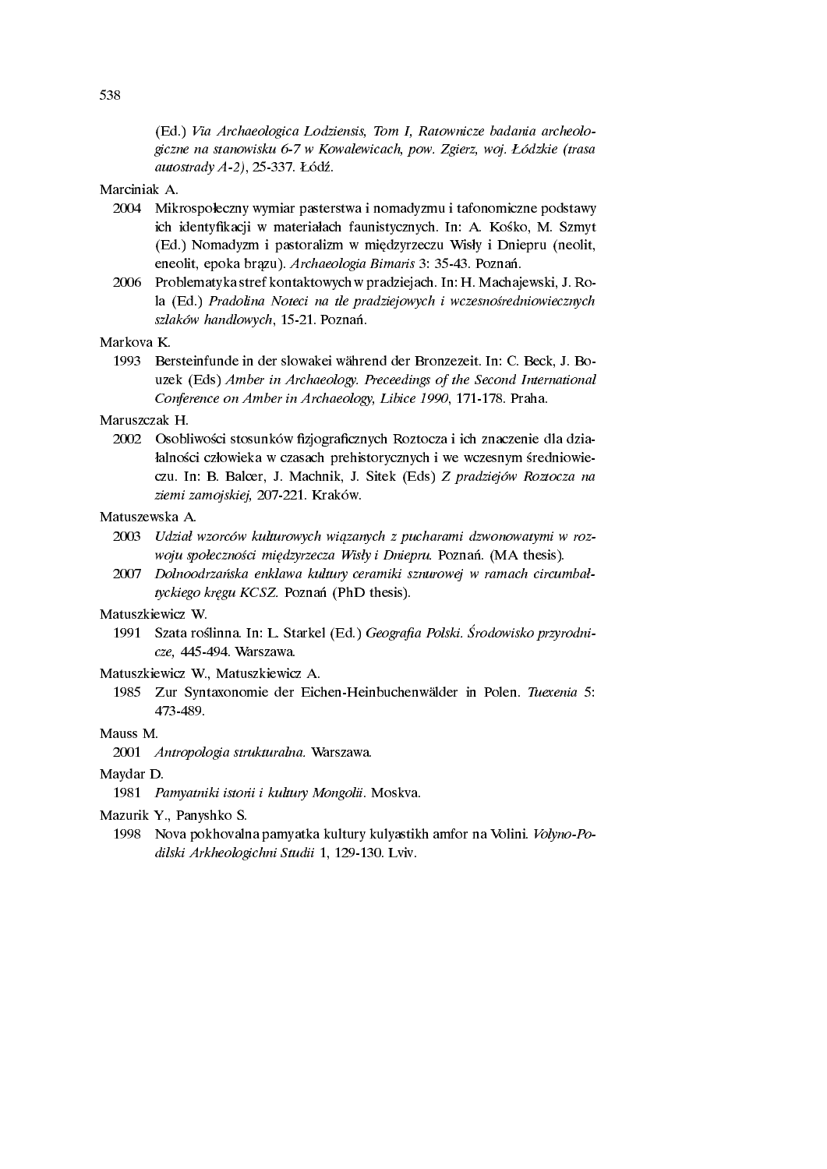(Ed.) Via Archaeologica Lodziensis, Tom I. Ratownicze badania archeologiczne na stanowisku 6-7 w Kowalewicach, pow. Zgierz, woj. Łódzkie (trasa autostrady A-2), 25-337. Łódź.

### Marciniak A.

- 2004 Mikrospołeczny wymiar pasterstwa i nomadyzmu i tafonomiczne podstawy ich identyfikacji w materiałach faunistycznych. In: A. Kośko, M. Szmyt (Ed.) Nomadyzm i pastoralizm w międzyrzeczu Wisły i Dniepru (neolit, eneolit, epoka brazu). Archaeologia Bimaris 3: 35-43. Poznań.
- 2006 Problematyka stref kontaktowych w pradziejach. In: H. Machajewski, J. Rola (Ed.) Pradolina Noteci na tle pradziejowych i wczesnośredniowiecznych szlaków handlowych, 15-21. Poznań.
- Markova K.
	- 1993 Bersteinfunde in der slowakei während der Bronzezeit. In: C. Beck. J. Bouzek (Eds) Amber in Archaeology. Preceedings of the Second International Conference on Amber in Archaeology, Libice 1990, 171-178. Praha.

Maruszczak H.

2002 Osobliwości stosunków fizjograficznych Roztocza i ich znaczenie dla działalności człowieka w czasach prehistorycznych i we wczesnym średniowieczu. In: B. Balcer, J. Machnik, J. Sitek (Eds) Z pradziejów Roztocza na ziemi zamojskiej, 207-221. Kraków.

Matuszewska A.

- 2003 Udział wzorców kulturowych wiązanych z pucharami dzwonowatymi w rozwoju społeczności międzyrzecza Wisły i Dniepru. Poznań. (MA thesis).
- 2007 Dolnoodrzańska enklawa kultury ceramiki sznurowej w ramach circumbałtyckiego kręgu KCSZ. Poznań (PhD thesis).

Matuszkiewicz W.

1991 Szata roślinna. In: L. Starkel (Ed.) Geografia Polski. Środowisko przyrodnicze. 445-494. Warszawa.

Matuszkiewicz W., Matuszkiewicz A.

1985 Zur Syntaxonomie der Eichen-Heinbuchenwälder in Polen. Tuexenia 5: 473-489

## Mauss M.

2001 Antropologia strukturalna. Warszawa.

#### Maydar D.

1981 Pamyatniki istorii i kultury Mongolii, Moskva.

- Mazurik Y., Panyshko S.
	- 1998 Nova pokhovalna pamyatka kultury kulyastikh amfor na Volini. Volyno-Podilski Arkheologichni Studii 1, 129-130. Lviv.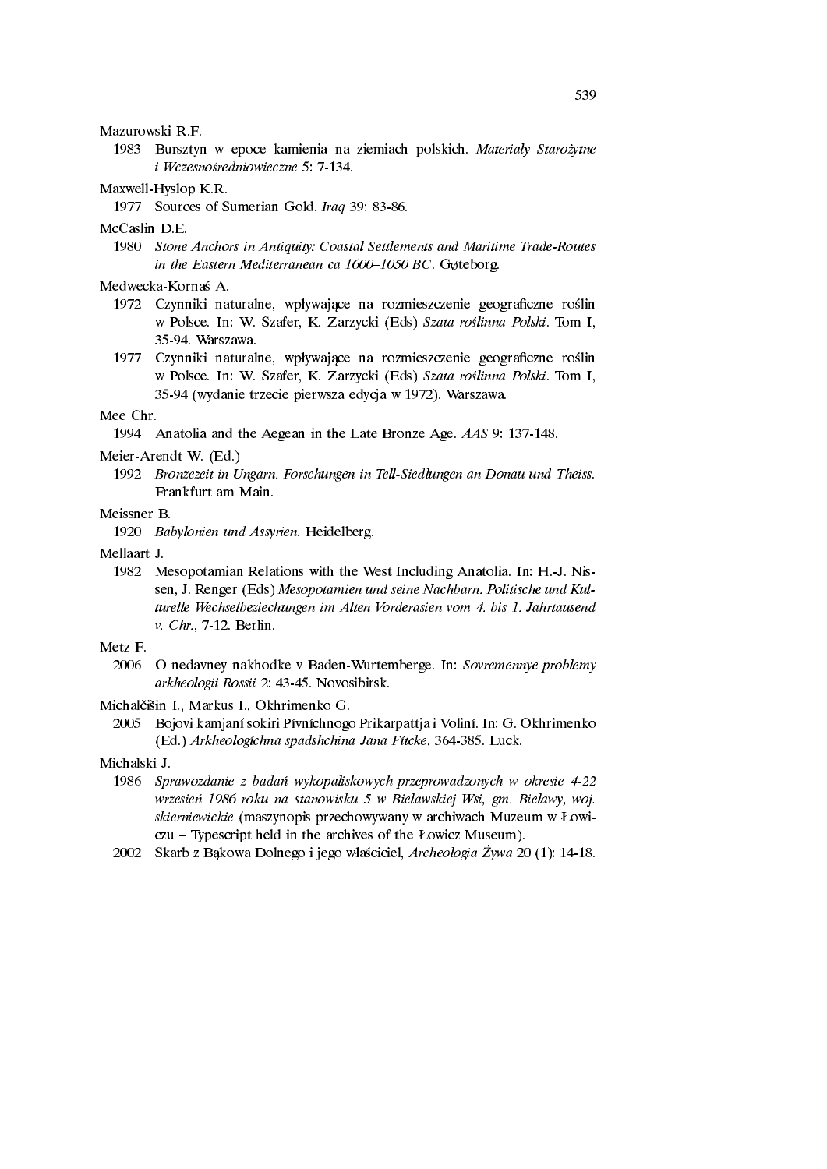#### Mazurowski R.F.

1983 Bursztyn w epoce kamienia na ziemiach polskich. Materiały Starożytne *i* Wczesnośredniowieczne 5: 7-134.

#### Maxwell-Hyslop K.R.

1977 Sources of Sumerian Gold. Iraq 39: 83-86.

#### McCaslin D.E.

1980 Stone Anchors in Antiquity: Coastal Settlements and Maritime Trade-Routes in the Eastern Mediterranean ca 1600-1050 BC. Gøteborg,

#### Medwecka-Kornaś A.

- 1972 Czynniki naturalne, wpływające na rozmieszczenie geograficzne roślin w Polsce. In: W. Szafer, K. Zarzycki (Eds) Szata roślinna Polski. Tom I, 35-94. Warszawa.
- 1977 Czynniki naturalne, wpływające na rozmieszczenie geograficzne roślin w Polsce. In: W. Szafer, K. Zarzycki (Eds) Szata roślinna Polski. Tom I, 35-94 (wydanie trzecie pierwsza edycja w 1972). Warszawa.

## Mee Chr.

1994 Anatolia and the Aegean in the Late Bronze Age. AAS 9: 137-148.

#### Meier-Arendt W. (Ed.)

1992 Bronzezeit in Ungarn. Forschungen in Tell-Siedlungen an Donau und Theiss, Frankfurt am Main.

## Meissner B

1920 Babylonien und Assyrien. Heidelberg.

### Mellaart J.

1982 Mesopotamian Relations with the West Including Anatolia. In: H.J. Nissen, J. Renger (Eds) Mesopotamien und seine Nachbarn. Politische und Kulturelle Wechselbeziechungen im Alten Vorderasien vom 4. bis 1. Jahrtausend  $v$ . Chr., 7-12. Berlin.

#### Metz F.

2006 O nedavney nakhodke v Baden-Wurtemberge. In: Sovremennye problemy arkheologii Rossii 2: 43-45. Novosibirsk.

#### Michalčišin I., Markus I., Okhrimenko G.

Bojovi kamjaní sokiri Pívníchnogo Prikarpattja i Voliní. In: G. Okhrimenko 2005 (Ed.) Arkheologíchna spadshchina Jana Fítcke, 364-385. Luck.

### Michalski J.

- 1986 Sprawozdanie z badań wykopaliskowych przeprowadzonych w okresie 4-22 wrzesień 1986 roku na stanowisku 5 w Bielawskiej Wsi, gm. Bielawy, woj. *skierniewickie* (maszynopis przechowywany w archiwach Muzeum w Łowi $czu$  – Typescript held in the archives of the Lowicz Museum).
- 2002 Skarb z Bakowa Dolnego i jego właściciel, Archeologia Żywa 20 (1): 14-18.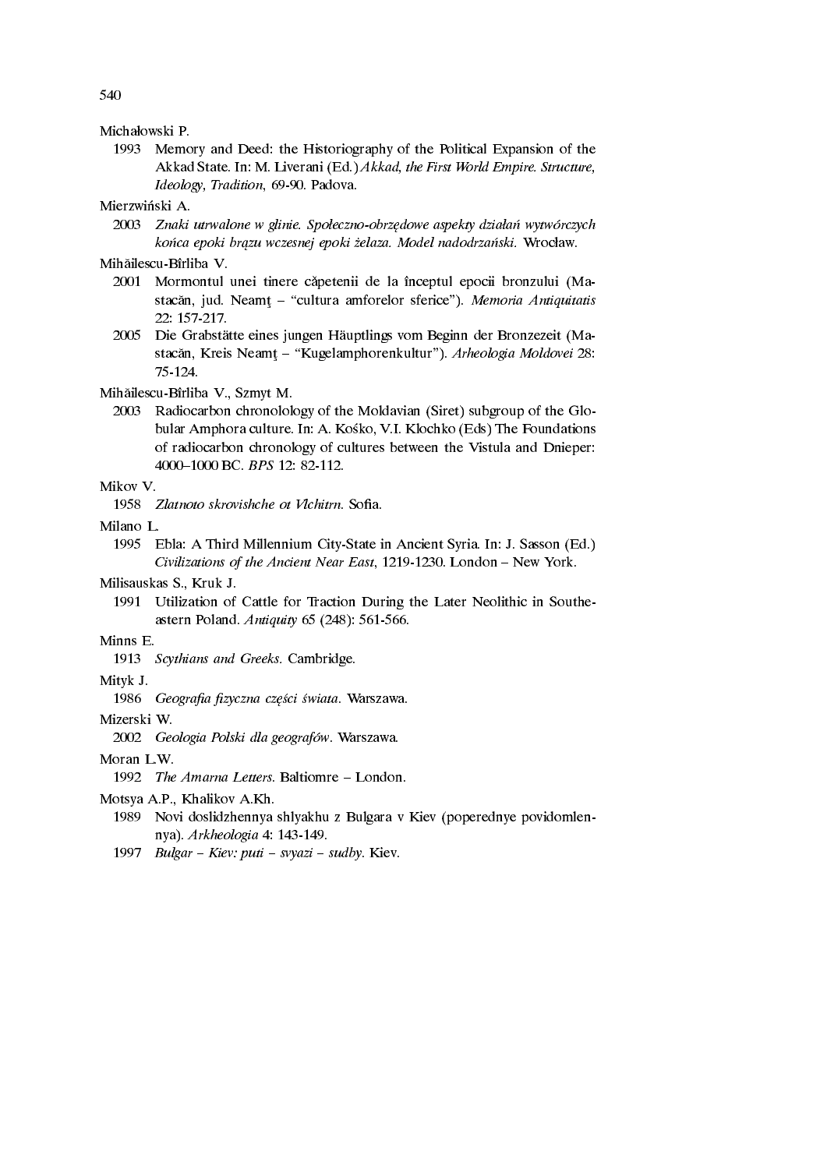Michałowski P.

1993 Memory and Deed: the Historiography of the Political Expansion of the Akkad State. In: M. Liverani (Ed.) Akkad, the First World Empire. Structure, Ideology, Tradition, 69-90, Padova,

## Mierzwiński A.

- 2003 Znaki utrwalone w glinie. Społeczno-obrzędowe aspekty działań wytwórczych końca epoki brazu wczesnej epoki żelaza. Model nadodrzański. Wrocław.
- Mihăilescu-Bîrliba V.
	- 2001 Mormontul unei tinere căpetenii de la începtul epocii bronzului (Mastacăn, jud. Neamț – "cultura amforelor sferice"). Memoria Antiquitatis 22: 157-217.
	- 2005 Die Grabstätte eines jungen Häuptlings vom Beginn der Bronzezeit (Mastacăn, Kreis Neamt – "Kugelamphorenkultur"), Arheologia Moldovei 28:  $75 - 124$

Mihăilescu-Bîrliba V., Szmyt M.

- 2003 Radiocarbon chronolology of the Moldavian (Siret) subgroup of the Globular Amphora culture, In: A. Kośko, V.I. Klochko (Eds) The Foundations of radiocarbon chronology of cultures between the Vistula and Dnieper: 4000-1000 BC. BPS 12: 82-112.
- Mikov V
	- 1958 Zlatnoto skrovishche ot Vlchitrn. Sofia.
- Milano L
	- 1995 Ebla: A Third Millennium City-State in Ancient Syria. In: J. Sasson (Ed.) Civilizations of the Ancient Near East, 1219-1230. London - New York.

Milisauskas S., Kruk J.

1991 Utilization of Cattle for Traction During the Later Neolithic in Southeastern Poland. Antiquity 65 (248): 561-566.

### Minns E.

1913 Scythians and Greeks. Cambridge.

## Mityk J.

1986 Geografia fizyczna części świata. Warszawa.

## Mizerski W.

2002 Geologia Polski dla geografów. Warszawa.

# Moran L.W.

1992 The Amarna Letters, Baltiomre - London.

#### Motsya A.P., Khalikov A.Kh.

- 1989 Novi doslidzhennya shlyakhu z Bulgara v Kiev (poperednye povidomlennya). Arkheologia 4: 143-149.
- 1997 Bulgar Kiev: puti svyazi sudby, Kiev.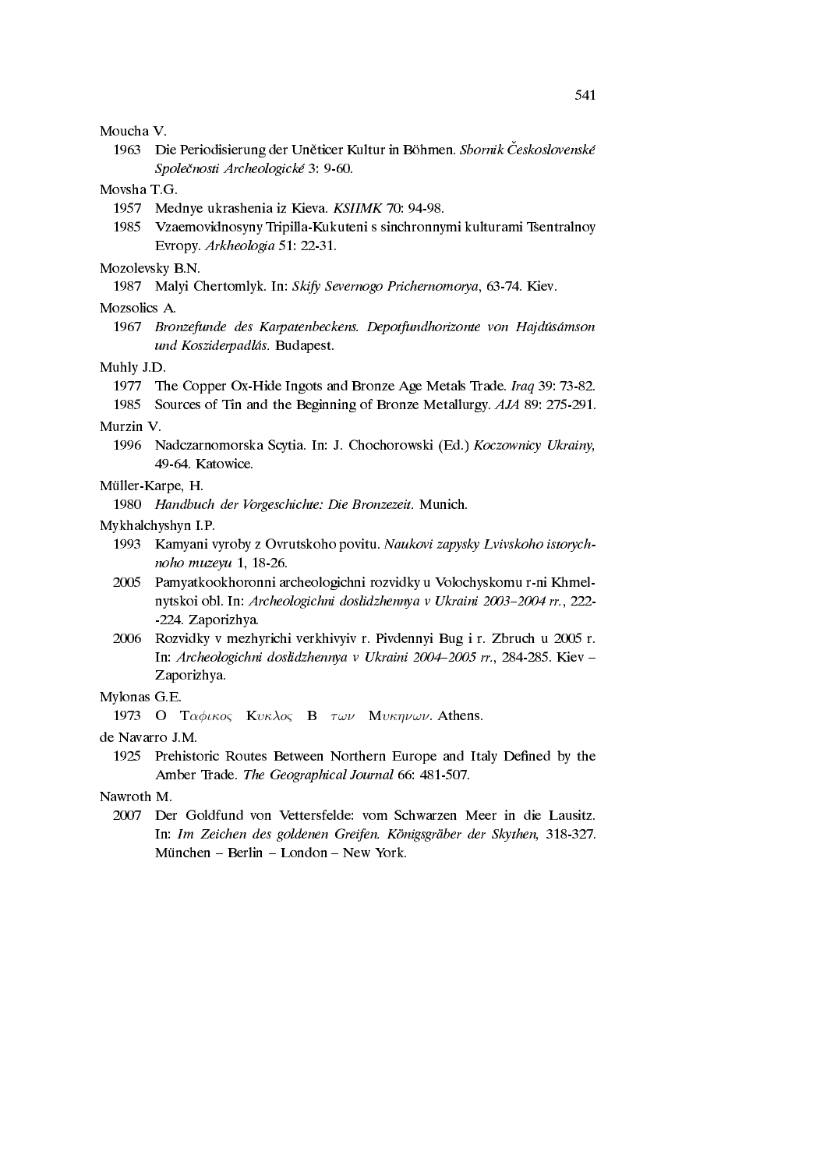### Moucha V.

1963 Die Periodisierung der Uněticer Kultur in Böhmen. Sbornik Československé Společnosti Archeologické 3: 9-60.

## Movsha T G

- 1957 Mednye ukrashenia iz Kieva. KSIIMK 70: 94-98.
- 1985 Vzaemovidnosyny Tripilla-Kukuteni s sinchronnymi kulturami Tsentralnov Evropy. Arkheologia 51: 22-31.

# Mozolevsky B.N.

1987 Malyi Chertomlyk. In: Skify Severnogo Prichernomorya, 63-74. Kiev.

## Mozsolics A.

1967 Bronzefunde des Karpatenbeckens. Depotfundhorizonte von Hajdúsámson und Kosziderpadlás. Budapest.

## Muhly J.D.

- 1977 The Copper Ox-Hide Ingots and Bronze Age Metals Trade. Iraq 39: 73-82.
- 1985 Sources of Tin and the Beginning of Bronze Metallurgy. AJA 89: 275-291.

## Murzin V.

1996 Nadczarnomorska Scytia. In: J. Chochorowski (Ed.) Koczownicy Ukrainy, 49-64. Katowice.

## Müller Karpe, H.

1980 Handbuch der Vorgeschichte: Die Bronzezeit. Munich.

## Mykhalchyshyn I.P.

- 1993 Kamyani vyroby z Ovrutskoho povitu. Naukovi zapysky Lvivskoho istorychnoho muzevu 1, 18-26.
- 2005 Pamyatkookhoronni archeologichni rozvidky u Volochyskomu r-ni Khmelnytskoi obl. In: Archeologichni doslidzhennya v Ukraini 2003–2004 rr., 222--224. Zaporizhya.
- 2006 Rozvidky v mezhyrichi verkhivyiv r. Pivdennyi Bug i r. Zbruch u 2005 r. In: Archeologichni doslidzhennya v Ukraini 2004-2005 rr., 284-285. Kiev -Zaporizhya.

## Mylonas G.E.

1973 Ο Ταφικος Κυκλος Β των Μυκηνων. Athens.

# de Navarro J.M.

1925 Prehistoric Routes Between Northern Europe and Italy Defined by the Amber Trade. The Geographical Journal 66: 481-507.

## Nawroth M

2007 Der Goldfund von Vettersfelde: vom Schwarzen Meer in die Lausitz. In: Im Zeichen des goldenen Greifen. Königsgräber der Skythen, 318–327. München – Berlin – London – New York.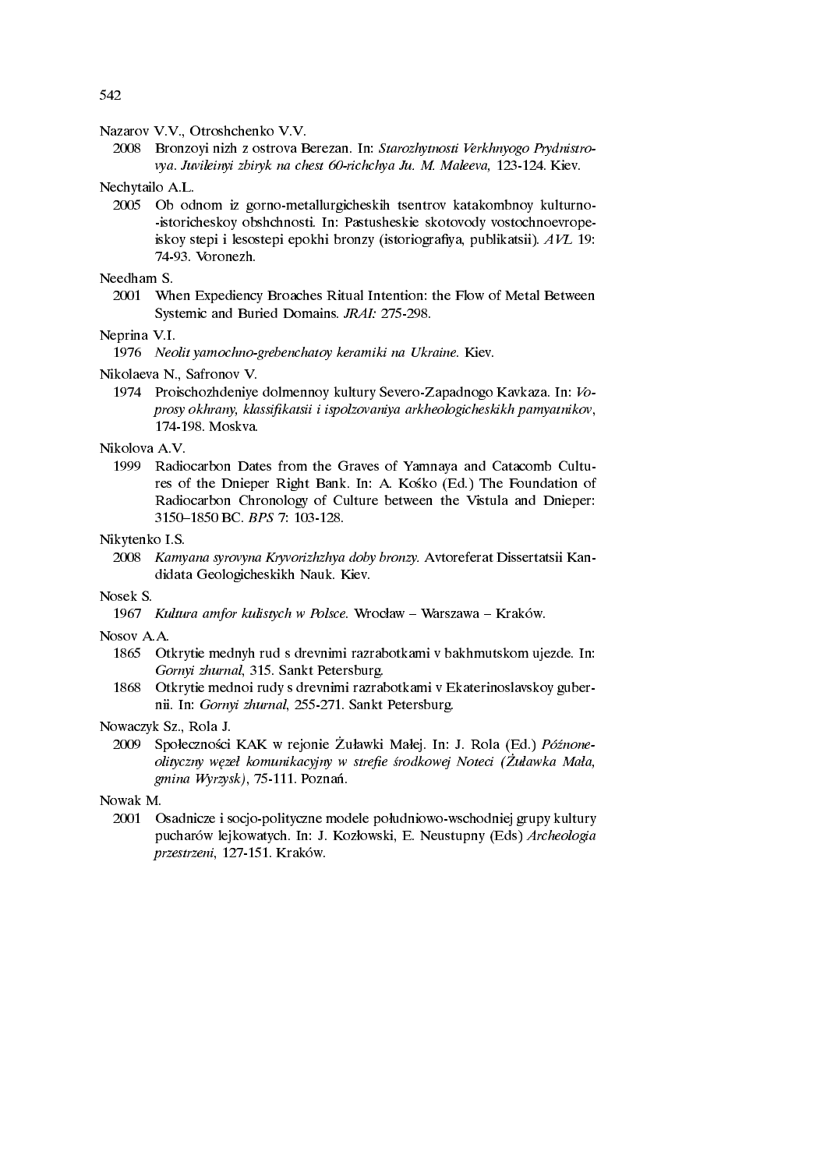- Nazarov V.V., Otroshchenko V.V.
	- 2008 Bronzovi nizh z ostrova Berezan. In: Starozhytnosti Verkhnyogo Prydnistrovya. Juvileinyi zbiryk na chest 60-richchya Ju. M. Maleeva, 123-124. Kiev.

Nechytailo A.L.

Ob odnom iz gorno-metallurgicheskih tsentrov katakombnov kulturno-2005 -istoricheskov obshchnosti. In: Pastusheskie skotovody vostochnoevropeiskoy stepi i lesostepi epokhi bronzy (istoriografiya, publikatsii). AVL 19: 74-93. Voronezh.

Needham S.

2001 When Expediency Broaches Ritual Intention: the Flow of Metal Between Systemic and Buried Domains. JRAI: 275-298.

Neprina V.I.

1976 Neolit vamochno-grebenchatov keramiki na Ukraine, Kiev.

Nikolaeva N., Safronov V.

1974 Proischozhdeniye dolmennoy kultury Severo-Zapadnogo Kavkaza. In: Voprosy okhrany, klassifikatsii i ispolzovaniya arkheologicheskikh pamyatnikov, 174-198. Moskva.

Nikolova A.V.

1999 Radiocarbon Dates from the Graves of Yamnaya and Catacomb Cultures of the Dnieper Right Bank. In: A. Kosko (Ed.) The Foundation of Radiocarbon Chronology of Culture between the Vistula and Dnieper: 3150-1850 BC, BPS 7: 103-128.

Nikytenko I.S.

2008 Kamyana syrovyna Kryvorizhzhya doby bronzy. Avtoreferat Dissertatsii Kandidata Geologicheskikh Nauk. Kiev.

# Nosek S.

1967 Kultura amfor kulistych w Polsce. Wrocław – Warszawa – Kraków.

## Nosov A.A.

- 1865 Otkrytie mednyh rud s drevnimi razrabotkami v bakhmutskom ujezde. In: Gornyi zhurnal, 315. Sankt Petersburg.
- Otkrytie mednoi rudy s drevnimi razrabotkami v Ekaterinoslavskov guber-1868 nii. In: Gornyi zhurnal, 255-271. Sankt Petersburg.

#### Nowaczyk Sz., Rola J.

Społeczności KAK w rejonie Żuławki Małej. In: J. Rola (Ed.) Późnone-2009 olityczny węzeł komunikacyjny w strefie środkowej Noteci (Żuławka Mała, gmina Wyrzysk), 75-111. Poznań.

## Nowak M.

2001 Osadnicze i socjo-polityczne modele południowo-wschodniej grupy kultury pucharów lejkowatych. In: J. Kozłowski, E. Neustupny (Eds) Archeologia przestrzeni, 127-151. Kraków.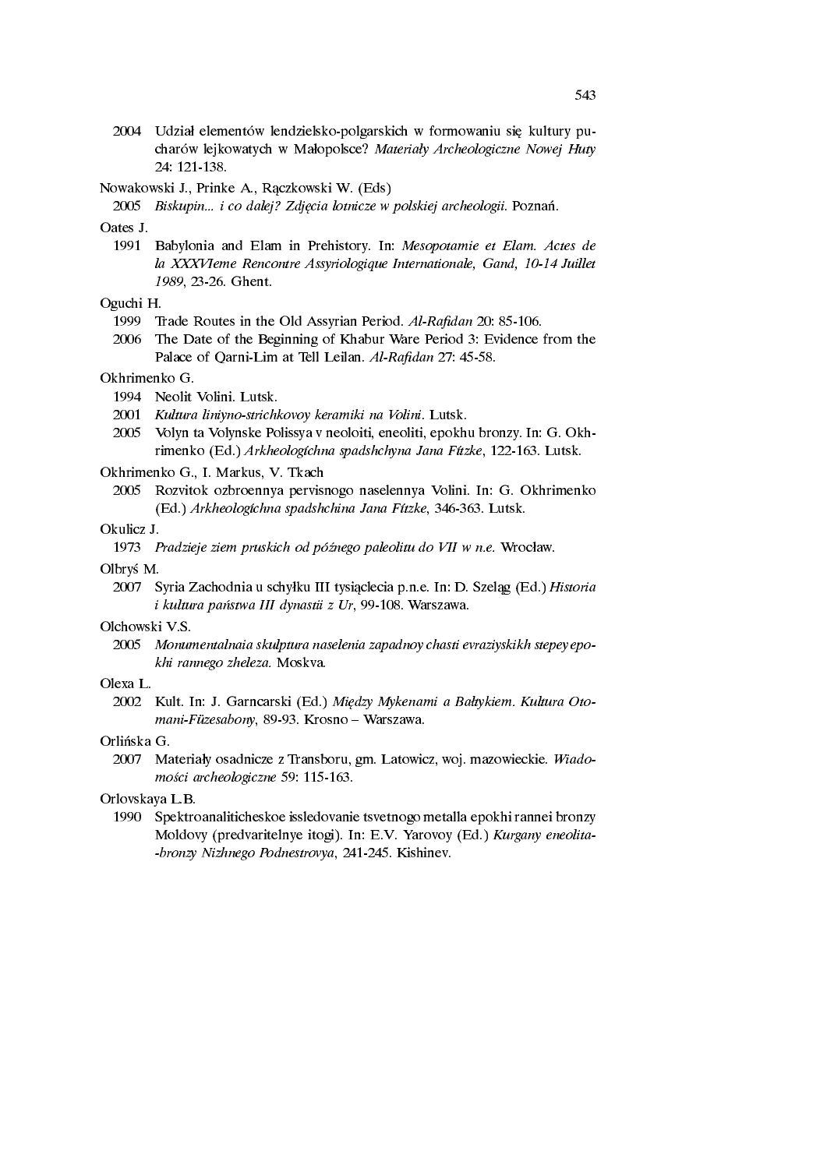- 2004 Udział elementów lendzielsko-polgarskich w formowaniu się kultury pucharów lejkowatych w Małopolsce? Materiały Archeologiczne Nowej Huty 24: 121-138.
- Nowakowski J., Prinke A., Raczkowski W. (Eds)

2005 Biskupin... i co dalej? Zdjęcia lotnicze w polskiej archeologii. Poznań.

#### Oates J.

1991 Babylonia and Elam in Prehistory. In: Mesopotamie et Elam. Actes de la XXXVIeme Rencontre Assyriologique Internationale, Gand, 10-14 Juillet 1989, 23-26. Ghent.

# Oguchi H.

- 1999 Trade Routes in the Old Assyrian Period. Al-Rafidan 20: 85-106.
- 2006 The Date of the Beginning of Khabur Ware Period 3: Evidence from the Palace of Oarni-Lim at Tell Leilan. Al-Rafidan 27: 45-58.

#### Okhrimenko G

- 1994 Neolit Volini, Lutsk.
- 2001 Kultura linivno-strichkovov keramiki na Volini. Lutsk.
- 2005 Volyn ta Volynske Polissya v neoloiti, eneoliti, epokhu bronzy. In: G. Okhrimenko (Ed.) Arkheologíchna spadshchyna Jana Fítzke, 122-163. Lutsk.
- Okhrimenko G., I. Markus, V. Tkach
	- 2005 Rozvitok ozbroennya pervisnogo naselennya Volini. In: G. Okhrimenko (Ed.) Arkheologíchna spadshchina Jana Fítzke, 346-363, Lutsk.

# Okulicz J.

1973 Pradzieje ziem pruskich od późnego paleolitu do VII w n.e. Wrocław.

# Olbrvś M.

2007 Syria Zachodnia u schyłku III tysiąclecia p.n.e. In: D. Szeląg (Ed.) Historia i kultura państwa III dynastii z Ur, 99-108. Warszawa.

#### Olchowski V.S.

2005 Monumentalnaja skulptura naselenia zapadnov chasti evraziyskikh stepey epokhi rannego zheleza. Moskva.

# Olexa L.

2002 Kult. In: J. Garncarski (Ed.) Miedzy Mykenami a Bałtykiem. Kultura Otomani-Füzesabony, 89-93. Krosno - Warszawa.

#### Orlińska G.

2007 Materiały osadnicze z Transboru, gm. Latowicz, woj. mazowieckie. Wiadomości archeologiczne 59: 115-163.

#### Orlovskava L.B.

1990 Spektroanaliticheskoe issledovanie tsvetnogo metalla epokhi rannei bronzy Moldovy (predvaritelnye itogi). In: E.V. Yarovoy (Ed.) Kurgany eneolita--bronzy Nizhnego Podnestrovya, 241-245. Kishinev.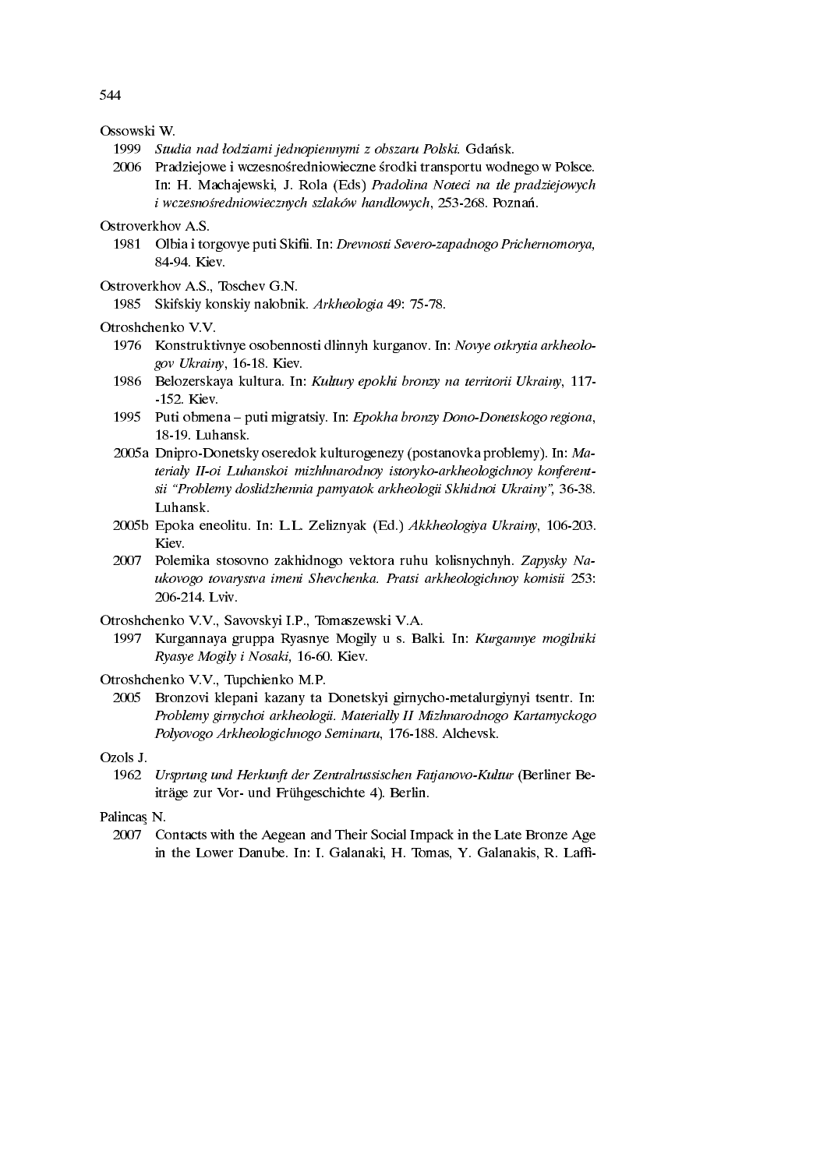Ossowski W.

- 1999 Studia nad łodziami jednopiennymi z obszaru Polski. Gdańsk.
- 2006 Pradziejowe i wczesnośredniowieczne środki transportu wodnego w Polsce. In: H. Machajewski, J. Rola (Eds) Pradolina Noteci na tle pradziejowych i wczesnośredniowiecznych szlaków handlowych, 253-268. Poznań.

Ostroverkhov A.S.

- 1981 Olbia i torgovye puti Skifii. In: Drevnosti Severo-zapadnogo Prichernomorya. 84-94 Kiev.
- Ostroverkhov A.S., Toschev G.N.
	- 1985 Skifskiy konskiy nalobnik. Arkheologia 49: 75-78.

### Otroshchenko V.V.

- 1976 Konstruktivnye osobennosti dlinnyh kurganov. In: Novve otkrytia arkheologov Ukrainy, 16-18. Kiev.
- 1986 Belozerskaya kultura. In: Kultury epokhi bronzy na territorii Ukrainy, 117--152. Kiev.
- 1995 Puti obmena puti migratsiy. In: Epokha bronzy Dono-Donetskogo regiona, 18-19. Luhansk.
- 2005a Dnipro-Donetsky oseredok kulturogenezy (postanovka problemy). In: Materialy II-oi Luhanskoi mizhhnarodnoy istoryko-arkheologichnoy konferentsii "Problemy doslidzhennia pamyatok arkheologii Skhidnoi Ukrainy", 36-38. Luhansk
- 2005b Epoka eneolitu. In: L.L. Zeliznyak (Ed.) Akkheologiya Ukrainy, 106-203. Kiev.
- 2007 Polemika stosovno zakhidnogo vektora ruhu kolisnychnyh. Zapysky Naukovogo tovarystva imeni Shevchenka. Pratsi arkheologichnoy komisii 253: 206-214 Lviv

Otroshchenko V.V., Savovskyi I.P., Tomaszewski V.A.

1997 Kurgannaya gruppa Ryasnye Mogily u s. Balki. In: Kurgannye mogilniki Ryasye Mogily i Nosaki, 16-60. Kiev.

Otroshchenko V.V., Tupchienko M.P.

2005 Bronzovi klepani kazany ta Donetskyi girnycho-metalurgiynyi tsentr. In: Problemy girnychoi arkheologii. Materially II Mizhnarodnogo Kartamyckogo Polyovogo Arkheologichnogo Seminaru, 176-188. Alchevsk.

# Ozols J.

1962 Ursprung und Herkunft der Zentralrussischen Fatjanovo-Kultur (Berliner Beiträge zur Vor- und Frühgeschichte 4). Berlin.

### Palincas<sub>N.</sub>

2007 Contacts with the Aegean and Their Social Impack in the Late Bronze Age in the Lower Danube. In: I. Galanaki, H. Tomas, Y. Galanakis, R. Laffi-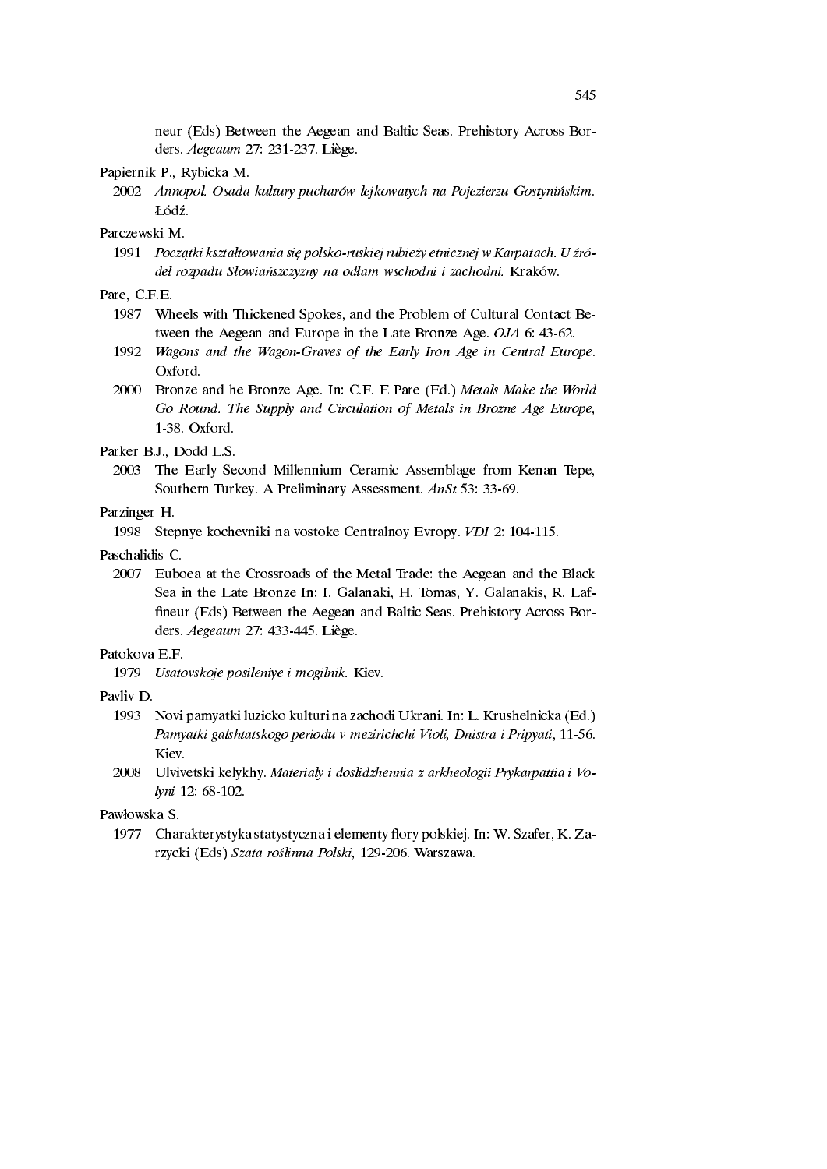neur (Eds) Between the Aegean and Baltic Seas, Prehistory Across Borders. Aegeaum 27: 231-237. Liège.

### Papiernik P., Rybicka M.

2002 Annopol, Osada kultury pucharów lejkowatych na Pojezierzu Gostynińskim, Łódź.

#### Parczewski M

1991 Poczatki kształtowania się polsko-ruskiej rubieży etnicznej w Karpatach, Uźródeł rozpadu Słowiańszczyzny na odłam wschodni i zachodni. Kraków.

# Pare. C.F.E.

- 1987 Wheels with Thickened Spokes, and the Problem of Cultural Contact Between the Aegean and Europe in the Late Bronze Age. OJA 6: 43-62.
- 1992 Wagons and the Wagon-Graves of the Early Iron Age in Central Europe. Oxford.
- 2000 Bronze and he Bronze Age. In: C.F. E Pare (Ed.) Metals Make the World Go Round. The Supply and Circulation of Metals in Brozne Age Europe, 1-38. Oxford.

#### Parker B.J., Dodd L.S.

2003 The Early Second Millennium Ceramic Assemblage from Kenan Tepe, Southern Turkey. A Preliminary Assessment. AnSt 53: 33-69.

#### Parzinger H.

1998 Stepnye kochevniki na vostoke Centralnov Evropy. VDI 2: 104-115.

#### Paschalidis C.

2007 Euboea at the Crossroads of the Metal Trade: the Aegean and the Black Sea in the Late Bronze In: I. Galanaki, H. Tomas, Y. Galanakis, R. Laffineur (Eds) Between the Aegean and Baltic Seas. Prehistory Across Borders. Aegeaum 27: 433-445. Liège.

# Patokova E.F.

1979 Usatovskoje posileniye i mogilnik. Kiev.

#### Pavliv D.

- 1993 Novi pamyatki luzicko kulturi na zachodi Ukrani. In: L. Krushelnicka (Ed.) Pamyatki galshtatskogo periodu v mezirichchi Violi, Dnistra i Pripyati, 11-56. Kiev.
- 2008 Ulvivetski kelykhy. Materialy i doslidzhennia z arkheologii Prykarpattia i Volvni 12:68-102.

### Pawłowska S.

1977 Charakterystyka statystyczna i elementy flory polskiej. In: W. Szafer, K. Zarzycki (Eds) Szata roślinna Polski, 129-206. Warszawa.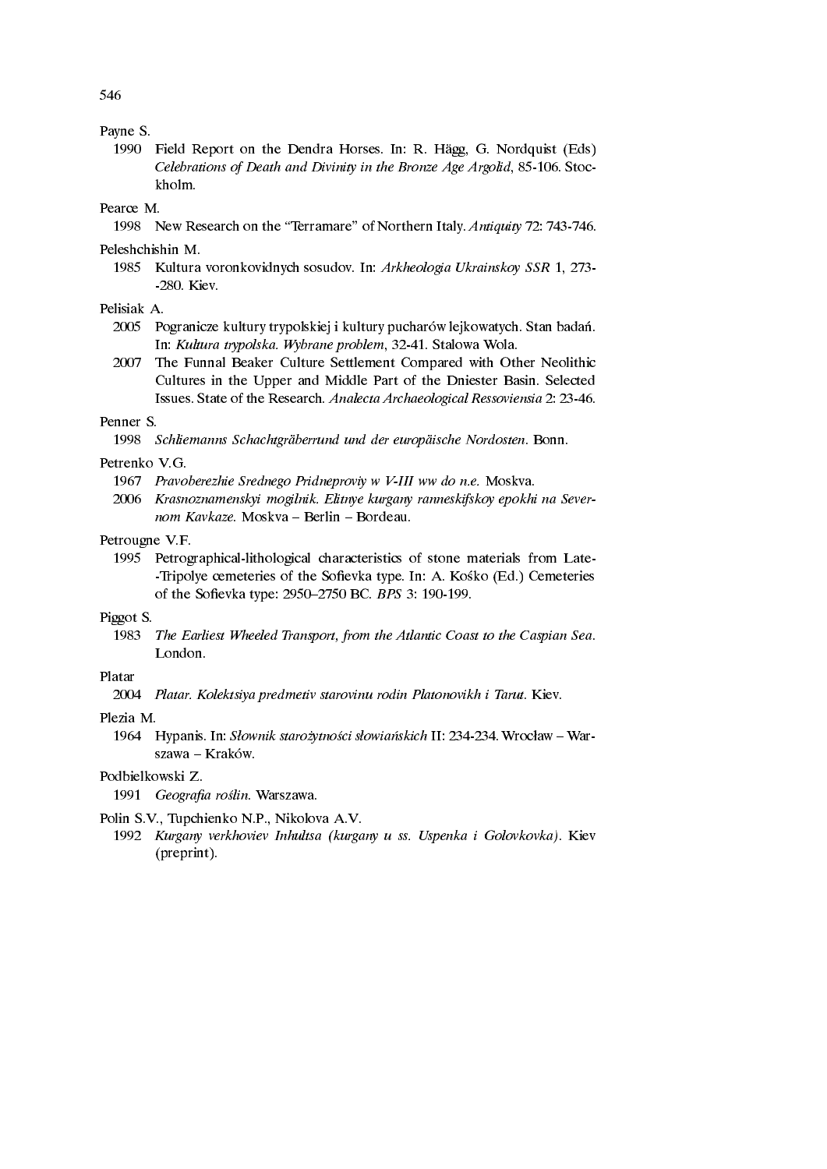### Payne S.

1990 Field Report on the Dendra Horses. In: R. Hägg, G. Nordquist (Eds) Celebrations of Death and Divinity in the Bronze Age Argolid, 85-106. Stoc $k$ holm

# Pearce M.

1998 New Research on the "Terramare" of Northern Italy. Antiquity 72: 743-746.

### Peleshchishin M.

1985 Kultura voronkovidnych sosudov. In: Arkheologia Ukrainskov SSR 1, 273- $-280$ . Kiev.

### Pelisiak A.

- 2005 Pogranicze kultury trypolskiej i kultury pucharów lejkowatych. Stan badań. In: Kultura trypolska. Wybrane problem, 32-41. Stalowa Wola.
- 2007 The Funnal Beaker Culture Settlement Compared with Other Neolithic Cultures in the Upper and Middle Part of the Dniester Basin. Selected Issues. State of the Research. Analecta Archaeological Ressoviensia 2: 23-46.

### Penner<sub>S.</sub>

1998 Schliemanns Schachtgräberrund und der europäische Nordosten. Bonn.

## Petrenko V.G.

- 1967 Pravoberezhie Srednego Pridneproviy w V-III ww do n.e. Moskva.
- 2006 Krasnoznamenskyi mogilnik. Elitnye kurgany ranneskifskov epokhi na Severnom Kavkaze, Moskva - Berlin - Bordeau,

# Petrougne V.F.

1995 Petrographical-lithological characteristics of stone materials from Late--Tripolye cemeteries of the Sofievka type, In: A. Kosko (Ed.) Cemeteries of the Sofievka type: 2950–2750 BC. BPS 3: 190-199.

# Piggot S.

1983 The Earliest Wheeled Transport, from the Atlantic Coast to the Caspian Sea. London

# Platar

2004 Platar. Kolektsiya predmetiv starovinu rodin Platonovikh i Tarut, Kiev.

### Plezia M.

1964 Hypanis. In: Słownik starożytności słowiańskich II: 234-234. Wrocław – War $szawa - Kraków.$ 

# Podbielkowski Z.

1991 Geografia roślin. Warszawa.

# Polin S.V., Tupchienko N.P., Nikolova A.V.

1992 Kurgany verkhoviev Inhultsa (kurgany u ss. Uspenka i Golovkovka). Kiev (preprint).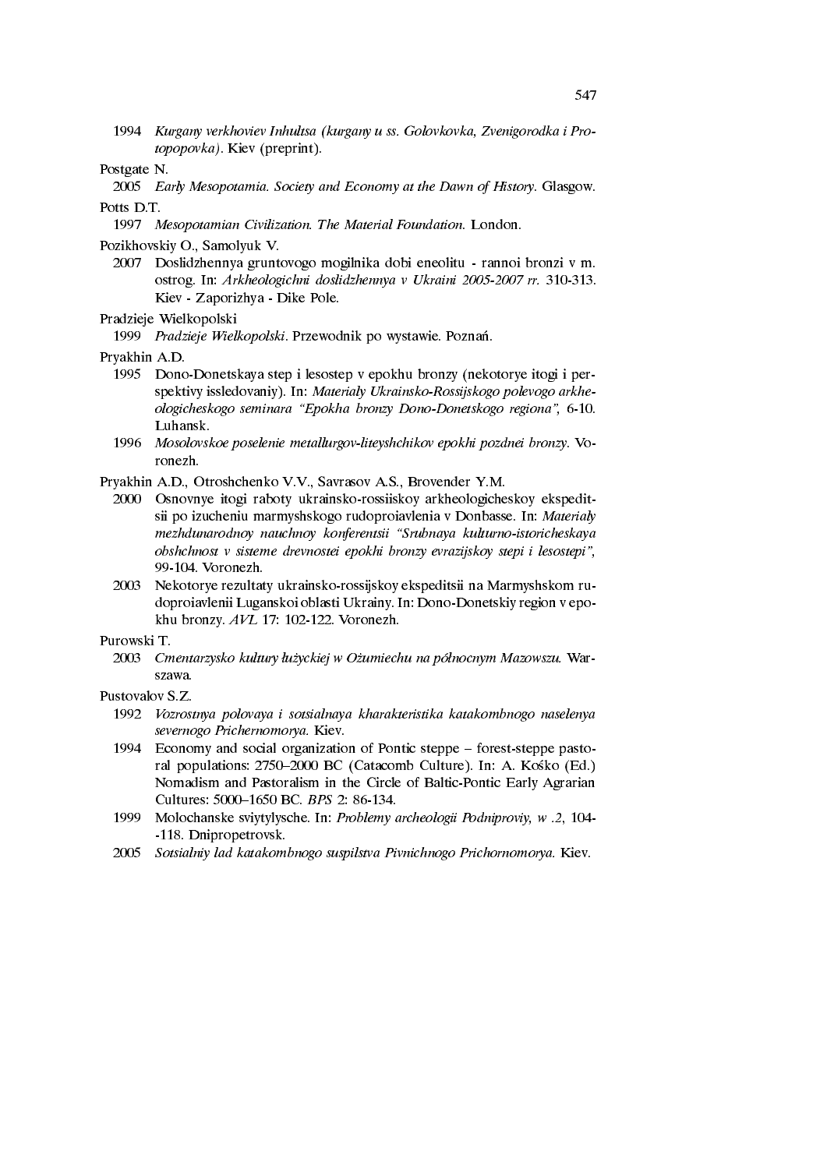- 1994 Kurgany verkhoviev Inhultsa (kurgany u ss. Golovkovka, Zvenigorodka i Protopopovka). Kiev (preprint).
- Postgate N.
- 2005 Early Mesopotamia. Society and Economy at the Dawn of History, Glasgow, Potts D.T.
	- 1997 Mesopotamian Civilization. The Material Foundation. London.
- Pozikhovskiy O., Samolyuk V.
	- 2007 Doslidzhennya gruntovogo mogilnika dobi eneolitu rannoi bronzi v m. ostrog, In: Arkheologichni doslidzhennya v Ukraini 2005-2007 rr. 310-313. Kiev - Zaporizhya - Dike Pole.

#### Pradzieje Wielkopolski

1999 Pradzieje Wielkopolski, Przewodnik po wystawie, Poznań.

- Pryakhin A.D.
	- 1995 Dono-Donetskaya step i lesostep v epokhu bronzy (nekotorye itogi i perspektivy issledovaniy). In: Materialy Ukrainsko-Rossijskogo polevogo arkheologicheskogo seminara "Epokha bronzy Dono-Donetskogo regiona", 6-10. Luhansk.
	- 1996 Mosolovskoe poselenie metallurgov-liteyshchikov epokhi pozdnei bronzy. Voronezh.
- Pryakhin A.D., Otroshchenko V.V., Savrasov A.S., Brovender Y.M.
	- 2000 Osnovnye itogi raboty ukrainsko-rossijskov arkheologicheskov ekspeditsii po izucheniu marmyshskogo rudoproiavlenia v Donbasse. In: Materialy mezhdunarodnoy nauchnoy konferentsii "Srubnaya kulturno-istoricheskaya obshchnost v sisteme drevnostej epokhi bronzv evrazijskov stepi i lesostepi". 99-104. Voronezh.
	- 2003 Nekotorye rezultaty ukrainsko-rossijskov ekspeditsii na Marmyshskom rudoprojavlenii Luganskoj oblasti Ukrainy. In: Dono-Donetskiy region v epokhu bronzy. AVL 17: 102-122. Voronezh.

#### Purowski T.

2003 Cmentarzysko kultury łużyckiej w Ożumiechu na północnym Mazowszu. Warszawa.

## Pustovalov S.Z.

- 1992 Vozrostnya polovaya i sotsialnaya kharakteristika katakombnogo naselenya severnogo Prichernomorya. Kiev.
- 1994 Economy and social organization of Pontic steppe – forest-steppe pastoral populations: 2750-2000 BC (Catacomb Culture). In: A. Kośko (Ed.) Nomadism and Pastoralism in the Circle of Baltic-Pontic Early Agrarian Cultures: 5000-1650 BC. BPS 2: 86-134.
- 1999 Molochanske sviytylysche. In: Problemy archeologii Podniproviy, w.2, 104--118. Dnipropetrovsk.
- 2005 Sotsialniv lad katakombnogo suspilstva Pivnichnogo Prichornomorya. Kiev.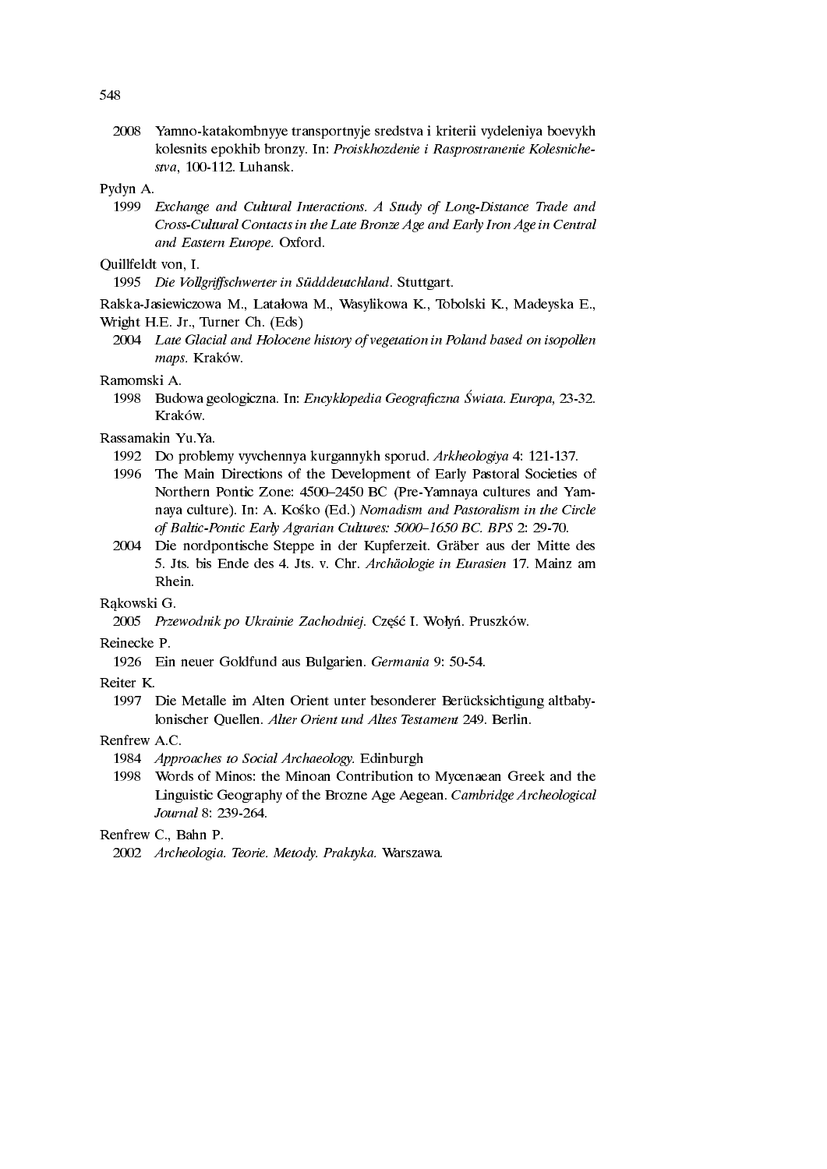2008 Yamno-katakombnyye transportnyie sredstya i kriterii yydeleniya boevykh kolesnits epokhib bronzy. In: Proiskhozdenie i Rasprostranenie Kolesnichestva, 100-112. Luhansk.

### Pydyn A.

- 1999 Exchange and Cultural Interactions. A Study of Long-Distance Trade and Cross-Cultural Contacts in the Late Bronze Age and Early Iron Age in Central and Eastern Europe. Oxford.
- Ouillfeldt von, I.

1995 Die Vollgriffschwerter in Südddeutchland. Stuttgart.

Ralska-Jasiewiczowa M., Latałowa M., Wasylikowa K., Tobolski K., Madeyska E., Wright H.E. Jr., Turner Ch. (Eds)

2004 Late Glacial and Holocene history of vegetation in Poland based on isopollen maps. Kraków.

#### Ramomski A.

- 1998 Budowa geologiczna, In: Encyklopedia Geograficzna Świata, Europa, 23-32. Kraków
- Rassamakin Yu.Ya.
	- 1992 Do problemy vyvchennya kurgannykh sporud. Arkheologiya 4: 121-137.
	- 1996 The Main Directions of the Development of Early Pastoral Societies of Northern Pontic Zone: 4500-2450 BC (Pre-Yamnaya cultures and Yamnaya culture). In: A. Kośko (Ed.) Nomadism and Pastoralism in the Circle of Baltic-Pontic Early Agrarian Cultures: 5000-1650 BC. BPS 2: 29-70.
	- 2004 Die nordpontische Steppe in der Kupferzeit. Gräber aus der Mitte des 5. Jts. bis Ende des 4. Jts. v. Chr. Archäologie in Eurasien 17. Mainz am Rhein.

### Rakowski G.

2005 Przewodnik po Ukrainie Zachodniej. Część I. Wołyń. Pruszków.

### Reinecke P

1926 Ein neuer Goldfund aus Bulgarien. Germania 9: 50-54.

# Reiter K

1997 Die Metalle im Alten Orient unter besonderer Berücksichtigung altbabylonischer Quellen, Alter Orient und Altes Testament 249. Berlin.

#### Renfrew A.C.

1984 Approaches to Social Archaeology. Edinburgh

1998 Words of Minos: the Minoan Contribution to Mycenaean Greek and the Linguistic Geography of the Brozne Age Aegean. Cambridge Archeological Journal 8: 239-264

### Renfrew C., Bahn P.

2002 Archeologia. Teorie. Metody. Praktyka. Warszawa.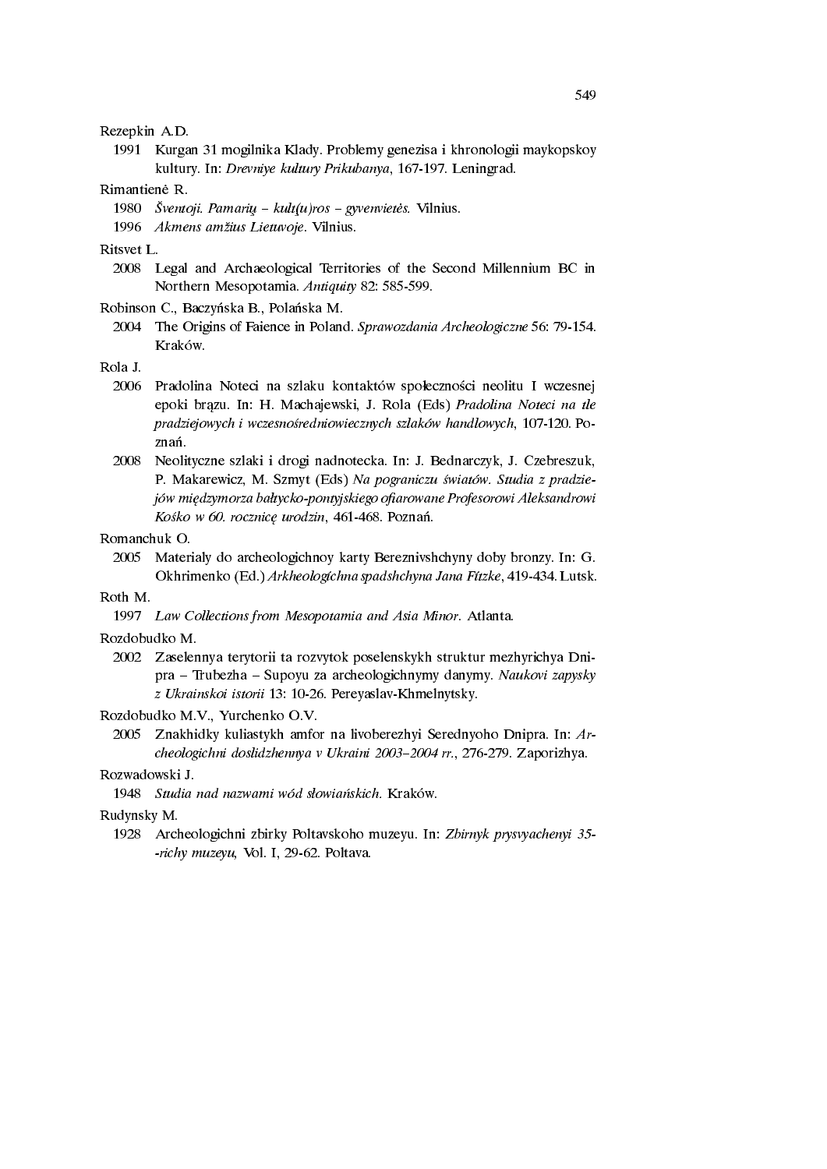### Rezepkin A.D.

1991 Kurgan 31 mogilnika Klady. Problemy genezisa i khronologii maykopskoy kultury. In: *Drevnive kultury Prikubanya*, 167-197. Leningrad.

# Rimantienė R.

- 1980 *Šventoji. Pamariu kult(u)ros gyvenvietės.* Vilnius.
- 1996 Akmens amžius Lietuvoje. Vilnius.

#### Ritsvet L

- 2008 Legal and Archaeological Territories of the Second Millennium BC in Northern Mesopotamia. Antiquity 82: 585-599.
- Robinson C., Baczyńska B., Polańska M.
	- 2004 The Origins of Faience in Poland. Sprawozdania Archeologiczne 56: 79-154. Kraków.

# Rola J.

- 2006 Pradolina Noteci na szlaku kontaktów społeczności neolitu I wczesnej epoki brazu. In: H. Machajewski, J. Rola (Eds) Pradolina Noteci na tle pradziejowych i wczesnośredniowiecznych szlaków handlowych, 107-120, Poznań.
- 2008 Neolityczne szlaki i drogi nadnotecka. In: J. Bednarczyk, J. Czebreszuk, P. Makarewicz, M. Szmyt (Eds) Na pograniczu światów. Studia z pradziejów międzymorza bałtycko-pontyjskiego ofiarowane Profesorowi Aleksandrowi Kośko w 60. rocznice urodzin. 461-468. Poznań.

#### Romanchuk O.

2005 Materialy do archeologichnoy karty Bereznivshchyny doby bronzy. In: G. Okhrimenko (Ed.) Arkheologíchna spadshchyna Jana Fítzke, 419-434. Lutsk.

# Roth M.

1997 Law Collections from Mesopotamia and Asia Minor. Atlanta.

### Rozdobudko M.

2002 Zaselennya terytorii ta rozvytok poselenskykh struktur mezhyrichya Dnipra – Trubezha – Supoyu za archeologichnymy danymy. Naukovi zapysky z Ukrainskoi istorii 13: 10-26. Pereyaslav-Khmelnytsky.

Rozdobudko M.V., Yurchenko O.V.

2005 Znakhidky kuliastykh amfor na livoberezhyi Serednyoho Dnipra. In: Archeologichni doslidzhennya v Ukraini 2003–2004 rr., 276-279. Zaporizhya.

#### Rozwadowski J.

1948 Studia nad nazwami wód słowiańskich. Kraków.

#### Rudynsky M.

1928 Archeologichni zbirky Poltavskoho muzeyu. In: Zbirnyk prysvyachenyi 35--richy muzevu, Vol. I, 29-62. Poltava.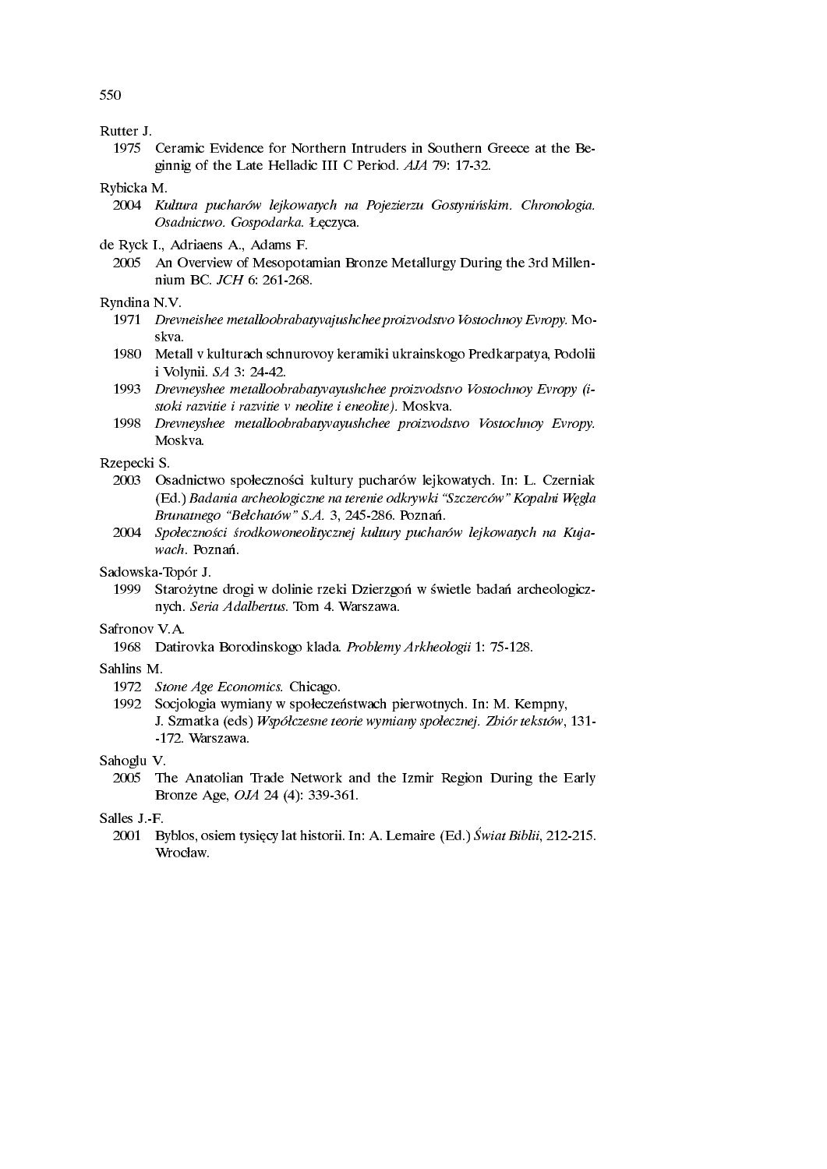# Rutter J.

1975 Ceramic Evidence for Northern Intruders in Southern Greece at the Beginnig of the Late Helladic III C Period. AJA 79: 17-32.

### Rybicka M.

- 2004 Kultura pucharów lejkowatych na Pojezierzu Gostynińskim. Chronologia. Osadnictwo. Gospodarka. Łęczyca.
- de Ryck I., Adriaens A., Adams F.
	- 2005 An Overview of Mesopotamian Bronze Metallurgy During the 3rd Millennium BC. *JCH* 6: 261-268.

#### Ryndina N.V.

- 1971 Drevneishee metalloobrabatyvajushchee proizvodstvo Vostochnoy Evropy. Moskva.
- 1980 Metall v kulturach schnurovov keramiki ukrainskogo Predkarpatva, Podolii i Volvnii, SA 3: 24-42.
- 1993 Drevneyshee metalloobrabatyvavushchee proizvodstvo Vostochnov Evropy (istoki razvitie i razvitie v neolite i eneolite). Moskva.
- 1998 Drevneyshee metalloobrabatyvayushchee proizvodstvo Vostochnoy Evropy. Moskva.

## Rzepecki S.

- 2003 Osadnictwo społeczności kultury pucharów lejkowatych. In: L. Czerniak (Ed.) Badania archeologiczne na terenie odkrywki "Szczerców" Kopalni Wegla Brunatnego "Bełchatów" S.A. 3, 245-286. Poznań.
- 2004 Społeczności środkowoneolitycznej kultury pucharów lejkowatych na Kujawach. Poznań.

### Sadowska-Topór J.

1999 Starożytne drogi w dolinie rzeki Dzierzgoń w świetle badań archeologicznych. Seria Adalbertus. Tom 4. Warszawa.

### Safronov V.A.

1968 Datirovka Borodinskogo klada. Problemy Arkheologii 1: 75-128.

### Sahlins M.

- 1972 Stone Age Economics. Chicago.
- 1992 Socjologia wymiany w społeczeństwach pierwotnych. In: M. Kempny, J. Szmatka (eds) Współczesne teorie wymiany społecznej. Zbiór tekstów, 131--172. Warszawa.

# Sahoglu V.

2005 The Anatolian Trade Network and the Izmir Region During the Early Bronze Age, *OJA* 24 (4): 339-361.

#### Salles J.-F.

2001 Byblos, osiem tysięcy lat historii. In: A. Lemaire (Ed.) Świat Biblii, 212-215. Wrocław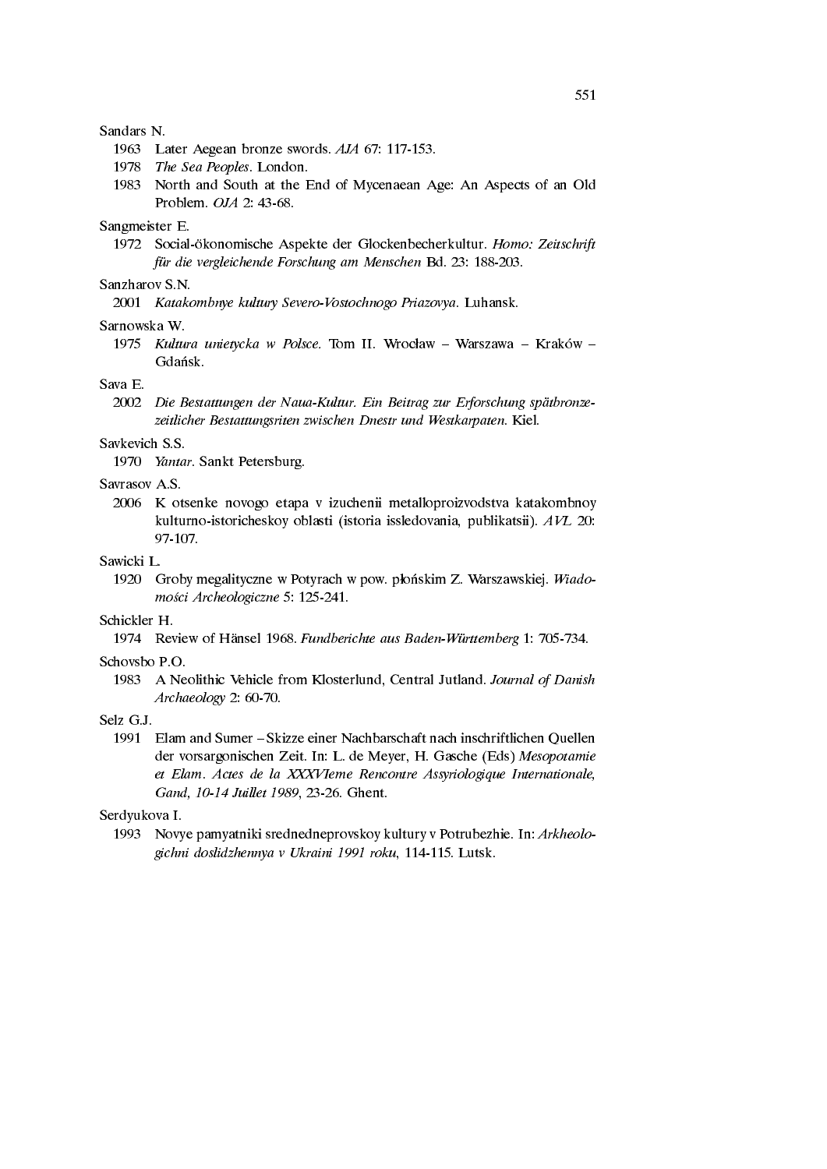# Sandars N.

- 1963 Later Aegean bronze swords. AJA 67: 117-153.
- 1978 The Sea Peoples. London.
- 1983 North and South at the End of Mycenaean Age: An Aspects of an Old Problem. *OJA* 2: 43-68.

## Sangmeister E.

1972 Social-ökonomische Aspekte der Glockenbecherkultur. Homo: Zeitschrift für die vergleichende Forschung am Menschen Bd. 23: 188-203.

### Sanzharov S N

2001 Katakombnye kultury Severo-Vostochnogo Priazovya, Luhansk.

### Sarnowska W.

1975 Kultura unietycka w Polsce. Tom II. Wrocław – Warszawa – Kraków – Gdańsk

# Sava E

2002 Die Bestattungen der Naua-Kultur. Ein Beitrag zur Erforschung spätbronzezeitlicher Bestattungsriten zwischen Dnestr und Westkarpaten. Kiel.

# Savkevich S.S.

1970 Yantar. Sankt Petersburg.

# Savrasov A.S.

2006 K otsenke novogo etapa v izuchenii metalloproizvodstva katakombnov kulturno-istoricheskoy oblasti (istoria issledovania, publikatsii). AVL 20: 97-107

# Sawicki L

1920 Groby megalityczne w Potyrach w pow. płońskim Z. Warszawskiej. Wiadomości Archeologiczne 5: 125-241.

# Schickler H.

1974 Review of Hänsel 1968. Fundberichte aus Baden-Württemberg 1: 705-734.

# Schovsbo P.O.

1983 A Neolithic Vehicle from Klosterlund, Central Jutland. Journal of Danish Archaeology 2: 60-70.

# Selz G.L

1991 Elam and Sumer – Skizze einer Nachbarschaft nach inschriftlichen Quellen der vorsargonischen Zeit. In: L. de Meyer, H. Gasche (Eds) Mesopotamie et Elam, Actes de la XXXVIeme Rencontre Assyriologique Internationale, Gand, 10-14 Juillet 1989, 23-26. Ghent.

# Serdvukova I.

1993 Novye pamyatniki srednedneprovskoy kultury v Potrubezhie. In: Arkheologichni doslidzhennya v Ukraini 1991 roku, 114-115. Lutsk.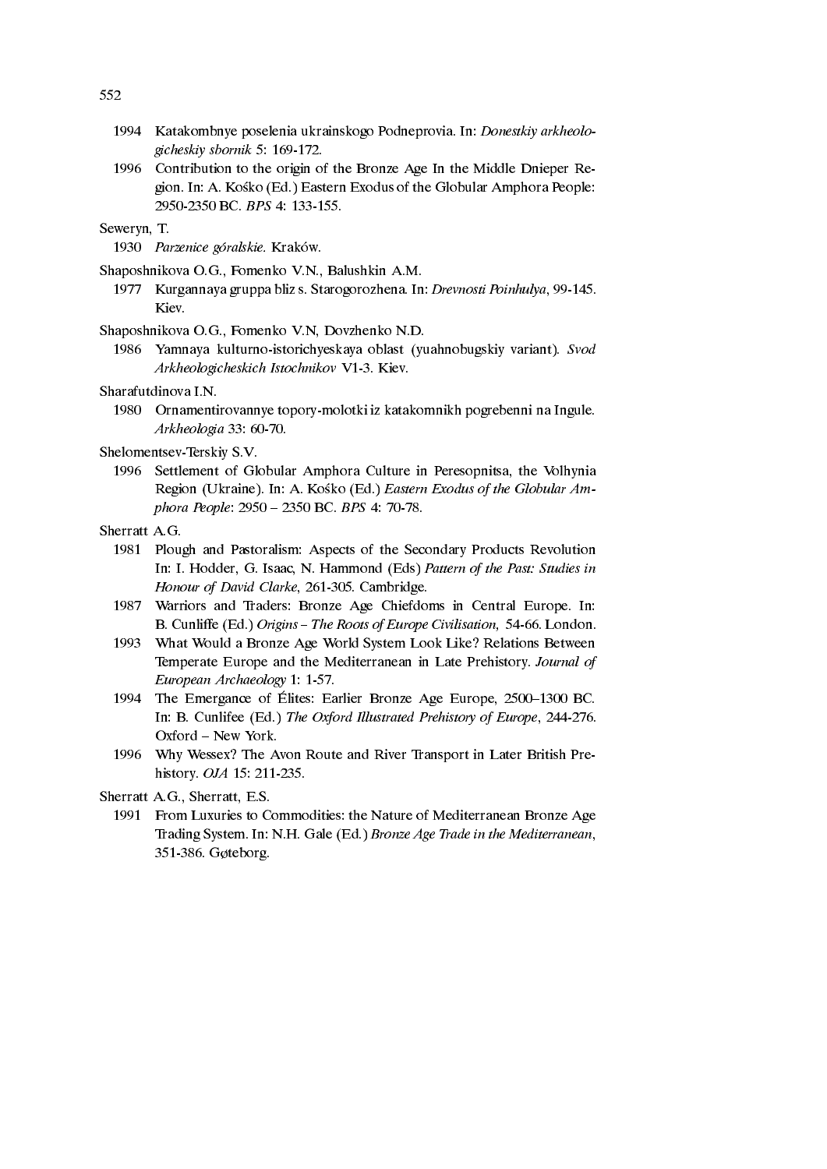- 1994 Katakombnye poselenia ukrainskogo Podneprovia. In: Donestkiv arkheologicheskiy shornik 5: 169-172.
- 1996 Contribution to the origin of the Bronze Age In the Middle Dnieper Region. In: A. Kośko (Ed.) Eastern Exodus of the Globular Amphora People: 2950-2350 BC, BPS 4: 133-155.

Seweryn, T.

1930 Parzenice góralskie. Kraków.

Shaposhnikova O.G., Fomenko V.N., Balushkin A.M.

- 1977 Kurgannaya gruppa bliz s. Starogorozhena. In: Drevnosti Poinhulya, 99-145. Kiev.
- Shaposhnikova O.G., Fomenko V.N, Dovzhenko N.D.
	- 1986 Yamnaya kulturno-istorichyeskaya oblast (yuahnobugskiy variant). Svod Arkheologicheskich Istochnikov V1-3. Kiev.
- Sharafutdinova I.N.
	- 1980 Ornamentirovannye topory-molotki iz katakomnikh pogrebenni na Ingule. Arkheologia 33: 60-70.
- Shelomentsev-Terskiy S.V.
	- 1996 Settlement of Globular Amphora Culture in Peresopnitsa, the Volhynia Region (Ukraine). In: A. Kośko (Ed.) Eastern Exodus of the Globular Amphora People: 2950 - 2350 BC. BPS 4: 70-78.
- Sherratt A.G.
	- 1981 Plough and Pastoralism: Aspects of the Secondary Products Revolution In: I. Hodder, G. Isaac, N. Hammond (Eds) Pattern of the Past: Studies in Honour of David Clarke, 261-305. Cambridge.
	- 1987 Warriors and Traders: Bronze Age Chiefdoms in Central Europe. In: B. Cunliffe (Ed.) Origins - The Roots of Europe Civilisation, 54-66. London.
	- 1993 What Would a Bronze Age World System Look Like? Relations Between Temperate Europe and the Mediterranean in Late Prehistory. Journal of European Archaeology 1: 1-57.
	- 1994 The Emergance of Élites: Earlier Bronze Age Europe, 2500–1300 BC. In: B. Cunlifee (Ed.) The Oxford Illustrated Prehistory of Europe, 244-276. Oxford - New York.
	- 1996 Why Wessex? The Avon Route and River Transport in Later British Prehistory. *OJA* 15: 211-235.
- Sherratt A.G., Sherratt, E.S.
	- 1991 From Luxuries to Commodities: the Nature of Mediterranean Bronze Age Trading System. In: N.H. Gale (Ed.) Bronze Age Trade in the Mediterranean, 351-386. Gøteborg.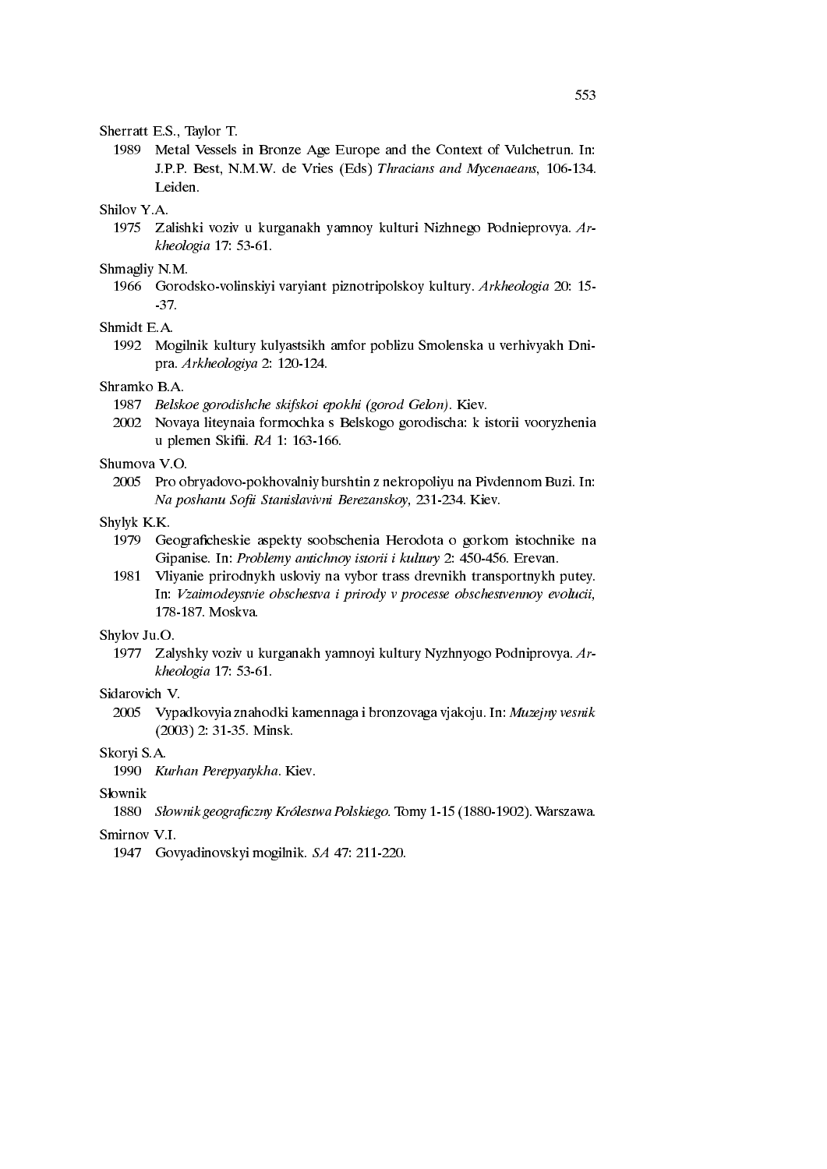### Sherratt E.S., Taylor T.

1989 Metal Vessels in Bronze Age Europe and the Context of Vulchetrun. In: J.P.P. Best. N.M.W. de Vries (Eds) Thracians and Mycenaeans, 106-134. Leiden

# Shilov Y A

1975 Zalishki voziv u kurganakh yamnoy kulturi Nizhnego Podnieprovya. Arkheologia 17: 53-61.

### Shmagliy N.M.

1966 Gorodsko-volinskivi varviant piznotripolskov kultury. Arkheologia 20. 15- $-37$ 

# Shmidt E.A.

1992 Mogilnik kultury kulyastsikh amfor poblizu Smolenska u verhivyakh Dnipra. Arkheologiya 2: 120-124.

## Shramko B.A.

- 1987 Belskoe gorodishche skifskoi epokhi (gorod Gelon), Kiev.
- 2002 Novaya liteynaia formochka s Belskogo gorodischa: k istorii vooryzhenia u plemen Skifii,  $RA$  1: 163-166.

### Shumova V.O.

2005 Pro obryadovo-pokhovalniy burshtin z nekropoliyu na Pivdennom Buzi. In: Na poshanu Sofii Stanislavivni Berezanskov, 231-234. Kiev.

### Shylyk K.K.

- 1979 Geograficheskie aspekty soobschenia Herodota o gorkom istochnike na Gipanise. In: Problemy antichnov istorii i kultury 2: 450-456. Erevan.
- 1981 Vlivanie prirodnykh usloviy na vybor trass drevnikh transportnykh putey. In: Vzaimodeystvie obschestva i prirody v processe obschestvennoy evolucii, 178-187. Moskva.

### Shylov Ju.O.

1977 Zalyshky voziv u kurganakh yamnoyi kultury Nyzhnyogo Podniprovya. Arkheologia 17: 53-61.

### Sidarovich V.

2005 Vypadkovyia znahodki kamennaga i bronzovaga vjakoju. In: Muzejny vesnik  $(2003)$  2: 31-35. Minsk.

### Skorvi S.A.

1990 Kurhan Perepvatykha, Kiev.

#### Słownik

1880 Słownik geograficzny Królestwa Polskiego. Tomy 1-15 (1880-1902). Warszawa.

### Smirnov V.I.

1947 Govyadinovskyi mogilnik. SA 47: 211-220.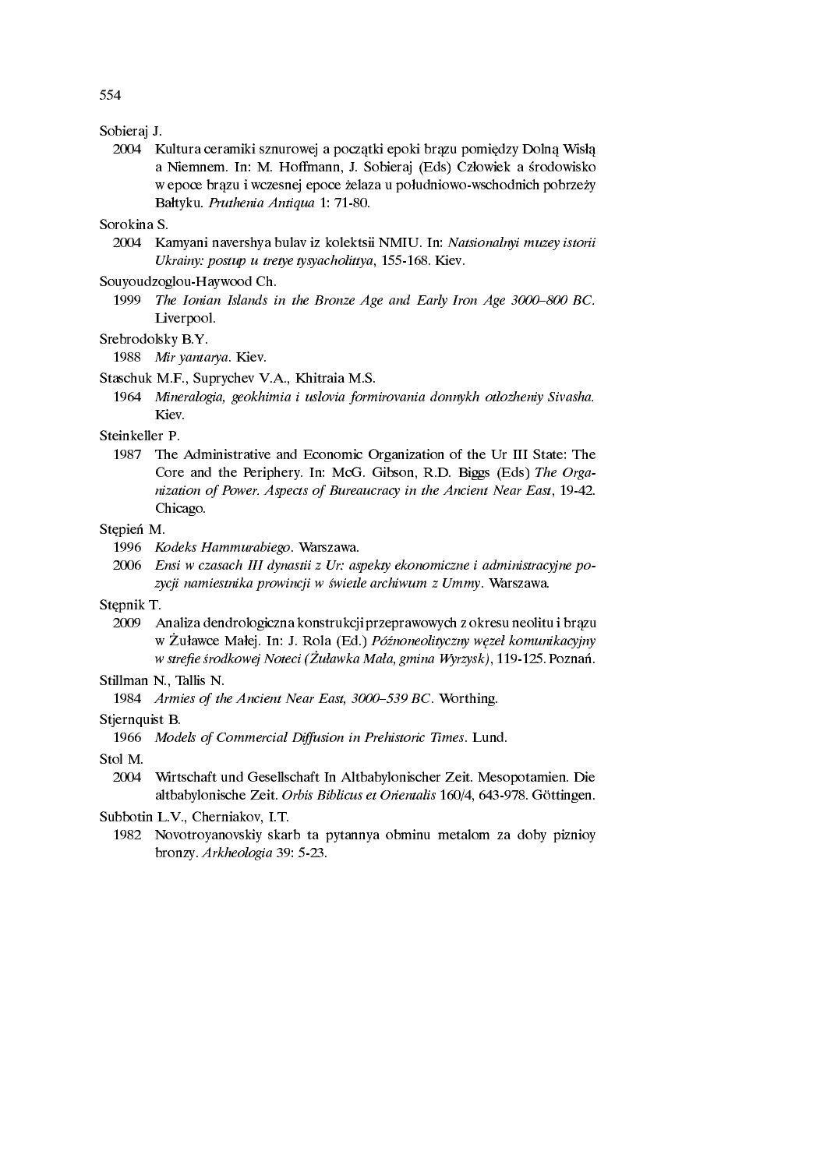# Sobierai J.

2004 Kultura ceramiki sznurowej a początki epoki brazu pomiedzy Dolna Wisła a Niemnem. In: M. Hoffmann, J. Sobieraj (Eds) Człowiek a środowisko w epoce brazu i wczesnej epoce żelaza u południowo-wschodnich pobrzeży Bałtyku. Pruthenia Antiqua 1: 71-80.

# Sorokina S.

- 2004 Kamyani navershya bulav iz kolektsii NMIU. In: Natsionalnyi muzey istorii Ukrainy: postup u tretye tysyacholittya, 155-168. Kiev.
- Souyoudzoglou-Haywood Ch.
	- 1999 The Ionian Islands in the Bronze Age and Early Iron Age 3000–800 BC. Liverpool.

#### Srebrodolsky B.Y.

1988 Mir vantarva, Kiev.

# Staschuk M.F., Suprychev V.A., Khitraja M.S.

1964 Mineralogia, geokhimia i uslovia formirovania donnykh otlozheniy Sivasha. Kiev

Steinkeller P.

1987 The Administrative and Economic Organization of the Ur III State: The Core and the Periphery. In: McG. Gibson, R.D. Biggs (Eds) The Organization of Power. Aspects of Bureaucracy in the Ancient Near East, 19-42. Chicago.

# Stepień M.

- 1996 Kodeks Hammurabiego, Warszawa.
- 2006 Ensi w czasach III dynastii z Ur: aspekty ekonomiczne i administracyjne pozvcji namiestnika prowincji w świetle archiwum z Ummy. Warszawa,

### Stępnik T.

2009 Analiza dendrologiczna konstrukcji przeprawowych z okresu neolitu i brązu w Żuławce Małej. In: J. Rola (Ed.) Późnoneolityczny węzeł komunikacyjny w strefie środkowej Noteci (Żuławka Mała, gmina Wyrzysk), 119-125. Poznań.

### Stillman N., Tallis N.

1984 Armies of the Ancient Near East, 3000-539 BC. Worthing.

## Stiernquist B.

1966 Models of Commercial Diffusion in Prehistoric Times, Lund.

# Stol M.

2004 Wirtschaft und Gesellschaft In Altbabylonischer Zeit. Mesopotamien. Die altbabylonische Zeit. Orbis Biblicus et Orientalis 160/4, 643-978. Göttingen.

Subbotin L.V., Cherniakov, I.T.

1982 Novotroyanovskiy skarb ta pytannya obminu metalom za doby piznioy bronzy. Arkheologia 39: 5-23.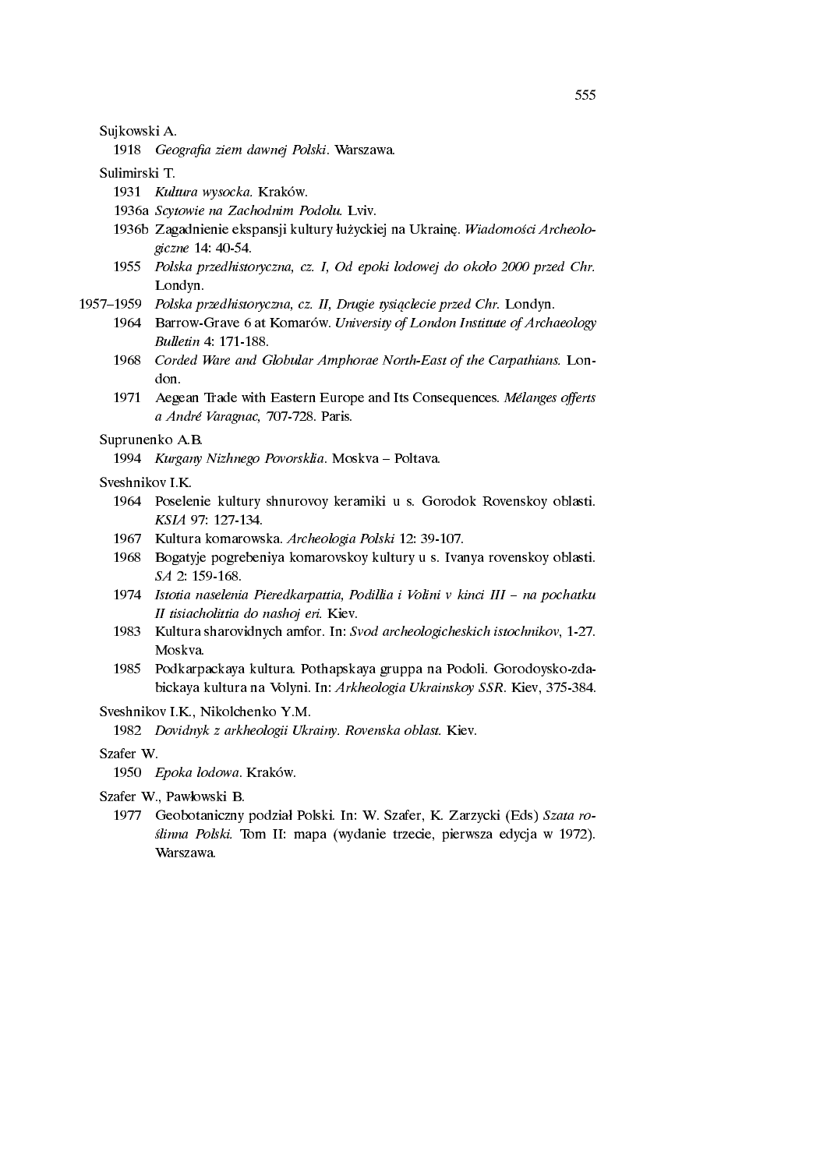Suikowski A.

1918 Geografia ziem dawnei Polski, Warszawa,

Sulimirski T.

- 1931 Kultura wysocka. Kraków.
- 1936a Scytowie na Zachodnim Podolu. Lviv.
- 1936b Zagadnienie ekspansji kultury łużyckiej na Ukraine. Wiadomości Archeologiczne 14: 40-54.
- 1955 Polska przedhistoryczna, cz. I, Od epoki lodowej do około 2000 przed Chr. Londyn.
- 1957–1959 Polska przedhistoryczna, cz. II, Drugie tysiąclecie przed Chr. Londyn.
	- 1964 Barrow-Grave 6 at Komarów. University of London Institute of Archaeology *Bulletin* 4: 171-188.
	- 1968 Corded Ware and Globular Amphorae North-East of the Carpathians. London.
	- 1971 Aegean Trade with Eastern Europe and Its Consequences. Mélanges offerts a André Varagnac, 707-728. Paris.

Suprunenko A.B.

1994 Kurgany Nizhnego Povorsklia, Moskva – Poltava.

Sveshnikov I.K.

- 1964 Poselenie kultury shnurovoy keramiki u s. Gorodok Rovenskoy oblasti. KSIA 97: 127-134
- 1967 Kultura komarowska. Archeologia Polski 12: 39-107.
- 1968 Bogatyje pogrebeniya komarovskov kultury u s. Ivanya rovenskov oblasti. SA 2: 159-168
- 1974 Istotia naselenia Pieredkarpattia, Podillia i Volini v kinci III na pochatku II tisiacholittia do nashoj eri. Kiev.
- 1983 Kultura sharovidnych amfor. In: Svod archeologicheskich istochnikov, 1-27. Moskva.
- 1985 Podkarpackaya kultura. Pothapskaya gruppa na Podoli. Gorodoysko-zdabickaya kultura na Volyni. In: Arkheologia Ukrainskoy SSR. Kiev, 375-384.

Sveshnikov I.K., Nikolchenko Y.M.

1982 Dovidnyk z arkheologii Ukrainy. Rovenska oblast. Kiev.

#### Szafer W

- 1950 Epoka lodowa, Kraków.
- Szafer W., Pawłowski B.
	- 1977 Geobotaniczny podział Polski. In: W. Szafer, K. Zarzycki (Eds) Szata roślinna Polski. Tom II: mapa (wydanie trzecie, pierwsza edycja w 1972). Warszawa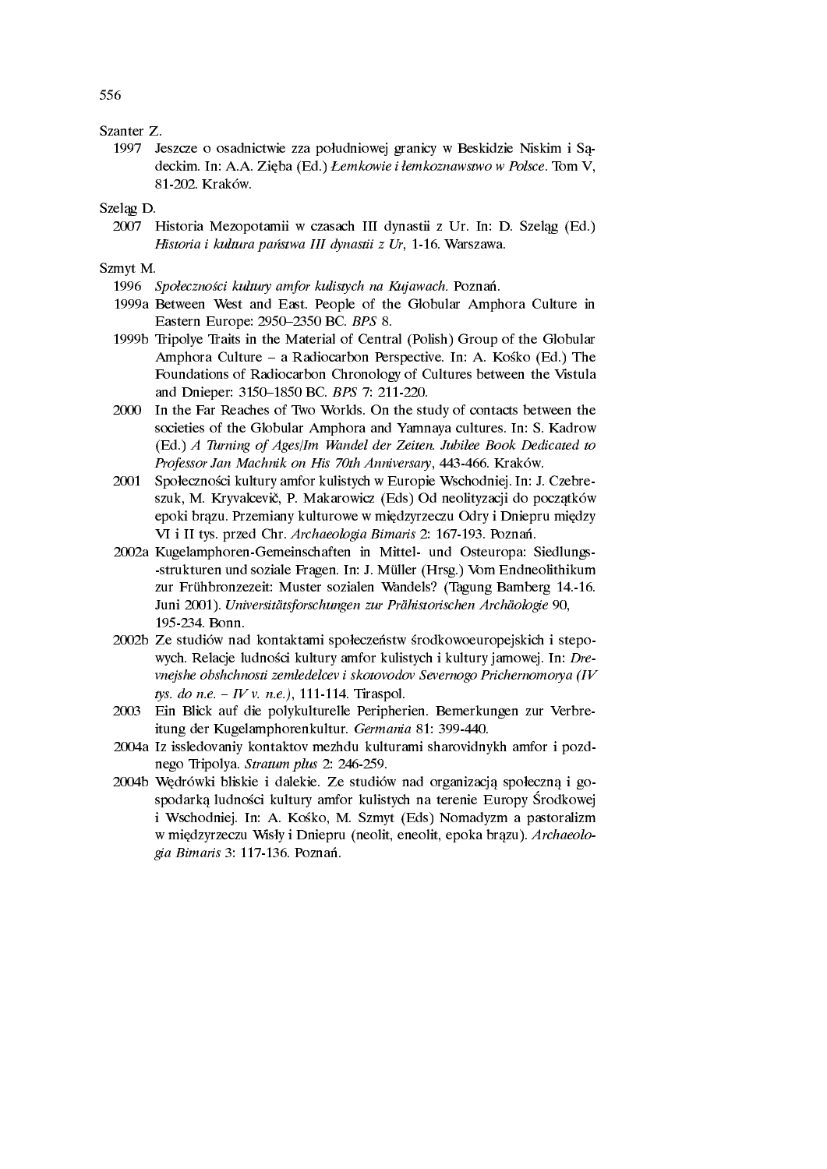# Szanter Z.

1997 Jeszcze o osadnictwie zza południowej granicy w Beskidzie Niskim i Sądeckim, In: A.A. Zieba (Ed.) *Łemkowie i łemkoznawstwo w Polsce*. Tom V.  $81.202$  Kraków

### Szelag D.

2007 Historia Mezopotamii w czasach III dynastii z Ur. In: D. Szelag (Ed.) Historia i kultura państwa III dynastii z Ur, 1-16. Warszawa.

# Szmyt M.

- 1996 Społeczności kultury amfor kulistych na Kujawach. Poznań.
- 1999a Between West and East. People of the Globular Amphora Culture in Eastern Europe: 2950-2350 BC. BPS 8.
- 1999b Tripolye Traits in the Material of Central (Polish) Group of the Globular Amphora Culture – a Radiocarbon Perspective. In: A. Kośko (Ed.) The Foundations of Radiocarbon Chronology of Cultures between the Vistula and Dnieper: 3150-1850 BC. BPS 7: 211-220.
- 2000 In the Far Reaches of Two Worlds. On the study of contacts between the societies of the Globular Amphora and Yamnaya cultures. In: S. Kadrow (Ed.) A Turning of Ages/Im Wandel der Zeiten. Jubilee Book Dedicated to Professor Jan Machnik on His 70th Anniversary, 443-466. Kraków.
- Społeczności kultury amfor kulistych w Europie Wschodniej. In: J. Czebre-2001 szuk, M. Kryvalcevič, P. Makarowicz (Eds) Od neolityzacji do początków epoki brązu. Przemiany kulturowe w międzyrzeczu Odry i Dniepru między VI i II tys. przed Chr. Archaeologia Bimaris 2: 167-193. Poznań.
- 2002a Kugelamphoren-Gemeinschaften in Mittel- und Osteuropa: Siedlungs--strukturen und soziale Fragen. In: J. Müller (Hrsg.) Vom Endneolithikum zur Frühbronzezeit: Muster sozialen Wandels? (Tagung Bamberg 14.-16. Juni 2001). Universitätsforschungen zur Prähistorischen Archäologie 90, 195-234. Bonn.
- 2002b Ze studiów nad kontaktami społeczeństw środkowoeuropejskich i stepowych. Relacje ludności kultury amfor kulistych i kultury jamowej. In: Drevnejshe obshchnosti zemledelcev i skotovodov Severnogo Prichernomorya (IV tys. do n.e.  $- IVv$ . n.e.), 111-114. Tiraspol.
- 2003 Ein Blick auf die polykulturelle Peripherien. Bemerkungen zur Verbreitung der Kugelamphorenkultur. Germania 81: 399-440.
- 2004a Iz issledovaniy kontaktov mezhdu kulturami sharovidnykh amfor i pozdnego Tripolya. Stratum plus 2: 246-259.
- 2004b Wedrówki bliskie i dalekie. Ze studiów nad organizacją społeczną i gospodarką ludności kultury amfor kulistych na terenie Europy Środkowej i Wschodniej, In: A. Kośko, M. Szmyt (Eds) Nomadyzm a pastoralizm w miedzyrzeczu Wisły i Dniepru (neolit, eneolit, epoka brazu). Archaeologia Bimaris 3: 117-136. Poznań.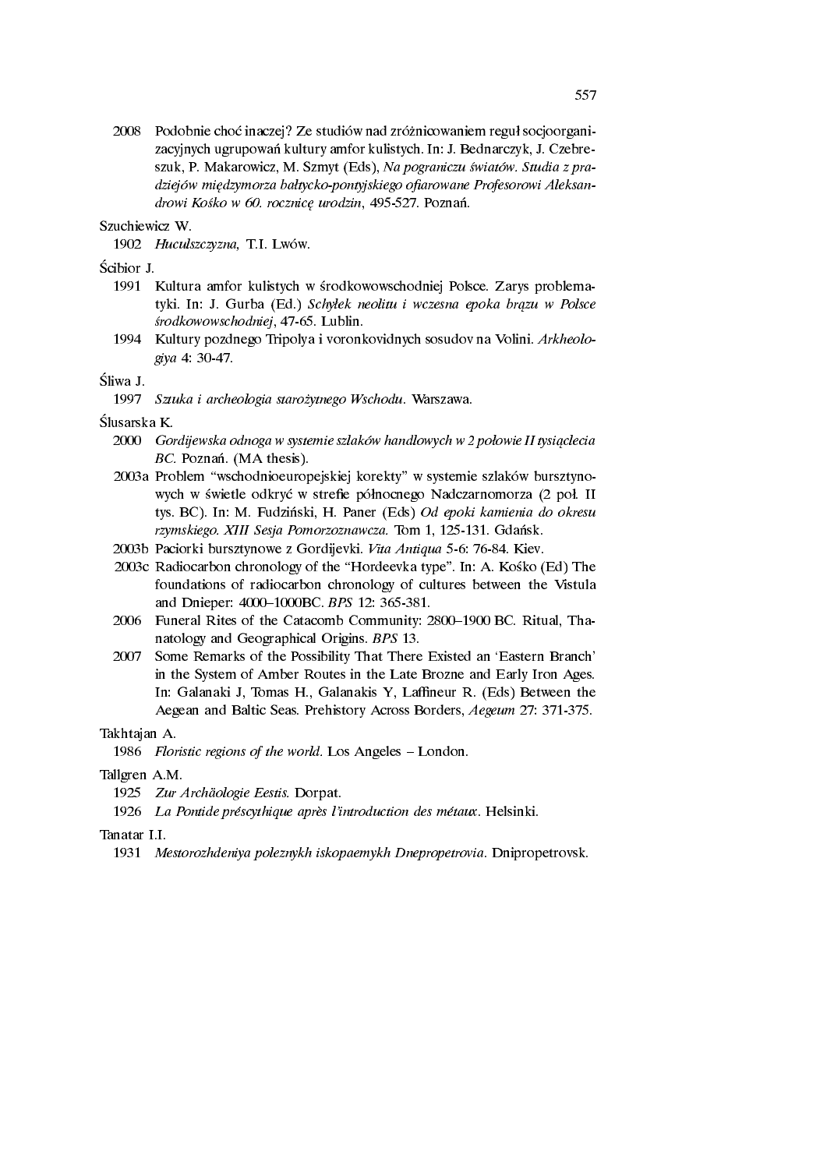2008 Podobnie choć inaczej? Ze studiów nad zróżnicowaniem reguł socioorganizacyjnych ugrupowań kultury amfor kulistych. In: J. Bednarczyk, J. Czebreszuk, P. Makarowicz, M. Szmyt (Eds), Na pograniczu światów. Studia z pradziejów międzymorza bałtycko-pontyjskiego ofiarowane Profesorowi Aleksandrowi Kośko w 60. rocznicę urodzin, 495-527. Poznań.

### Szuchiewicz W.

1902 Huculszczyzna, T.I. Lwów.

### Ścibior J.

- 1991 Kultura amfor kulistych w środkowowschodniej Polsce. Zarys problematyki. In: J. Gurba (Ed.) Schyłek neolitu i wczesna epoka brazu w Polsce środkowowschodniej, 47-65. Lublin.
- 1994 Kultury pozdnego Tripolya i voronkovidnych sosudov na Volini, Arkheologiya 4: 30-47.

# Śliwa J.

1997 Sztuka i archeologia starożytnego Wschodu. Warszawa.

### Ślusarska K.

- 2000 Gordijewska odnoga w systemie szlaków handlowych w 2 połowie II tysiaclecia BC. Poznań. (MA thesis).
- 2003a Problem "wschodnioeuropejskiej korekty" w systemie szlaków bursztynowych w świetle odkryć w strefie północnego Nadczarnomorza (2 poł. II tys. BC). In: M. Fudziński, H. Paner (Eds) Od epoki kamienia do okresu rzymskiego. XIII Sesja Pomorzoznawcza. Tom 1, 125-131. Gdańsk.
- 2003b Paciorki bursztynowe z Gordijevki. Vita Antiqua 5-6: 76-84. Kiev.
- 2003c Radiocarbon chronology of the "Hordeevka type". In: A. Kośko (Ed) The foundations of radiocarbon chronology of cultures between the Vistula and Dnieper: 4000-1000BC. BPS 12: 365-381.
- 2006 Funeral Rites of the Catacomb Community: 2800-1900 BC. Ritual, Thanatology and Geographical Origins, BPS 13.
- 2007 Some Remarks of the Possibility That There Existed an 'Eastern Branch' in the System of Amber Routes in the Late Brozne and Early Iron Ages. In: Galanaki J, Tomas H., Galanakis Y, Laffineur R. (Eds) Between the Aegean and Baltic Seas, Prehistory Across Borders, Aegeum 27: 371-375.

### Takhtajan A.

1986 Floristic regions of the world. Los Angeles - London.

### Tallgren A.M.

1925 Zur Archäologie Eestis. Dorpat.

1926 La Pontide préscythique après l'introduction des métaux. Helsinki.

### Tanatar I.I.

1931 Mestorozhdeniya poleznykh iskopaemykh Dnepropetrovia, Dnipropetrovsk.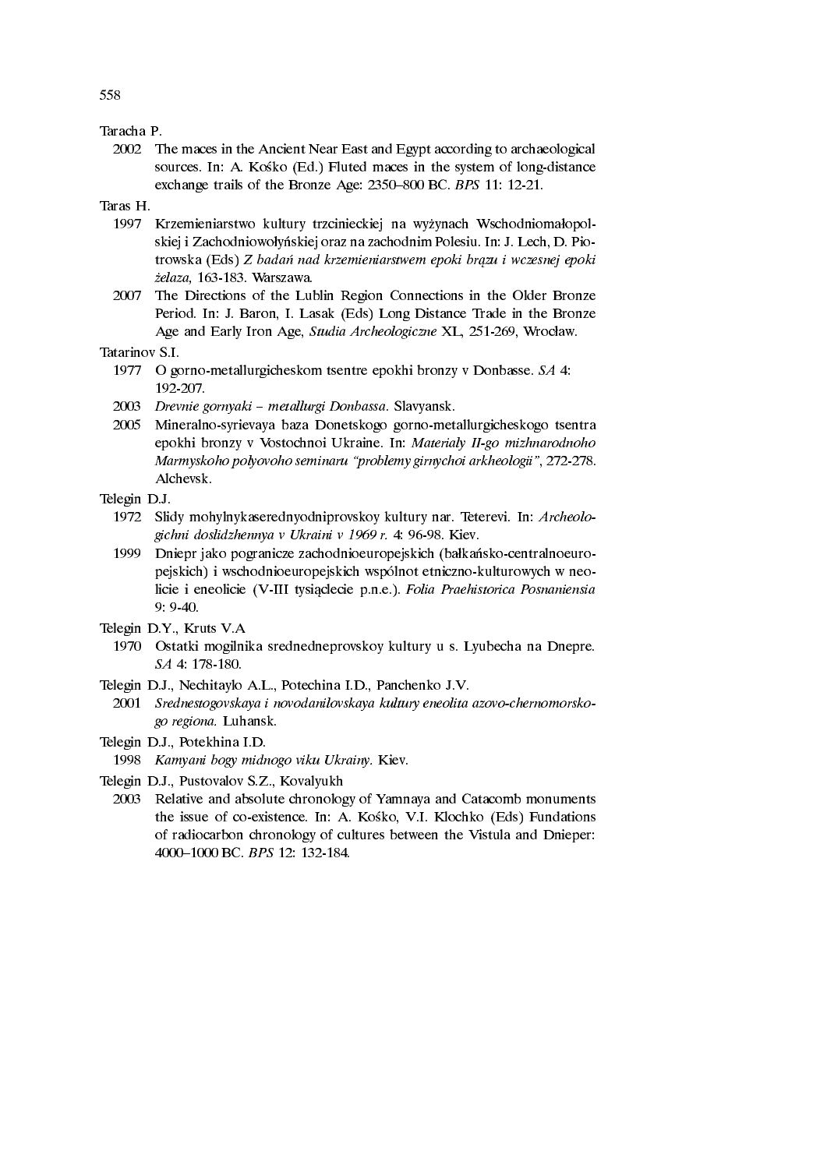### Taracha P.

2002 The maces in the Ancient Near East and Egypt according to archaeological sources. In: A, Kosko (Ed.) Fluted maces in the system of long-distance exchange trails of the Bronze Age: 2350–800 BC, BPS 11: 12-21.

# Taras H.

- 1997 Krzemieniarstwo kultury trzcinieckiej na wyżynach Wschodniomałopolskiej i Zachodniowołyńskiej oraz na zachodnim Polesiu. In: J. Lech, D. Piotrowska (Eds) Z badań nad krzemieniarstwem epoki brazu i wczesnej epoki *żelaza*, 163-183. Warszawa.
- 2007 The Directions of the Lublin Region Connections in the Older Bronze Period. In: J. Baron, I. Lasak (Eds) Long Distance Trade in the Bronze Age and Early Iron Age, Studia Archeologiczne XL, 251-269, Wrocław.

## Tatarinov S.L.

- 1977 O gorno-metallurgicheskom tsentre epokhi bronzy v Donbasse. SA 4: 192-207.
- 2003 Drevnie gornyaki metallurgi Donbassa. Slavyansk.
- 2005 Mineralno-syrievaya baza Donetskogo gorno-metallurgicheskogo tsentra epokhi bronzy v Vostochnoi Ukraine. In: Materialy II-go mizhnarodnoho Marmyskoho polyovoho seminaru "problemy girnychoi arkheologii", 272-278. Alchevsk.
- Telegin D.J.
	- 1972 Slidy mohylnykaserednyodniprovskoy kultury nar. Teterevi. In: Archeologichni doslidzhennya v Ukraini v 1969 r. 4: 96-98. Kiev.
	- 1999 Dniepr jako pograniczę zachodnioeuropejskich (bałkańsko-centralnoeuropejskich) i wschodnioeuropejskich wspólnot etniczno-kulturowych w neolicie i eneolicie (V-III tysiąclecie p.n.e.). Folia Praehistorica Posnaniensia  $9: 9.40.$
- Telegin D.Y., Kruts V.A
	- 1970 Ostatki mogilnika srednedneprovskoy kultury u s. Lyubecha na Dnepre. SA 4:178 180.
- Telegin D.J., Nechitavlo A.L., Potechina I.D., Panchenko J.V. 2001 Srednestogovskaya i novodanilovskaya kultury eneolita azovo-chemomorskogo regiona. Luhansk.
- Telegin D.J., Potekhina I.D. 1998 Kamyani bogy midnogo viku Ukrainy. Kiev.
- Telegin D.J., Pustovalov S.Z., Kovalyukh
	- 2003 Relative and absolute chronology of Yamnaya and Catacomb monuments the issue of co-existence. In: A. Kośko, V.I. Klochko (Eds) Fundations of radiocarbon chronology of cultures between the Vistula and Dnieper: 4000-1000 BC, BPS 12: 132-184.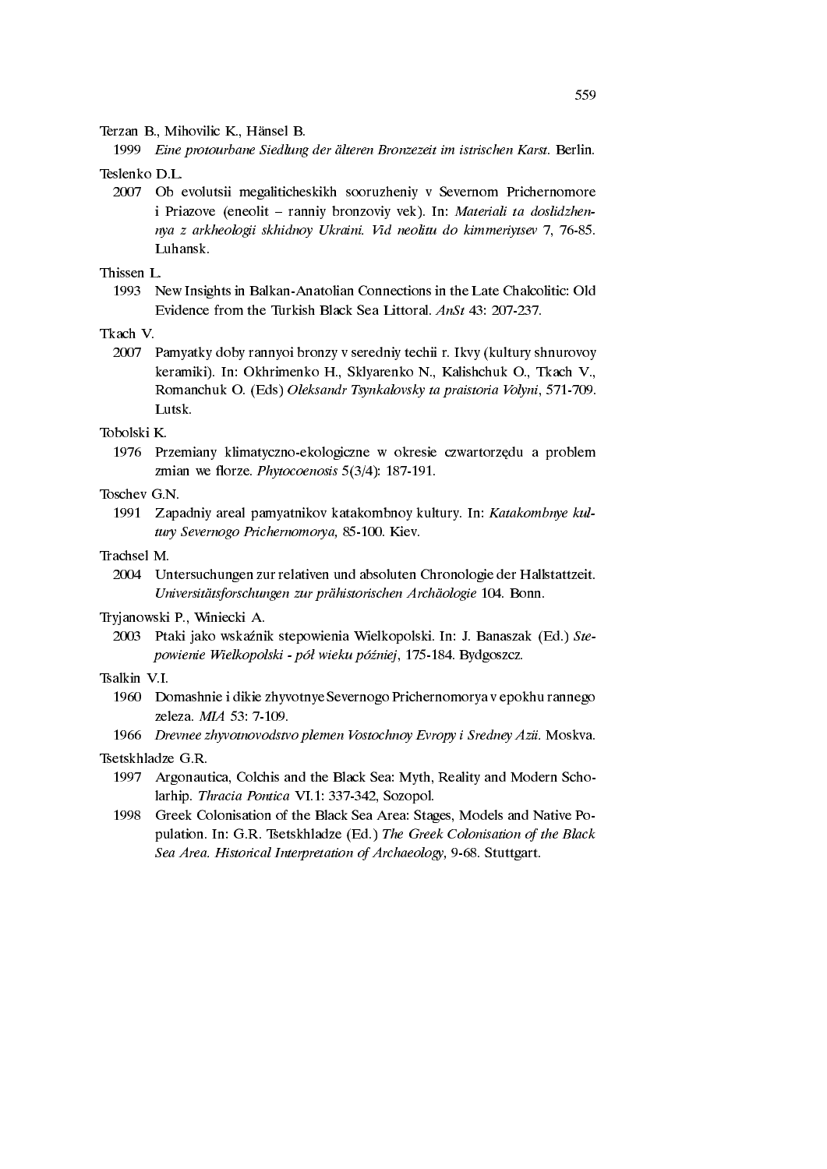Terzan B., Mihovilic K., Hänsel B.

1999 Eine protourbane Siedlung der älteren Bronzezeit im istrischen Karst, Berlin.

- Teslenko D.L.
	- 2007 Ob evolutsii megaliticheskikh sooruzheniy v Severnom Prichernomore i Priazove (eneolit - ranniy bronzoviy vek). In: Materiali ta doslidzhennya z arkheologii skhidnoy Ukraini. Vid neolitu do kimmeriytsev 7, 76-85. Luhansk.

# Thissen L.

1993 New Insights in Balkan-Anatolian Connections in the Late Chalcolitic: Old Evidence from the Turkish Black Sea Littoral,  $AnSt$  43: 207-237.

#### Tkach V.

2007 Pamyatky doby rannyoi bronzy v seredniy techii r. Ikvy (kultury shnurovoy keramiki). In: Okhrimenko H., Sklyarenko N., Kalishchuk O., Tkach V., Romanchuk O. (Eds) Oleksandr Tsynkalovsky ta praistoria Volyni, 571-709. Lutsk.

#### Tobolski K.

- 1976 Przemiany klimatyczno-ekologiczne w okresie czwartorzędu a problem zmian we florze. Phytocoenosis 5(3/4): 187-191.
- Toschev G.N.
	- 1991 Zapadniy areal pamyatnikov katakombnoy kultury. In: Katakombnye kultury Severnogo Prichernomorya, 85-100. Kiev.
- Trachsel M.
	- 2004 Untersuchungen zur relativen und absoluten Chronologie der Hallstattzeit. Universitätsforschungen zur prähistorischen Archäologie 104. Bonn.

# Tryjanowski P., Winiecki A.

2003 Ptaki jako wskaźnik stepowienia Wielkopolski, In: J. Banaszak (Ed.) Stepowienie Wielkopolski - pół wieku później, 175-184. Bydgoszcz.

#### Tsalkin V.I.

- 1960 Domashnie i dikie zhyvotnye Severnogo Prichernomorya v epokhu rannego zeleza. MIA 53: 7-109.
- 1966 Drevnee zhyvotnovodstvo plemen Vostochnov Evropy i Sredney Azii. Moskva.

### Tsetskhladze G.R.

- 1997 Argonautica, Colchis and the Black Sea: Myth, Reality and Modern Scholarhip. Thracia Pontica VI.1: 337-342, Sozopol.
- 1998 Greek Colonisation of the Black Sea Area: Stages, Models and Native Population. In: G.R. Tsetskhladze (Ed.) The Greek Colonisation of the Black Sea Area. Historical Interpretation of Archaeology, 9-68. Stuttgart.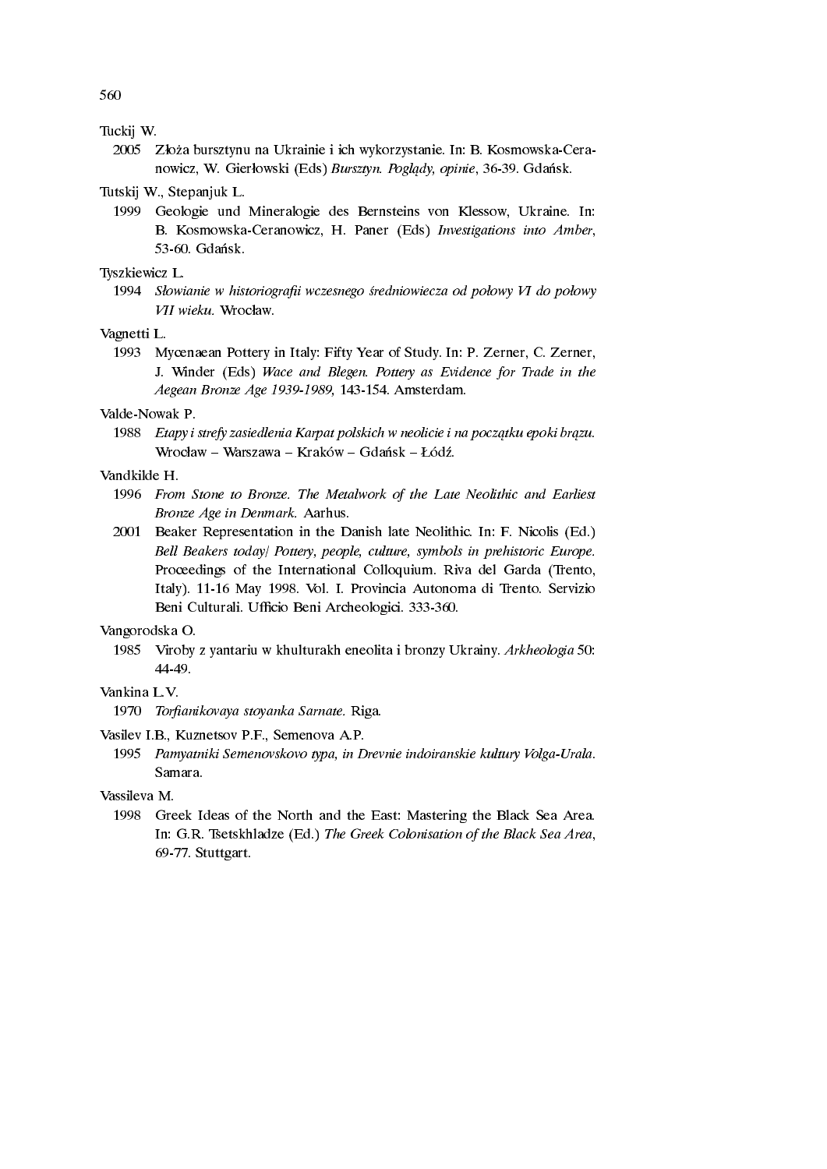#### Tuckii W.

2005 Złoża bursztynu na Ukrainie i ich wykorzystanie. In: B. Kosmowska-Ceranowicz, W. Gierłowski (Eds) Bursztyn. Poglądy, opinie, 36-39. Gdańsk.

#### Tutskii W., Stepaniuk L.

1999 Geologie und Mineralogie des Bernsteins von Klessow, Ukraine. In: B. Kosmowska-Ceranowicz, H. Paner (Eds) Investigations into Amber, 53-60. Gdańsk.

### Tyszkiewicz L.

1994 Słowianie w historiografii wczesnego średniowiecza od połowy VI do połowy VII wieku. Wrocław.

#### Vagnetti L.

1993 Mycenaean Pottery in Italy: Fifty Year of Study. In: P. Zerner, C. Zerner, J. Winder (Eds) Wace and Blegen. Pottery as Evidence for Trade in the Aegean Bronze Age 1939-1989, 143-154. Amsterdam.

#### Valde-Nowak P.

1988 Etapy i strefy zasiedlenia Karpat polskich w neolicie i na początku epoki brazu. Wrocław – Warszawa – Kraków – Gdańsk – Łódź.

# Vandkilde H.

- 1996 From Stone to Bronze. The Metalwork of the Late Neolithic and Earliest Bronze Age in Denmark. Aarhus.
- 2001 Beaker Representation in the Danish late Neolithic. In: F. Nicolis (Ed.) Bell Beakers today/ Pottery, people, culture, symbols in prehistoric Europe. Proceedings of the International Colloquium. Riva del Garda (Trento, Italy). 11-16 May 1998. Vol. I. Provincia Autonoma di Trento. Servizio Beni Culturali, Ufficio Beni Archeologici. 333-360.

#### Vangorodska O.

1985 Viroby z yantariu w khulturakh eneolita i bronzy Ukrainy. Arkheologia 50: 44.49

#### Vankina L.V.

1970 Torfianikovaya stovanka Sarnate. Riga.

Vasilev I.B., Kuznetsov P.F., Semenova A.P.

1995 Pamyatniki Semenovskovo typa, in Drevnie indoiranskie kultury Volga-Urala. Samara.

#### Vassileva M.

1998 Greek Ideas of the North and the East: Mastering the Black Sea Area. In: G.R. Tsetskhladze (Ed.) The Greek Colonisation of the Black Sea Area, 69-77. Stuttgart.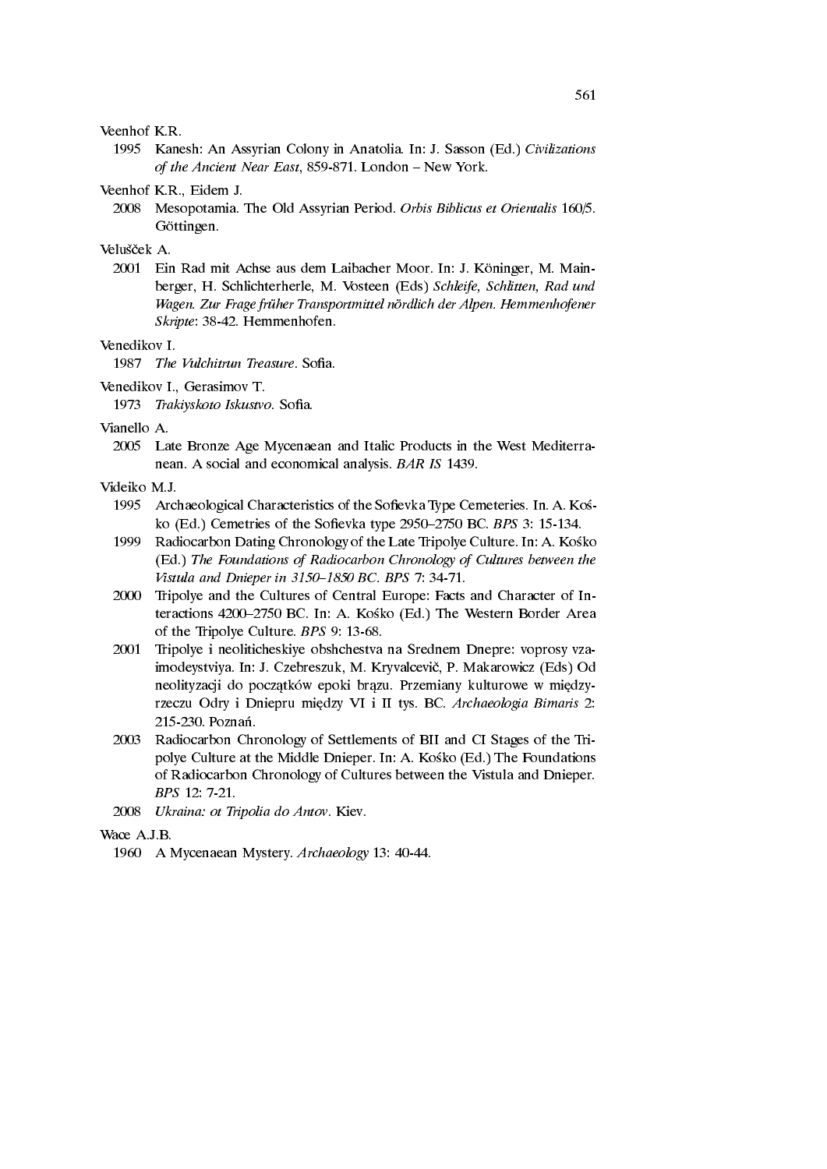### Veenhof K.R.

1995 Kanesh: An Assyrian Colony in Anatolia. In: J. Sasson (Ed.) Civilizations of the Ancient Near East, 859-871, London - New York.

#### Veenhof K.R., Eidem J.

2008 Mesopotamia. The Old Assyrian Period. Orbis Biblicus et Orientalis 160/5. Göttingen.

# Velušček A.

2001 Ein Rad mit Achse aus dem Laibacher Moor. In: J. Köninger, M. Mainberger, H. Schlichterherle, M. Vosteen (Eds) Schleife, Schlitten, Rad und Wagen. Zur Frage früher Transportmittel nördlich der Alpen. Hemmenhofener Skripte: 38-42. Hemmenhofen.

### Venedikov I.

1987 The Vulchitrun Treasure, Sofia.

Venedikov I., Gerasimov T.

1973 Trakiyskoto Iskustvo, Sofia.

#### Vianello A.

2005 Late Bronze Age Mycenaean and Italic Products in the West Mediterranean. A social and economical analysis. BAR IS 1439.

# Videiko M.J.

- 1995 Archaeological Characteristics of the Sofievka Type Cemeteries. In. A. Kosko (Ed.) Cemetries of the Sofievka type 2950–2750 BC. BPS 3: 15-134.
- 1999 Radiocarbon Dating Chronology of the Late Tripolye Culture, In: A. Kosko (Ed.) The Foundations of Radiocarbon Chronology of Cultures between the Vistula and Dnieper in 3150-1850 BC. BPS 7: 34-71.
- 2000 Tripolye and the Cultures of Central Europe: Facts and Character of Interactions 4200-2750 BC. In: A. Kośko (Ed.) The Western Border Area of the Tripolye Culture. BPS 9: 13-68.
- Tripolye i neoliticheskiye obshchestva na Srednem Dnepre: voprosy vza-2001 imodeystviya. In: J. Czebreszuk, M. Kryvalcevič, P. Makarowicz (Eds) Od neolityzacji do początków epoki brązu. Przemiany kulturowe w międzyrzeczu Odry i Dniepru między VI i II tys. BC. Archaeologia Bimaris 2: 215-230. Poznań.
- 2003 Radiocarbon Chronology of Settlements of BII and CI Stages of the Tripolye Culture at the Middle Dnieper. In: A. Kośko (Ed.) The Foundations of Radiocarbon Chronology of Cultures between the Vistula and Dnieper. *BPS* 12: 7-21.
- 2008 Ukraina: ot Tripolia do Antov, Kiev.

### Wace A.J.B.

1960 A Mycenaean Mystery. Archaeology 13: 40-44.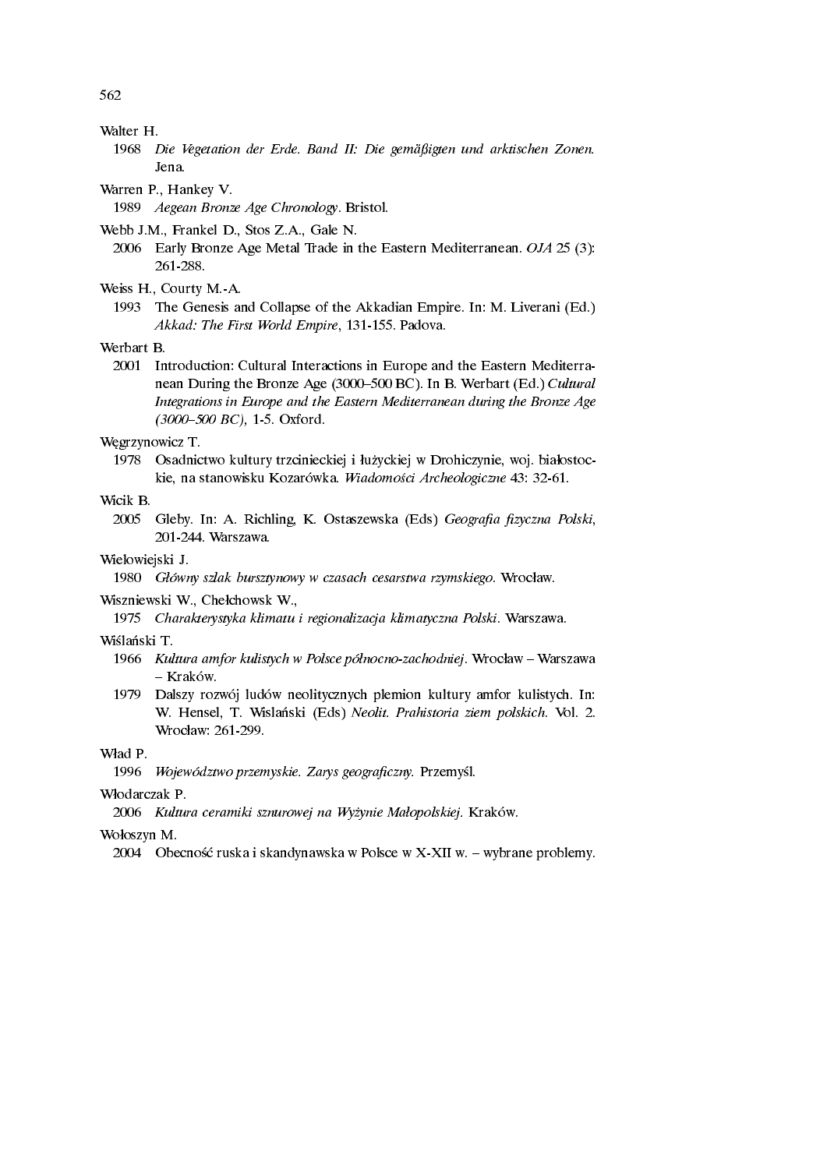Walter H.

- 1968 Die Vegetation der Erde. Band II: Die gemäßigten und arktischen Zonen. Jena.
- Warren P., Hankey V.
	- 1989 Aegean Bronze Age Chronology, Bristol.
- Webb J.M., Frankel D., Stos Z.A., Gale N.
	- 2006 Early Bronze Age Metal Trade in the Eastern Mediterranean. OJA 25 (3): 261-288.
- Weiss H., Courty M.-A.
	- 1993 The Genesis and Collapse of the Akkadian Empire. In: M. Liverani (Ed.) Akkad: The First World Empire, 131-155. Padova.

### Werbart B.

2001 Introduction: Cultural Interactions in Europe and the Eastern Mediterranean During the Bronze Age (3000–500 BC). In B. Werbart (Ed.) Cultural Integrations in Europe and the Eastern Mediterranean during the Bronze Age  $(3000 - 500 BC)$ , 1-5. Oxford.

Węgrzynowicz T.

Osadnictwo kultury trzcinieckiej i łużyckiej w Drohiczynie, woj. białostoc-1978 kie, na stanowisku Kozarówka. Wiadomości Archeologiczne 43: 32-61.

#### Wicik B

2005 Gleby, In: A. Richling, K. Ostaszewska (Eds) Geografia fizyczna Polski, 201-244. Warszawa.

#### Wielowiejski J.

1980 Główny szlak bursztynowy w czasach cesarstwa rzymskiego. Wrocław.

#### Wiszniewski W., Chełchowsk W.,

1975 Charakterystyka klimatu i regionalizacja klimatyczna Polski. Warszawa.

#### Wiślański T.

- 1966 Kultura amfor kulistych w Polsce północno-zachodniej. Wrocław Warszawa  $-$  Kraków
- 1979 Dalszy rozwój ludów neolitycznych plemion kultury amfor kulistych. In: W. Hensel, T. Wislański (Eds) Neolit. Prahistoria ziem polskich. Vol. 2. Wrocław: 261-299.

#### Wład P.

1996 Województwo przemyskie. Zarys geograficzny. Przemyśl.

### Włodarczak P.

2006 Kultura ceramiki sznurowej na Wyżynie Małopolskiej. Kraków.

#### Wołoszyn M.

2004 Obecność ruska i skandynawska w Polsce w X-XII w. – wybrane problemy.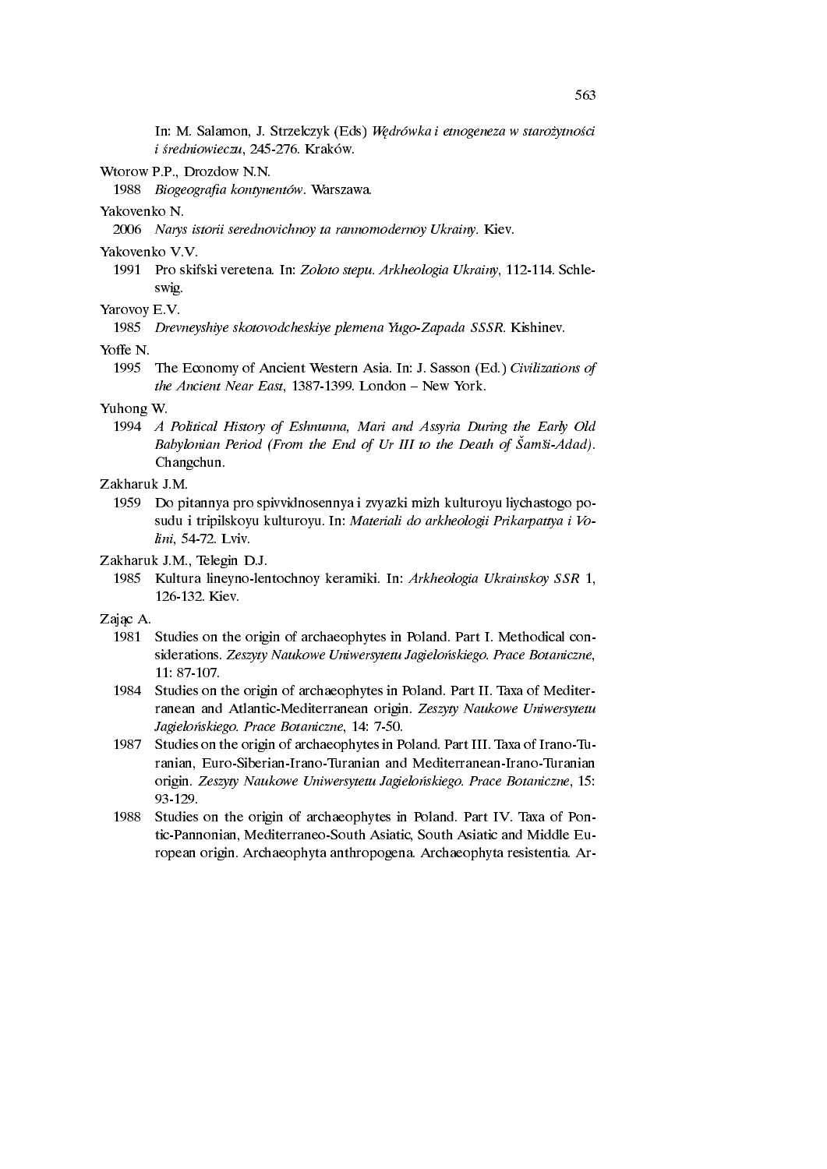In: M. Salamon, J. Strzelczyk (Eds) Wędrówka i etnogeneza w starożytności i średniowieczu, 245-276. Kraków.

### Wtorow P.P., Drozdow N.N.

1988 Biogeografia kontynentów. Warszawa.

#### Yakovenko N.

2006 Narvs istorii serednovichnov ta rannomodernov Ukrainv. Kiev.

#### Yakovenko V.V.

1991 Pro skifski veretena. In: Zoloto stepu. Arkheologia Ukrainy, 112-114. Schleswig.

### Yarovov E.V.

1985 Drevneyshiye skotovodcheskiye plemena Yugo-Zapada SSSR. Kishinev.

#### Yoffe N

1995 The Economy of Ancient Western Asia. In: J. Sasson (Ed.) Civilizations of the Ancient Near East, 1387-1399. London - New York.

#### Yuhong W.

1994 A Political History of Eshnunna, Mari and Assyria During the Early Old Babylonian Period (From the End of Ur III to the Death of Šamši-Adad). Changchun.

# Zakharuk J.M.

1959 Do pitannya pro spivyidnosennya i zvyazki mizh kulturoyu liychastogo posudu i tripilskoyu kulturoyu. In: Materiali do arkheologii Prikarpattya i Volini, 54-72. Lviv.

# Zakharuk J.M., Telegin D.J.

1985 Kultura lineyno-lentochnoy keramiki. In: Arkheologia Ukrainskoy SSR 1, 126-132. Kiev.

### Zajac A.

- 1981 Studies on the origin of archaeophytes in Poland. Part I. Methodical considerations. Zeszyty Naukowe Uniwersytetu Jagielońskiego. Prace Botaniczne,  $11:87-107.$
- 1984 Studies on the origin of archaeophytes in Poland. Part II. Taxa of Mediterranean and Atlantic-Mediterranean origin. Zeszyty Naukowe Uniwersytetu Jagielońskiego. Prace Botaniczne, 14: 7-50.
- 1987 Studies on the origin of archaeophytes in Poland. Part III. Taxa of Irano-Turanian, Euro-Siberian-Irano-Turanian and Mediterranean-Irano-Turanian origin. Zeszyty Naukowe Uniwersytetu Jagielońskiego. Prace Botaniczne, 15: 93-129.
- 1988 Studies on the origin of archaeophytes in Poland. Part IV. Taxa of Pontic Pannonian, Mediterraneo-South Asiatic, South Asiatic and Middle European origin, Archaeophyta anthropogena, Archaeophyta resistentia. Ar-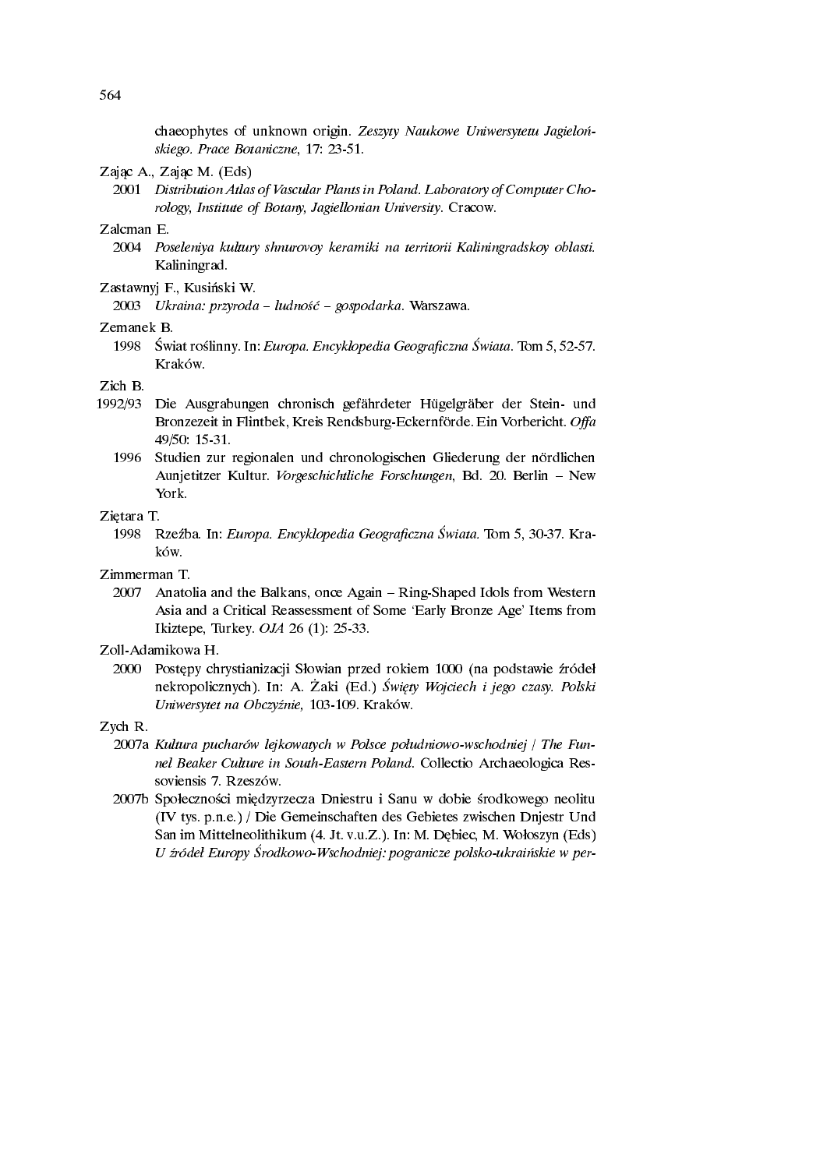chaeophytes of unknown origin. Zeszyty Naukowe Uniwersytetu Jagielońskiego. Prace Botaniczne, 17: 23-51.

- Zając A., Zając M. (Eds)
	- 2001 Distribution Atlas of Vascular Plants in Poland. Laboratory of Computer Chorology, Institute of Botany, Jagiellonian University. Cracow.

#### Zalcman E.

- 2004 Poseleniya kultury shnurovov keramiki na territorii Kaliningradskov oblasti. Kaliningrad.
- Zastawnyj F., Kusiński W.
	- 2003 Ukraina: przyroda ludność gospodarka, Warszawa,

#### Zemanek B.

1998 Świat roślinny. In: Europa. Encyklopedia Geograficzna Świata, Tom 5, 52-57. Kraków.

### Zich B.

- 1992/93 Die Ausgrabungen chronisch gefährdeter Hügelgräber der Stein- und Bronzezeit in Flintbek, Kreis Rendsburg-Eckernförde, Ein Vorbericht, Offa 49/50: 15-31.
	- 1996 Studien zur regionalen und chronologischen Gliederung der nördlichen Aunjetitzer Kultur. Vorgeschichtliche Forschungen, Bd. 20. Berlin - New York.

#### Ziętara T.

1998 Rzeźba. In: Europa. Encyklopedia Geograficzna Świata. Tom 5, 30-37, Kraków

### Zimmerman T.

2007 Anatolia and the Balkans, once Again - Ring-Shaped Idols from Western Asia and a Critical Reassessment of Some 'Early Bronze Age' Items from Ikiztepe, Turkey. OJA 26 (1): 25-33.

### Zoll-Adamikowa H.

2000 Postepy chrystianizacji Słowian przed rokiem 1000 (na podstawie źródeł nekropolicznych). In: A. Żaki (Ed.) Świety Wojciech i jego czasy. Polski Uniwersytet na Obczyźnie, 103-109. Kraków.

#### Zych R.

- 2007a Kultura pucharów lejkowatych w Polsce południowo-wschodniej / The Funnel Beaker Culture in South-Eastern Poland. Collectio Archaeologica Ressoviensis 7. Rzeszów.
- 2007b Społeczności międzyrzecza Dniestru i Sanu w dobie środkowego neolitu (IV tys. p.n.e.) / Die Gemeinschaften des Gebietes zwischen Dnjestr Und San im Mittelneolithikum (4. Jt. v.u.Z.). In: M. Debiec, M. Wołoszyn (Eds) U źródeł Europy Środkowo-Wschodniej: pogranicze polsko-ukraińskie w per-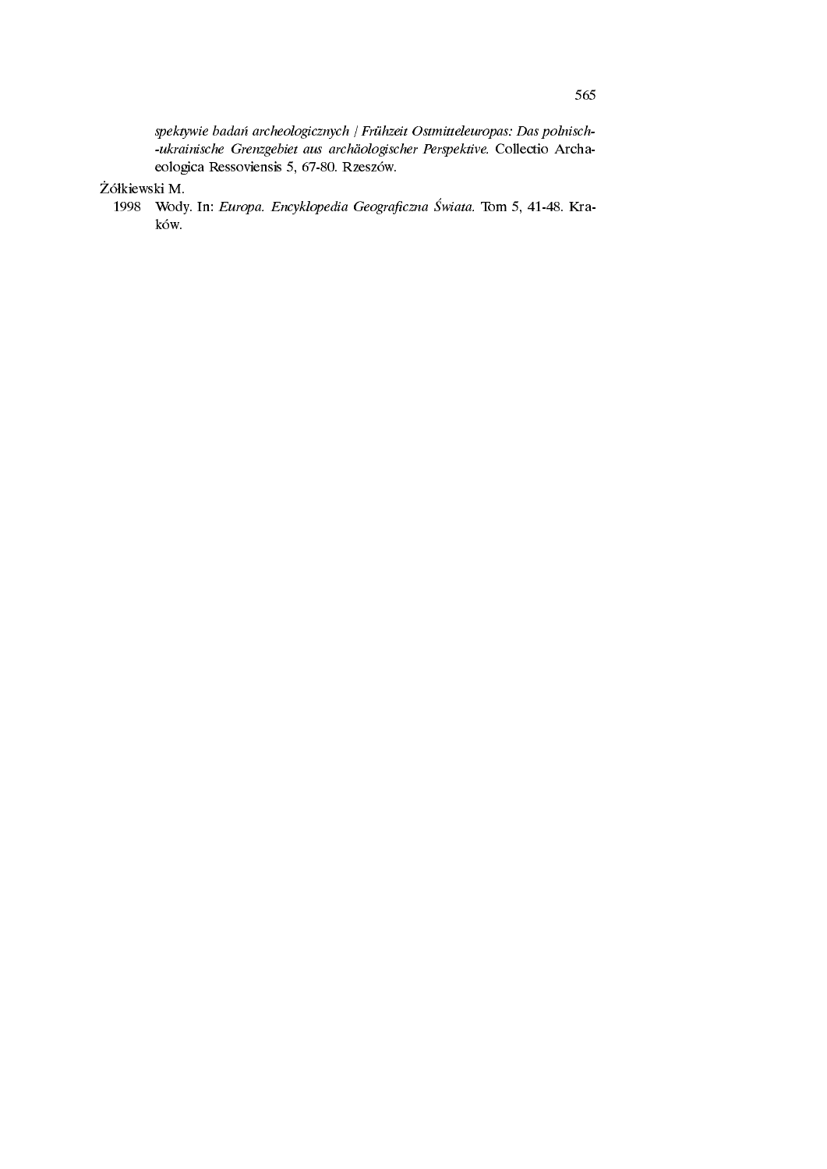spektywie badań archeologicznych / Frühzeit Ostmitteleuropas: Das polnisch--ukrainische Grenzgebiet aus archäologischer Perspektive. Collectio Archaeologica Ressoviensis 5, 67-80. Rzeszów.

# Żółkiewski M.

1998 Wody. In: Europa. Encyklopedia Geograficzna Świata. Tom 5, 41-48. Kraków.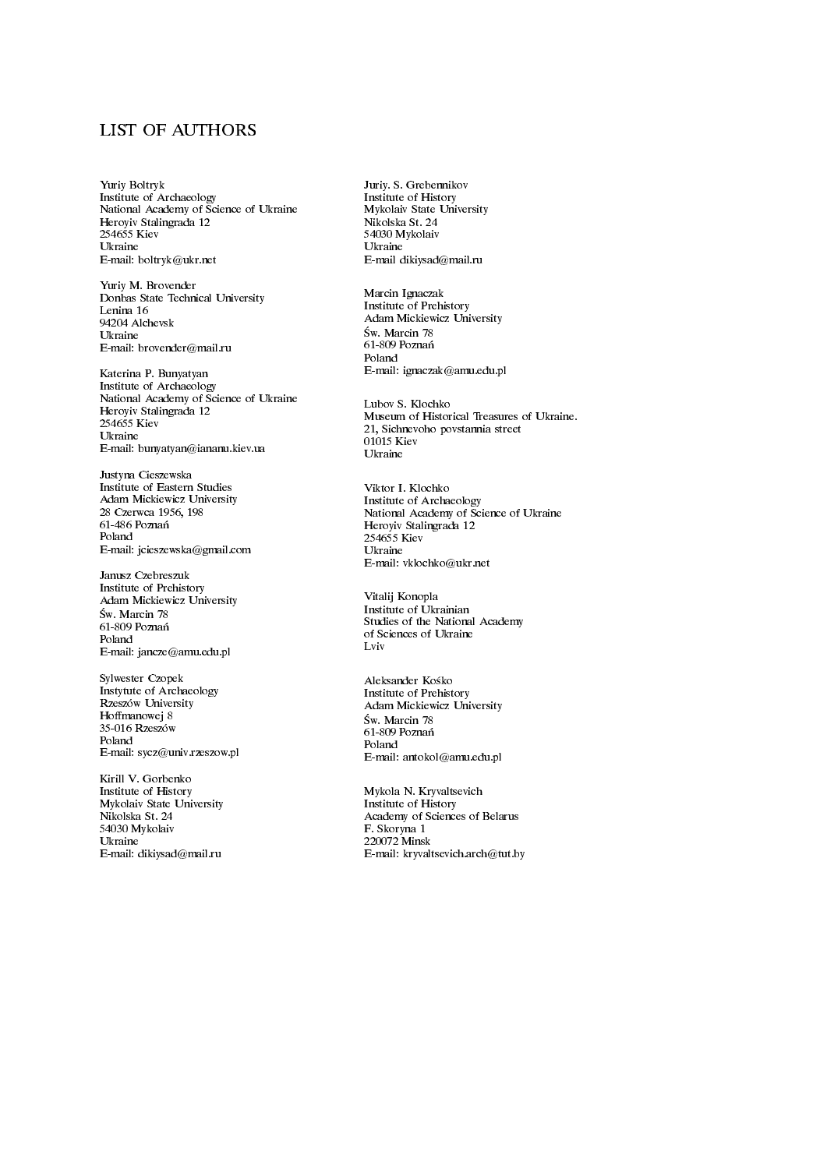# **LIST OF AUTHORS**

Yuriy Boltryk Institute of Archaeology National Academy of Science of Ukraine Heroyiv Stalingrada 12 254655 Kiev Ukraine E-mail: boltryk@ukr.net

Yuriy M. Brovender Donbas State Technical University Lenina 16 94204 Alchevsk **H**kraine E-mail: brovender@mail.ru

Katerina P. Bunyatyan Institute of Archaeology<br>National Academy of Science of Ukraine Heroyiv Stalingrada 12 254655 Kiev Ukraine E-mail: bunyatyan@iananu.kiev.ua

Justyna Cieszewska Institute of Eastern Studies Adam Mickiewicz University 28 Czerwca 1956, 198 61 486 Poznań Poland E-mail: jcieszewska@gmail.com

Janusz Czebreszuk Institute of Prehistory Adam Mickiewicz University Św. Marcin 78 61-809 Poznań Poland E-mail: jancze@amu.edu.pl

Sylwester Czopek Instytute of Archaeology Rzeszów University Hoffmanowej 8 35-016 Rzeszów Poland E-mail: sycz@univ.rzeszow.pl

Kirill V. Gorbenko Institute of History Mykolaiv State University Nikolska St. 24 54030 Mykolaiv Ukraine E-mail: dikiysad@mail.ru

Juriy, S. Grebennikov Institute of History Mykolaiv State University Nikolska St. 24 54030 Mykolaiv Ukraine E-mail dikiysad@mail.ru

Marcin Ignaczak Institute of Prehistory Adam Mickiewicz University Św. Marcin 78 61-809 Poznań Poland E-mail: ignaczak@amu.edu.pl

Lubov S. Klochko Museum of Historical Treasures of Ukraine. 21. Sichnevoho povstannia street  $01015$  Kiev Ukraine

Viktor I. Klochko Institute of Archaeology National Academy of Science of Ukraine Heroyiv Stalingrada 12 254655 Kiev Ukraine E-mail: vklochko@ukr.net

Vitalij Konopla Institute of Ukrainian Studies of the National Academy of Sciences of Ukraine Lviv

Aleksander Kośko Institute of Prehistory Adam Mickiewicz University Św. Marcin 78 61-809 Poznań Poland E-mail: antokol@amu.edu.pl

Mykola N. Kryvaltsevich Institute of History Academy of Sciences of Belarus F. Skoryna 1 220072 Minsk E-mail: kryvaltsevich.arch@tut.by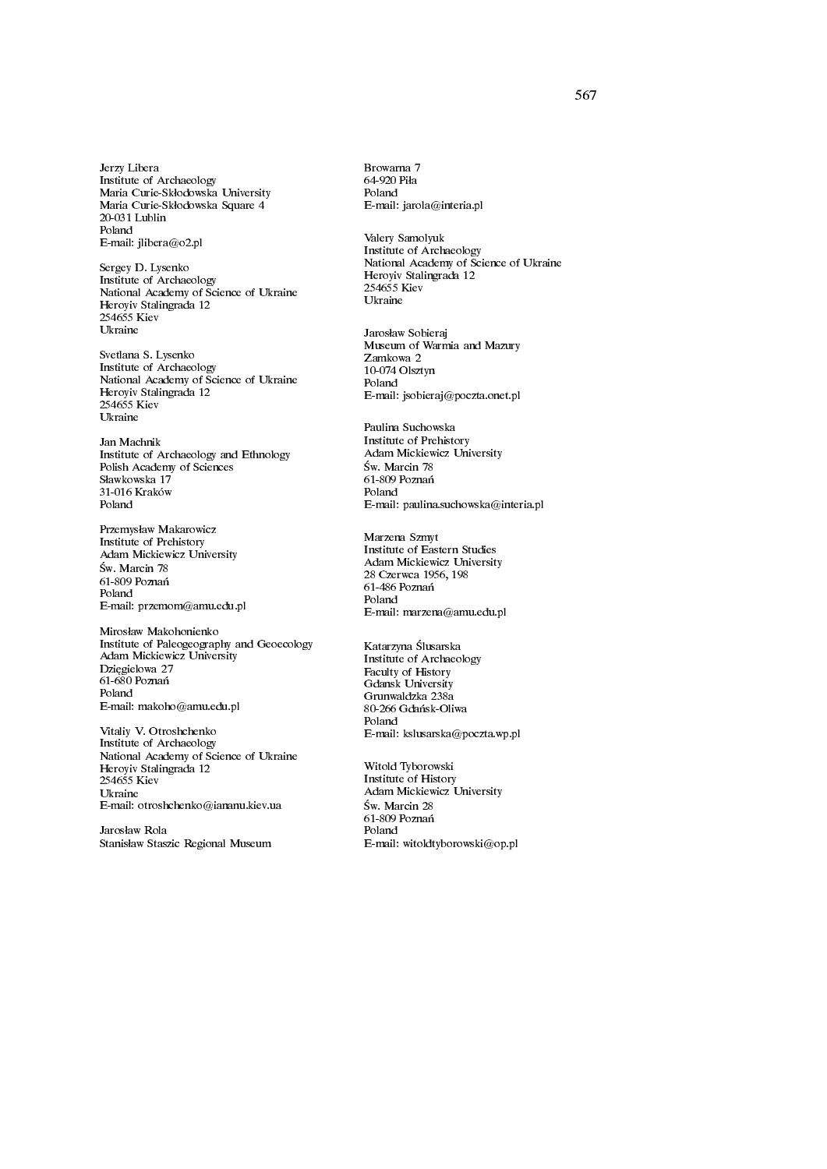Jerzy Libera Institute of Archaeology Maria Curie-Skłodowska University Maria Curie-Skłodowska Square 4 20-031 Lublin Poland E-mail: jlibera@o2.pl

Sergey D. Lysenko Institute of Archaeology National Academy of Science of Ukraine Heroyiv Stalingrada 12 254655 Kiev Ukraine

Svetlana S. Lysenko Institute of Archaeology National Academy of Science of Ukraine Heroyiv Stalingrada 12 254655 Kiev Ukraine

Jan Machnik Institute of Archaeology and Ethnology Polish Academy of Sciences Sławkowska 17 31 016 Kraków Poland

Przemysław Makarowicz Institute of Prehistory Adam Mickiewicz University Św. Marcin 78 61-809 Poznań Poland E-mail: przemom@amu.edu.pl

Mirosław Makohonienko Institute of Paleogeography and Geoecology Adam Mickiewicz University Dziegielowa 27  $61.680$  Poznań Poland E-mail: makoho@amu.edu.pl

Vitaliy V. Otroshchenko Institute of Archaeology National Academy of Science of Ukraine Heroyiv Stalingrada 12 254655 Kiev Ukraine E-mail: otroshchenko@iananu.kiev.ua

Jarosław Rola Stanisław Staszic Regional Museum Browarna 7 64-920 Piła Poland E-mail: jarola@interia.pl

Valery Samolyuk Institute of Archaeology<br>National Academy of Science of Ukraine Heroyiv Stalingrada 12 254655 Kiev Ukraine

Jarosław Sobieraj Museum of Warmia and Mazury Zamkowa 2 10-074 Olsztyn Poland E mail: jsobieraj@poczta.onet.pl

Paulina Suchowska Institute of Prehistory Adam Mickiewicz University Św. Marcin 78 61 809 Poznań Poland E-mail: paulina.suchowska@interia.pl

Marzena Szmyt Institute of Eastern Studies Adam Mickiewicz University 28 Czerwca 1956, 198 61 486 Poznań Poland E mail: marzena@amu.edu.pl

Katarzyna Ślusarska Institute of Archaeology Faculty of History **Gdansk University** Grunwaldzka 238a 80-266 Gdańsk-Oliwa Poland E-mail: kslusarska@poczta.wp.pl

Witold Tyborowski Institute of History Adam Mickiewicz University Św. Marcin 28 61-809 Poznań Poland E-mail: witoldtyborowski@op.pl